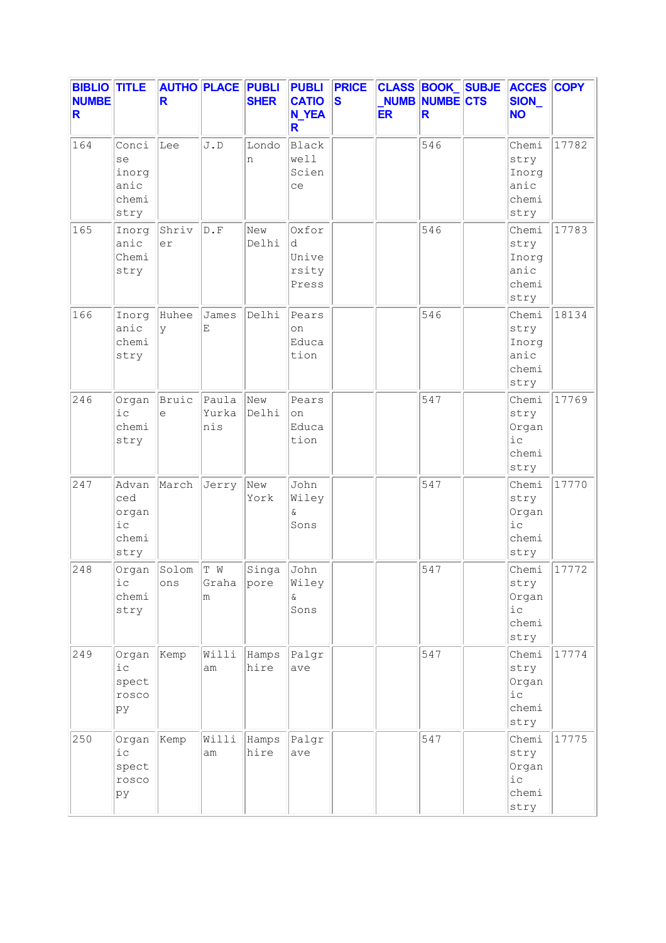| <b>BIBLIO TITLE</b><br><b>NUMBE</b><br>R |                                               | R            | <b>AUTHO PLACE PUBLI</b>  | <b>SHER</b>   | <b>PUBLI</b><br><b>CATIO</b><br><b>N_YEA</b><br>R | <b>PRICE</b><br>$\overline{\mathbf{s}}$ | <b>ER</b> | <b>CLASS BOOK SUBJE</b><br><b>NUMB NUMBE CTS</b><br>R | <b>ACCES COPY</b><br>SION_<br><b>NO</b>         |       |
|------------------------------------------|-----------------------------------------------|--------------|---------------------------|---------------|---------------------------------------------------|-----------------------------------------|-----------|-------------------------------------------------------|-------------------------------------------------|-------|
| 164                                      | Conci<br>se<br>inorg<br>anic<br>chemi<br>stry | Lee          | J.D                       | Londo<br>n    | Black<br>well<br>Scien<br>ce                      |                                         |           | 546                                                   | Chemi<br>stry<br>Inorg<br>anic<br>chemi<br>stry | 17782 |
| 165                                      | Inorg<br>anic<br>Chemi<br>stry                | Shriv<br>er  | $\mathbb D$ . $\mathbb F$ | New<br>Delhi  | Oxfor<br>d<br>Unive<br>rsity<br>Press             |                                         |           | 546                                                   | Chemi<br>stry<br>Inorg<br>anic<br>chemi<br>stry | 17783 |
| 166                                      | Inorg<br>anic<br>chemi<br>stry                | Huhee<br>y   | James<br>E                | Delhi         | Pears<br>on<br>Educa<br>tion                      |                                         |           | 546                                                   | Chemi<br>stry<br>Inorg<br>anic<br>chemi<br>stry | 18134 |
| 246                                      | Organ<br>i c<br>chemi<br>stry                 | Bruic<br>e   | Paula<br>Yurka<br>nis     | New<br>Delhi  | Pears<br>on<br>Educa<br>tion                      |                                         |           | 547                                                   | Chemi<br>stry<br>Organ<br>iс<br>chemi<br>stry   | 17769 |
| 247                                      | Advan<br>ced<br>organ<br>i c<br>chemi<br>stry | March        | Jerry                     | New<br>York   | John<br>Wiley<br>Q.<br>Sons                       |                                         |           | 547                                                   | Chemi<br>stry<br>Organ<br>i c<br>chemi<br>stry  | 17770 |
| 248                                      | Organ<br>iс<br>chemi<br>stry                  | Solom<br>ons | T W<br>Graha<br>m         | Singa<br>pore | John<br>Wiley<br>ଙ<br>Sons                        |                                         |           | 547                                                   | Chemi<br>stry<br>Organ<br>iс<br>chemi<br>stry   | 17772 |
| 249                                      | Organ<br>$i$ с<br>spect<br>rosco<br>ру        | Kemp         | Willi<br>am               | Hamps<br>hire | Palgr<br>ave                                      |                                         |           | 547                                                   | Chemi<br>stry<br>Organ<br>i c<br>chemi<br>stry  | 17774 |
| 250                                      | Organ<br>$i$ с<br>spect<br>rosco<br>pу        | Kemp         | Willi<br>am               | Hamps<br>hire | Palgr<br>ave                                      |                                         |           | 547                                                   | Chemi<br>stry<br>Organ<br>iс<br>chemi<br>stry   | 17775 |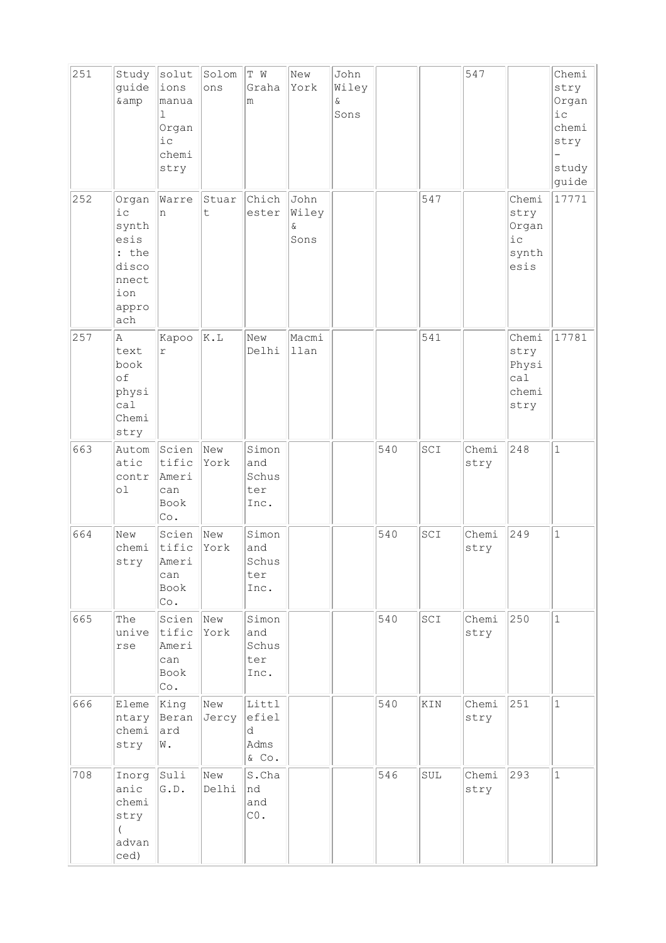| 251 | Study<br>guide<br>& amp                                                         | solut<br>ions<br>manua<br>1<br>Organ<br>i c<br>chemi<br>stry | Solom<br>ons                     | T W<br>Graha<br>m                    | New<br>York                       | John<br>Wiley<br>&<br>Sons |     |     | 547           |                                                | Chemi<br>stry<br>Organ<br>iс<br>chemi<br>stry<br>study<br>guide |
|-----|---------------------------------------------------------------------------------|--------------------------------------------------------------|----------------------------------|--------------------------------------|-----------------------------------|----------------------------|-----|-----|---------------|------------------------------------------------|-----------------------------------------------------------------|
| 252 | Organ<br>i c<br>synth<br>esis<br>: the<br>disco<br>nnect<br>ion<br>appro<br>ach | Warre<br>n                                                   | Stuar<br>t                       | Chich<br>ester                       | John<br>Wiley<br>$\delta$<br>Sons |                            |     | 547 |               | Chemi<br>stry<br>Organ<br>i c<br>synth<br>esis | 17771                                                           |
| 257 | Α<br>text<br>book<br>of<br>physi<br>ca1<br>Chemi<br>stry                        | Kapoo<br>$\Upsilon$                                          | K.L                              | New<br>Delhi                         | Macmi<br>llan                     |                            |     | 541 |               | Chemi<br>stry<br>Physi<br>ca1<br>chemi<br>stry | 17781                                                           |
| 663 | Autom<br>atic<br>contr<br>οl                                                    | Scien<br>tific<br>Ameri<br>can<br>Book<br>Co.                | New<br>York                      | Simon<br>and<br>Schus<br>ter<br>Inc. |                                   |                            | 540 | SCI | Chemi<br>stry | 248                                            | $\mathbf 1$                                                     |
| 664 | New<br>chemi<br>stry                                                            | Scien<br>tific<br>Ameri<br>can<br>Book<br>Co.                | New<br>York                      | Simon<br>and<br>Schus<br>ter<br>Inc. |                                   |                            | 540 | SCI | Chemi<br>stry | 249                                            | $\mathbf{1}$                                                    |
| 665 | The<br>unive<br>rse                                                             | Scien<br>tific<br>Ameri<br>can<br>Book<br>Co.                | $\sqrt{\phantom{a}}$ New<br>York | Simon<br>and<br>Schus<br>ter<br>Inc. |                                   |                            | 540 | SCI | Chemi<br>stry | 250                                            | $\mathbf{1}$                                                    |
| 666 | Eleme<br>ntary<br>chemi<br>stry                                                 | King<br>Beran<br>ard<br>W.                                   | New<br>Jercy                     | Littl<br>efiel<br>d<br>Adms<br>& Co. |                                   |                            | 540 | KIN | Chemi<br>stry | 251                                            | $\mathbf{1}$                                                    |
| 708 | Inorg<br>anic<br>chemi<br>stry<br>$\left($<br>advan<br>ced)                     | Suli<br>G.D.                                                 | New<br>Delhi                     | S.Cha<br>nd<br>and<br>${\rm CO}$ .   |                                   |                            | 546 | SUL | Chemi<br>stry | 293                                            | $\mathbf 1$                                                     |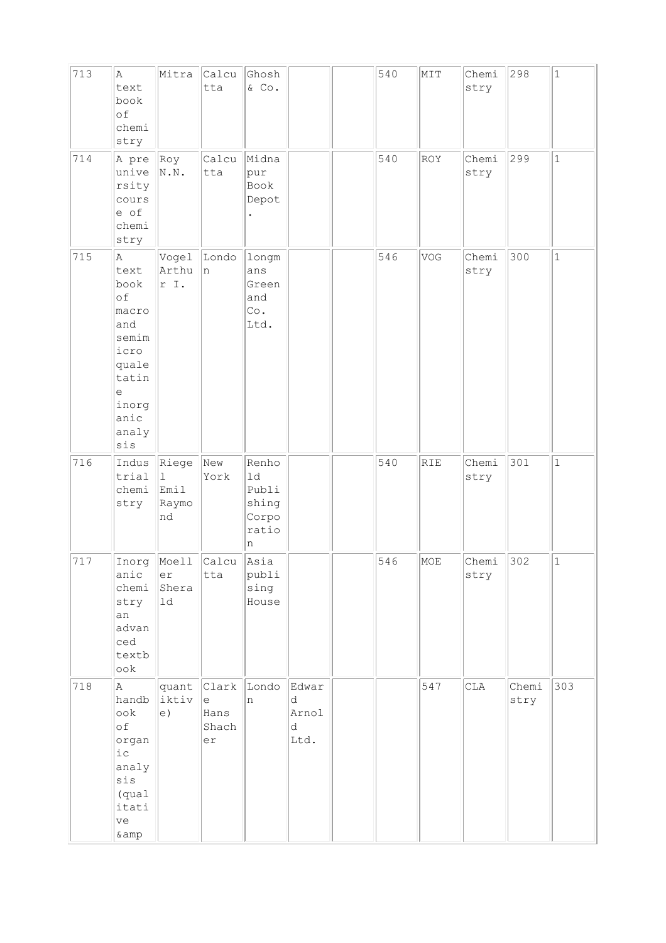| 713 | Α<br>text<br>book<br>of<br>chemi<br>stry                                                                                                                | Mitra                                   | Calcu<br>tta                             | Ghosh<br>$\&$ Co.                                    |                                  | 540 | MIT        | Chemi<br>stry | 298           | $\mathbf 1$  |
|-----|---------------------------------------------------------------------------------------------------------------------------------------------------------|-----------------------------------------|------------------------------------------|------------------------------------------------------|----------------------------------|-----|------------|---------------|---------------|--------------|
| 714 | A pre<br>unive<br>rsity<br>cours<br>e of<br>chemi<br>stry                                                                                               | Roy<br>$\mathbb{N}$ . $\mathbb{N}$ .    | Calcu<br>tta                             | Midna<br>pur<br>Book<br>Depot                        |                                  | 540 | ROY        | Chemi<br>stry | 299           | $\mathbf 1$  |
| 715 | Α<br>text<br>book<br>of<br>macro<br>and<br>semim<br>icro<br>quale<br>tatin<br>$\mathrel{\mathop{\mathrm{e}}\nolimits}$<br>inorg<br>anic<br>analy<br>sis | Vogel<br>Arthu<br>r I.                  | Londo<br> n                              | longm<br>ans<br>Green<br>and<br>Co.<br>Ltd.          |                                  | 546 | VOG        | Chemi<br>stry | 300           | $\mathbf 1$  |
| 716 | Indus<br>trial<br>chemi<br>stry                                                                                                                         | Riege<br>$\perp$<br>Emil<br>Raymo<br>nd | New<br>York                              | Renho<br>1d<br>Publi<br>shing<br>Corpo<br>ratio<br>n |                                  | 540 | <b>RIE</b> | Chemi<br>stry | 301           | $\mathbf{1}$ |
| 717 | Inorg<br>anic<br>chemi<br>stry<br>an<br>advan<br>ced<br>textb<br>ook                                                                                    | Moell<br>er<br>Shera<br>$1d$            | Calcu<br>tta                             | Asia<br>publi<br>sing<br>House                       |                                  | 546 | MOE        | Chemi<br>stry | 302           | $1\,$        |
| 718 | Α<br>handb<br>$\circ \circ k$<br>оf<br>organ<br>iс<br>analy<br>sis<br>(qual<br>itati<br>ve<br>$\&amp$                                                   | iktiv<br>e)                             | quant Clark<br>le<br>Hans<br>Shach<br>er | Londo<br>n                                           | Edwar<br>d<br>Arnol<br>d<br>Ltd. |     | 547        | CLA           | Chemi<br>stry | 303          |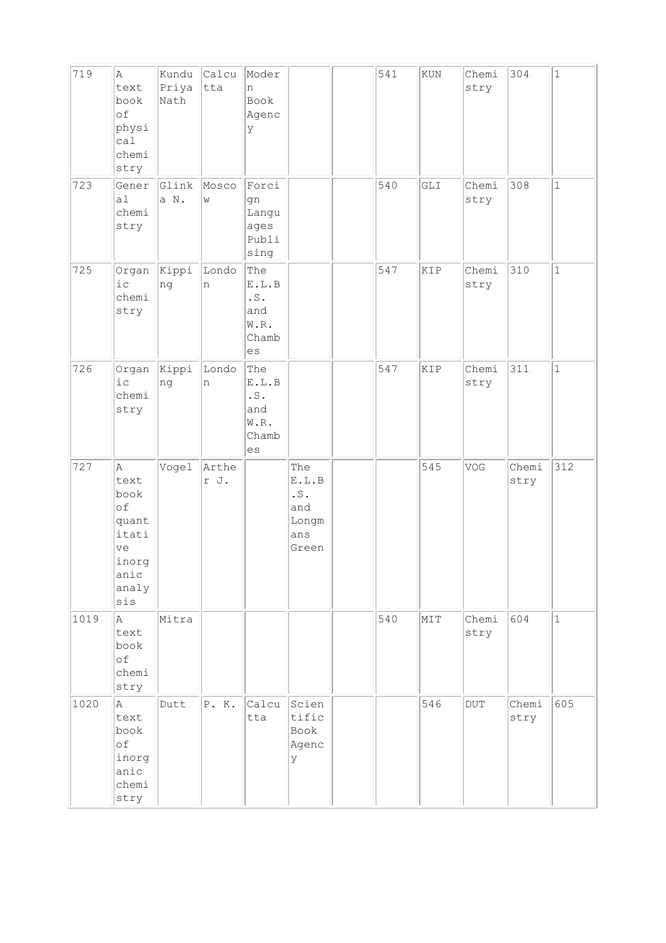| 719  | Α<br>text<br>book<br>of<br>physi<br>cal<br>chemi<br>stry                         | Kundu<br>Priya<br>Nath | Calcu<br>tta  | Moder<br>n<br>Book<br>Agenc<br>У                                |                                                     | 541 | KUN | Chemi<br>stry | 304           | $\mathbf{1}$ |
|------|----------------------------------------------------------------------------------|------------------------|---------------|-----------------------------------------------------------------|-----------------------------------------------------|-----|-----|---------------|---------------|--------------|
| 723  | Gener<br>a1<br>chemi<br>stry                                                     | Glink<br>a N.          | Mosco<br>W    | Forci<br>gn<br>Langu<br>ages<br>Publi<br>sing                   |                                                     | 540 | GLI | Chemi<br>stry | 308           | $\mathbf{1}$ |
| 725  | Organ<br>i c<br>chemi<br>stry                                                    | Kippi<br>ng            | Londo<br>n    | The<br>E.L.B<br>$\cdot$ S .<br>and<br>W.R.<br>Chamb<br>es       |                                                     | 547 | KIP | Chemi<br>stry | 310           | $\mathbf{1}$ |
| 726  | Organ<br>i c<br>chemi<br>stry                                                    | Kippi<br>ng            | Londo<br>n    | The<br>E.L.B<br>$\cdot$ S $\cdot$<br>and<br>W.R.<br>Chamb<br>es |                                                     | 547 | KIP | Chemi<br>stry | 311           | $\mathbf{1}$ |
| 727  | A<br>text<br>book<br>of<br>quant<br>itati<br>ve<br>inorg<br>anic<br>analy<br>sis | Vogel                  | Arthe<br>r J. |                                                                 | The<br>E.L.B<br>.S.<br>and<br>Longm<br>ans<br>Green |     | 545 | VOG           | Chemi<br>stry | 312          |
| 1019 | Α<br>text<br>book<br>of<br>chemi<br>stry                                         | Mitra                  |               |                                                                 |                                                     | 540 | MIT | Chemi<br>stry | 604           | $\mathbf{1}$ |
| 1020 | A.<br>text<br>book<br>of<br>inorg<br>anic<br>chemi<br>stry                       | Dutt                   | P. K.         | Calcu<br>tta                                                    | Scien<br>tific<br>Book<br>Agenc<br>У                |     | 546 | $\rm DUT$     | Chemi<br>stry | 605          |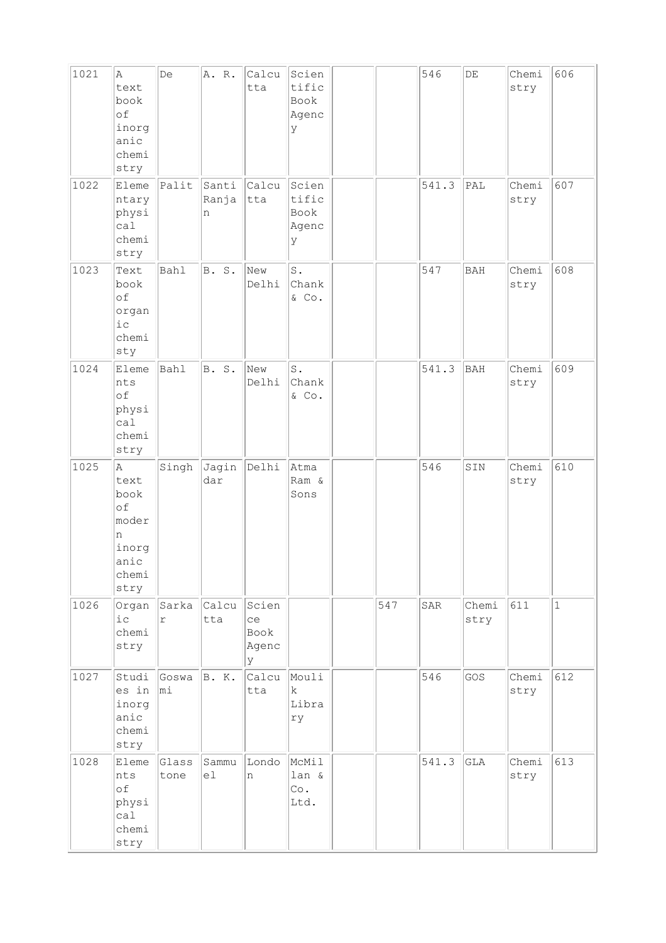| 1021 | A<br>text<br>book<br>of<br>inorg<br>anic<br>chemi<br>stry               | De                  | A. R.               | Calcu<br>tta                      | Scien<br>tific<br>Book<br>Agenc<br>У |     | 546   | $\rm{DE}$     | Chemi<br>stry | 606          |
|------|-------------------------------------------------------------------------|---------------------|---------------------|-----------------------------------|--------------------------------------|-----|-------|---------------|---------------|--------------|
| 1022 | Eleme<br>ntary<br>physi<br>cal<br>chemi<br>stry                         | Palit               | Santi<br>Ranja<br>n | Calcu<br>tta                      | Scien<br>tific<br>Book<br>Agenc<br>У |     | 541.3 | PAL           | Chemi<br>stry | 607          |
| 1023 | Text<br>book<br>of<br>organ<br>$i$ c<br>chemi<br>sty                    | Bahl                | B. S.               | New<br>Delhi                      | $S$ .<br>Chank<br>$\&$ Co.           |     | 547   | <b>BAH</b>    | Chemi<br>stry | 608          |
| 1024 | Eleme<br>nts<br>of<br>physi<br>ca1<br>chemi<br>stry                     | Bahl                | B. S.               | New<br>Delhi                      | S.<br>Chank<br>& Co.                 |     | 541.3 | BAH           | Chemi<br>stry | 609          |
| 1025 | A<br>text<br>book<br>of<br>moder<br>n<br>inorg<br>anic<br>chemi<br>stry | Singh               | Jagin<br>dar        | Delhi                             | Atma<br>Ram &<br>Sons                |     | 546   | SIN           | Chemi<br>stry | 610          |
| 1026 | Organ<br>$i$ c<br>chemi<br>stry                                         | Sarka<br>$\Upsilon$ | Calcu<br>tta        | Scien<br>ce<br>Book<br>Agenc<br>У |                                      | 547 | SAR   | Chemi<br>stry | 611           | $\mathbf{1}$ |
| 1027 | Studi<br>es in<br>inorg<br>anic<br>chemi<br>stry                        | Goswa<br>mi         | B. K.               | Calcu<br>tta                      | Mouli<br>$\mathbf k$<br>Libra<br>ry  |     | 546   | GOS           | Chemi<br>stry | 612          |
| 1028 | Eleme<br>nts<br>оf<br>physi<br>cal<br>chemi<br>stry                     | Glass<br>tone       | Sammu<br>el         | Londo<br>n.                       | McMil<br>lan &<br>Co.<br>Ltd.        |     | 541.3 | GLA           | Chemi<br>stry | 613          |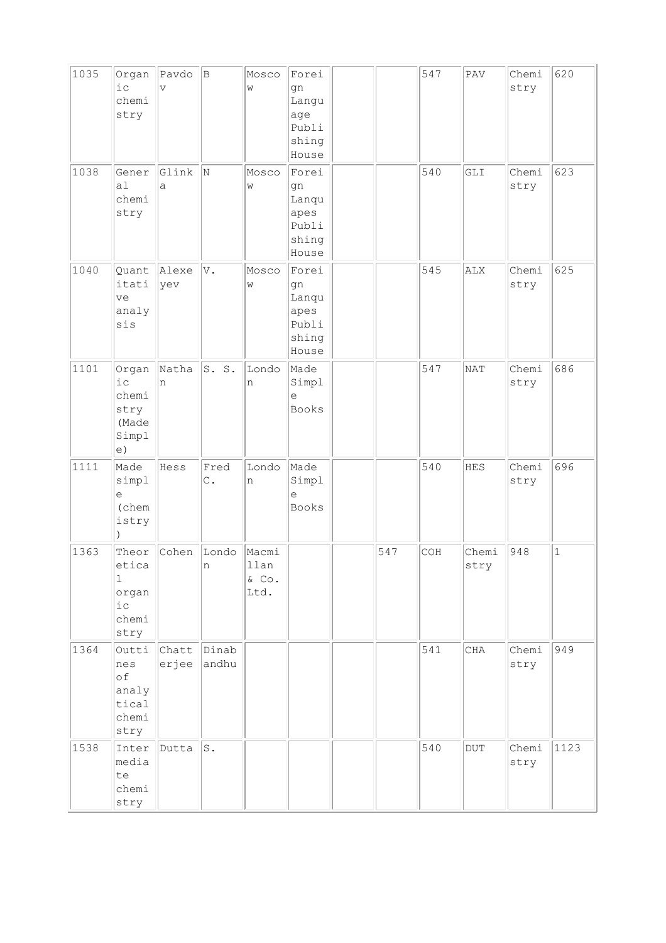| 1035 | Organ<br>i c<br>chemi<br>stry                         | Pavdo<br>$\overline{\mathbf{V}}$ | B                      | Mosco<br>W                        | Forei<br>gn<br>Langu<br>age<br>Publi<br>shing<br>House  |     | 547 | $\mathop{\mathrm{PAV}}$ | Chemi<br>stry | 620         |
|------|-------------------------------------------------------|----------------------------------|------------------------|-----------------------------------|---------------------------------------------------------|-----|-----|-------------------------|---------------|-------------|
| 1038 | Gener<br>a <sub>1</sub><br>chemi<br>stry              | Glink<br>a                       | N                      | Mosco<br>W                        | Forei<br>gn<br>Lanqu<br>apes<br>Publi<br>shing<br>House |     | 540 | GLI                     | Chemi<br>stry | 623         |
| 1040 | Quant<br>itati<br>ve<br>analy<br>sis                  | Alexe<br>yev                     | V.                     | Mosco<br>W                        | Forei<br>gn<br>Lanqu<br>apes<br>Publi<br>shing<br>House |     | 545 | ALX                     | Chemi<br>stry | 625         |
| 1101 | Organ<br>i c<br>chemi<br>stry<br>(Made<br>Simpl<br>e) | Natha<br>n                       | S. S.                  | Londo<br>n                        | Made<br>Simpl<br>e<br><b>Books</b>                      |     | 547 | NAT                     | Chemi<br>stry | 686         |
| 1111 | Made<br>simpl<br>$\in$<br>(chem<br>istry              | Hess                             | Fred<br>$\mathtt{C}$ . | Londo<br>n                        | Made<br>Simpl<br>$\in$<br><b>Books</b>                  |     | 540 | <b>HES</b>              | Chemi<br>stry | 696         |
| 1363 | Theor<br>etica<br>1<br>organ<br>i c<br>chemi<br>stry  | Cohen                            | Londo<br>n             | Macmi<br>11an<br>$\&$ Co.<br>Ltd. |                                                         | 547 | COH | Chemi<br>stry           | 948           | $\mathbf 1$ |
| 1364 | Outti<br>nes<br>of<br>analy<br>tical<br>chemi<br>stry | Chatt<br>erjee                   | Dinab<br>andhu         |                                   |                                                         |     | 541 | CHA                     | Chemi<br>stry | 949         |
| 1538 | Inter<br>media<br>te<br>chemi<br>stry                 | Dutta                            | s.                     |                                   |                                                         |     | 540 | $\rm DUT$               | Chemi<br>stry | 1123        |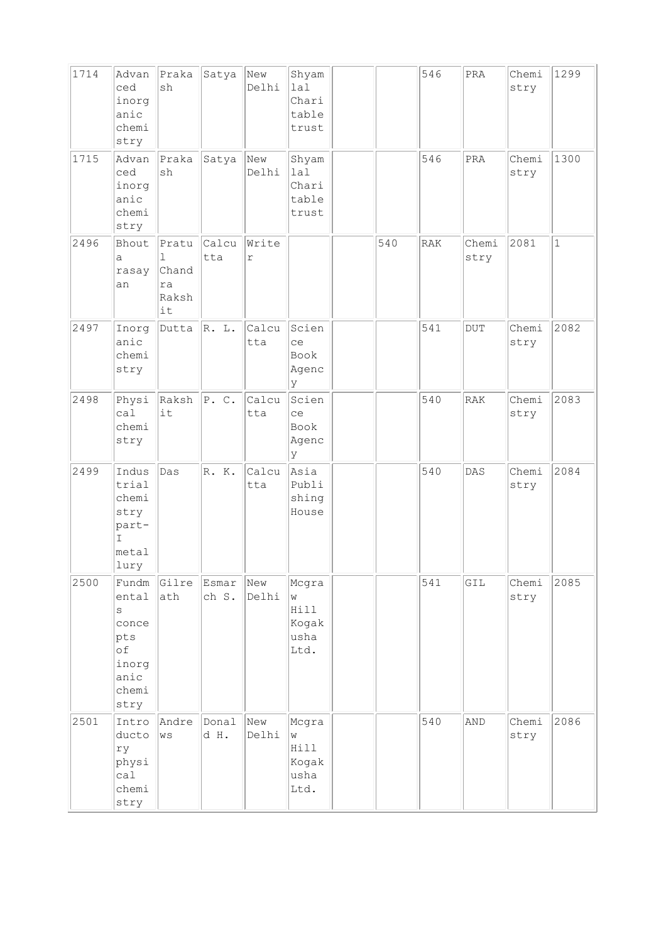| 1714 | Advan<br>ced<br>inorg<br>anic<br>chemi<br>stry                                    | Praka<br>sh                              | Satya          | New<br>Delhi        | Shyam<br>1a1<br>Chari<br>table<br>trust     |     | 546        | $\mbox{\texttt{PRA}}$ | Chemi<br>stry | 1299         |
|------|-----------------------------------------------------------------------------------|------------------------------------------|----------------|---------------------|---------------------------------------------|-----|------------|-----------------------|---------------|--------------|
| 1715 | Advan<br>ced<br>inorg<br>anic<br>chemi<br>stry                                    | Praka<br>sh                              | Satya          | New<br>Delhi        | Shyam<br>lal<br>Chari<br>table<br>trust     |     | 546        | PRA                   | Chemi<br>stry | 1300         |
| 2496 | Bhout<br>a<br>rasay<br>an                                                         | Pratu<br>1<br>Chand<br>ra<br>Raksh<br>it | Calcu<br>tta   | Write<br>$\Upsilon$ |                                             | 540 | <b>RAK</b> | Chemi<br>stry         | 2081          | $\mathbf{1}$ |
| 2497 | Inorg<br>anic<br>chemi<br>stry                                                    | Dutta                                    | R. L.          | Calcu<br>tta        | Scien<br>ce<br>Book<br>Agenc<br>У           |     | 541        | $_{\rm DUT}$          | Chemi<br>stry | 2082         |
| 2498 | Physi<br>ca1<br>chemi<br>stry                                                     | Raksh<br>it                              | P. C.          | Calcu<br>tta        | Scien<br>ce<br>Book<br>Agenc<br>У           |     | 540        | RAK                   | Chemi<br>stry | 2083         |
| 2499 | Indus<br>trial<br>chemi<br>stry<br>part-<br>T<br>metal<br> lury                   | Das                                      | R. K.          | Calcu<br>tta        | Asia<br>Publi<br>shing<br>House             |     | 540        | DAS                   | Chemi<br>stry | 2084         |
| 2500 | Fundm<br>ental<br>$\rm s$<br>conce<br>pts<br>of<br>inorg<br>anic<br>chemi<br>stry | Gilre<br>ath                             | Esmar<br>ch S. | New<br>Delhi        | Mcgra<br>W<br>Hill<br>Kogak<br>usha<br>Ltd. |     | 541        | GIL                   | Chemi<br>stry | 2085         |
| 2501 | Intro<br>ducto<br>ry<br>physi<br>ca1<br>chemi<br>stry                             | Andre<br>$\mathbb{W}\,\mathbb{S}$        | Donal<br>d H.  | New<br>Delhi        | Mcgra<br>W<br>Hill<br>Kogak<br>usha<br>Ltd. |     | 540        | AND                   | Chemi<br>stry | 2086         |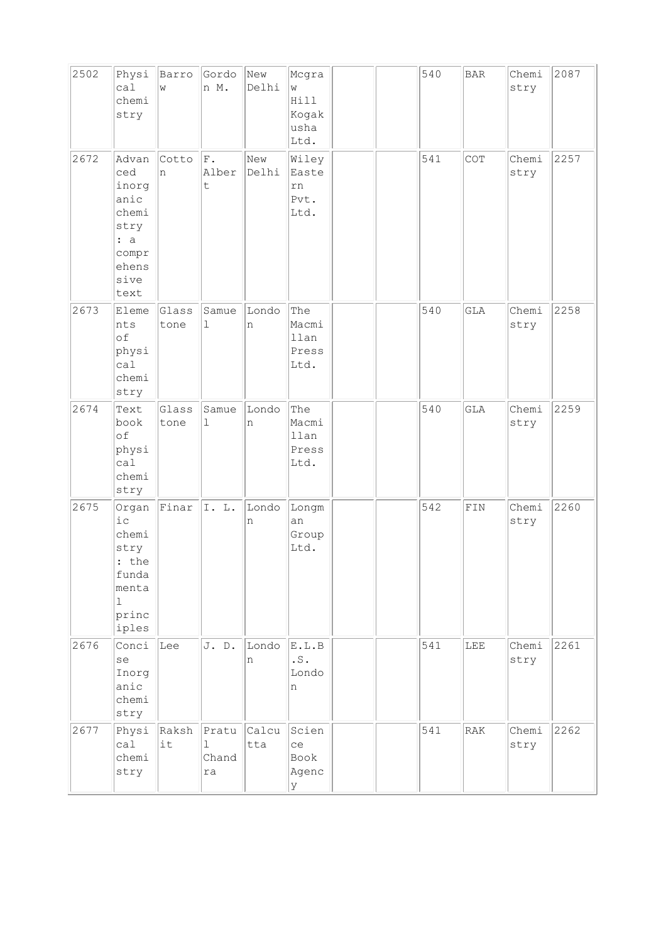| 2502 | Physi<br>ca1<br>chemi<br>stry                                                            | Barro<br>W    | Gordo<br>n M.             | New<br>Delhi | Mcgra<br>W<br>Hill<br>Kogak<br>usha<br>Ltd. |  | 540 | <b>BAR</b> | Chemi<br>stry | 2087 |
|------|------------------------------------------------------------------------------------------|---------------|---------------------------|--------------|---------------------------------------------|--|-----|------------|---------------|------|
| 2672 | Advan<br>ced<br>inorg<br>anic<br>chemi<br>stry<br>: a<br>compr<br>ehens<br>sive<br>text  | Cotto<br>n    | ${\bf F}$ .<br>Alber<br>t | New<br>Delhi | Wiley<br>Easte<br>rn<br>Pvt.<br>Ltd.        |  | 541 | COT        | Chemi<br>stry | 2257 |
| 2673 | Eleme<br>nts<br>of<br>physi<br>cal<br>chemi<br>stry                                      | Glass<br>tone | Samue<br>ı                | Londo<br>n   | The<br>Macmi<br>llan<br>Press<br>Ltd.       |  | 540 | <b>GLA</b> | Chemi<br>stry | 2258 |
| 2674 | Text<br>book<br>of<br>physi<br>ca1<br>chemi<br>stry                                      | Glass<br>tone | Samue<br>$\mathbf 1$      | Londo<br>n   | The<br>Macmi<br>llan<br>Press<br>Ltd.       |  | 540 | <b>GLA</b> | Chemi<br>stry | 2259 |
| 2675 | Organ<br>ic<br>chemi<br>stry<br>: the<br>funda<br>menta<br>$\mathbf 1$<br>princ<br>iples | Finar         | I. L.                     | Londo<br>n   | Longm<br>an<br>Group<br>Ltd.                |  | 542 | FIN        | Chemi<br>stry | 2260 |
| 2676 | Conci<br>se<br>Inorg<br>anic<br>chemi<br>stry                                            | Lee           | J. D.                     | Londo<br>n   | E.L.B<br>$\cdot$ S .<br>Londo<br>n          |  | 541 | LEE        | Chemi<br>stry | 2261 |
| 2677 | Physi<br>cal<br>chemi<br>stry                                                            | Raksh<br>it   | Pratu<br>ı<br>Chand<br>ra | Calcu<br>tta | Scien<br>ce<br>Book<br>Agenc<br>У           |  | 541 | RAK        | Chemi<br>stry | 2262 |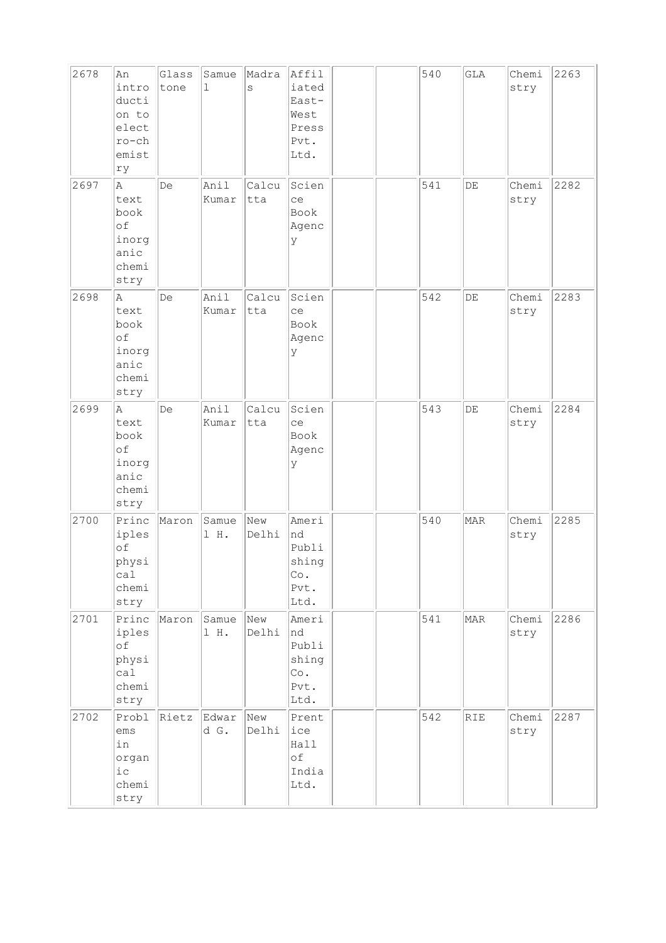| 2678 | An<br>intro<br>ducti<br>on to<br>elect<br>$ro-ch$<br>emist<br>ry | Glass<br>tone | Samue<br>1    | Madra<br>S   | Affil<br>iated<br>East-<br>West<br>Press<br>Pvt.<br>Ltd. |  | 540 | GLA        | Chemi<br>stry | 2263 |
|------|------------------------------------------------------------------|---------------|---------------|--------------|----------------------------------------------------------|--|-----|------------|---------------|------|
| 2697 | A<br>text<br>book<br>of<br>inorg<br>anic<br>chemi<br>stry        | De            | Anil<br>Kumar | Calcu<br>tta | Scien<br>ce<br>Book<br>Agenc<br>У                        |  | 541 | $\rm{DE}$  | Chemi<br>stry | 2282 |
| 2698 | A<br>text<br>book<br>of<br>inorg<br>anic<br>chemi<br>stry        | De            | Anil<br>Kumar | Calcu<br>tta | Scien<br>ce<br>Book<br>Agenc<br>У                        |  | 542 | $\rm{DE}$  | Chemi<br>stry | 2283 |
| 2699 | A<br>text<br>book<br>of<br>inorg<br>anic<br>chemi<br>stry        | De            | Anil<br>Kumar | Calcu<br>tta | Scien<br>ce<br><b>Book</b><br>Agenc<br>У                 |  | 543 | DE         | Chemi<br>stry | 2284 |
| 2700 | Princ<br>iples<br>of<br>physi<br>call<br>chemi<br>stry           | Maron         | Samue<br>1 H. | New<br>Delhi | Ameri<br>nd<br>Publi<br>shing<br>Co.<br>Pvt.<br>Ltd.     |  | 540 | <b>MAR</b> | Chemi<br>stry | 2285 |
| 2701 | Princ<br>iples<br>of<br>physi<br>ca1<br>chemi<br>stry            | Maron         | Samue<br>1 H. | New<br>Delhi | Ameri<br>Ind<br>Publi<br>shing<br>Co.<br>Pvt.<br>Ltd.    |  | 541 | MAR        | Chemi<br>stry | 2286 |
| 2702 | Probl<br>ems<br>in<br>organ<br>$i$ $c$<br>chemi<br>stry          | Rietz         | Edwar<br>d G. | New<br>Delhi | Prent<br>ice<br>Hall<br>of<br>India<br>Ltd.              |  | 542 | RIE        | Chemi<br>stry | 2287 |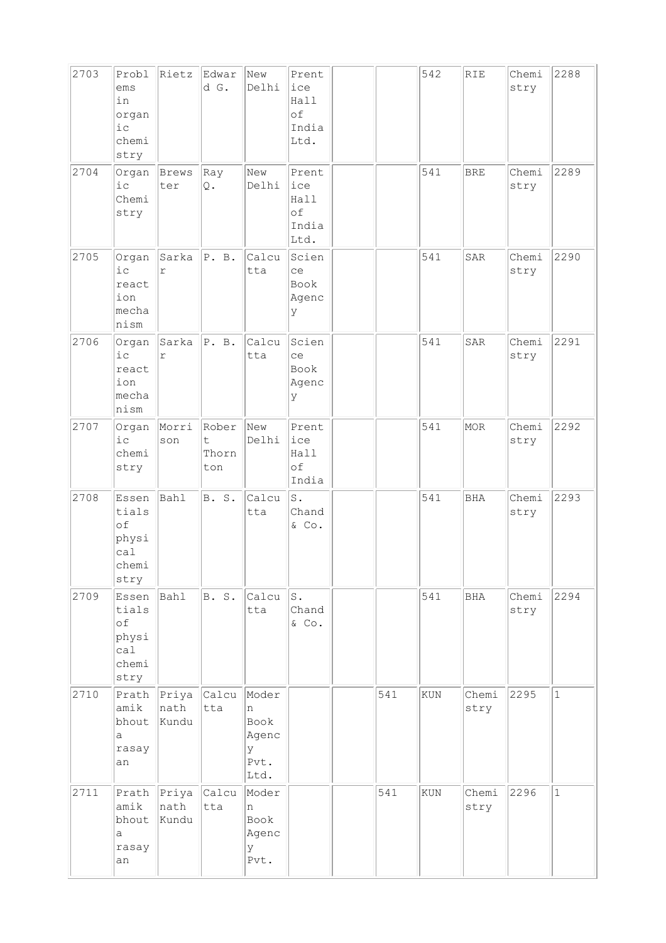| 2703 | Probl<br>ems<br>in<br>organ<br>$i$ c<br>chemi<br>stry | Rietz                        | Edwar<br>d G.                                | New<br>Delhi                                     | Prent<br>ice<br>Hall<br>of<br>India<br>Ltd.     |     | 542 | <b>RIE</b>    | Chemi<br>stry | 2288         |
|------|-------------------------------------------------------|------------------------------|----------------------------------------------|--------------------------------------------------|-------------------------------------------------|-----|-----|---------------|---------------|--------------|
| 2704 | Organ<br>$i$ c<br>Chemi<br>stry                       | Brews<br>ter                 | Ray<br>Q.                                    | New<br>Delhi                                     | Prent<br>ice<br>Hall<br>of<br>India<br>Ltd.     |     | 541 | <b>BRE</b>    | Chemi<br>stry | 2289         |
| 2705 | Organ<br>$i$ c<br>react<br>ion<br>mecha<br>nism       | Sarka<br>$\Upsilon$          | P. B.                                        | Calcu<br>tta                                     | Scien<br>ce<br>Book<br>Agenc<br>У               |     | 541 | SAR           | Chemi<br>stry | 2290         |
| 2706 | Organ<br>$i$ c<br>react<br>ion<br>mecha<br>nism       | Sarka<br>$\mathtt{r}$        | P. B.                                        | Calcu<br>tta                                     | Scien<br>ce<br>Book<br>Agenc<br>У               |     | 541 | SAR           | Chemi<br>stry | 2291         |
| 2707 | Organ<br>$i$ c<br>chemi<br>stry                       | Morri<br>son                 | Rober<br>$\ddot{\mathsf{t}}$<br>Thorn<br>ton | New<br>Delhi                                     | Prent<br>ice<br>Hall<br>of<br>India             |     | 541 | MOR           | Chemi<br>stry | 2292         |
| 2708 | Essen<br>tials<br>of<br>physi<br>ca1<br>chemi<br>stry | Bahl                         | B. S.                                        | Calcu<br>tta                                     | $S$ .<br>Chand<br>& Co.                         |     | 541 | <b>BHA</b>    | Chemi<br>stry | 2293         |
| 2709 | Essen<br>tials<br>of<br>physi<br>ca1<br>chemi<br>stry | Bahl                         | B. S.                                        | Calcu<br>tta                                     | $\operatorname{\mathsf{S}}$ .<br>Chand<br>& Co. |     | 541 | BHA           | Chemi<br>stry | 2294         |
| 2710 | Prath<br>amik<br>bhout<br>a<br>rasay<br>an            | Priya<br>nath<br>Kundu       | Calcu<br>tta                                 | Moder<br>n<br>Book<br>Agenc<br>У<br>Pvt.<br>Ltd. |                                                 | 541 | KUN | Chemi<br>stry | 2295          | $\mathbf{1}$ |
| 2711 | amik<br>bhout<br>a<br>rasay<br>an                     | Prath Priya<br>nath<br>Kundu | Calcu<br>tta                                 | Moder<br>n<br>Book<br>Agenc<br>У<br>Pvt.         |                                                 | 541 | KUN | Chemi<br>stry | 2296          | $\mathbf{1}$ |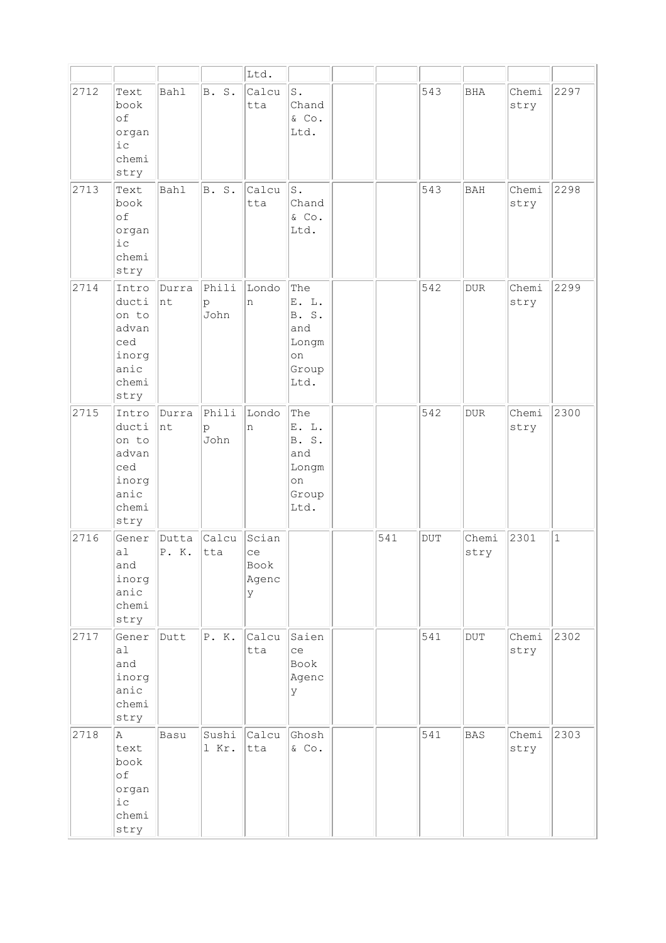|      |                                                                           |                |                               | Ltd.                              |                                                              |     |           |                         |               |              |
|------|---------------------------------------------------------------------------|----------------|-------------------------------|-----------------------------------|--------------------------------------------------------------|-----|-----------|-------------------------|---------------|--------------|
| 2712 | Text<br>book<br>of<br>organ<br>i c<br>chemi<br>stry                       | <b>Bahl</b>    | B. S.                         | Calcu<br>tta                      | $\texttt{S}$ .<br>Chand<br>& Co.<br>Ltd.                     |     | 543       | BHA                     | Chemi<br>stry | 2297         |
| 2713 | Text<br>book<br>of<br>organ<br>$i$ c<br>chemi<br>stry                     | <b>Bahl</b>    | B. S.                         | Calcu<br>tta                      | $S$ .<br>Chand<br>& Co.<br>Ltd.                              |     | 543       | <b>BAH</b>              | Chemi<br>stry | 2298         |
| 2714 | Intro<br>ducti<br>on to<br>advan<br>ced<br>inorg<br>anic<br>chemi<br>stry | Durra<br> nt   | Phili<br>p<br>John            | Londo<br>n                        | The<br>E. L.<br>B. S.<br>and<br>Longm<br>on<br>Group<br>Ltd. |     | 542       | $_{\rm DUR}$            | Chemi<br>stry | 2299         |
| 2715 | Intro<br>ducti<br>on to<br>advan<br>ced<br>inorg<br>anic<br>chemi<br>stry | Durra<br> nt   | Phili<br>$\mathbf{p}$<br>John | Londo<br>n                        | The<br>E. L.<br>B. S.<br>and<br>Longm<br>on<br>Group<br>Ltd. |     | 542       | <b>DUR</b>              | Chemi<br>stry | 2300         |
| 2716 | Gener<br>a <sub>1</sub><br>and<br>inorg<br>anic<br>chemi<br>stry          | Dutta<br>P. K. | Calcu<br>tta                  | Scian<br>ce<br>Book<br>Agenc<br>У |                                                              | 541 | $\rm DUT$ | Chemi<br>stry           | 2301          | $\mathbf{1}$ |
| 2717 | Gener<br>a1<br>and<br>inorg<br>anic<br>chemi<br>stry                      | Dutt           | P. K.                         | Calcu<br>tta                      | Saien<br>ce<br>Book<br>Agenc<br>У                            |     | 541       | $\overline{\text{DUT}}$ | Chemi<br>stry | 2302         |
| 2718 | A<br>text<br>book<br>оf<br>organ<br>i c<br>chemi<br>stry                  | Basu           | Sushi<br>1 Kr.                | Calcu<br>tta                      | Ghosh<br>& Co.                                               |     | 541       | BAS                     | Chemi<br>stry | 2303         |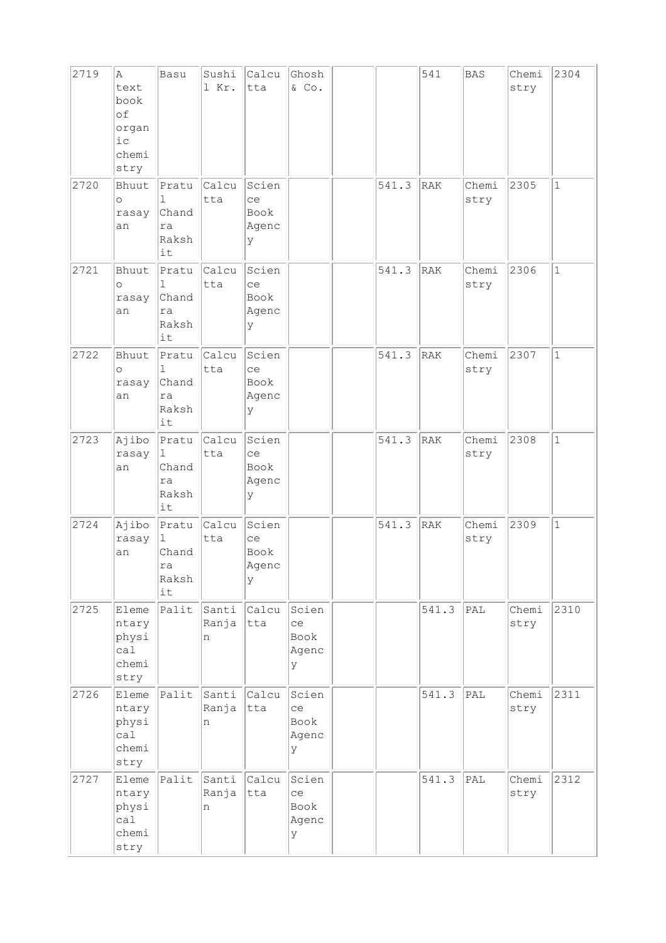| 2719 | A<br>text<br>book<br>of<br>organ<br>i c<br>chemi<br>stry | Basu                                                | Sushi<br>1 Kr.            | Calcu<br>tta                             | Ghosh<br>& Co.                    |       | 541        | <b>BAS</b>     | Chemi<br>stry | 2304         |
|------|----------------------------------------------------------|-----------------------------------------------------|---------------------------|------------------------------------------|-----------------------------------|-------|------------|----------------|---------------|--------------|
| 2720 | Bhuut<br>$\circ$<br>rasay<br>an                          | Pratu<br>ı<br>Chand<br>ra<br>Raksh<br>it            | Calcu<br>tta              | Scien<br>ce<br>Book<br>Agenc<br>У        |                                   | 541.3 | <b>RAK</b> | Chemi<br>stry  | 2305          | $\mathbf{1}$ |
| 2721 | Bhuut<br>$\circ$<br>rasay<br>an                          | Pratu<br>$\mathbb{I}$<br>Chand<br>ra<br>Raksh<br>it | Calcu<br>tta              | Scien<br>ce<br>Book<br>Agenc<br>У        |                                   | 541.3 | RAK        | Chemi<br>stry  | 2306          | $\mathbf{1}$ |
| 2722 | Bhuut<br>$\circ$<br>rasay<br>an                          | Pratu<br>1<br>Chand<br>ra<br>Raksh<br>it            | Calcu<br>tta              | Scien<br>ce<br>Book<br>Agenc<br>У        |                                   | 541.3 | RAK        | Chemi<br>stry  | 2307          | $\mathbf{1}$ |
| 2723 | Ajibo<br>rasay<br>an                                     | Pratu<br>$\perp$<br>Chand<br>ra<br>Raksh<br>it      | Calcu<br>tta              | Scien<br>ce<br>Book<br>Agenc<br>У        |                                   | 541.3 | RAK        | Chemi<br>stry  | 2308          | $\mathbf{1}$ |
| 2724 | Ajibo<br>rasay<br>an                                     | Pratu<br>1<br>Chand<br>ra<br>Raksh<br>it            | Calcu<br>tta              | Scien<br>ce<br><b>Book</b><br>Agenc<br>У |                                   | 541.3 | RAK        | Chemi<br>stry  | 2309          | $\mathbf 1$  |
| 2725 | Eleme<br>ntary<br>physi<br>ca1<br>chemi<br>stry          |                                                     | Palit Santi<br>Ranja<br>n | Calcu<br>tta                             | Scien<br>ce<br>Book<br>Agenc<br>У |       | 541.3      | PAL            | Chemi<br>stry | 2310         |
| 2726 | Eleme<br>ntary<br>physi<br>cal<br>chemi<br>stry          | Palit                                               | Santi<br>Ranja<br>n       | Calcu<br>tta                             | Scien<br>ce<br>Book<br>Agenc<br>У |       | 541.3      | <sub>PAL</sub> | Chemi<br>stry | 2311         |
| 2727 | Eleme<br>ntary<br>physi<br>ca1<br>chemi<br>stry          | Palit                                               | Santi<br>Ranja<br>n       | Calcu<br>tta                             | Scien<br>ce<br>Book<br>Agenc<br>У |       | 541.3      | PAL            | Chemi<br>stry | 2312         |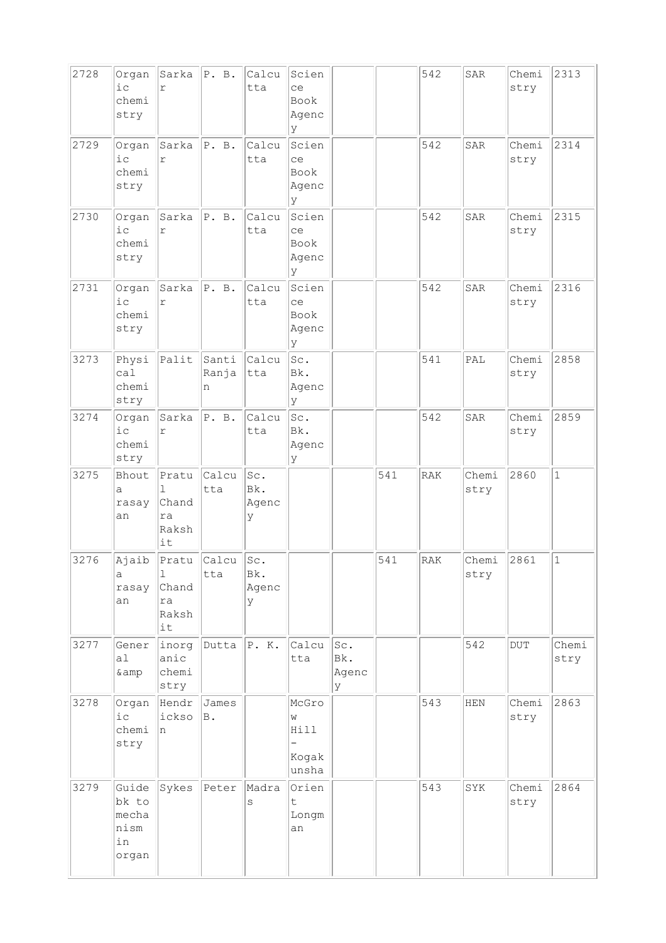| 2728 | Organ<br>$i$ c<br>chemi<br>stry                | Sarka<br>r                                          | P. B.                     | Calcu<br>tta             | Scien<br>ce<br>Book<br>Agenc<br>У        |                          |                  | 542        | SAR                  | Chemi<br>stry | 2313          |
|------|------------------------------------------------|-----------------------------------------------------|---------------------------|--------------------------|------------------------------------------|--------------------------|------------------|------------|----------------------|---------------|---------------|
| 2729 | Organ<br>$i$ c<br>chemi<br>stry                | Sarka<br>$\Upsilon$                                 | P. B.                     | Calcu<br>tta             | Scien<br>ce<br><b>Book</b><br>Agenc<br>У |                          |                  | 542        | SAR                  | Chemi<br>stry | 2314          |
| 2730 | Organ<br>$i$ c<br>chemi<br>stry                | Sarka<br>$\Upsilon$                                 | P. B.                     | Calcu<br>tta             | Scien<br>ce<br>Book<br>Agenc<br>У        |                          |                  | 542        | SAR                  | Chemi<br>stry | 2315          |
| 2731 | Organ<br>$i$ c<br>chemi<br>stry                | Sarka<br>r                                          | P. B.                     | Calcu<br>tta             | Scien<br>ce<br>Book<br>Agenc<br>У        |                          |                  | 542        | <b>SAR</b>           | Chemi<br>stry | 2316          |
| 3273 | Physi<br>ca1<br>chemi<br>stry                  | Palit                                               | Santi<br>Ranja<br>n       | Calcu<br>tta             | Sc.<br>Bk.<br>Agenc<br>lУ                |                          |                  | 541        | PAL                  | Chemi<br>stry | 2858          |
| 3274 | Organ<br>$i$ c<br>chemi<br>stry                | Sarka<br>$\Upsilon$                                 | P. B.                     | Calcu<br>tta             | Sc.<br>Bk.<br>Agenc<br>У                 |                          |                  | 542        | SAR                  | Chemi<br>stry | 2859          |
| 3275 | Bhout<br>a<br>rasay<br>an                      | Pratu<br>$\mathbb{L}$<br>Chand<br>ra<br>Raksh<br>it | Calcu<br>tta              | Sc.<br>Bk.<br>Agenc<br>У |                                          |                          | 541              | <b>RAK</b> | Chemi<br>stry        | 2860          | $\mathbf{1}$  |
| 3276 | Ajaib<br>а<br>rasay<br>an                      | Pratu<br>1<br>Chand<br>ra<br>Raksh<br>it            | calcu<br>tta              | Sc.<br>Bk.<br>Agenc<br>У |                                          |                          | $\overline{541}$ | RAK        | Chemi $2861$<br>stry |               | $\mathbf 1$   |
| 3277 | Gener<br>a1<br>& amp                           | inorg<br>anic<br>chemi<br>stry                      | Dutta $\Vert P. K. \Vert$ |                          | Calcu<br>tta                             | Sc.<br>Bk.<br>Agenc<br>У |                  |            | 542                  | <b>DUT</b>    | Chemi<br>stry |
| 3278 | Organ<br>i c<br>chemi<br>stry                  | Hendr<br>ickso<br>n                                 | James<br>B.               |                          | McGro<br>W<br>Hill<br>Kogak<br>unsha     |                          |                  | 543        | HEN                  | Chemi<br>stry | 2863          |
| 3279 | Guide<br>bk to<br>mecha<br>nism<br>in<br>organ | Sykes                                               | Peter                     | Madra<br>S               | Orien<br>$\sf t$<br>Longm<br>an          |                          |                  | 543        | SYK                  | Chemi<br>stry | 2864          |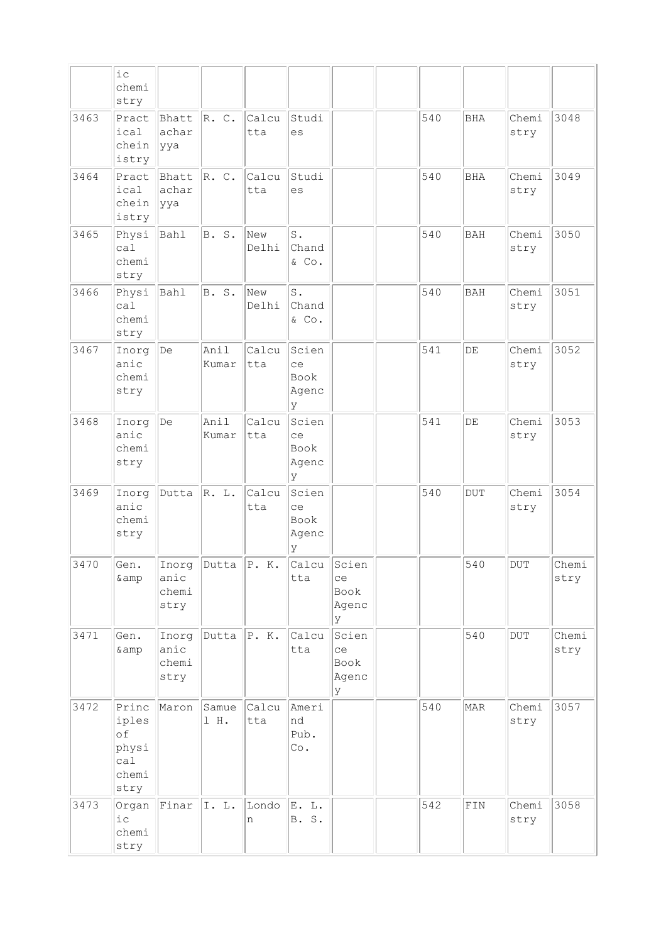|      | iс<br>chemi<br>stry                                   |                                |                |                     |                                    |                                   |     |             |               |               |
|------|-------------------------------------------------------|--------------------------------|----------------|---------------------|------------------------------------|-----------------------------------|-----|-------------|---------------|---------------|
| 3463 | Pract<br>ical<br>chein<br>istry                       | Bhatt<br>achar<br> yya         | R. C.          | Calcu<br>tta        | Studi<br>es                        |                                   | 540 | <b>BHA</b>  | Chemi<br>stry | 3048          |
| 3464 | Pract<br>ical<br>chein<br>istry                       | Bhatt<br>achar<br>ууа          | R. C.          | Calcu<br>tta        | Studi<br>es                        |                                   | 540 | <b>BHA</b>  | Chemi<br>stry | 3049          |
| 3465 | Physi<br>ca1<br>chemi<br>stry                         | Bahl                           | <b>B. S.</b>   | New<br>Delhi        | $S$ .<br>Chand<br>& Co.            |                                   | 540 | <b>BAH</b>  | Chemi<br>stry | 3050          |
| 3466 | Physi<br>ca1<br>chemi<br>stry                         | Bahl                           | <b>B.</b> S.   | New<br>Delhi        | S.<br>Chand<br>& Co.               |                                   | 540 | <b>BAH</b>  | Chemi<br>stry | 3051          |
| 3467 | Inorg<br>anic<br>chemi<br>stry                        | De                             | Anil<br>Kumar  | Calcu<br>tta        | Scien<br>ce<br>Book<br>Agenc<br>ΙY |                                   | 541 | DE          | Chemi<br>stry | 3052          |
| 3468 | Inorg<br>anic<br>chemi<br>stry                        | De                             | Anil<br>Kumar  | Calcu<br>tta        | Scien<br>ce<br>Book<br>Agenc<br>У  |                                   | 541 | DE          | Chemi<br>stry | 3053          |
| 3469 | Inorg<br>anic<br>chemi<br>stry                        | Dutta                          | R. L.          | Calcu<br>tta        | Scien<br>ce<br>Book<br>Agenc<br>У  |                                   | 540 | <b>DUT</b>  | Chemi<br>stry | 3054          |
| 3470 | Gen.<br>& amp                                         | Inorg<br>anic<br>chemi<br>stry | Dutta          | $\Vert P. K. \Vert$ | Calcu<br>tta                       | Scien<br>ce<br>Book<br>Agenc<br>У |     | 540         | $\rm DUT$     | Chemi<br>stry |
| 3471 | Gen.<br>& amp                                         | Inorg<br>anic<br>chemi<br>stry | Dutta $ P. K.$ |                     | Calcu<br>tta                       | Scien<br>ce<br>Book<br>Agenc<br>У |     | 540         | $\rm DUT$     | Chemi<br>stry |
| 3472 | Princ<br>iples<br>of<br>physi<br>cal<br>chemi<br>stry | Maron                          | Samue<br>1 H.  | Calcu<br>tta        | Ameri<br>nd<br>Pub.<br>Co.         |                                   | 540 | <b>MAR</b>  | Chemi<br>stry | 3057          |
| 3473 | Organ<br>i c<br>chemi<br>stry                         | Finar                          | I. L.          | Londo<br>n          | E. L.<br><b>B.</b> S.              |                                   | 542 | ${\tt FIN}$ | Chemi<br>stry | 3058          |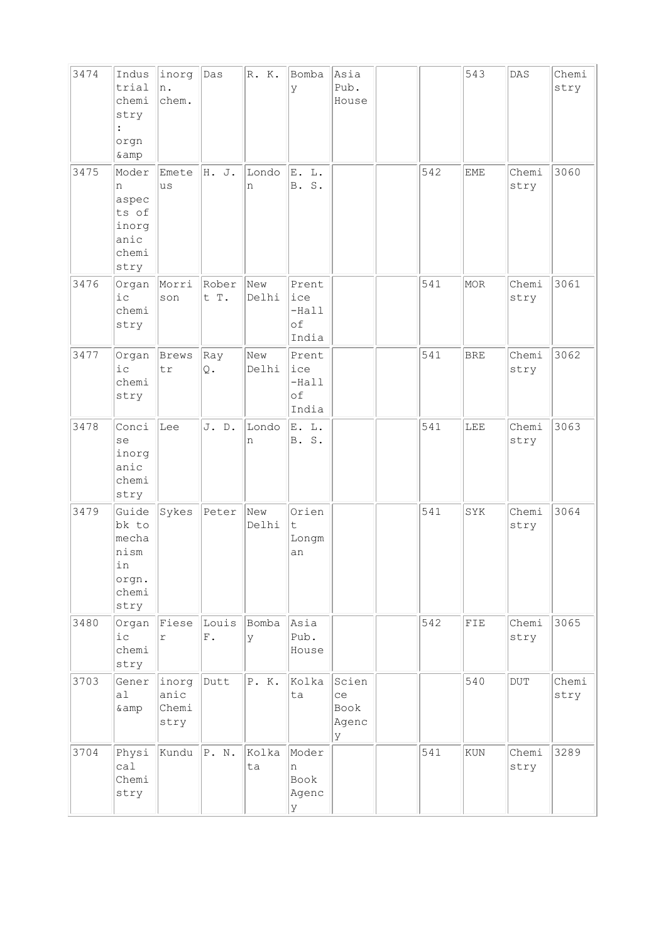| 3474 | Indus<br>trial<br>chemi<br>stry<br>$\ddot{\cdot}$<br>orgn<br>& amp | inorg<br>n.<br>chem.             | Das                  | R. K.        | Bomba<br>У                             | Asia<br>Pub.<br>House              |     | 543        | DAS           | Chemi<br>stry |
|------|--------------------------------------------------------------------|----------------------------------|----------------------|--------------|----------------------------------------|------------------------------------|-----|------------|---------------|---------------|
| 3475 | Moder<br>n<br>aspec<br>ts of<br>inorg<br>anic<br>chemi<br>stry     | Emete<br>us                      | H. J.                | Londo<br>n   | E. L.<br>Β.<br>S.                      |                                    | 542 | <b>EME</b> | Chemi<br>stry | 3060          |
| 3476 | Organ<br>$i$ $c$<br>chemi<br>stry                                  | Morri<br>son                     | Rober<br>t T.        | New<br>Delhi | Prent<br>ice<br>$-Hall$<br>of<br>India |                                    | 541 | MOR        | Chemi<br>stry | 3061          |
| 3477 | Organ<br>i c<br>chemi<br>stry                                      | Brews<br>$\operatorname{\sf tr}$ | Ray<br>Q.            | New<br>Delhi | Prent<br>ice<br>$-Hall$<br>of<br>India |                                    | 541 | <b>BRE</b> | Chemi<br>stry | 3062          |
| 3478 | Conci<br>se<br>inorg<br>anic<br>chemi<br>stry                      | Lee                              | J. D.                | Londo<br>n   | E. L.<br>B. S.                         |                                    | 541 | LEE        | Chemi<br>stry | 3063          |
| 3479 | Guide<br>bk to<br>mecha<br>nism<br>in<br>orgn.<br>chemi<br>stry    | Sykes                            | Peter                | New<br>Delhi | Orien<br>t.<br>Longm<br>an             |                                    | 541 | SYK        | Chemi<br>stry | 3064          |
| 3480 | Organ<br>$i$ c<br>chemi<br>stry                                    | Fiese<br>$\Upsilon$              | Louis<br>${\rm F}$ . | Bomba<br>У   | Asia<br>Pub.<br>House                  |                                    | 542 | FIE        | Chemi<br>stry | 3065          |
| 3703 | Gener<br>a <sub>1</sub><br>& amp                                   | inorg<br>anic<br>Chemi<br>stry   | Dutt                 | P. K.        | Kolka<br>ta                            | Scien<br>ce<br>Book<br>Agenc<br>lУ |     | 540        | DUT           | Chemi<br>stry |
| 3704 | Physi<br>ca1<br>Chemi<br>stry                                      | Kundu                            | P. N.                | Kolka<br>ta  | Moder<br>n<br>Book<br>Agenc<br>У       |                                    | 541 | KUN        | Chemi<br>stry | 3289          |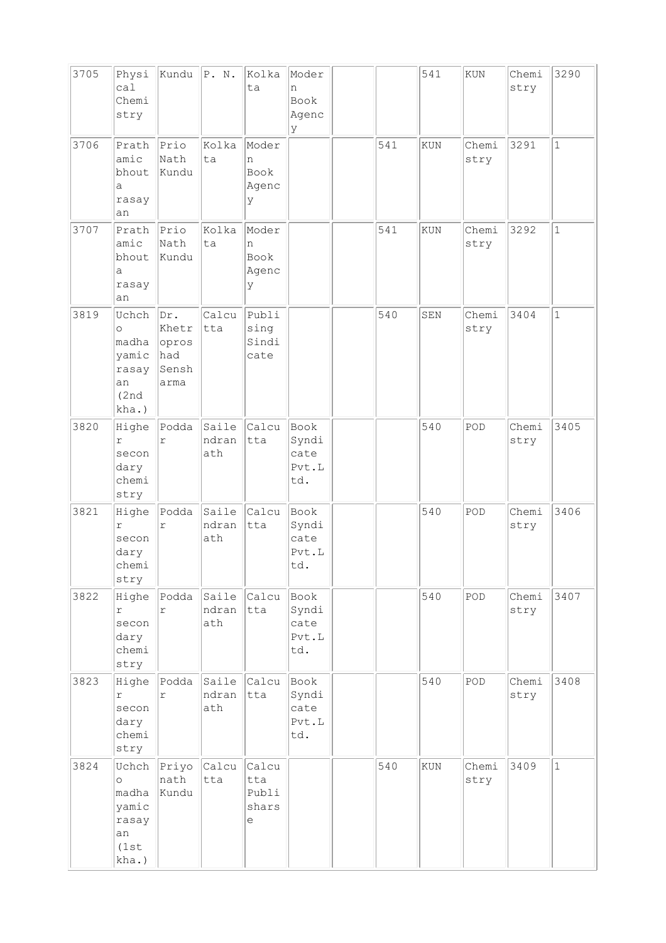| 3705 | Physi<br>ca1<br>Chemi<br>stry                                       | Kundu                                         | P. N.                 | Kolka<br>ta                             | Moder<br>n<br>Book<br>Agenc<br>У      |     | 541        | KUN           | Chemi<br>stry | 3290         |
|------|---------------------------------------------------------------------|-----------------------------------------------|-----------------------|-----------------------------------------|---------------------------------------|-----|------------|---------------|---------------|--------------|
| 3706 | Prath<br>amic<br>bhout<br>а<br>rasay<br>an                          | Prio<br>Nath<br>Kundu                         | Kolka<br>ta           | Moder<br>n<br>Book<br>Agenc<br>У        |                                       | 541 | <b>KUN</b> | Chemi<br>stry | 3291          | $\mathbf 1$  |
| 3707 | Prath<br>amic<br>bhout<br>a<br>rasay<br>an                          | Prio<br>Nath<br>Kundu                         | Kolka<br>ta           | Moder<br>n<br>Book<br>Agenc<br>У        |                                       | 541 | KUN        | Chemi<br>stry | 3292          | $\mathbf{1}$ |
| 3819 | Uchch<br>$\circ$<br>madha<br>yamic<br>rasay<br>an<br>(2nd)<br>kha.) | Dr.<br>Khetr<br>opros<br>had<br>Sensh<br>arma | Calcu<br>tta          | Publi<br>sing<br>Sindi<br>cate          |                                       | 540 | SEN        | Chemi<br>stry | 3404          | $\mathbf 1$  |
| 3820 | Highe<br>$\Upsilon$<br>secon<br>dary<br>chemi<br>stry               | Podda<br>r                                    | Saile<br>ndran<br>ath | Calcu<br>tta                            | Book<br>Syndi<br>cate<br>Pvt.L<br>td. |     | 540        | POD           | Chemi<br>stry | 3405         |
| 3821 | Highe<br>$\Upsilon$<br>secon<br>dary<br>chemi<br>stry               | Podda<br>$\Upsilon$                           | Saile<br>ndran<br>ath | Calcu<br>tta                            | Book<br>Syndi<br>cate<br>Pvt.L<br>td. |     | 540        | POD           | Chemi<br>stry | 3406         |
| 3822 | Highe<br>r<br>secon<br>dary<br>chemi<br>stry                        | Podda<br>$\Upsilon$                           | Saile<br>ndran<br>ath | Calcu<br>tta                            | Book<br>Syndi<br>cate<br>Pvt.L<br>td. |     | 540        | POD           | Chemi<br>stry | 3407         |
| 3823 | Highe<br>r<br>secon<br>dary<br>chemi<br>stry                        | Podda<br>$\Upsilon$                           | Saile<br>ndran<br>ath | Calcu<br>tta                            | Book<br>Syndi<br>cate<br>Pvt.L<br>td. |     | 540        | POD           | Chemi<br>stry | 3408         |
| 3824 | Uchch<br>$\circ$<br>madha<br>yamic<br>rasay<br>an<br>(1st)<br>kha.) | Priyo<br>nath<br>Kundu                        | Calcu<br>tta          | Calcu<br>tta<br>Publi<br>shars<br>$\in$ |                                       | 540 | KUN        | Chemi<br>stry | 3409          | $\mathbf{1}$ |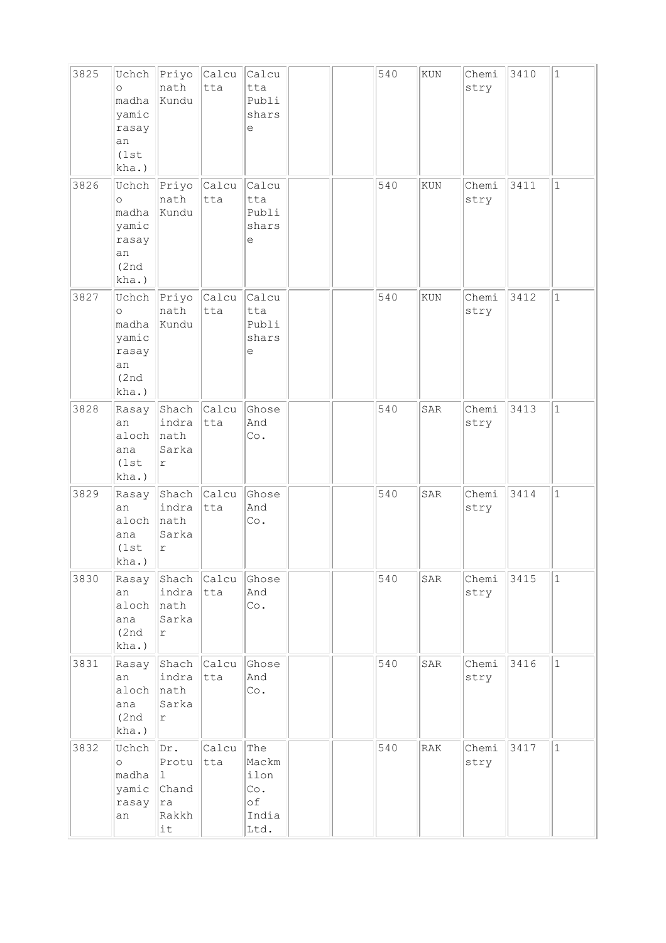| 3825 | Uchch<br>$\circ$<br>madha<br>yamic<br>rasay<br>an<br>(1st<br>kha.)  | Priyo<br>nath<br>Kundu                              | Calcu<br>tta       | Calcu<br>tta<br>Publi<br>shars<br>е                |  | 540 | $\rm KUN$      | Chemi<br>stry | 3410 | $\mathbf{1}$ |
|------|---------------------------------------------------------------------|-----------------------------------------------------|--------------------|----------------------------------------------------|--|-----|----------------|---------------|------|--------------|
| 3826 | Uchch<br>$\circ$<br>madha<br>yamic<br>rasay<br>an<br>(2nd)<br>kha.) | Priyo Calcu<br>nath<br>Kundu                        | tta                | Calcu<br>tta<br>Publi<br>shars<br>е                |  | 540 | KUN            | Chemi<br>stry | 3411 | $\mathbf{1}$ |
| 3827 | Uchch<br>$\circ$<br>madha<br>yamic<br>rasay<br>an<br>(2nd)<br>kha.) | $\ $ Priyo $\ $ Calcu<br>nath<br>Kundu              | tta                | Calcu<br>tta<br>Publi<br>shars<br>е                |  | 540 | KUN            | Chemi<br>stry | 3412 | $\mathbf{1}$ |
| 3828 | Rasay<br>an<br>aloch<br>ana<br>(1st)<br>kha.)                       | Shach Calcu<br>indra<br>nath<br>Sarka<br>$\Upsilon$ | tta                | Ghose<br>And<br>Co.                                |  | 540 | SAR            | Chemi<br>stry | 3413 | $\mathbf{1}$ |
| 3829 | Rasay<br>an<br>aloch<br>ana<br>(1st)<br>kha.)                       | Shach Calcu<br>indra<br>nath<br>Sarka<br>r          | tta                | Ghose<br>And<br>Co.                                |  | 540 | SAR            | Chemi<br>stry | 3414 | $\mathbf{1}$ |
| 3830 | Rasay<br>an<br>aloch<br>ana<br>(2nd)<br>kha.)                       | indra<br>nath<br>Sarka<br>$\Upsilon$                | Shach Calcu<br>tta | Ghose<br>And<br>Co.                                |  | 540 | SAR            | Chemi<br>stry | 3415 | $\mathbf{1}$ |
| 3831 | Rasay<br>an<br>aloch<br>ana<br>(2nd)<br>kha.)                       | indra<br>nath<br>Sarka<br>r                         | Shach Calcu<br>tta | Ghose<br>And<br>Co.                                |  | 540 | SAR            | Chemi<br>stry | 3416 | $\mathbf{1}$ |
| 3832 | Uchch<br>$\circ$<br>madha<br>yamic<br>rasay<br>an                   | Dr.<br>Protu<br>11.<br>Chand<br>ra<br>Rakkh<br>it   | Calcu<br>tta       | The<br>Mackm<br>ilon<br>Co.<br>оf<br>India<br>Ltd. |  | 540 | $\mathtt{RAK}$ | Chemi<br>stry | 3417 | $\mathbf{1}$ |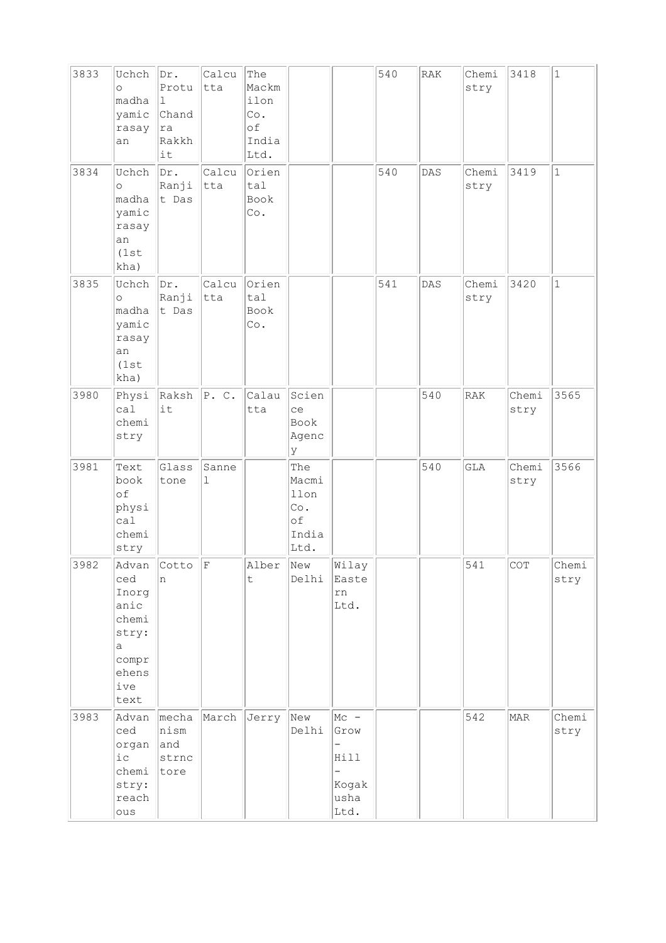| 3833 | Uchch<br>$\circ$<br>madha<br>yamic<br>rasay<br>an                            | Dr.<br>Protu<br>$\mathbf{1}$<br>Chand<br> ra<br>Rakkh<br>it | Calcu<br> tta | The<br>Mackm<br>ilon<br>Co.<br>of<br>India<br>Ltd. |                                                    |                                                                                                         | 540 | RAK | Chemi<br>stry | 3418          | $\mathbf{1}$  |
|------|------------------------------------------------------------------------------|-------------------------------------------------------------|---------------|----------------------------------------------------|----------------------------------------------------|---------------------------------------------------------------------------------------------------------|-----|-----|---------------|---------------|---------------|
| 3834 | Uchch<br>$\circ$<br>madha<br>yamic<br>rasay<br>an<br>(1st<br>kha)            | Dr.<br>Ranji<br>t Das                                       | Calcu<br> tta | Orien<br>tal<br>Book<br>Co.                        |                                                    |                                                                                                         | 540 | DAS | Chemi<br>stry | 3419          | $\mathbf{1}$  |
| 3835 | Uchch<br>$\circ$<br>madha<br>yamic<br>rasay<br>an<br>(1st)<br>kha)           | Dr.<br>Ranji<br>$ t$ Das                                    | Calcu<br> tta | Orien<br>tal<br>Book<br>Co.                        |                                                    |                                                                                                         | 541 | DAS | Chemi<br>stry | 3420          | $\mathbf{1}$  |
| 3980 | Physi<br>ca1<br>chemi<br>stry                                                | $Raksh$ $P. C.$<br>it                                       |               | Calau<br>tta                                       | Scien<br>ce<br>Book<br>Agenc<br>У                  |                                                                                                         |     | 540 | <b>RAK</b>    | Chemi<br>stry | 3565          |
| 3981 | Text<br>book<br>of<br>physi<br>ca1<br>chemi<br>stry                          | Glass<br>tone                                               | Sanne<br>1    |                                                    | The<br>Macmi<br>llon<br>Co.<br>оf<br>India<br>Ltd. |                                                                                                         |     | 540 | GLA           | Chemi<br>stry | 3566          |
| 3982 | ced<br>Inorg<br>anic<br>chemi<br>stry:<br>a<br>compr<br>ehens<br>ive<br>text | Advan $\vert$ Cotto $\vert$ F<br>In.                        |               | Alber<br>$\sf t$                                   | New<br>Delhi                                       | Wilay<br>Easte<br>rn<br>Ltd.                                                                            |     |     | 541           | COT           | Chemi<br>stry |
| 3983 | Advan<br>ced<br>organ<br>$i\,c$<br>chemi<br>stry:<br>reach<br>ous            | mecha<br>nism<br>and<br>strnc<br>tore                       | March         | Jerry                                              | New<br>Delhi                                       | $MC -$<br>Grow<br>$\overline{\phantom{0}}$<br>Hill<br>$\overline{\phantom{0}}$<br>Kogak<br>usha<br>Ltd. |     |     | 542           | MAR           | Chemi<br>stry |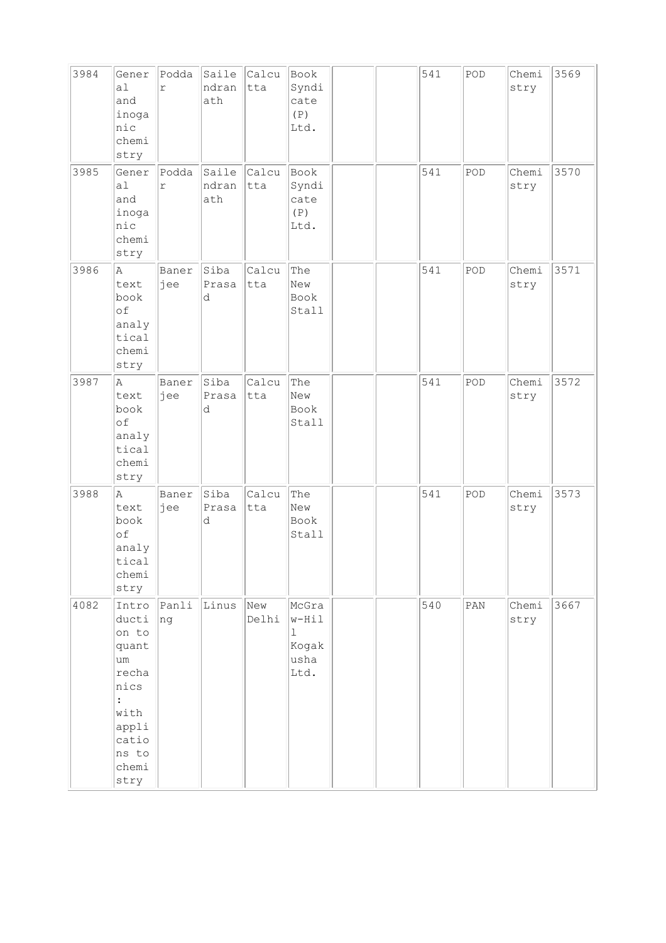| 3984 | Gener<br>a1<br>and<br>inoga<br>nic<br>chemi<br>stry                                                                                 | Podda<br>$\Upsilon$ | Saile<br>ndran<br>ath | Calcu<br>tta | Book<br>Syndi<br>cate<br>(P)<br>Ltd.                     |  | 541 | POD            | Chemi<br>stry | 3569 |
|------|-------------------------------------------------------------------------------------------------------------------------------------|---------------------|-----------------------|--------------|----------------------------------------------------------|--|-----|----------------|---------------|------|
| 3985 | Gener<br>a1<br>and<br>inoga<br>nic<br>chemi<br>stry                                                                                 | Podda<br>$\Upsilon$ | Saile<br>ndran<br>ath | Calcu<br>tta | Book<br>Syndi<br>cate<br>(P)<br>Ltd.                     |  | 541 | POD            | Chemi<br>stry | 3570 |
| 3986 | A<br>text<br>book<br>of<br>analy<br>tical<br>chemi<br>stry                                                                          | Baner<br>jee        | Siba<br>Prasa<br>d    | Calcu<br>tta | The<br>New<br>Book<br>Stall                              |  | 541 | POD            | Chemi<br>stry | 3571 |
| 3987 | Α<br>text<br>book<br>of<br>analy<br>tical<br>chemi<br>stry                                                                          | Baner<br>jee        | Siba<br>Prasa<br>d    | Calcu<br>tta | The<br>New<br>Book<br>Stall                              |  | 541 | POD            | Chemi<br>stry | 3572 |
| 3988 | A<br>text<br>book<br>of<br>analy<br>tical<br>chemi<br>stry                                                                          | Baner<br>jee        | Siba<br>Prasa<br>d    | Calcu<br>tta | The<br>New<br>Book<br>Stall                              |  | 541 | POD            | Chemi<br>stry | 3573 |
| 4082 | Intro<br>ducti<br>on to<br>quant<br>um<br>recha<br>nics<br>$\ddot{\phantom{a}}$<br>with<br>appli<br>catio<br>ns to<br>chemi<br>stry | Panli<br>ng         | Linus                 | New<br>Delhi | McGra<br>$w-Hil$<br>$\mathbf 1$<br>Kogak<br>usha<br>Ltd. |  | 540 | $\texttt{PAN}$ | Chemi<br>stry | 3667 |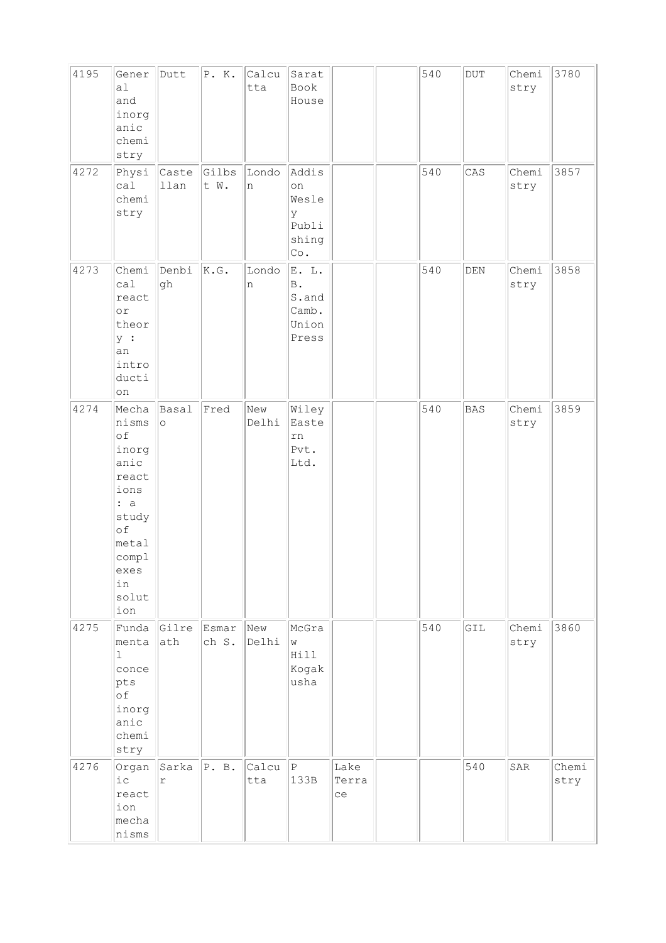| 4195 | Gener<br>a1<br>and<br>inorg<br>anic<br>chemi<br>stry                                                                         | Dutt                           | P. K.          | Calcu<br>tta | Sarat<br>Book<br>House                                             |                     | 540 | DUT            | Chemi<br>stry | 3780          |
|------|------------------------------------------------------------------------------------------------------------------------------|--------------------------------|----------------|--------------|--------------------------------------------------------------------|---------------------|-----|----------------|---------------|---------------|
| 4272 | Physi<br>cal<br>chemi<br>stry                                                                                                | Caste<br>llan                  | Gilbs<br>t W.  | Londo<br>n   | Addis<br>on<br>Wesle<br>У<br>Publi<br>shing<br>$\mathbb{C}\circ$ . |                     | 540 | CAS            | Chemi<br>stry | 3857          |
| 4273 | Chemi<br>cal<br>react<br>or<br>theor<br> у :<br>an<br>intro<br>ducti<br>on                                                   | Denbi<br>gh                    | K.G.           | Londo<br>n   | E. L.<br>$\, {\bf B}$ .<br>S.and<br>Camb.<br>Union<br>Press        |                     | 540 | $\mathtt{DEN}$ | Chemi<br>stry | 3858          |
| 4274 | Mecha<br>nisms<br>of<br>inorg<br>anic<br>react<br>ions<br>: a<br>study<br>of<br>metal<br>compl<br>exes<br>in<br>solut<br>ion | Basal<br>$\circ$               | Fred           | New<br>Delhi | Wiley<br>Easte<br>rn<br>Pvt.<br>Ltd.                               |                     | 540 | <b>BAS</b>     | Chemi<br>stry | 3859          |
| 4275 | Funda<br>menta<br>$\vert$ 1<br>conce<br>pts<br>of<br>inorg<br>anic<br>chemi<br>stry                                          | Gilre<br>ath                   | Esmar<br>ch S. | New<br>Delhi | McGra<br>W<br>Hill<br>Kogak<br>usha                                |                     | 540 | GIL            | Chemi<br>stry | 3860          |
| 4276 | Organ<br>$i$ c<br>react<br>ion<br>mecha<br>nisms                                                                             | $Sarka$ $ P. B.$<br>$\Upsilon$ |                | Calcu<br>tta | $\, {\bf P}$<br>133B                                               | Lake<br>Terra<br>ce |     | 540            | SAR           | Chemi<br>stry |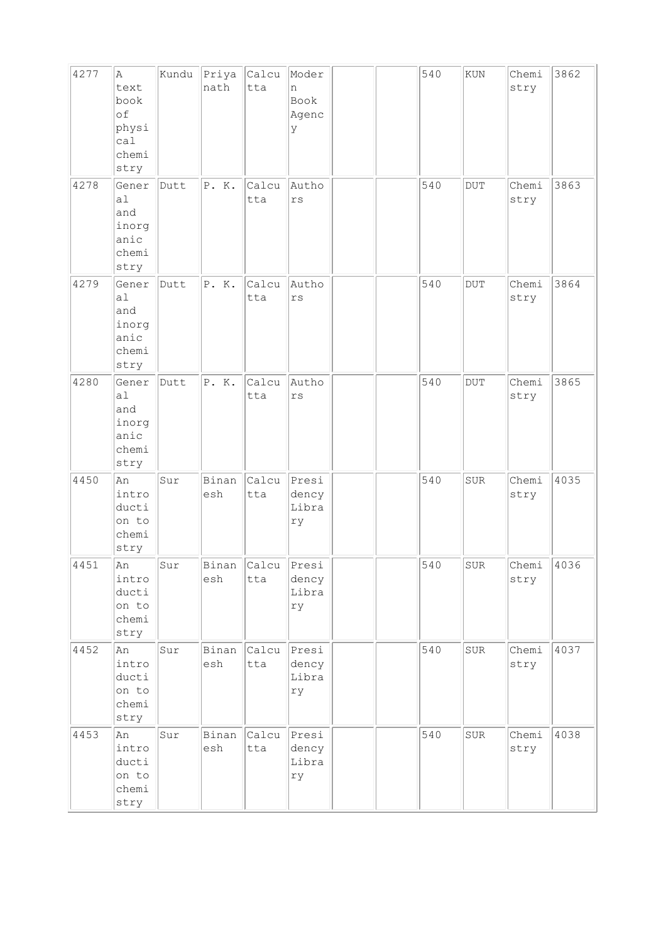| 4277 | Α<br>text<br>book<br>of<br>physi<br>cal<br>chemi<br>stry         | Kundu | Priya Calcu<br>nath | tta                | Moder<br>n<br>Book<br>Agenc<br>У |  | 540 | ${\tt KUN}$ | Chemi<br>stry | 3862 |
|------|------------------------------------------------------------------|-------|---------------------|--------------------|----------------------------------|--|-----|-------------|---------------|------|
| 4278 | Gener<br>a <sub>1</sub><br>and<br>inorg<br>anic<br>chemi<br>stry | Dutt  | P. K.               | Calcu<br>tta       | Autho<br>$\mathtt{rs}$           |  | 540 | $\rm DUT$   | Chemi<br>stry | 3863 |
| 4279 | Gener<br>a1<br>and<br>inorg<br>anic<br>chemi<br>stry             | Dutt  | P.K.                | Calcu<br>tta       | Autho<br>$\mathtt{rs}$           |  | 540 | <b>DUT</b>  | Chemi<br>stry | 3864 |
| 4280 | Gener<br>a1<br>and<br>inorg<br>anic<br>chemi<br>stry             | Dutt  | P. K.               | Calcu<br>tta       | Autho<br>rs                      |  | 540 | <b>DUT</b>  | Chemi<br>stry | 3865 |
| 4450 | An<br>intro<br>ducti<br>on to<br>chemi<br>stry                   | Sur   | Binan<br>esh        | Calcu<br>tta       | Presi<br>dency<br>Libra<br>ry    |  | 540 | <b>SUR</b>  | Chemi<br>stry | 4035 |
| 4451 | An<br>intro<br>ducti<br>on to<br>chemi<br>stry                   | Sur   | esh                 | Binan Calcu<br>tta | Presi<br>dency<br>Libra<br>ry    |  | 540 | ${\tt SUR}$ | Chemi<br>stry | 4036 |
| 4452 | An<br>intro<br>ducti<br>on to<br>chemi<br>stry                   | Sur   | Binan<br>esh        | Calcu<br>tta       | Presi<br>dency<br>Libra<br>rу    |  | 540 | ${\tt SUR}$ | Chemi<br>stry | 4037 |
| 4453 | An<br>intro<br>ducti<br>on to<br>chemi<br>stry                   | Sur   | Binan<br>esh        | Calcu<br>tta       | Presi<br>dency<br>Libra<br>ry    |  | 540 | ${\tt SUR}$ | Chemi<br>stry | 4038 |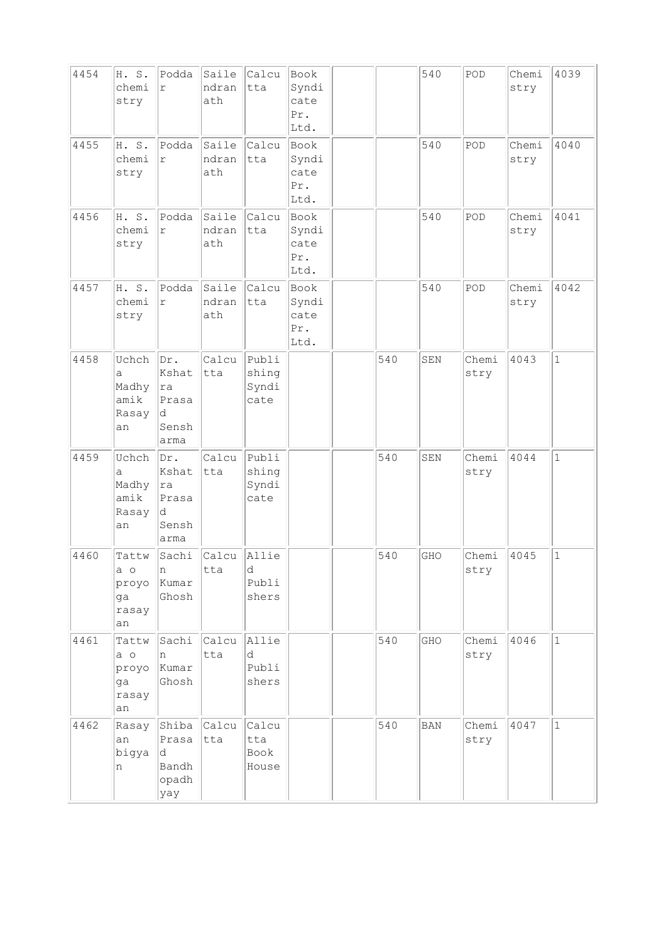| 4454 | H. S.<br>chemi<br>stry                       | Podda<br>$\Upsilon$                                | Saile<br>ndran<br>ath | Calcu<br>tta                    | Book<br>Syndi<br>cate<br>Pr.<br>Ltd. |     | 540         | POD           | Chemi<br>stry | 4039         |
|------|----------------------------------------------|----------------------------------------------------|-----------------------|---------------------------------|--------------------------------------|-----|-------------|---------------|---------------|--------------|
| 4455 | H. S.<br>chemi<br>stry                       | Podda<br>$\Upsilon$                                | Saile<br>ndran<br>ath | Calcu<br>tta                    | Book<br>Syndi<br>cate<br>Pr.<br>Ltd. |     | 540         | POD           | Chemi<br>stry | 4040         |
| 4456 | H. S.<br>chemi<br>stry                       | Podda<br>r                                         | Saile<br>ndran<br>ath | Calcu<br>tta                    | Book<br>Syndi<br>cate<br>Pr.<br>Ltd. |     | 540         | POD           | Chemi<br>stry | 4041         |
| 4457 | H. S.<br>chemi<br>stry                       | Podda<br>$\Upsilon$                                | Saile<br>ndran<br>ath | Calcu<br>tta                    | Book<br>Syndi<br>cate<br>Pr.<br>Ltd. |     | 540         | POD           | Chemi<br>stry | 4042         |
| 4458 | Uchch<br>a<br>Madhy<br>amik<br>Rasay<br>an   | Dr.<br>Kshat<br>ra<br>Prasa<br>d<br>Sensh<br>arma  | Calcu<br>tta          | Publi<br>shing<br>Syndi<br>cate |                                      | 540 | ${\tt SEM}$ | Chemi<br>stry | 4043          | $\mathbf{1}$ |
| 4459 | Uchch<br>а<br>Madhy<br>amik<br>Rasay<br>an   | Dr.<br>Kshat<br> ra<br>Prasa<br>d<br>Sensh<br>arma | Calcu<br>tta          | Publi<br>shing<br>Syndi<br>cate |                                      | 540 | SEN         | Chemi<br>stry | 4044          | $\mathbf{1}$ |
| 4460 | Tattw<br>$a$ o<br>proyo<br>qa<br>rasay<br>an | Sachi<br>n<br>Kumar<br>Ghosh                       | Calcu<br>tta          | Allie<br>d<br>Publi<br>shers    |                                      | 540 | GHO         | Chemi<br>stry | 4045          | $\mathbf{1}$ |
| 4461 | Tattw<br>a o<br>proyo<br>ga<br>rasay<br>an   | Sachi<br>In.<br>Kumar<br>Ghosh                     | <b>Calcu</b><br>tta   | Allie<br>d<br>Publi<br>shers    |                                      | 540 | GHO         | Chemi<br>stry | 4046          | $\mathbf{1}$ |
| 4462 | Rasay<br>an<br>bigya<br>n                    | Shiba<br>Prasa<br>ld.<br>Bandh<br>opadh<br>yay     | Calcu<br>tta          | Calcu<br>tta<br>Book<br>House   |                                      | 540 | <b>BAN</b>  | Chemi<br>stry | 4047          | $\mathbf{1}$ |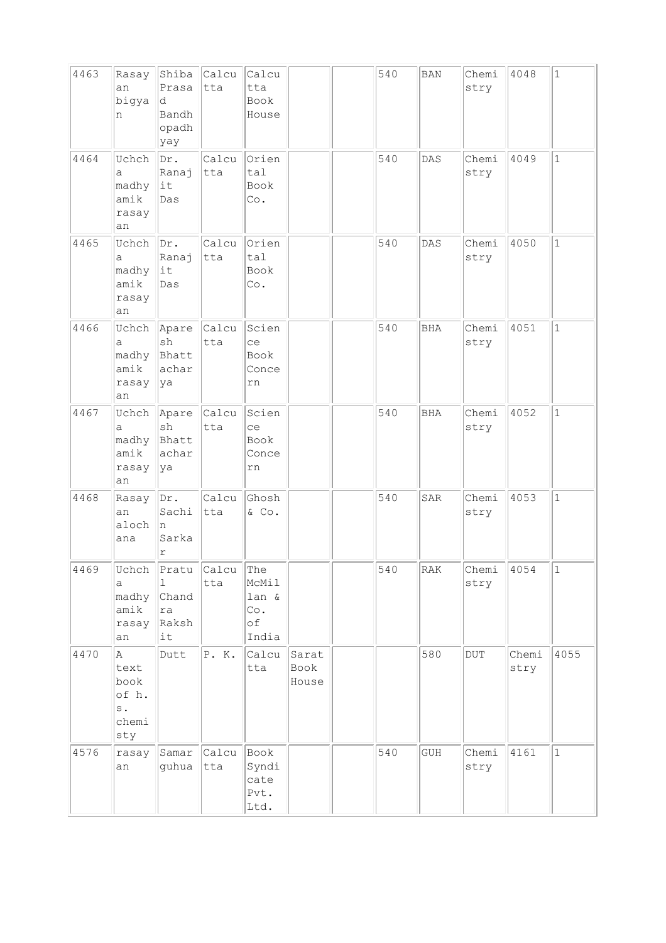| 4463 | Rasay<br>an<br>bigya<br>n                                   | Shiba<br>Prasa<br>d.<br>Bandh<br>opadh<br>yay | Calcu<br> tta       | Calcu<br>tta<br><b>Book</b><br>House        |                        | 540 | <b>BAN</b> | Chemi<br>stry           | 4048          | $\mathbf{1}$ |
|------|-------------------------------------------------------------|-----------------------------------------------|---------------------|---------------------------------------------|------------------------|-----|------------|-------------------------|---------------|--------------|
| 4464 | Uchch<br>а<br>madhy<br>amik<br>rasay<br>an                  | Dr.<br>Ranaj<br>$ $ it<br>Das                 | Calcu<br>tta        | Orien<br>tal<br>Book<br>Co.                 |                        | 540 | DAS        | Chemi<br>stry           | 4049          | $\mathbf{1}$ |
| 4465 | Uchch<br>a<br>madhy<br>amik<br>rasay<br>an                  | Dr.<br>Ranaj<br>$ i$ t<br>Das                 | Calcu<br>tta        | Orien<br>tal<br>Book<br>Co.                 |                        | 540 | <b>DAS</b> | Chemi<br>stry           | 4050          | $\mathbf 1$  |
| 4466 | Uchch<br>а<br>madhy<br>amik<br>rasay<br>an                  | Apare<br>sh<br>Bhatt<br>achar<br> ya          | Calcu<br>tta        | Scien<br>ce<br>Book<br>Conce<br>rn          |                        | 540 | <b>BHA</b> | Chemi<br>stry           | 4051          | $\mathbf 1$  |
| 4467 | Uchch<br>a<br>madhy<br>amik<br>rasay<br>an                  | Apare<br>sh<br>Bhatt<br>achar<br> ya          | <b>Calcu</b><br>tta | Scien<br>ce<br>Book<br>Conce<br>rn          |                        | 540 | <b>BHA</b> | Chemi<br>stry           | 4052          | $\mathbf{1}$ |
| 4468 | Rasay<br>an<br>aloch<br>ana                                 | Dr.<br>Sachi<br>ln.<br>Sarka<br>$\Upsilon$    | Calcu<br>tta        | Ghosh<br>$&$ Co.                            |                        | 540 | SAR        | Chemi<br>stry           | 4053          | $\mathbf{1}$ |
| 4469 | Uchch<br>а<br>madhy<br>amik<br>rasay<br>an                  | Pratu<br>1<br>Chand<br>ra<br>Raksh<br>it      | Calcu<br>tta        | The<br>McMil<br>lan &<br>Co.<br>of<br>India |                        | 540 | RAK        | Chemi<br>stry           | 4054          | 1            |
| 4470 | A<br>text<br>book<br>of h.<br>$\mathbf s$ .<br>chemi<br>sty | Dutt                                          | P.K.                | Calcu<br>tta                                | Sarat<br>Book<br>House |     | 580        | $\overline{\text{DUT}}$ | Chemi<br>stry | 4055         |
| 4576 | rasay<br>an                                                 | Samar<br>guhua                                | Calcu<br>tta        | Book<br>Syndi<br>cate<br>Pvt.<br>Ltd.       |                        | 540 | GUH        | Chemi<br>stry           | 4161          | $\mathbf 1$  |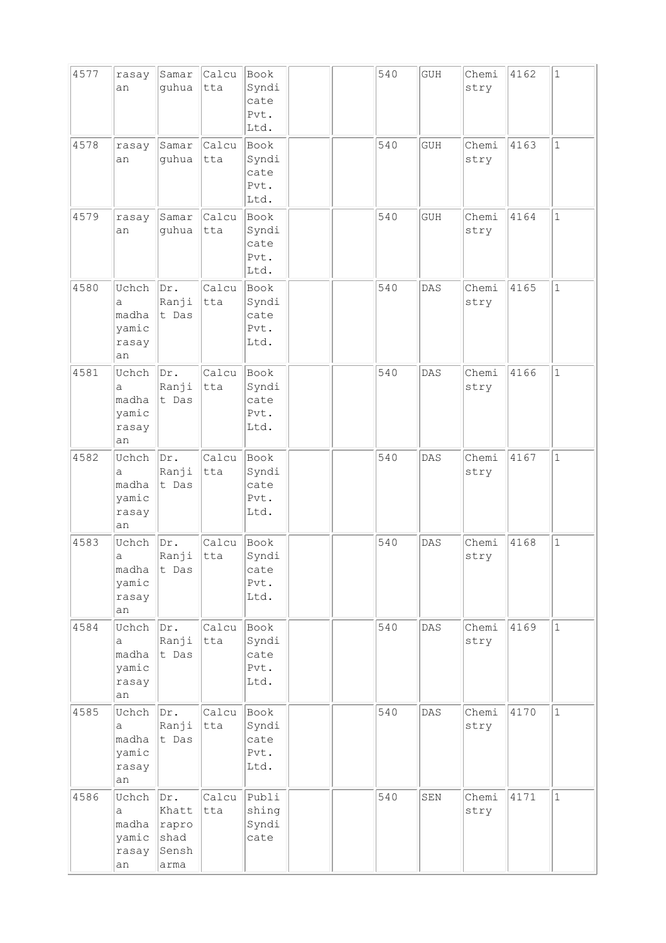| 4577 | rasay<br>an                                 | Samar<br>guhua                                 | Calcu<br>tta | Book<br>Syndi<br>cate<br>Pvt.<br>Ltd. |  | 540 | GUH        | Chemi<br>stry | 4162 | $1\,$        |
|------|---------------------------------------------|------------------------------------------------|--------------|---------------------------------------|--|-----|------------|---------------|------|--------------|
| 4578 | rasay<br>an                                 | Samar<br>guhua                                 | Calcu<br>tta | Book<br>Syndi<br>cate<br>Pvt.<br>Ltd. |  | 540 | <b>GUH</b> | Chemi<br>stry | 4163 | $\mathbf{1}$ |
| 4579 | rasay<br>an                                 | Samar<br>guhua                                 | Calcu<br>tta | Book<br>Syndi<br>cate<br>Pvt.<br>Ltd. |  | 540 | <b>GUH</b> | Chemi<br>stry | 4164 | $\mathbf{1}$ |
| 4580 | Uchch<br>a<br>madha<br>yamic<br>rasay<br>an | Dr.<br>Ranji<br>t Das                          | Calcu<br>tta | Book<br>Syndi<br>cate<br>Pvt.<br>Ltd. |  | 540 | DAS        | Chemi<br>stry | 4165 | $\mathbf{1}$ |
| 4581 | Uchch<br>а<br>madha<br>yamic<br>rasay<br>an | Dr.<br>Ranji<br>t Das                          | Calcu<br>tta | Book<br>Syndi<br>cate<br>Pvt.<br>Ltd. |  | 540 | DAS        | Chemi<br>stry | 4166 | $\mathbf{1}$ |
| 4582 | Uchch<br>a<br>madha<br>yamic<br>rasay<br>an | Dr.<br>Ranji<br>t Das                          | Calcu<br>tta | Book<br>Syndi<br>cate<br>Pvt.<br>Ltd. |  | 540 | DAS        | Chemi<br>stry | 4167 | $\mathbf{1}$ |
| 4583 | Uchch<br>а<br>madha<br>yamic<br>rasay<br>an | Dr.<br>Ranji<br>t Das                          | Calcu<br>tta | Book<br>Syndi<br>cate<br>Pvt.<br>Ltd. |  | 540 | DAS        | Chemi<br>stry | 4168 | $\mathbf{1}$ |
| 4584 | Uchch<br>a<br>madha<br>yamic<br>rasay<br>an | Dr.<br>Ranji<br>t Das                          | Calcu<br>tta | Book<br>Syndi<br>cate<br>Pvt.<br>Ltd. |  | 540 | DAS        | Chemi<br>stry | 4169 | $\mathbf{1}$ |
| 4585 | Uchch<br>a<br>madha<br>yamic<br>rasay<br>an | Dr.<br>Ranji<br>t Das                          | Calcu<br>tta | Book<br>Syndi<br>cate<br>Pvt.<br>Ltd. |  | 540 | DAS        | Chemi<br>stry | 4170 | $\mathbf{1}$ |
| 4586 | Uchch<br>a<br>madha<br>yamic<br>rasay<br>an | Dr.<br>Khatt<br>rapro<br>shad<br>Sensh<br>arma | Calcu<br>tta | Publi<br>shing<br>Syndi<br>cate       |  | 540 | SEN        | Chemi<br>stry | 4171 | $\mathbf{1}$ |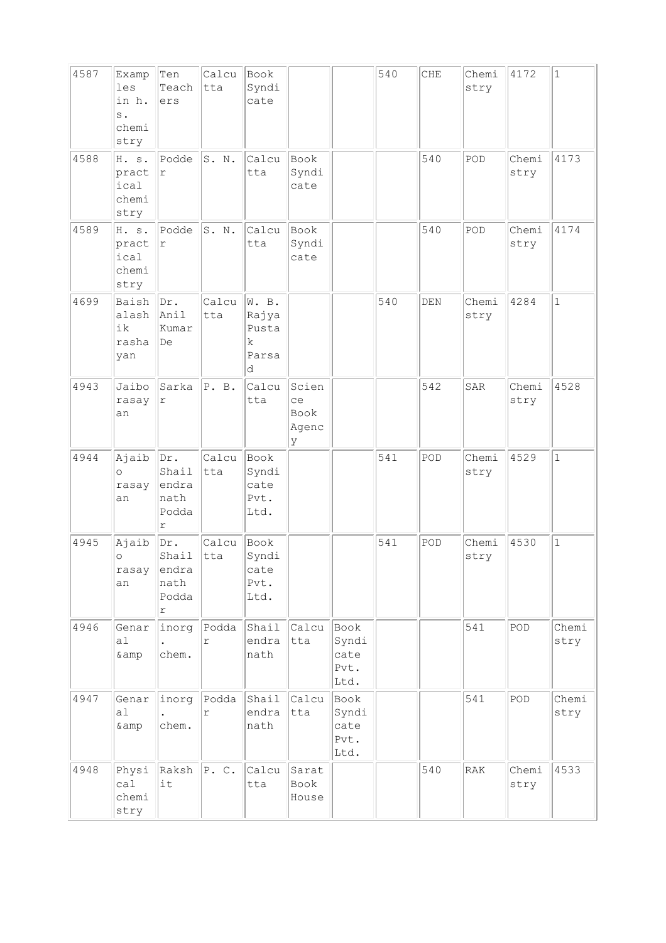| 4587 | Examp<br>les<br>in h.<br>$s$ .<br>chemi<br>stry | Ten<br>Teach<br>ers                                  | Calcu<br>tta | Book<br>Syndi<br>cate                      |                                   |                                       | 540 | CHE | Chemi<br>stry | 4172          | $\mathbf{1}$  |
|------|-------------------------------------------------|------------------------------------------------------|--------------|--------------------------------------------|-----------------------------------|---------------------------------------|-----|-----|---------------|---------------|---------------|
| 4588 | H. s.<br>pract<br>ical<br>chemi<br>stry         | Podde<br>$\Upsilon$                                  | S. N.        | Calcu<br>tta                               | Book<br>Syndi<br>cate             |                                       |     | 540 | POD           | Chemi<br>stry | 4173          |
| 4589 | H. s.<br>pract<br>ical<br>chemi<br>stry         | Podde<br>$\Upsilon$                                  | S. N.        | Calcu<br>tta                               | Book<br>Syndi<br>cate             |                                       |     | 540 | POD           | Chemi<br>stry | 4174          |
| 4699 | Baish<br>alash<br>ik<br>rasha<br>yan            | Dr.<br>Anil<br>kumar<br>De                           | Calcu<br>tta | W. B.<br>Rajya<br>Pusta<br>k<br>Parsa<br>d |                                   |                                       | 540 | DEN | Chemi<br>stry | 4284          | $\mathbf{1}$  |
| 4943 | Jaibo<br>rasay<br>an                            | Sarka<br>r                                           | P. B.        | Calcu<br>tta                               | Scien<br>ce<br>Book<br>Agenc<br>У |                                       |     | 542 | SAR           | Chemi<br>stry | 4528          |
| 4944 | Ajaib<br>$\circ$<br>rasay<br>an                 | Dr.<br>Shail<br>endra<br>nath<br>Podda<br>r          | Calcu<br>tta | Book<br>Syndi<br>cate<br>Pvt.<br>Ltd.      |                                   |                                       | 541 | POD | Chemi<br>stry | 4529          | $\mathbf{1}$  |
| 4945 | Ajaib<br>$\circ$<br>rasay<br>an                 | Dr.<br>Shail<br>endra<br>nath<br>Podda<br>$\Upsilon$ | Calcu<br>tta | Book<br>Syndi<br>cate<br>Pvt.<br>Ltd.      |                                   |                                       | 541 | POD | Chemi<br>stry | 4530          | $\mathbf{1}$  |
| 4946 | Genar<br>a1<br>& amp                            | inorg<br>chem.                                       | Podda<br>r   | Shail<br>endra<br>nath                     | Calcu<br>tta                      | Book<br>Syndi<br>cate<br>Pvt.<br>Ltd. |     |     | 541           | POD           | Chemi<br>stry |
| 4947 | Genar<br>a <sub>l</sub><br>&                    | inorg<br>chem.                                       | Podda<br>r   | Shail<br>endra<br>nath                     | Calcu<br>tta                      | Book<br>Syndi<br>cate<br>Pvt.<br>Ltd. |     |     | 541           | POD           | Chemi<br>stry |
| 4948 | Physi<br>ca1<br>chemi<br>stry                   | Raksh<br>it                                          | P.C.         | Calcu<br>tta                               | Sarat<br>Book<br>House            |                                       |     | 540 | RAK           | Chemi<br>stry | 4533          |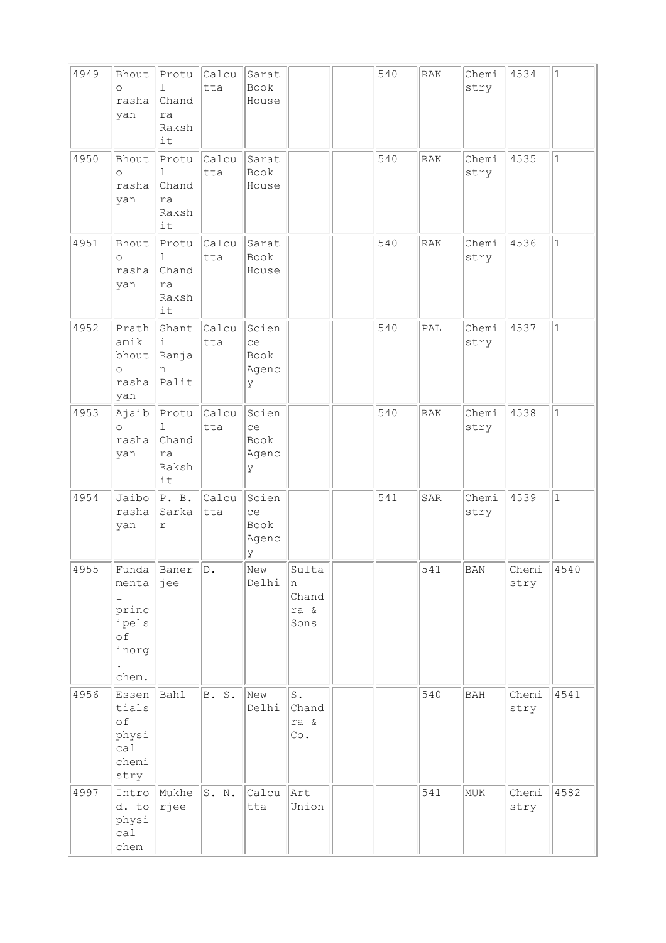| 4949 | Bhout<br>$\circ$<br>rasha<br>yan                              | Protu<br>$\mathbb{L}$<br>Chand<br>ra<br>Raksh<br>it | Calcu<br>tta | Sarat<br>Book<br>House            |                                        | 540 | RAK        | Chemi<br>stry | 4534          | $\mathbf{1}$ |
|------|---------------------------------------------------------------|-----------------------------------------------------|--------------|-----------------------------------|----------------------------------------|-----|------------|---------------|---------------|--------------|
| 4950 | Bhout<br>O<br>rasha<br>yan                                    | Protu<br>1<br>Chand<br>ra<br>Raksh<br>it            | Calcu<br>tta | Sarat<br>Book<br>House            |                                        | 540 | <b>RAK</b> | Chemi<br>stry | 4535          | $\mathbf 1$  |
| 4951 | Bhout<br>$\circ$<br>rasha<br>yan                              | Protu<br>$\mathbb{L}$<br>Chand<br>ra<br>Raksh<br>it | Calcu<br>tta | Sarat<br>Book<br>House            |                                        | 540 | <b>RAK</b> | Chemi<br>stry | 4536          | $\mathbf{1}$ |
| 4952 | Prath<br>amik<br>bhout<br>$\circ$<br>rasha<br>yan             | Shant<br>i<br>Ranja<br>n<br>Palit                   | Calcu<br>tta | Scien<br>ce<br>Book<br>Agenc<br>У |                                        | 540 | PAL        | Chemi<br>stry | 4537          | $\mathbf{1}$ |
| 4953 | Ajaib<br>$\circ$<br>rasha<br>yan                              | Protu<br>ı<br>Chand<br>ra<br>Raksh<br>it            | Calcu<br>tta | Scien<br>ce<br>Book<br>Agenc<br>У |                                        | 540 | <b>RAK</b> | Chemi<br>stry | 4538          | $\mathbf{1}$ |
| 4954 | Jaibo<br>rasha<br>yan                                         | P. B.<br>Sarka<br>$\Upsilon$                        | Calcu<br>tta | Scien<br>ce<br>Book<br>Agenc<br>У |                                        | 541 | SAR        | Chemi<br>stry | 4539          | $\mathbf 1$  |
| 4955 | Funda<br>menta<br>ı<br>princ<br>ipels<br>оf<br>inorg<br>chem. | Baner<br>jee                                        | D.           | New<br>Delhi                      | Sulta<br>n<br>Chand<br>ra &<br>Sons    |     | 541        | BAN           | Chemi<br>stry | 4540         |
| 4956 | Essen<br>tials<br>оf<br>physi<br>cal<br>chemi<br>stry         | Bahl                                                | B. S.        | New<br>Delhi                      | $\texttt{S}$ .<br>Chand<br>ra &<br>Co. |     | 540        | BAH           | Chemi<br>stry | 4541         |
| 4997 | Intro<br>d. to<br>physi<br>ca1<br>chem                        | Mukhe<br>rjee                                       | S. N.        | Calcu<br>tta                      | Art<br>Union                           |     | 541        | MUK           | Chemi<br>stry | 4582         |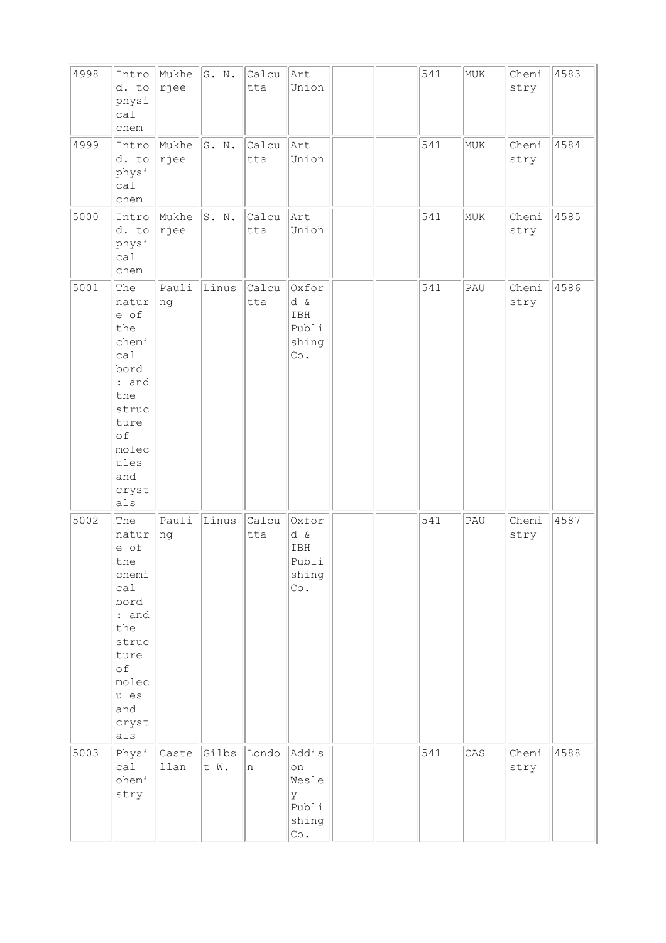| 4998 | Intro<br>d. to<br>physi<br>cal<br>chem                                                                                             | Mukhe<br> rjee | S. N.         | Calcu<br>tta | Art<br>Union                                       |  | 541 | MUK | Chemi<br>stry | 4583 |
|------|------------------------------------------------------------------------------------------------------------------------------------|----------------|---------------|--------------|----------------------------------------------------|--|-----|-----|---------------|------|
| 4999 | Intro<br>d. to<br>physi<br>cal<br>chem                                                                                             | Mukhe<br>rjee  | S. N.         | Calcu<br>tta | Art<br>Union                                       |  | 541 | MUK | Chemi<br>stry | 4584 |
| 5000 | Intro<br>d. to<br>physi<br>call<br>chem                                                                                            | Mukhe<br>rjee  | S. N.         | Calcu<br>tta | Art<br>Union                                       |  | 541 | MUK | Chemi<br>stry | 4585 |
| 5001 | The<br>natur<br>e of<br>the<br>chemi<br>ca1<br>bord<br>: and<br>the<br>struc<br>ture<br>of<br>molec<br>ules<br>and<br>cryst<br>als | Pauli<br> ng   | Linus         | Calcu<br>tta | Oxfor<br>d &<br>IBH<br>Publi<br>shing<br>Co.       |  | 541 | PAU | Chemi<br>stry | 4586 |
| 5002 | The<br>natur<br>e of<br>the<br>chemi<br>cal<br>bord<br>: and<br>the<br>struc<br>ture<br>of<br>molec<br>ules<br>and<br>cryst<br>als | Pauli<br>ng    | Linus         | Calcu<br>tta | Oxfor<br>d &<br>IBH<br>Publi<br>shing<br>$\circ$ . |  | 541 | PAU | Chemi<br>stry | 4587 |
| 5003 | Physi<br>cal<br>ohemi<br>stry                                                                                                      | Caste<br>llan  | Gilbs<br>t W. | Londo<br>n   | Addis<br>on<br>Wesle<br>У<br>Publi<br>shing<br>Co. |  | 541 | CAS | Chemi<br>stry | 4588 |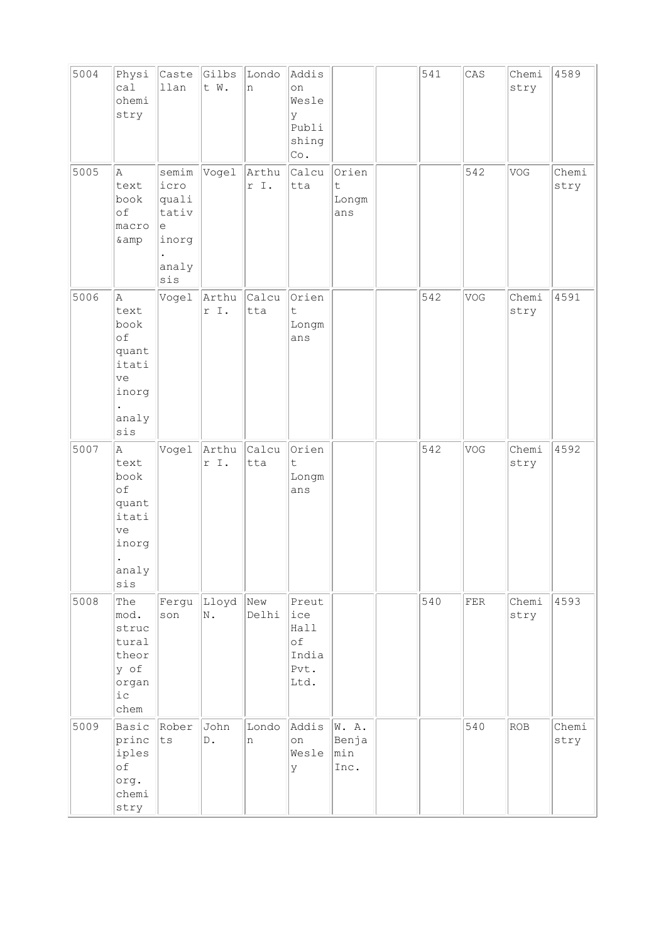| 5004 | Physi<br>ca1<br>ohemi<br>stry                                             | Caste $GI$ lbs<br>llan                                        | t W.                  | Londo<br>n    | Addis<br>on<br>Wesle<br>У<br>Publi<br>shing<br>Co.  |                                  | 541 | CAS | Chemi<br>stry | 4589          |
|------|---------------------------------------------------------------------------|---------------------------------------------------------------|-----------------------|---------------|-----------------------------------------------------|----------------------------------|-----|-----|---------------|---------------|
| 5005 | Α<br>text<br>book<br>of<br>macro<br>& amp                                 | semim<br>icro<br>quali<br>tativ<br>е<br>inorg<br>analy<br>sis | Vogel                 | Arthu<br>r I. | Calcu<br>tta                                        | Orien<br>$\sf t$<br>Longm<br>ans |     | 542 | VOG           | Chemi<br>stry |
| 5006 | A<br>text<br>book<br>of<br>quant<br>itati<br>ve<br>inorg<br>analy<br>sis  | Vogel                                                         | Arthu<br>r I.         | Calcu<br>tta  | Orien<br>$\mathsf t$<br>Longm<br>ans                |                                  | 542 | VOG | Chemi<br>stry | 4591          |
| 5007 | A<br>text<br>book<br>of<br>quant<br>itati<br>ve<br>inorg<br>analy<br>sis  | Vogel                                                         | Arthu<br>r I.         | Calcu<br>tta  | Orien<br>t.<br>Longm<br>ans                         |                                  | 542 | VOG | Chemi<br>stry | 4592          |
| 5008 | The<br>mod.<br>struc<br>tural<br>theor<br>y of<br>organ<br>$i\,c$<br>chem | Fergu<br>son                                                  | Lloyd<br>N.           | New<br>Delhi  | Preut<br>ice<br>Hall<br>оf<br>India<br>Pvt.<br>Ltd. |                                  | 540 | FER | Chemi<br>stry | 4593          |
| 5009 | Basic<br>princ<br>iples<br>of<br>org.<br>chemi<br>stry                    | Rober<br>ts                                                   | John<br>$\mathbb D$ . | Londo<br>n    | Addis<br>on<br>Wesle<br>У                           | W. A.<br>Benja<br>min<br>Inc.    |     | 540 | ROB           | Chemi<br>stry |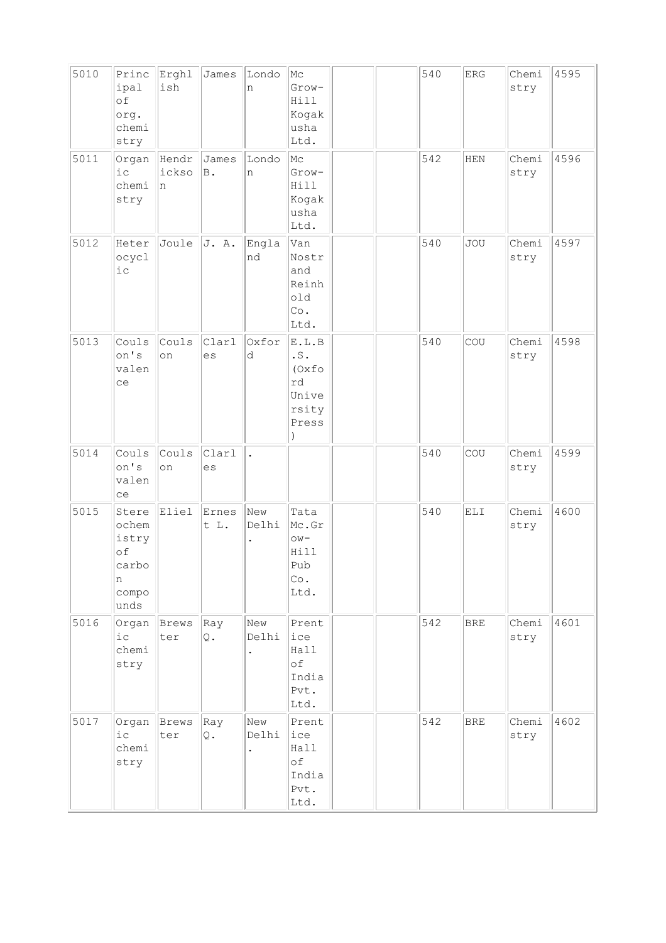| 5010 | Princ<br>ipal<br>of<br>org.<br>chemi<br>stry                 | Erghl<br>ish         | James         | Londo<br>n   | Mc<br>Grow-<br>Hill<br>Kogak<br>usha<br>Ltd.                   |  | 540 | ${\rm ERG}$                                | Chemi<br>stry | 4595 |
|------|--------------------------------------------------------------|----------------------|---------------|--------------|----------------------------------------------------------------|--|-----|--------------------------------------------|---------------|------|
| 5011 | Organ<br>$i$ c<br>chemi<br>stry                              | Hendr<br>ickso<br>'n | James<br>B.   | Londo<br>n   | Mc<br>Grow-<br>Hill<br>Kogak<br>usha<br>Ltd.                   |  | 542 | <b>HEN</b>                                 | Chemi<br>stry | 4596 |
| 5012 | Heter<br>ocycl<br>$i\,c$                                     | Joule                | J. A.         | Engla<br>nd  | Van<br>Nostr<br>and<br>Reinh<br>old<br>Co.<br>Ltd.             |  | 540 | <b>JOU</b>                                 | Chemi<br>stry | 4597 |
| 5013 | Couls<br>on's<br>valen<br>ce                                 | Couls<br>on          | Clarl<br>es   | Oxfor<br>d   | E.L.B<br>$\cdot$ S .<br>(Oxfo<br>rd<br>Unive<br>rsity<br>Press |  | 540 | COU                                        | Chemi<br>stry | 4598 |
| 5014 | Couls<br>on's<br>valen<br>ce                                 | Couls<br>on          | Clarl<br>es   |              |                                                                |  | 540 | COU                                        | Chemi<br>stry | 4599 |
| 5015 | Stere<br>ochem<br>istry<br>of<br>carbo<br>n<br>compo<br>unds | Eliel                | Ernes<br>t L. | New<br>Delhi | Tata<br>Mc.Gr<br>$\circ w$ -<br>Hill<br>Pub<br>Co.<br>Ltd.     |  | 540 | $\mathop{\hbox{\rm EL}}\nolimits\mathbb I$ | Chemi<br>stry | 4600 |
| 5016 | Organ<br>$i$ c<br>chemi<br>stry                              | Brews<br>ter         | Ray<br>Q.     | New<br>Delhi | Prent<br>ice<br>Hall<br>оf<br>India<br>Pvt.<br>Ltd.            |  | 542 | <b>BRE</b>                                 | Chemi<br>stry | 4601 |
| 5017 | Organ<br>$i\,c$<br>chemi<br>stry                             | Brews<br>ter         | Ray<br>Q.     | New<br>Delhi | Prent<br>ice<br>Hall<br>оf<br>India<br>Pvt.<br>Ltd.            |  | 542 | <b>BRE</b>                                 | Chemi<br>stry | 4602 |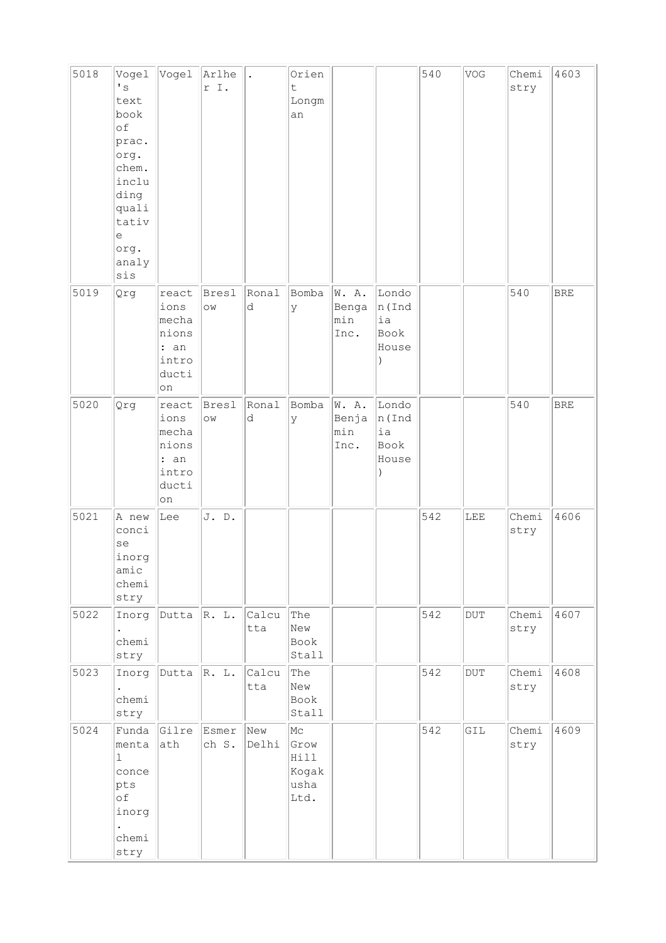| 5018 | Vogel<br>$\mathbf{I}$ s<br>text<br>book<br>of<br>prac.<br>org.<br>chem.<br>inclu<br>ding<br>quali<br>tativ<br>e<br>org.<br>analy<br>sis | Vogel                                                           | Arlhe<br>r I.      |              | Orien<br>$\ddot{\mathsf{t}}$<br>Longm<br>an |                               |                                            | 540 | VOG       | Chemi<br>stry | 4603        |
|------|-----------------------------------------------------------------------------------------------------------------------------------------|-----------------------------------------------------------------|--------------------|--------------|---------------------------------------------|-------------------------------|--------------------------------------------|-----|-----------|---------------|-------------|
| 5019 | Qrg                                                                                                                                     | react<br>ions<br>mecha<br>nions<br>: an<br>intro<br>ducti<br>on | Bresl<br>$\circ$   | Ronal<br>d   | Bomba<br>У                                  | W. A.<br>Benga<br>min<br>Inc. | Londo<br>n (Ind<br>ia<br>Book<br>House     |     |           | 540           | ${\tt BRE}$ |
| 5020 | Qrg                                                                                                                                     | react<br>ions<br>mecha<br>nions<br>: an<br>intro<br>ducti<br>on | Bresl<br>$\circ$ w | Ronal<br>d   | Bomba<br>У                                  | W. A.<br>Benja<br>min<br>Inc. | Londo<br>$ n $ (Ind<br>ia<br>Book<br>House |     |           | 540           | <b>BRE</b>  |
| 5021 | A new<br>conci<br>se<br>inorg<br>amic<br>chemi<br>stry                                                                                  | Lee                                                             | J. D.              |              |                                             |                               |                                            | 542 | LEE       | Chemi<br>stry | 4606        |
| 5022 | Inorg<br>chemi<br>stry                                                                                                                  | Dutta $\ $ R. L.                                                |                    | Calcu<br>tta | The<br>New<br>Book<br>Stall                 |                               |                                            | 542 | $\rm DUT$ | Chemi<br>stry | 4607        |
| 5023 | Inorg<br>chemi<br>stry                                                                                                                  | Dutta $\mathbb{R}$ . L.                                         |                    | Calcu<br>tta | The<br>New<br>Book<br>Stall                 |                               |                                            | 542 | $\rm DUT$ | Chemi<br>stry | 4608        |
| 5024 | Funda<br>menta<br>$\mathbf{1}$<br>conce<br>pts<br>оf<br>inorg<br>chemi<br>stry                                                          | Gilre<br>ath                                                    | Esmer<br>ch S.     | New<br>Delhi | Mc<br>Grow<br>Hill<br>Kogak<br>usha<br>Ltd. |                               |                                            | 542 | GIL       | Chemi<br>stry | 4609        |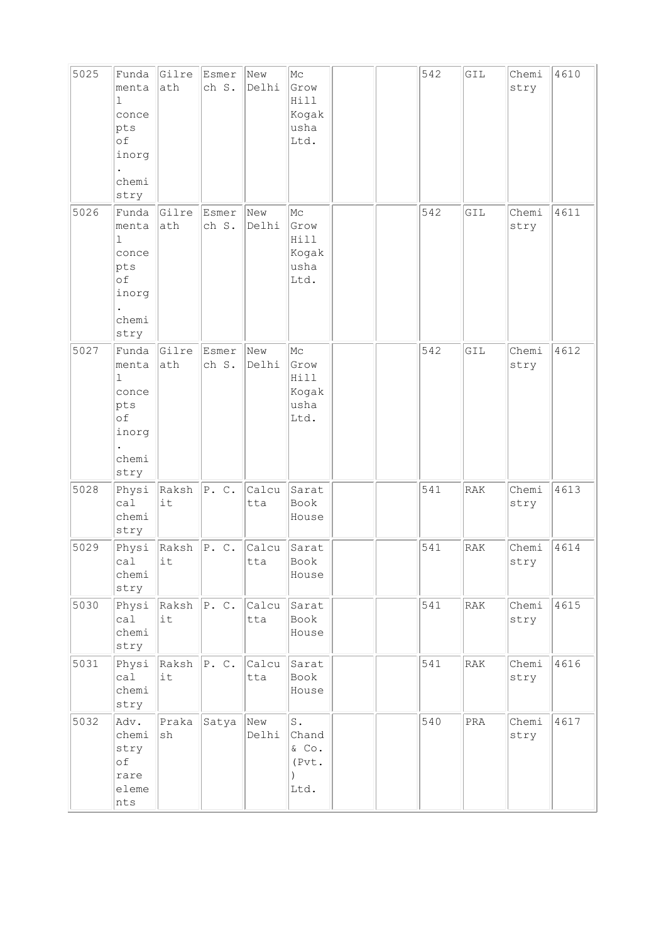| 5025 | Funda<br>menta<br>1<br>conce<br>pts<br>оf<br>inorg<br>chemi<br>stry            | Gilre<br>ath                      | Esmer<br>ch S. | New<br>Delhi | Mc<br>Grow<br>Hill<br>Kogak<br>usha<br>Ltd.       |  | 542 | GIL            | Chemi<br>stry | 4610 |
|------|--------------------------------------------------------------------------------|-----------------------------------|----------------|--------------|---------------------------------------------------|--|-----|----------------|---------------|------|
| 5026 | Funda<br>menta<br>ı<br>conce<br>pts<br>of<br>inorg<br>chemi<br>stry            | Gilre<br>ath                      | Esmer<br>ch S. | New<br>Delhi | Mс<br>Grow<br>Hill<br>Kogak<br>usha<br>Ltd.       |  | 542 | GIL            | Chemi<br>stry | 4611 |
| 5027 | Funda<br>menta<br>$\mathbf{1}$<br>conce<br>pts<br>оf<br>inorg<br>chemi<br>stry | Gilre<br>ath                      | Esmer<br>ch S. | New<br>Delhi | Mc<br>Grow<br>Hill<br>Kogak<br>usha<br>Ltd.       |  | 542 | GIL            | Chemi<br>stry | 4612 |
| 5028 | Physi<br>ca1<br>chemi<br>stry                                                  | Raksh<br>it                       | P. C.          | Calcu<br>tta | Sarat<br>Book<br>House                            |  | 541 | RAK            | Chemi<br>stry | 4613 |
| 5029 | Physi<br>ca1<br>chemi<br>stry                                                  | Raksh<br>it                       | P. C.          | Calcu<br>tta | Sarat<br>Book<br>House                            |  | 541 | RAK            | Chemi<br>stry | 4614 |
| 5030 | Physi<br>ca1<br>chemi<br>stry                                                  | $Raksh$ $P. C.$<br>it             |                | Calcu<br>tta | Sarat<br>Book<br>House                            |  | 541 | RAK            | Chemi<br>stry | 4615 |
| 5031 | Physi<br>ca1<br>chemi<br>stry                                                  | $\vert$ Raksh $\vert$ P. C.<br>it |                | Calcu<br>tta | Sarat<br>Book<br>House                            |  | 541 | RAK            | Chemi<br>stry | 4616 |
| 5032 | Adv.<br>chemi<br>stry<br>оf<br>rare<br>eleme<br>nts                            | Praka<br>sh                       | Satya          | New<br>Delhi | $\texttt{S}$ .<br>Chand<br>& Co.<br>(Pvt.<br>Ltd. |  | 540 | $\mathtt{PRA}$ | Chemi<br>stry | 4617 |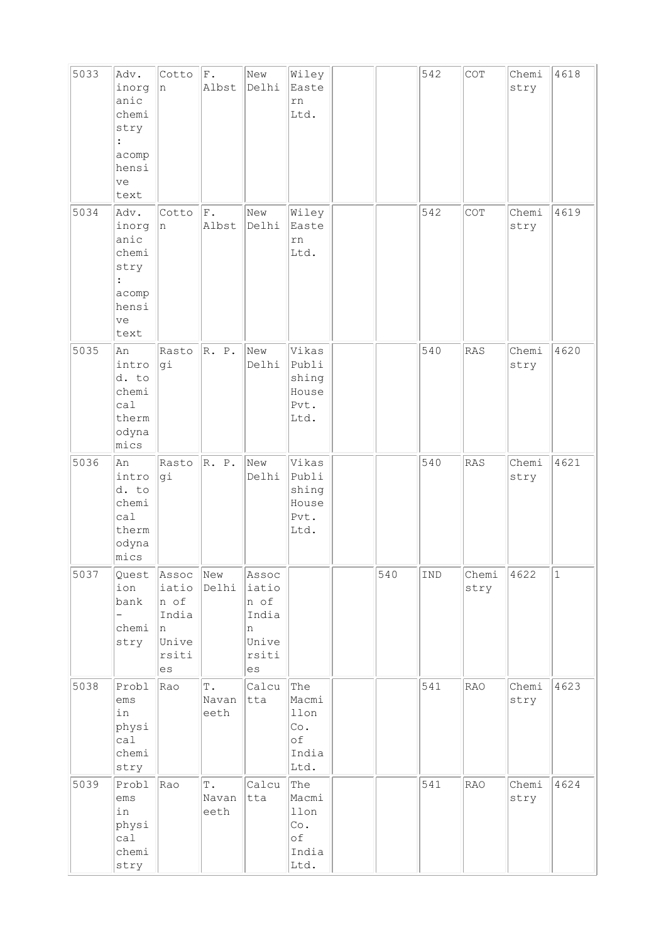| 5033 | Adv.<br>inorg<br>anic<br>chemi<br>stry<br>$\ddot{\cdot}$<br>acomp<br>hensi<br>ve<br>text  | Cotto<br>In.                                                  | F.<br>Albst                    | New<br>Delhi                                                                         | Wiley<br>Easte<br>rn<br>Ltd.                             |     | 542 | COT           | Chemi<br>stry | 4618      |
|------|-------------------------------------------------------------------------------------------|---------------------------------------------------------------|--------------------------------|--------------------------------------------------------------------------------------|----------------------------------------------------------|-----|-----|---------------|---------------|-----------|
| 5034 | Adv.<br>inorg<br>anic<br>chemi<br>stry<br>$\ddot{\cdot}$<br>acomp<br>hensi<br> ve<br>text | Cotto<br>n                                                    | F.<br>Albst                    | New<br>Delhi                                                                         | Wiley<br>Easte<br>rn<br>Ltd.                             |     | 542 | COT           | Chemi<br>stry | 4619      |
| 5035 | An<br>intro<br>d. to<br>chemi<br>ca1<br>therm<br>odyna<br>mics                            | Rasto<br> gi                                                  | R. P.                          | New<br>Delhi                                                                         | Vikas<br>Publi<br>shing<br>House<br>Pvt.<br>Ltd.         |     | 540 | RAS           | Chemi<br>stry | 4620      |
| 5036 | An<br>intro<br>d. to<br>chemi<br>ca1<br>therm<br>odyna<br>mics                            | Rasto<br>gi                                                   | R. P.                          | New<br>Delhi                                                                         | Vikas<br>Publi<br>shing<br>House<br>Pvt.<br>Ltd.         |     | 540 | <b>RAS</b>    | Chemi<br>stry | 4621      |
| 5037 | Quest<br>ion<br>bank<br>chemi<br>stry                                                     | Assoc<br>iatio<br>n of<br>India<br>In<br>Unive<br>rsiti<br>es | New<br>Delhi                   | Assoc<br>iatio<br>n of<br>India<br>n<br>Unive<br>rsiti<br>$\mathop{\rm es}\nolimits$ |                                                          | 540 | IND | Chemi<br>stry | 4622          | $\vert$ 1 |
| 5038 | Probl<br>ems<br>in<br>physi<br>cal<br>chemi<br>stry                                       | Rao                                                           | Τ.<br>Navan<br>eeth            | Calcu<br>tta                                                                         | The<br>Macmi<br>llon<br>$\circ$ .<br>оf<br>India<br>Ltd. |     | 541 | <b>RAO</b>    | Chemi<br>stry | 4623      |
| 5039 | Probl<br>$\rm{ems}$<br>in<br>physi<br>ca1<br>chemi<br>stry                                | Rao                                                           | $\mathbb T$ .<br>Navan<br>eeth | Calcu<br>tta                                                                         | The<br>Macmi<br>llon<br>Co.<br>оf<br>India<br>Ltd.       |     | 541 | <b>RAO</b>    | Chemi<br>stry | 4624      |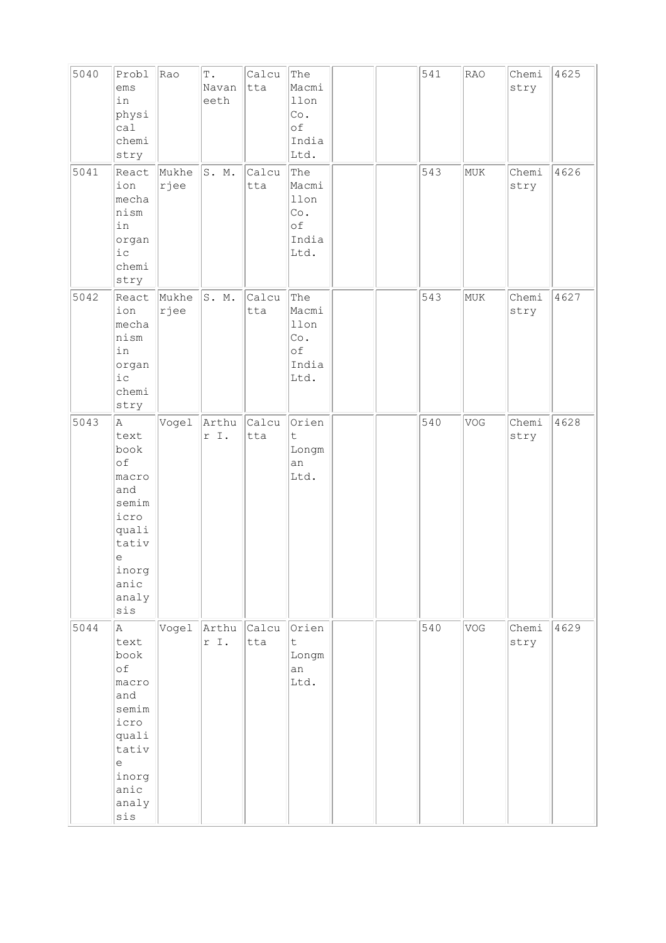| 5040 | Probl<br>ems<br>in<br>physi<br>cal<br>chemi<br>stry                                                                   | Rao           | $\mathbb T$ .<br>Navan<br>eeth | Calcu<br>tta | The<br>Macmi<br>llon<br>Co.<br>оf<br>India<br>Ltd. |  | 541 | <b>RAO</b> | Chemi<br>stry | 4625 |
|------|-----------------------------------------------------------------------------------------------------------------------|---------------|--------------------------------|--------------|----------------------------------------------------|--|-----|------------|---------------|------|
| 5041 | React<br>ion<br>mecha<br>nism<br>in<br>organ<br>$i\,c$<br>chemi<br>stry                                               | Mukhe<br>rjee | S. M.                          | Calcu<br>tta | The<br>Macmi<br>llon<br>Co.<br>оf<br>India<br>Ltd. |  | 543 | MUK        | Chemi<br>stry | 4626 |
| 5042 | React<br>ion<br>mecha<br>nism<br>in<br>organ<br>i c<br>chemi<br>stry                                                  | Mukhe<br>rjee | S. M.                          | Calcu<br>tta | The<br>Macmi<br>llon<br>Co.<br>оf<br>India<br>Ltd. |  | 543 | MUK        | Chemi<br>stry | 4627 |
| 5043 | Α<br>text<br>book<br>of<br>macro<br>and<br>semim<br>icro<br>quali<br>tativ<br>e<br>inorg<br>anic<br>analy<br>sis      | Vogel         | Arthu<br>r I.                  | Calcu<br>tta | Orien<br>t.<br>Longm<br>an<br>Ltd.                 |  | 540 | VOG        | Chemi<br>stry | 4628 |
| 5044 | A<br>text<br>book<br>of<br>macro<br>and<br>semim<br>icro<br>quali<br>tativ<br>е<br>inorg<br>anic<br>analy<br>$\sin s$ | Vogel         | Arthu<br>r I.                  | Calcu<br>tta | Orien<br>t<br>Longm<br>an<br>Ltd.                  |  | 540 | VOG        | Chemi<br>stry | 4629 |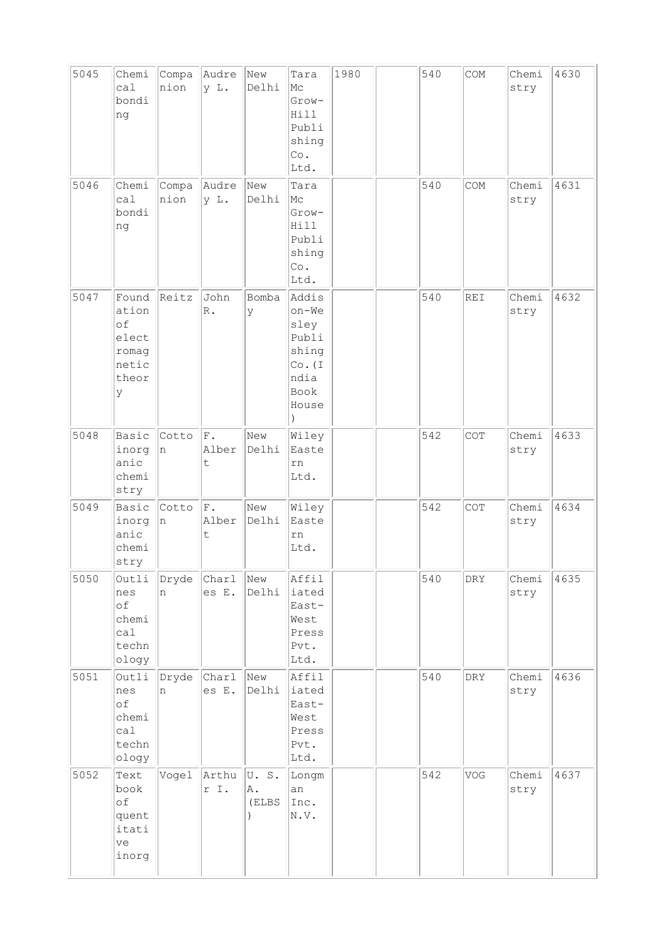| 5045<br>5046 | Chemi<br>cal<br>bondi<br>ng<br>Chemi                          | Compa<br>nion<br>Compa | Audre<br>y L.<br>Audre | New<br>Delhi<br>New | Tara<br>Mc<br>Grow-<br>Hill<br>Publi<br>shing<br>Co.<br>Ltd.<br>Tara         | 1980 | 540<br>540 | COM<br>COM | Chemi<br>stry<br>Chemi | 4630<br>4631 |
|--------------|---------------------------------------------------------------|------------------------|------------------------|---------------------|------------------------------------------------------------------------------|------|------------|------------|------------------------|--------------|
|              | ca1<br>bondi<br>ng                                            | nion                   | y L.                   | Delhi               | Mc<br>Grow-<br>Hill<br>Publi<br>shing<br>Co.<br>Ltd.                         |      |            |            | stry                   |              |
| 5047         | Found<br>ation<br>of<br>elect<br>romag<br>netic<br>theor<br>У | Reitz                  | John<br>$\mathbb R$ .  | Bomba<br>У          | Addis<br>on-We<br>sley<br>Publi<br>shing<br>Co. (I)<br>ndia<br>Book<br>House |      | 540        | REI        | Chemi<br>stry          | 4632         |
| 5048         | Basic<br>inorg<br>anic<br>chemi<br>stry                       | Cotto<br>n             | F.<br>Alber<br>t       | New<br>Delhi        | Wiley<br>Easte<br>rn<br>Ltd.                                                 |      | 542        | COT        | Chemi<br>stry          | 4633         |
| 5049         | Basic<br>inorg<br>anic<br>chemi<br>stry                       | Cotto<br>n             | F.<br>Alber<br>t       | New<br>Delhi        | Wiley<br>Easte<br>rn<br>Ltd.                                                 |      | 542        | COT        | Chemi<br>stry          | 4634         |
| 5050         | Outli<br>nes<br>оf<br>chemi<br>cal<br>techn<br>ology          | Dryde<br>n             | Char1<br>es E.         | New<br>Delhi        | Affil<br>iated<br>East-<br>West<br>Press<br>Pvt.<br>Ltd.                     |      | 540        | DRY        | Chemi<br>stry          | 4635         |
| 5051         | Outli<br>nes<br>of<br>chemi<br>ca1<br>techn<br>ology          | Dryde<br>n             | <b>Char1</b><br>es E.  | New<br>Delhi        | Affil<br>iated<br>East-<br>West<br>Press<br>Pvt.<br>Ltd.                     |      | 540        | <b>DRY</b> | Chemi<br>stry          | 4636         |
| 5052         | Text<br>book<br>of<br>quent<br>itati<br>ve<br>inorg           | Vogel                  | Arthu<br>r I.          | U.S.<br>Α.<br>(ELBS | Longm<br>an<br>Inc.<br>N.V.                                                  |      | 542        | VOG        | Chemi<br>stry          | 4637         |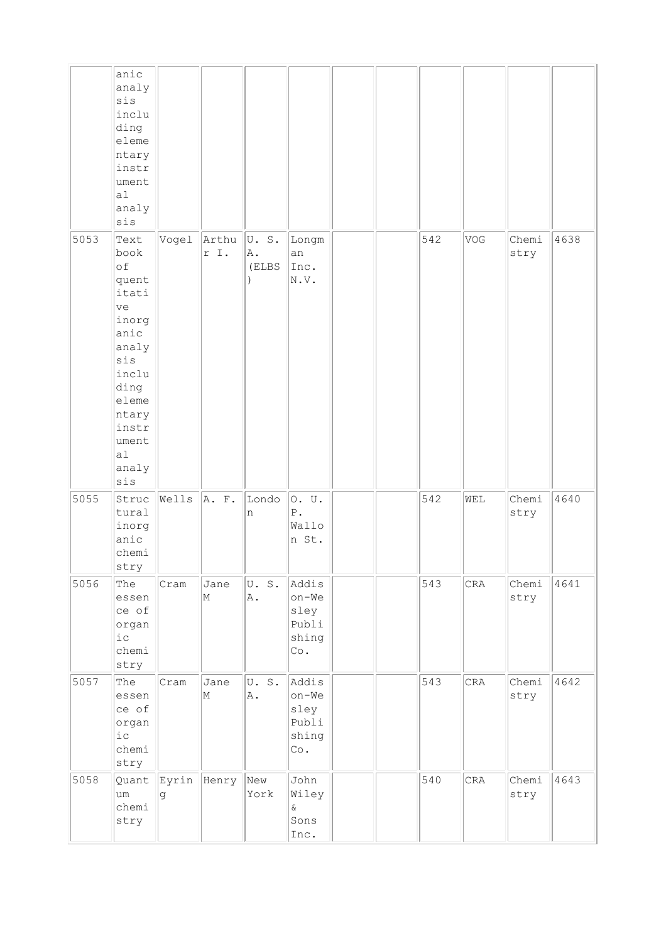|      | anic<br>analy<br>sis<br>inclu<br>ding<br>eleme<br>ntary<br>instr<br>ument<br> a <br>analy<br>sis                                                         |                  |               |                                      |                                                 |  |     |           |               |      |
|------|----------------------------------------------------------------------------------------------------------------------------------------------------------|------------------|---------------|--------------------------------------|-------------------------------------------------|--|-----|-----------|---------------|------|
| 5053 | Text<br>book<br>of<br>quent<br>itati<br>ve<br>inorg<br>anic<br>analy<br>sis<br>inclu<br>ding<br>eleme<br>ntary<br>instr<br>ument<br> a1 <br>analy<br>sis | Vogel            | Arthu<br>r I. | U.S.<br>A.<br>(ELBS<br>$\mathcal{E}$ | Longm<br>an<br>Inc.<br>N.V.                     |  | 542 | VOG       | Chemi<br>stry | 4638 |
| 5055 | Struc<br>tural<br>inorg<br>anic<br>chemi<br>stry                                                                                                         | Wells            | A. F.         | Londo<br>n                           | 0. U.<br>${\mathbb P}$ .<br>Wallo<br>n St.      |  | 542 | WEL       | Chemi<br>stry | 4640 |
| 5056 | The<br>essen<br>ce of<br>organ<br>$i\,c$<br>chemi<br>stry                                                                                                | Cram             | Jane<br>M     | U.S.<br>Α.                           | Addis<br>on-We<br>sley<br>Publi<br>shing<br>Co. |  | 543 | CRA       | Chemi<br>stry | 4641 |
| 5057 | The<br>essen<br>ce of<br>organ<br>${\rm i\hskip 0.5mm} c$<br>chemi<br>stry                                                                               | Cram             | Jane<br>M     | U.S.<br>Α.                           | Addis<br>on-We<br>sley<br>Publi<br>shing<br>Co. |  | 543 | $\rm CRA$ | Chemi<br>stry | 4642 |
| 5058 | Quant<br>um<br>chemi<br>stry                                                                                                                             | Eyrin Henry<br>g |               | New<br>York                          | John<br>Wiley<br>$\delta$<br>Sons<br>Inc.       |  | 540 | CRA       | Chemi<br>stry | 4643 |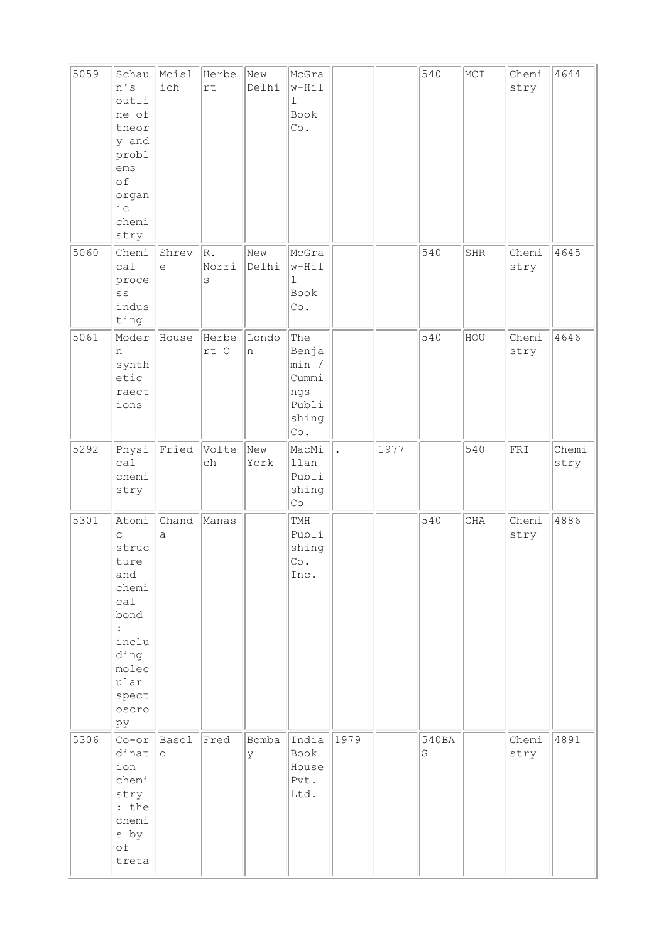| 5059 | Schau<br>n's<br>outli<br>ne of<br>theor<br>y and<br>probl<br>ems<br>of<br>organ<br>$i\,c$<br>chemi<br>stry           | Mcisl<br>ich     | Herbe<br>rt      | New<br>Delhi | McGra<br>$w-Hil$<br>$\mathbf{1}$<br>Book<br>Co.                |                      |      | 540        | MCI | Chemi<br>stry | 4644          |
|------|----------------------------------------------------------------------------------------------------------------------|------------------|------------------|--------------|----------------------------------------------------------------|----------------------|------|------------|-----|---------------|---------------|
| 5060 | Chemi<br>ca1<br>proce<br>SS<br>indus<br>ting                                                                         | Shrev<br>$\in$   | R.<br>Norri<br>S | New<br>Delhi | McGra<br>$w-Hil$<br>$\mathbf 1$<br>Book<br>Co.                 |                      |      | 540        | SHR | Chemi<br>stry | 4645          |
| 5061 | Moder<br>n<br>synth<br>etic<br>raect<br>ions                                                                         | House            | Herbe<br>rt O    | Londo<br>n   | The<br>Benja<br>min /<br>Cummi<br>ngs<br>Publi<br>shing<br>Co. |                      |      | 540        | HOU | Chemi<br>stry | 4646          |
| 5292 | Physi<br>ca1<br>chemi<br>stry                                                                                        | Fried            | Volte<br>ch      | New<br>York  | MacMi<br>llan<br>Publi<br>shing<br>Co                          | $\ddot{\phantom{a}}$ | 1977 |            | 540 | ${\tt FRI}$   | Chemi<br>stry |
| 5301 | Atomi<br>C<br>struc<br>ture<br>and<br>chemi<br>ca1<br>bond<br>inclu<br>ding<br>molec<br>ular<br>spect<br>oscro<br>pу | Chand<br>a       | Manas            |              | TMH<br>Publi<br>shing<br>$\mathbb{C}\circ$ .<br>Inc.           |                      |      | 540        | CHA | Chemi<br>stry | 4886          |
| 5306 | Cor<br>dinat<br>ion<br>chemi<br>stry<br>: the<br>chemi<br>s by<br>оf<br>treta                                        | Basol<br>$\circ$ | Fred             | Bomba<br>Y   | India<br>Book<br>House<br>Pvt.<br>Ltd.                         | 1979                 |      | 540BA<br>S |     | Chemi<br>stry | 4891          |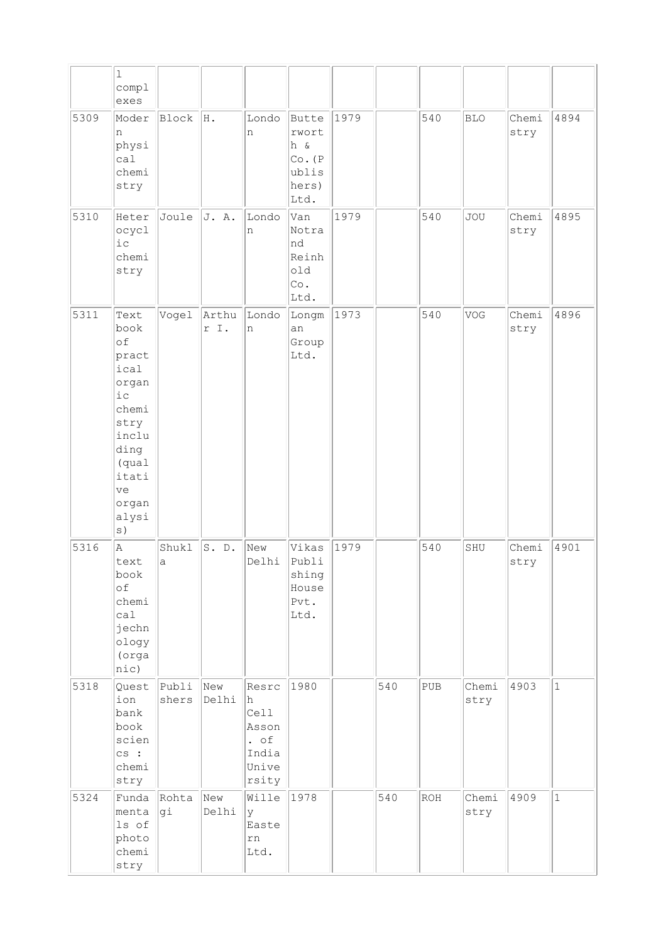|      | $\mathbf 1$<br>compl<br>exes                                                                                                      |                      |               |                                                                       |                                                            |      |     |     |               |               |              |
|------|-----------------------------------------------------------------------------------------------------------------------------------|----------------------|---------------|-----------------------------------------------------------------------|------------------------------------------------------------|------|-----|-----|---------------|---------------|--------------|
| 5309 | Moder<br>n<br>physi<br>ca1<br>chemi<br>stry                                                                                       | Block                | H.            | Londo<br>n                                                            | Butte<br>rwort<br>h &<br>Co. (P)<br>ublis<br>hers)<br>Ltd. | 1979 |     | 540 | <b>BLO</b>    | Chemi<br>stry | 4894         |
| 5310 | Heter<br>ocycl<br>$i$ c<br>chemi<br>stry                                                                                          | Joule                | J. A.         | Londo<br>n                                                            | Van<br>Notra<br>nd<br>Reinh<br>old<br>Co.<br>Ltd.          | 1979 |     | 540 | <b>JOU</b>    | Chemi<br>stry | 4895         |
| 5311 | Text<br>book<br>of<br>pract<br>ical<br>organ<br>$i$ c<br>chemi<br>stry<br>inclu<br>ding<br>(qual<br>itati<br>ve<br>organ<br>alysi | Vogel                | Arthu<br>r I. | Londo<br>n                                                            | Longm<br>an<br>Group<br>Ltd.                               | 1973 |     | 540 | VOG           | Chemi<br>stry | 4896         |
| 5316 | Α<br>text<br>book<br>of<br>chemi<br>cal<br>jechn<br>ology<br>(orga<br>nic)                                                        | Shukl<br>$\mathsf a$ | S. D.         | New<br>Delhi                                                          | Vikas<br>Publi<br>shing<br>House<br>Pvt.<br>Ltd.           | 1979 |     | 540 | SHU           | Chemi<br>stry | 4901         |
| 5318 | Quest<br>ion<br>bank<br>book<br>scien<br>cs:<br>chemi<br>stry                                                                     | Publi<br>shers       | New<br>Delhi  | Resrc<br>h.<br>Cell<br>Asson<br>$\cdot$ of<br>India<br>Unive<br>rsity | 1980                                                       |      | 540 | PUB | Chemi<br>stry | 4903          | $\mathbf{1}$ |
| 5324 | Funda<br>menta<br>ls of<br>photo<br>chemi<br>stry                                                                                 | Rohta<br>gi          | New<br>Delhi  | Wille<br>lУ<br>Easte<br>rn<br>Ltd.                                    | 1978                                                       |      | 540 | ROH | Chemi<br>stry | 4909          | $\mathbf{1}$ |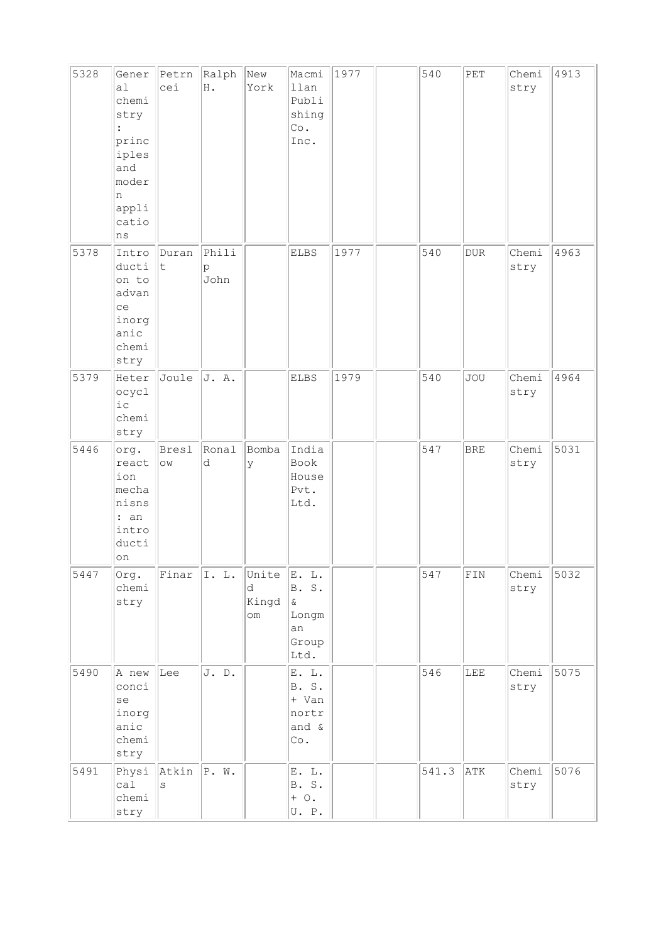| 5328 | Gener<br>al<br>chemi<br>stry<br>princ<br>iples<br>and<br>moder<br>n<br>appli<br>catio<br>ns | Petrn<br>cei                      | Ralph<br>H .       | New<br>York                      | Macmi<br>llan<br>Publi<br>shing<br>Co.<br>Inc.             | 1977 | 540   | $\ensuremath{\mathop{\rm PET}\nolimits}$ | Chemi<br>stry | 4913 |
|------|---------------------------------------------------------------------------------------------|-----------------------------------|--------------------|----------------------------------|------------------------------------------------------------|------|-------|------------------------------------------|---------------|------|
| 5378 | Intro<br>ducti<br>on to<br>advan<br>ce<br>inorg<br>anic<br>chemi<br>stry                    | Duran<br>t                        | Phili<br>p<br>John |                                  | ELBS                                                       | 1977 | 540   | $\tt DUR$                                | Chemi<br>stry | 4963 |
| 5379 | Heter<br>ocycl<br>$i\,c$<br>chemi<br>stry                                                   | Joule                             | J. A.              |                                  | ELBS                                                       | 1979 | 540   | <b>JOU</b>                               | Chemi<br>stry | 4964 |
| 5446 | org.<br>react<br>ion<br>mecha<br>nisns<br>: an<br>intro<br>ducti<br>on                      | Bresl<br>$\mathrel{\circledcirc}$ | Ronal<br>d         | Bomba<br>У                       | India<br>Book<br>House<br>Pvt.<br>Ltd.                     |      | 547   | <b>BRE</b>                               | Chemi<br>stry | 5031 |
| 5447 | Org.<br>chemi<br>stry                                                                       | Finar                             | I. L.              | Unite<br>d<br>Kingd<br>$\circ$ m | E. L.<br>B. S.<br>$\delta$<br>Longm<br>an<br>Group<br>Ltd. |      | 547   | ${\tt FIN}$                              | Chemi<br>stry | 5032 |
| 5490 | A new<br>conci<br>se<br>inorg<br>anic<br>chemi<br>stry                                      | Lee                               | J. D.              |                                  | E. L.<br>B. S.<br>+ Van<br>nortr<br>and &<br>Co.           |      | 546   | LEE                                      | Chemi<br>stry | 5075 |
| 5491 | Physi<br>cal<br>chemi<br>stry                                                               | Atkin<br>S                        | P. W.              |                                  | E. L.<br>B. S.<br>$+$ 0.<br>U. P.                          |      | 541.3 | ATK                                      | Chemi<br>stry | 5076 |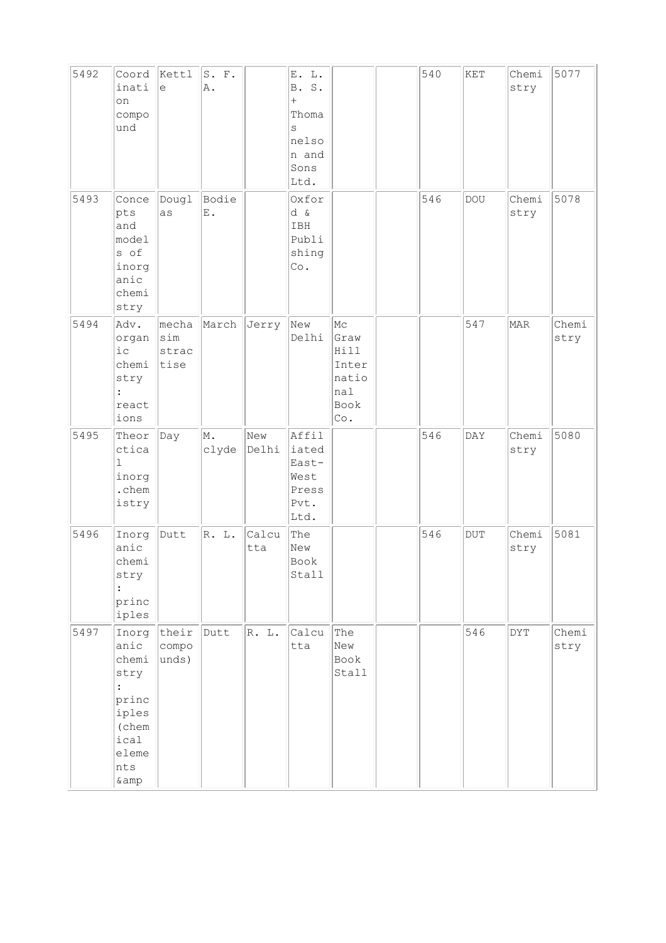| 5492 | Coord<br>inati<br>on<br>compo<br>und                                                                           | Kettl<br>$\epsilon$           | S. F.<br>Α.         |              | E. L.<br><b>B.</b><br>${\tt S}$ .<br>$^{+}$<br>Thoma<br>S<br>nelso<br>n and<br>Sons<br>Ltd. |                                                            | 540 | KET        | Chemi<br>stry  | 5077          |
|------|----------------------------------------------------------------------------------------------------------------|-------------------------------|---------------------|--------------|---------------------------------------------------------------------------------------------|------------------------------------------------------------|-----|------------|----------------|---------------|
| 5493 | Conce<br>pts<br>and<br>model<br>s of<br>inorg<br>anic<br>chemi<br>stry                                         | Dougl<br>as                   | Bodie<br>Ε.         |              | Oxfor<br>d &<br>IBH<br>Publi<br>shing<br>Co.                                                |                                                            | 546 | <b>DOU</b> | Chemi<br>stry  | 5078          |
| 5494 | Adv.<br>organ<br>ic<br>chemi<br>stry<br>$\vdots$<br>react<br>ions                                              | mecha<br>sim<br>strac<br>tise | March               | Jerry        | New<br>Delhi                                                                                | Mc<br>Graw<br>Hill<br>Inter<br>natio<br>nal<br>Book<br>Co. |     | 547        | MAR            | Chemi<br>stry |
| 5495 | Theor<br>ctica<br>$\mathbf 1$<br>inorg<br>.chem<br>istry                                                       | Day                           | M.<br>clyde         | New<br>Delhi | Affil<br>iated<br>East-<br>West<br>Press<br>Pvt.<br>Ltd.                                    |                                                            | 546 | <b>DAY</b> | Chemi<br>stry  | 5080          |
| 5496 | Inorg<br>anic<br>chemi<br>stry<br>princ<br>iples                                                               | Dutt                          | $\mathbb R$ .<br>L. | Calcu<br>tta | The<br>New<br>Book<br>Stall                                                                 |                                                            | 546 | <b>DUT</b> | Chemi<br>stry  | 5081          |
| 5497 | Inorg<br>anic<br>chemi<br>stry<br>$\ddot{\cdot}$<br>princ<br>iples<br>(chem<br>ical<br>eleme<br>nts<br>$\&amp$ | their<br>compo<br>unds)       | Dutt                | R. L.        | Calcu<br>tta                                                                                | The<br>New<br>Book<br>Stall                                |     | 546        | $\texttt{DYT}$ | Chemi<br>stry |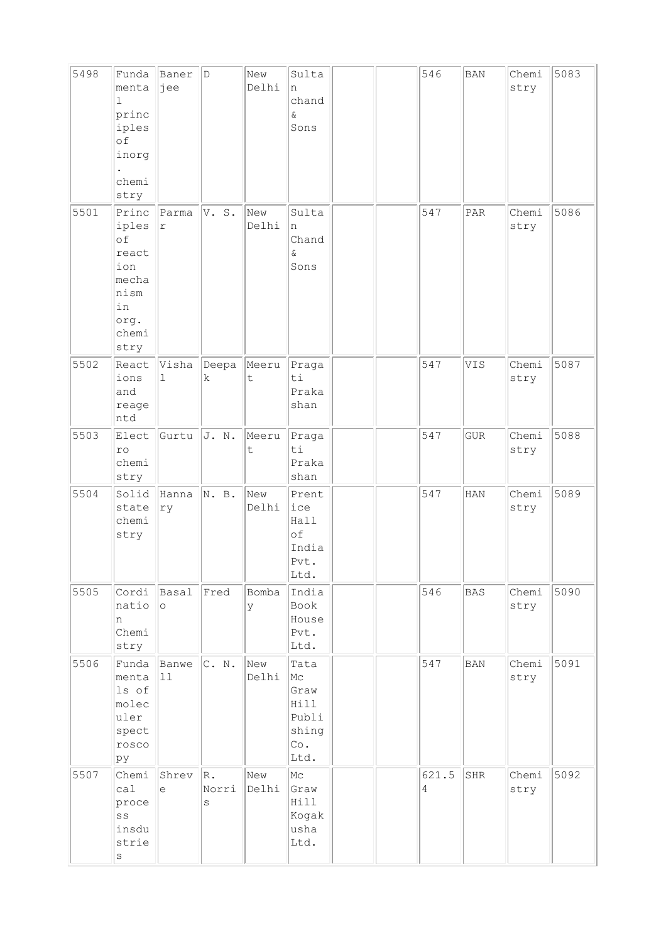| 5498 | Funda<br>menta<br>1<br>princ<br>iples<br>оf<br>inorg<br>chemi<br>stry                | Baner<br>jee        | D                | New<br>Delhi | Sulta<br>n<br>chand<br>$\delta$<br>Sons                     |  | 546        | <b>BAN</b> | Chemi<br>stry | 5083 |
|------|--------------------------------------------------------------------------------------|---------------------|------------------|--------------|-------------------------------------------------------------|--|------------|------------|---------------|------|
| 5501 | Princ<br>iples<br>of<br>react<br>ion<br>mecha<br>nism<br>in<br>org.<br>chemi<br>stry | Parma<br>$\Upsilon$ | V. S.            | New<br>Delhi | Sulta<br>n<br>Chand<br>$\delta$<br>Sons                     |  | 547        | PAR        | Chemi<br>stry | 5086 |
| 5502 | React<br>ions<br>and<br>reage<br>ntd                                                 | Visha<br>1          | Deepa<br>k       | Meeru<br>t   | Praga<br>ti<br>Praka<br>shan                                |  | 547        | VIS        | Chemi<br>stry | 5087 |
| 5503 | Elect<br>ro<br>chemi<br>stry                                                         | Gurtu               | J. N.            | Meeru<br>t   | Praga<br>ti<br>Praka<br>shan                                |  | 547        | <b>GUR</b> | Chemi<br>stry | 5088 |
| 5504 | Solid<br>state<br>chemi<br>stry                                                      | Hanna<br>ry         | N. B.            | New<br>Delhi | Prent<br>ice<br>Hall<br>of<br>India<br>Pvt.<br>Ltd.         |  | 547        | HAN        | Chemi<br>stry | 5089 |
| 5505 | Cordi<br>natio<br>n<br>Chemi<br>stry                                                 | Basal<br>$\circ$    | Fred             | Bomba<br>У   | India<br>Book<br>House<br>Pvt.<br>Ltd.                      |  | 546        | <b>BAS</b> | Chemi<br>stry | 5090 |
| 5506 | Funda<br>menta<br>ls of<br>molec<br>uler<br>spect<br>rosco<br>þу                     | Banwe<br>11         | C. N.            | New<br>Delhi | Tata<br>Mc<br>Graw<br>Hill<br>Publi<br>shing<br>Co.<br>Ltd. |  | 547        | <b>BAN</b> | Chemi<br>stry | 5091 |
| 5507 | Chemi<br>ca1<br>proce<br>SS<br>insdu<br>strie<br>S                                   | Shrev<br>$\epsilon$ | R.<br>Norri<br>S | New<br>Delhi | Mc<br>Graw<br>Hill<br>Kogak<br>usha<br>Ltd.                 |  | 621.5<br>4 | SHR        | Chemi<br>stry | 5092 |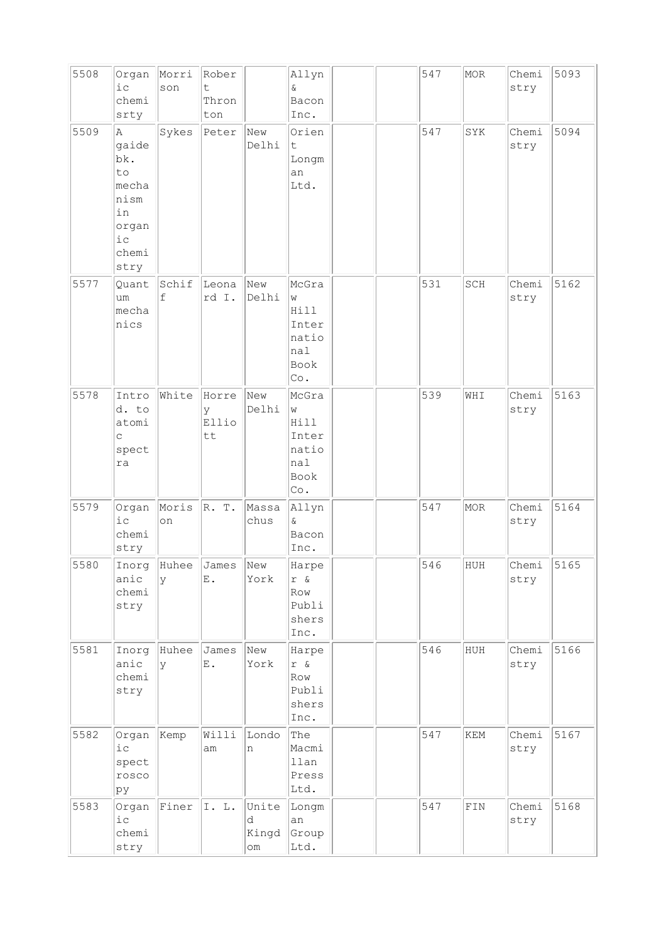| 5508 | Organ<br>i c<br>chemi<br>srty                                                     | Morri<br>son | Rober<br>t.<br>Thron<br>ton        |                                            | Allyn<br>Q.<br>Bacon<br>Inc.                               |  | 547 | MOR                         | Chemi<br>stry | 5093 |
|------|-----------------------------------------------------------------------------------|--------------|------------------------------------|--------------------------------------------|------------------------------------------------------------|--|-----|-----------------------------|---------------|------|
| 5509 | A<br>gaide<br>bk.<br>to<br>mecha<br>nism<br>in<br>organ<br>$i$ с<br>chemi<br>stry | Sykes        | Peter                              | New<br>Delhi                               | Orien<br>t<br>Longm<br>an<br>Ltd.                          |  | 547 | SYK                         | Chemi<br>stry | 5094 |
| 5577 | Quant<br>um<br>mecha<br>nics                                                      | Schif<br>f   | Leona<br>rd I.                     | New<br>Delhi                               | McGra<br>W<br>Hill<br>Inter<br>natio<br>nal<br>Book<br>Co. |  | 531 | SCH                         | Chemi<br>stry | 5162 |
| 5578 | Intro<br>d. to<br>atomi<br>$\mathsf C$<br>spect<br>ra                             | White        | Horre<br>У<br>Ellio<br>tt          | New<br>Delhi                               | McGra<br>W<br>Hill<br>Inter<br>natio<br>nal<br>Book<br>Co. |  | 539 | WHI                         | Chemi<br>stry | 5163 |
| 5579 | Organ<br>i c<br>chemi<br>stry                                                     | Moris<br>on  | R. T.                              | Massa<br>chus                              | Allyn<br>$\&$<br>Bacon<br>Inc.                             |  | 547 | MOR                         | Chemi<br>stry | 5164 |
| 5580 | Inorg<br>anic<br>chemi<br>stry                                                    | У            | Huhee James New<br>E.              | York                                       | Harpe<br>r &<br>Row<br>Publi<br>shers<br>Inc.              |  | 546 | HUH                         | Chemi<br>stry | 5165 |
| 5581 | Inorg<br>anic<br>chemi<br>stry                                                    | Huhee<br>У   | James<br>$\boldsymbol{\text{E}}$ . | New<br>York                                | Harpe<br>r &<br>Row<br>Publi<br>shers<br>Inc.              |  | 546 | HUH                         | Chemi<br>stry | 5166 |
| 5582 | Organ<br>$i$ с<br>spect<br>rosco<br>pу                                            | Kemp         | Willi<br>am                        | Londo<br>n                                 | The<br>Macmi<br>llan<br>Press<br>Ltd.                      |  | 547 | $\mathop{\rm KEM}\nolimits$ | Chemi<br>stry | 5167 |
| 5583 | Organ<br>i c<br>chemi<br>stry                                                     | Finer        | I. L.                              | Unite<br>d<br>Kingd<br>$\circlearrowright$ | Longm<br>an<br>Group<br>Ltd.                               |  | 547 | $\texttt{FIN}$              | Chemi<br>stry | 5168 |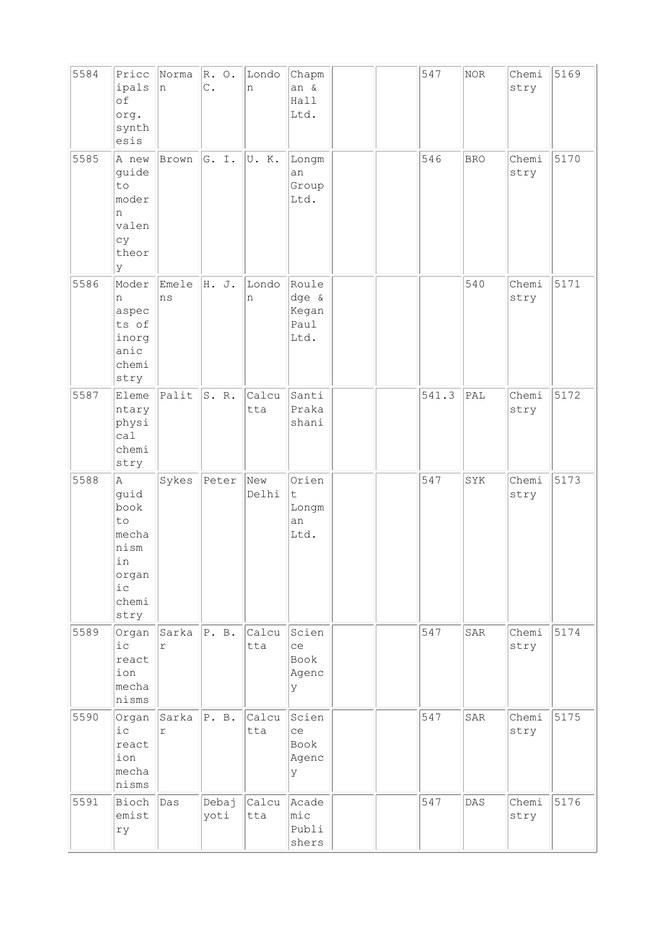| 5584 | Pricc<br>ipals<br>of<br>org.<br>synth<br>esis                                   | Norma<br>n                     | $R. \circ.$<br>$\mathbb{C}$ . | Londo<br>n   | Chapm<br>an &<br>Hall<br>Ltd.            |  | 547   | NOR        | Chemi<br>stry | 5169 |
|------|---------------------------------------------------------------------------------|--------------------------------|-------------------------------|--------------|------------------------------------------|--|-------|------------|---------------|------|
| 5585 | A new<br>guide<br>to<br>moder<br>n<br>valen<br>cу<br>theor<br>У                 | Brown                          | G. I.                         | U.K.         | Longm<br>an<br>Group<br>Ltd.             |  | 546   | <b>BRO</b> | Chemi<br>stry | 5170 |
| 5586 | Moder<br>n<br>aspec<br>ts of<br>inorg<br>anic<br>chemi<br>stry                  | Emele<br>ns                    | H. J.                         | Londo<br>n   | Roule<br>dge &<br>Kegan<br>Paul<br>Ltd.  |  |       | 540        | Chemi<br>stry | 5171 |
| 5587 | Eleme<br>ntary<br>physi<br>ca1<br>chemi<br>stry                                 | Palit                          | S. R.                         | Calcu<br>tta | Santi<br>Praka<br>shani                  |  | 541.3 | PAL        | Chemi<br>stry | 5172 |
| 5588 | A<br>guid<br>book<br>to<br>mecha<br>nism<br>in<br>organ<br>i c<br>chemi<br>stry | Sykes                          | Peter                         | New<br>Delhi | Orien<br>t<br>Longm<br>an<br>Ltd.        |  | 547   | SYK        | Chemi<br>stry | 5173 |
| 5589 | Organ<br>i c<br>react<br>ion<br>mecha<br>nisms                                  | $Sarka$ $ P. B.$<br>$\Upsilon$ |                               | Calcu<br>tta | Scien<br>ce<br>Book<br>Agenc<br>У        |  | 547   | SAR        | Chemi<br>stry | 5174 |
| 5590 | Organ<br>$i$ c<br>react<br>ion<br>mecha<br>nisms                                | Sarka<br>$\Upsilon$            | P. B.                         | Calcu<br>tta | Scien<br>ce<br>Book<br>Agenc<br>У        |  | 547   | SAR        | Chemi<br>stry | 5175 |
| 5591 | Bioch<br>emist<br>ry                                                            | Das                            | Debaj<br>yoti                 | Calcu<br>tta | Acade<br>$ {\tt mic} $<br>Publi<br>shers |  | 547   | DAS        | Chemi<br>stry | 5176 |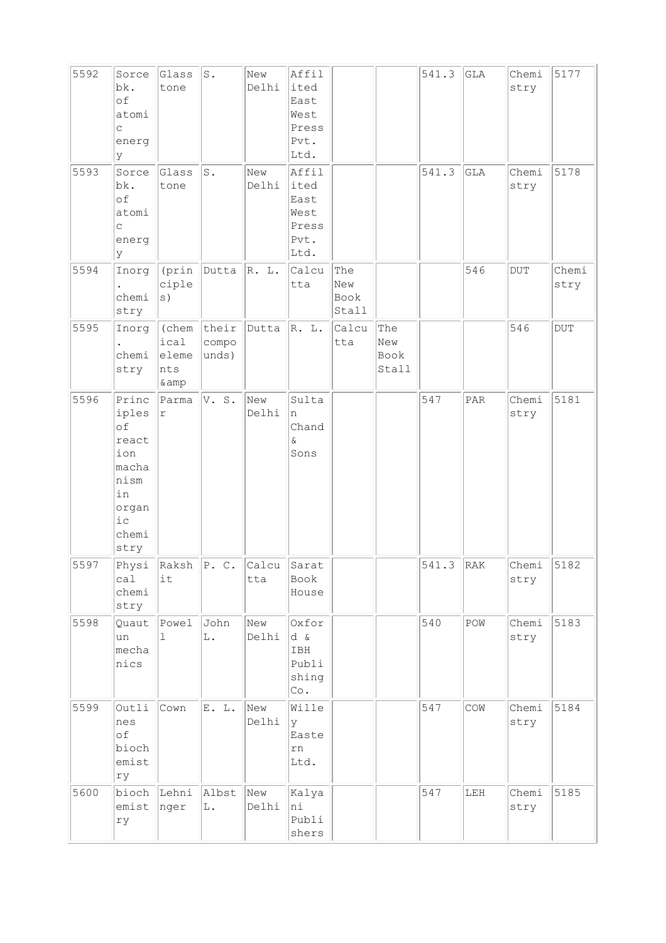| 5592 | Sorce<br>bk.<br>of<br>atomi<br>C<br>energ<br>У                                                  | Glass<br>tone                     | s.                            | New<br>Delhi | Affil<br>ited<br>East<br>West<br>Press<br>Pvt.<br>Ltd. |                             |                             | 541.3       | GLA | Chemi<br>stry | 5177          |
|------|-------------------------------------------------------------------------------------------------|-----------------------------------|-------------------------------|--------------|--------------------------------------------------------|-----------------------------|-----------------------------|-------------|-----|---------------|---------------|
| 5593 | Sorce<br>bk.<br>of<br>atomi<br>$\mathsf C$<br>energ<br>У                                        | Glass<br>tone                     | $\texttt{S}$ .                | New<br>Delhi | Affil<br>ited<br>East<br>West<br>Press<br>Pvt.<br>Ltd. |                             |                             | 541.3       | GLA | Chemi<br>stry | 5178          |
| 5594 | Inorg<br>chemi<br>stry                                                                          | (prin<br>ciple                    | Dutta                         | R. L.        | Calcu<br>tta                                           | The<br>New<br>Book<br>Stall |                             |             | 546 | <b>DUT</b>    | Chemi<br>stry |
| 5595 | Inorg<br>chemi<br>stry                                                                          | ical<br>eleme<br>nts<br>& amp     | (chem their<br>compo<br>unds) | Dutta        | R. L.                                                  | Calcu<br>tta                | The<br>New<br>Book<br>Stall |             |     | 546           | $_{\rm DUT}$  |
| 5596 | Princ<br>iples<br>of<br>react<br>ion<br>macha<br>nism<br>in<br>organ<br>$i\,c$<br>chemi<br>stry | Parma<br>$\Upsilon$               | V. S.                         | New<br>Delhi | Sulta<br>n<br>Chand<br>$\delta$<br>Sons                |                             |                             | 547         | PAR | Chemi<br>stry | 5181          |
| 5597 | ca1<br>chemi<br>stry                                                                            | Physi $\ $ Raksh $\ $ P. C.<br>it |                               | Calcu<br>tta | Sarat<br>Book<br>House                                 |                             |                             | $541.3$ RAK |     | Chemi<br>stry | 5182          |
| 5598 | Quaut<br>un<br>mecha<br>nics                                                                    | Powel<br>1                        | John<br>L.                    | New<br>Delhi | Oxfor<br>d &<br>IBH<br>Publi<br>shing<br>Co.           |                             |                             | 540         | POW | Chemi<br>stry | 5183          |
| 5599 | Outli<br>nes<br>of<br>bioch<br>emist<br>ry                                                      | Cown                              | E. L.                         | New<br>Delhi | Wille<br>У<br>Easte<br>rn<br>Ltd.                      |                             |                             | 547         | COW | Chemi<br>stry | 5184          |
| 5600 | bioch<br>emist<br>ry                                                                            | Lehni<br>nger                     | Albst<br>L.                   | New<br>Delhi | Kalya<br>ni<br>Publi<br>shers                          |                             |                             | 547         | LEH | Chemi<br>stry | 5185          |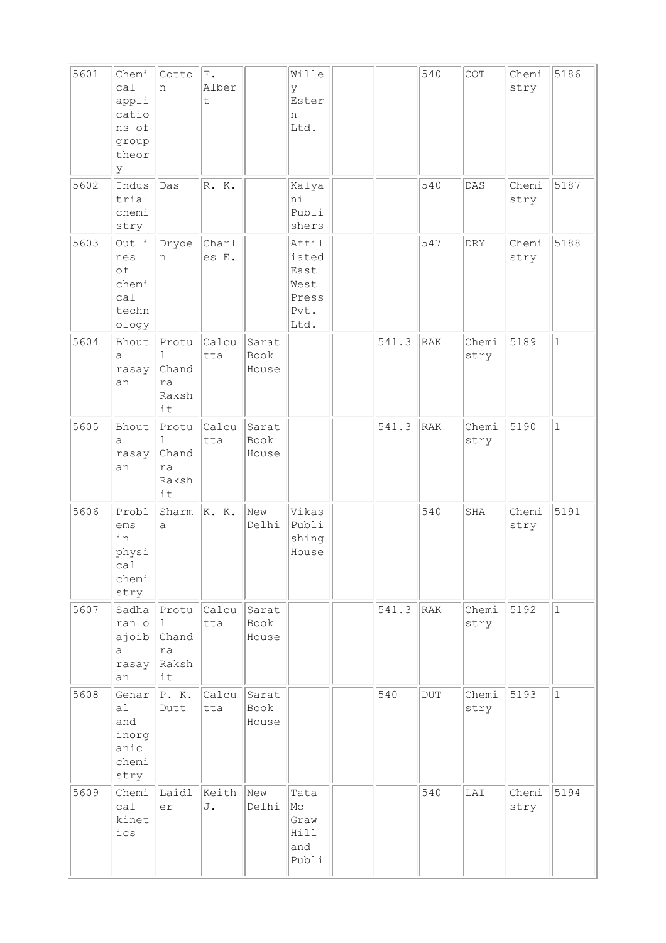| 5601 | Chemi<br>ca1<br>appli<br>catio<br>ns of<br>group<br>theor<br>y | Cotto<br>n                               | ${\bf F}$ .<br>Alber<br>t |                        | Wille<br>У<br>Ester<br>n<br>Ltd.                        |       | 540          | COT           | Chemi<br>stry | 5186         |
|------|----------------------------------------------------------------|------------------------------------------|---------------------------|------------------------|---------------------------------------------------------|-------|--------------|---------------|---------------|--------------|
| 5602 | Indus<br>trial<br>chemi<br>stry                                | Das                                      | R. K.                     |                        | Kalya<br>ni<br>Publi<br>shers                           |       | 540          | DAS           | Chemi<br>stry | 5187         |
| 5603 | Outli<br>nes<br>of<br>chemi<br>ca1<br>techn<br>ology           | Dryde<br>n                               | Charl<br>es E.            |                        | Affil<br>iated<br>East<br>West<br>Press<br>Pvt.<br>Ltd. |       | 547          | <b>DRY</b>    | Chemi<br>stry | 5188         |
| 5604 | Bhout<br>а<br>rasay<br>an                                      | Protu<br>ı<br>Chand<br>ra<br>Raksh<br>it | Calcu<br>tta              | Sarat<br>Book<br>House |                                                         | 541.3 | RAK          | Chemi<br>stry | 5189          | $\mathbf{1}$ |
| 5605 | Bhout<br>а<br>rasay<br>an                                      | Protu<br>1<br>Chand<br>ra<br>Raksh<br>it | Calcu<br>tta              | Sarat<br>Book<br>House |                                                         | 541.3 | RAK          | Chemi<br>stry | 5190          | $\mathbf 1$  |
| 5606 | Probl<br>ems<br>in<br>physi<br>cal<br>chemi<br>stry            | Sharm<br>a                               | K. K.                     | New<br>Delhi           | Vikas<br>Publi<br>shing<br>House                        |       | 540          | SHA           | Chemi<br>stry | 5191         |
| 5607 | Sadha<br>ran o<br>ajoib<br>а<br>rasay<br>an                    | Protu<br>1<br>Chand<br>ra<br>Raksh<br>it | Calcu<br>tta              | Sarat<br>Book<br>House |                                                         | 541.3 | RAK          | Chemi<br>stry | 5192          | $\mathbf{1}$ |
| 5608 | Genar<br>al<br>and<br>inorg<br>anic<br>chemi<br>stry           | P. K.<br>Dutt                            | Calcu<br>tta              | Sarat<br>Book<br>House |                                                         | 540   | $_{\rm DUT}$ | Chemi<br>stry | 5193          | $\mathbf{1}$ |
| 5609 | Chemi<br>cal<br>kinet<br>ics                                   | Laidl<br>er                              | Keith<br>J.               | New<br>Delhi           | Tata<br>Mc<br>Graw<br>Hill<br>and<br>Publi              |       | 540          | LAI           | Chemi<br>stry | 5194         |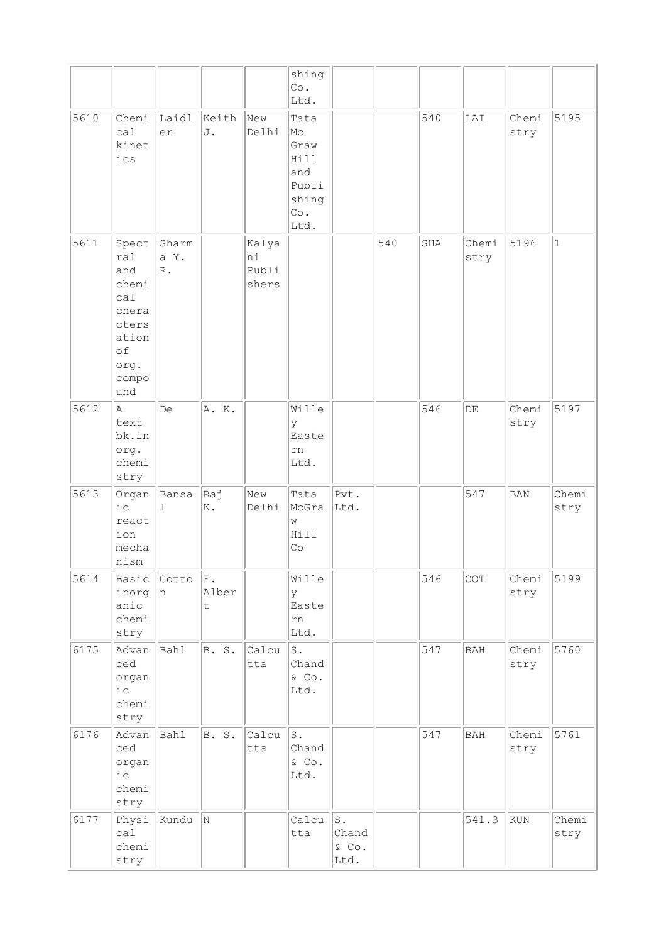|      |                                                                                              |                       |                            |                               | shing<br>Co.<br>Ltd.                                               |                                 |     |     |               |               |               |
|------|----------------------------------------------------------------------------------------------|-----------------------|----------------------------|-------------------------------|--------------------------------------------------------------------|---------------------------------|-----|-----|---------------|---------------|---------------|
| 5610 | Chemi<br>ca1<br>kinet<br>ics                                                                 | Laidl<br>er           | Keith<br>J.                | New<br>Delhi                  | Tata<br>Mс<br>Graw<br>Hill<br>and<br>Publi<br>shing<br>Co.<br>Ltd. |                                 |     | 540 | LAI           | Chemi<br>stry | 5195          |
| 5611 | Spect<br>ral<br>and<br>chemi<br>ca1<br>chera<br>cters<br>ation<br>of<br>org.<br>compo<br>und | Sharm<br>a Y.<br>R.   |                            | Kalya<br>ni<br>Publi<br>shers |                                                                    |                                 | 540 | SHA | Chemi<br>stry | 5196          | $\mathbf 1$   |
| 5612 | la.<br>text<br>bk.in<br>org.<br>chemi<br>stry                                                | De                    | A. K.                      |                               | Wille<br>У<br>Easte<br>rn<br>Ltd.                                  |                                 |     | 546 | $\rm{DE}$     | Chemi<br>stry | 5197          |
| 5613 | Organ<br>i c<br>react<br>ion<br>mecha<br>nism                                                | Bansa<br>$\mathbf{1}$ | kaj<br>Κ.                  | New<br>Delhi                  | Tata<br>McGra<br>W<br>Hill<br>Co                                   | Pvt.<br>Ltd.                    |     |     | 547           | <b>BAN</b>    | Chemi<br>stry |
| 5614 | Basic<br>inorg<br>anic<br>chemi<br>stry                                                      | Cotto<br> n           | F.<br>Alber<br>$\mathsf t$ |                               | Wille<br>У<br>Easte<br>rn<br>Ltd.                                  |                                 |     | 546 | COT           | Chemi<br>stry | 5199          |
| 6175 | Advan<br>ced<br>organ<br>i c<br>chemi<br>stry                                                | Bahl                  | B. S.                      | Calcu<br>tta                  | s.<br>Chand<br>$\&$ Co.<br>Ltd.                                    |                                 |     | 547 | <b>BAH</b>    | Chemi<br>stry | 5760          |
| 6176 | Advan<br>ced<br>organ<br>$i$ с<br>chemi<br>stry                                              | Bahl                  | B. S.                      | Calcu<br>tta                  | s.<br>Chand<br>$\&$ Co.<br>Ltd.                                    |                                 |     | 547 | <b>BAH</b>    | Chemi<br>stry | 5761          |
| 6177 | Physi<br>ca1<br>chemi<br>stry                                                                | Kundu                 | N                          |                               | Calcu<br>tta                                                       | $S$ .<br>Chand<br>& Co.<br>Ltd. |     |     | 541.3         | KUN           | Chemi<br>stry |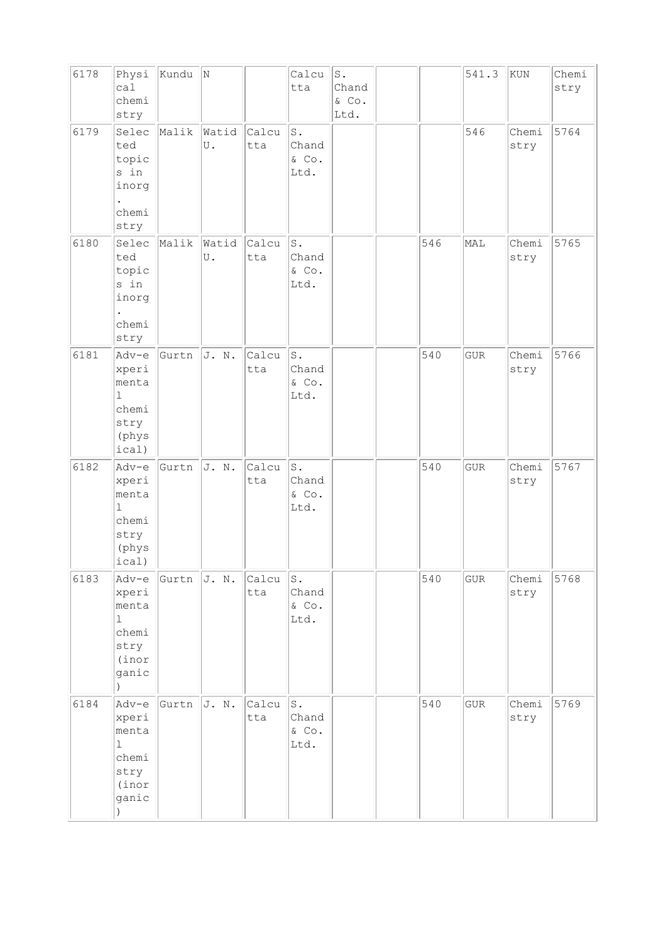| 6178 | Physi<br>ca1<br>chemi<br>stry                                                          | Kundu | N           |              | Calcu<br>tta                             | $\mathtt{S}$ .<br>Chand<br>& Co.<br>Ltd. |     | 541.3       | KUN           | Chemi<br>stry |
|------|----------------------------------------------------------------------------------------|-------|-------------|--------------|------------------------------------------|------------------------------------------|-----|-------------|---------------|---------------|
| 6179 | Selec<br>ted<br>topic<br>s in<br>inorg<br>$\bullet$<br>chemi<br>stry                   | Malik | Watid<br>U. | Calcu<br>tta | s.<br>Chand<br>$\&$ Co.<br>Ltd.          |                                          |     | 546         | Chemi<br>stry | 5764          |
| 6180 | Selec<br>ted<br>topic<br>s in<br>inorg<br>chemi<br>stry                                | Malik | Watid<br>U. | Calcu<br>tta | $\mathtt{S}$ .<br>Chand<br>& Co.<br>Ltd. |                                          | 546 | MAL         | Chemi<br>stry | 5765          |
| 6181 | Adv-e<br>xperi<br>menta<br>$\mathbf 1$<br>chemi<br>stry<br>(phys<br>ical)              | Gurtn | J. N.       | Calcu<br>tta | s.<br>Chand<br>& Co.<br>Ltd.             |                                          | 540 | <b>GUR</b>  | Chemi<br>stry | 5766          |
| 6182 | Adv-e<br>xperi<br>menta<br>$\mathbf 1$<br>chemi<br>stry<br>(phys<br>ical)              | Gurtn | J. N.       | Calcu<br>tta | s.<br>Chand<br>& Co.<br>Ltd.             |                                          | 540 | ${\tt GUR}$ | Chemi<br>stry | 5767          |
| 6183 | Adv-e<br>xperi<br>menta<br>$\mathbf{1}$<br>chemi<br>stry<br>(inor<br>ganic             | Gurtn | J. N.       | Calcu<br>tta | s.<br>Chand<br>& Co.<br>Ltd.             |                                          | 540 | ${\tt GUR}$ | Chemi<br>stry | 5768          |
| 6184 | Adv-e<br>xperi<br>menta<br>$\mathbf 1$<br>chemi<br>stry<br>(inor<br>ganic<br>$\lambda$ | Gurtn | J. N.       | Calcu<br>tta | s.<br>Chand<br>& Co.<br>Ltd.             |                                          | 540 | <b>GUR</b>  | Chemi<br>stry | 5769          |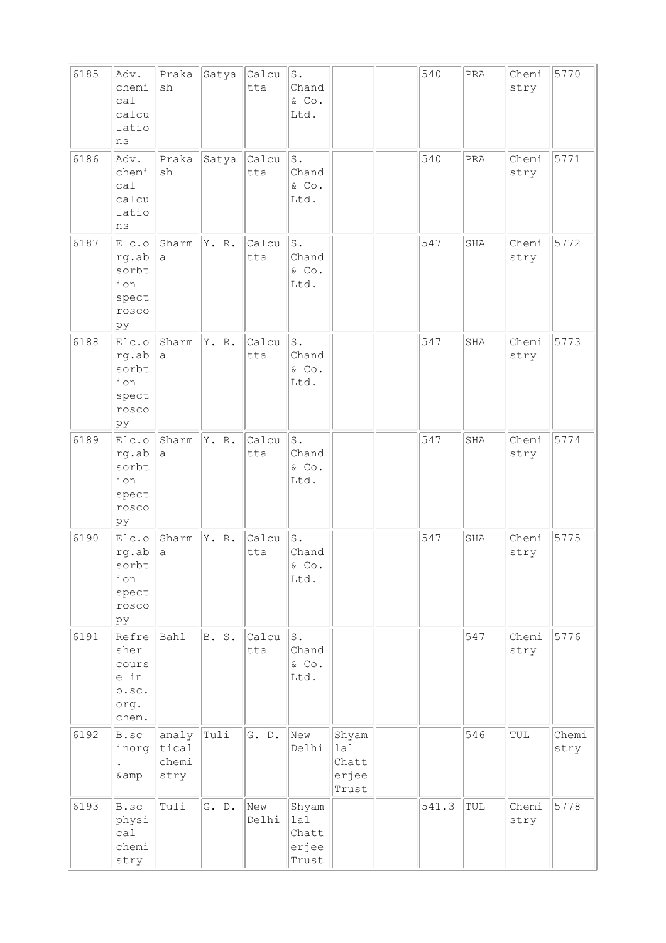| 6185 | Adv.<br>chemi<br>ca1<br>calcu<br>latio<br>ns             | Praka<br>sh                     | Satya        | Calcu<br>tta | s.<br>Chand<br>& Co.<br>Ltd.             |                                         | 540   | PRA | Chemi<br>stry | 5770          |
|------|----------------------------------------------------------|---------------------------------|--------------|--------------|------------------------------------------|-----------------------------------------|-------|-----|---------------|---------------|
| 6186 | Adv.<br>chemi<br>ca1<br>calcu<br>latio<br>ns             | Praka<br>sh                     | Satya        | Calcu<br>tta | ${\tt S}$ .<br>Chand<br>$\&$ Co.<br>Ltd. |                                         | 540   | PRA | Chemi<br>stry | 5771          |
| 6187 | Elc.o<br>rg.ab<br>sorbt<br>ion<br>spect<br>rosco<br>pу   | Sharm<br>a                      | Y. R.        | Calcu<br>tta | S.<br>Chand<br>& Co.<br>Ltd.             |                                         | 547   | SHA | Chemi<br>stry | 5772          |
| 6188 | Elc.o<br>rg.ab<br>sorbt<br>ion<br>spect<br>rosco<br>pу   | Sharm<br>а                      | Y. R.        | Calcu<br>tta | $\texttt{S}$ .<br>Chand<br>& Co.<br>Ltd. |                                         | 547   | SHA | Chemi<br>stry | 5773          |
| 6189 | Elc.o<br>rg.ab<br>sorbt<br>ion<br>spect<br>rosco<br>ру   | Sharm<br>a                      | Y. R.        | Calcu<br>tta | ${\tt S}$ .<br>Chand<br>& Co.<br>Ltd.    |                                         | 547   | SHA | Chemi<br>stry | 5774          |
| 6190 | Elc.o<br>rg.ab<br>sorbt<br>ion<br>spect<br>rosco<br>ру   | Sharm<br>а                      | Y. R.        | Calcu<br>tta | s.<br>Chand<br>& Co.<br>Ltd.             |                                         | 547   | SHA | Chemi<br>stry | 5775          |
| 6191 | Refre<br>sher<br>cours<br>e in<br>b.sc.<br>org.<br>chem. | Bahl                            | <b>B.</b> S. | Calcu<br>tta | s.<br>Chand<br>& Co.<br>Ltd.             |                                         |       | 547 | Chemi<br>stry | 5776          |
| 6192 | B.sc<br>inorg<br>$\bullet$<br>& amp                      | analy<br>tical<br>chemi<br>stry | Tuli         | G. D.        | New<br>Delhi                             | Shyam<br>lal<br>Chatt<br>erjee<br>Trust |       | 546 | TUL           | Chemi<br>stry |
| 6193 | B.sc<br>physi<br>ca1<br>chemi<br>stry                    | Tuli                            | G. D.        | New<br>Delhi | Shyam<br>lal<br>Chatt<br>erjee<br>Trust  |                                         | 541.3 | TUL | Chemi<br>stry | 5778          |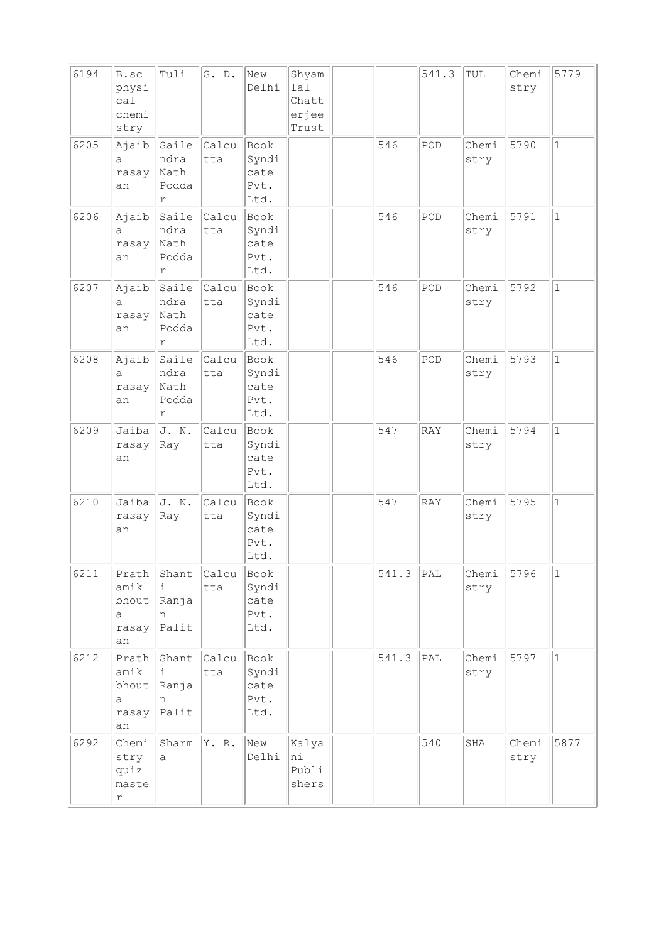| 6194 | B.sc<br>physi<br>ca1<br>chemi<br>stry        | Tuli                                         | G. D.        | New<br>Delhi                          | Shyam<br>lal<br>Chatt<br>erjee<br>Trust |       | 541.3          | TUL           | Chemi<br>stry | 5779         |
|------|----------------------------------------------|----------------------------------------------|--------------|---------------------------------------|-----------------------------------------|-------|----------------|---------------|---------------|--------------|
| 6205 | Ajaib<br>а<br>rasay<br>an                    | Saile<br>ndra<br>Nath<br>Podda<br>$\Upsilon$ | Calcu<br>tta | Book<br>Syndi<br>cate<br>Pvt.<br>Ltd. |                                         | 546   | POD            | Chemi<br>stry | 5790          | $\mathbf 1$  |
| 6206 | Ajaib<br>a<br>rasay<br>an                    | Saile<br>ndra<br>Nath<br>Podda<br>r          | Calcu<br>tta | Book<br>Syndi<br>cate<br>Pvt.<br>Ltd. |                                         | 546   | POD            | Chemi<br>stry | 5791          | $\mathbf{1}$ |
| 6207 | Ajaib<br>a<br>rasay<br>an                    | Saile<br>ndra<br>Nath<br>Podda<br>r          | Calcu<br>tta | Book<br>Syndi<br>cate<br>Pvt.<br>Ltd. |                                         | 546   | POD            | Chemi<br>stry | 5792          | $\mathbf{1}$ |
| 6208 | Ajaib<br>a<br>rasay<br>an                    | Saile<br>ndra<br>Nath<br>Podda<br>r          | Calcu<br>tta | Book<br>Syndi<br>cate<br>Pvt.<br>Ltd. |                                         | 546   | POD            | Chemi<br>stry | 5793          | $\mathbf{1}$ |
| 6209 | Jaiba<br>rasay<br>an                         | J. N.<br>Ray                                 | Calcu<br>tta | Book<br>Syndi<br>cate<br>Pvt.<br>Ltd. |                                         | 547   | <b>RAY</b>     | Chemi<br>stry | 5794          | $\mathbf{1}$ |
| 6210 | Jaiba<br>rasay<br>an                         | J. N.<br>Ray                                 | Calcu<br>tta | Book<br>Syndi<br>cate<br>Pvt.<br>Ltd. |                                         | 547   | <b>RAY</b>     | Chemi<br>stry | 5795          | $\mathbf{1}$ |
| 6211 | Prath<br>amik<br>bhout<br>а<br>rasay<br>an   | Shant<br>i<br>Ranja<br>n<br>Palit            | Calcu<br>tta | Book<br>Syndi<br>cate<br>Pvt.<br>Ltd. |                                         | 541.3 | $\mathtt{PAL}$ | Chemi<br>stry | 5796          | $\mathbf{1}$ |
| 6212 | Prath<br>amik<br>bhout<br>a<br>rasay<br>an   | Shant<br>i<br>Ranja<br>n<br>Palit            | Calcu<br>tta | Book<br>Syndi<br>cate<br>Pvt.<br>Ltd. |                                         | 541.3 | PAL            | Chemi<br>stry | 5797          | $\mathbf{1}$ |
| 6292 | Chemi<br>stry<br>quiz<br>maste<br>$\Upsilon$ | Sharm<br>a                                   | Y. R.        | New<br>Delhi                          | Kalya<br>hi<br>Publi<br>shers           |       | 540            | SHA           | Chemi<br>stry | 5877         |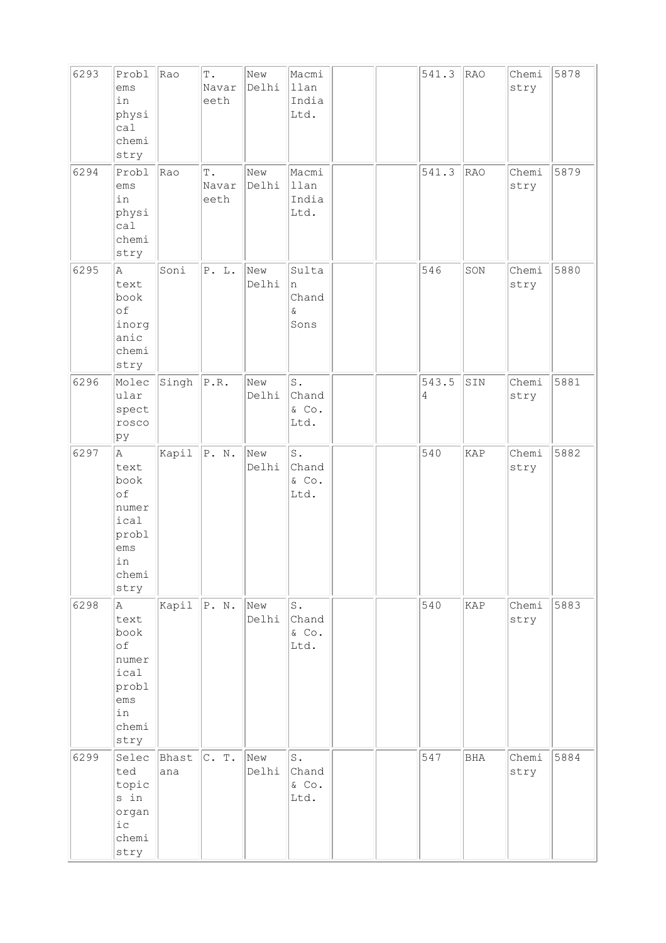| 6293 | Probl<br>ems<br>in<br>physi<br>cal<br>chemi<br>stry                               | Rao          | $\mathbb T$ .<br>Navar<br>eeth | New<br>Delhi | Macmi<br>llan<br>India<br>Ltd.            |  | 541.3      | RAO        | Chemi<br>stry | 5878 |
|------|-----------------------------------------------------------------------------------|--------------|--------------------------------|--------------|-------------------------------------------|--|------------|------------|---------------|------|
| 6294 | Probl<br>ems<br>in<br>physi<br>ca1<br>chemi<br>stry                               | Rao          | $\mathbb T$ .<br>Navar<br>eeth | New<br>Delhi | Macmi<br>llan<br>India<br>Ltd.            |  | 541.3      | RAO        | Chemi<br>stry | 5879 |
| 6295 | A<br>text<br>book<br>of<br>inorg<br>anic<br>chemi<br>stry                         | Soni         | P. L.                          | New<br>Delhi | Sulta<br>n<br>Chand<br>$\delta$<br>Sons   |  | 546        | SON        | Chemi<br>stry | 5880 |
| 6296 | Molec<br>ular<br>spect<br>rosco<br>þу                                             | Singh        | $\mathbb{P}$ . $\mathbb{R}$ .  | New<br>Delhi | $\mathtt{S}$ .<br>Chand<br>& Co.<br>Ltd.  |  | 543.5<br>4 | SIN        | Chemi<br>stry | 5881 |
| 6297 | la.<br>text<br>book<br>of<br>numer<br>ical<br>probl<br>ems<br>in<br>chemi<br>stry | Kapil        | $\mathbb{P}$ . $\mathbb{N}$ .  | New<br>Delhi | $\mathbbm{S}$ .<br>Chand<br>& Co.<br>Ltd. |  | 540        | KAP        | Chemi<br>stry | 5882 |
| 6298 | A<br>text<br>book<br>оf<br>numer<br>ical<br>probl<br>ems<br>in<br>chemi<br>stry   | Kapil        | $\Vert P. \quad N. \Vert$      | New<br>Delhi | $\texttt{S}$ .<br>Chand<br>& Co.<br>Ltd.  |  | 540        | KAP        | Chemi<br>stry | 5883 |
| 6299 | Selec<br>ted<br>topic<br>s in<br>organ<br>$i$ c<br>chemi<br>stry                  | Bhast<br>ana | C. T.                          | New<br>Delhi | $\texttt{S}$ .<br>Chand<br>& Co.<br>Ltd.  |  | 547        | <b>BHA</b> | Chemi<br>stry | 5884 |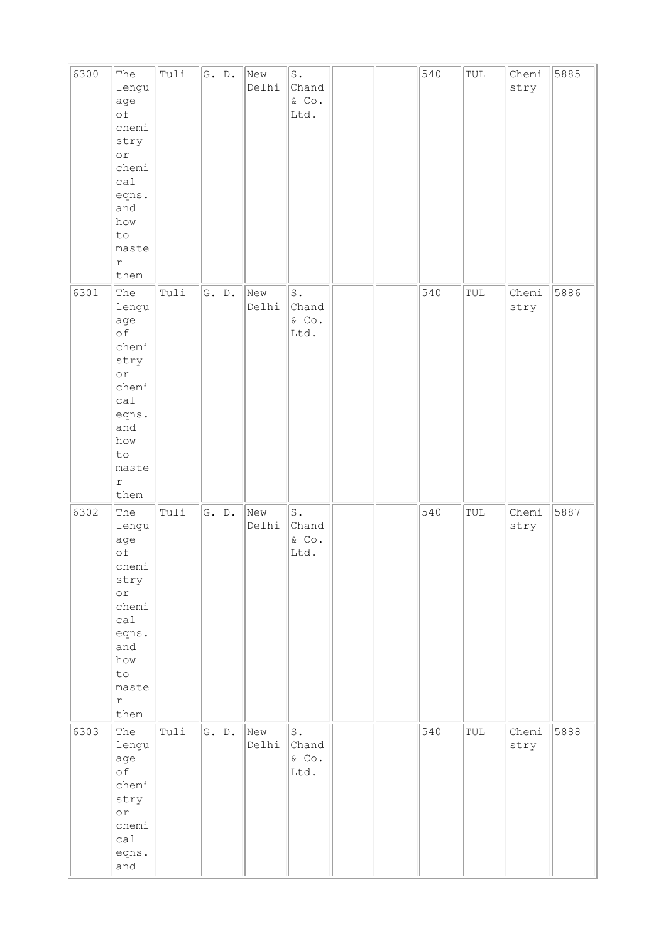| 6300 | The<br>lengu<br>age<br>оf<br>chemi<br>stry<br>$\circ$ r<br>chemi<br>cal<br>eqns.<br>and<br>how<br>to<br>maste<br>r<br>them      | Tuli | G. D. | New<br>Delhi | $\texttt{S}$ .<br>Chand<br>& Co.<br>Ltd.  |  | 540 | $\ensuremath{\mathop{\text{\rm TUL}}}\xspace$ | Chemi<br>stry | 5885 |
|------|---------------------------------------------------------------------------------------------------------------------------------|------|-------|--------------|-------------------------------------------|--|-----|-----------------------------------------------|---------------|------|
| 6301 | The<br>lengu<br>age<br>of<br>chemi<br>stry<br> or<br>chemi<br>cal<br>eqns.<br>and<br>how<br>to<br>maste<br>$\mathtt{r}$<br>them | Tuli | G. D. | New<br>Delhi | $\texttt{S}$ .<br>Chand<br>& Co.<br>Ltd.  |  | 540 | $\ensuremath{\mathop{\text{\rm TUL}}}\xspace$ | Chemi<br>stry | 5886 |
| 6302 | The<br>lengu<br>age<br>оf<br>chemi<br>stry<br>$\circ$ r<br>chemi<br>calal<br>eqns.<br>and<br>how<br>to<br>maste<br>r<br>them    | Tuli | G. D. | New<br>Delhi | $\mathbb S$ .<br>Chand<br>$&$ Co.<br>Ltd. |  | 540 | TUL                                           | Chemi<br>stry | 5887 |
| 6303 | The<br>lengu<br>age<br>of<br>chemi<br>stry<br>$\circ$ r<br>chemi<br>calal<br>eqns.<br>and                                       | Tuli | G. D. | New<br>Delhi | $\texttt{S}$ .<br>Chand<br>& Co.<br>Ltd.  |  | 540 | $\ensuremath{\mathop{\text{\rm TUL}}}\xspace$ | Chemi<br>stry | 5888 |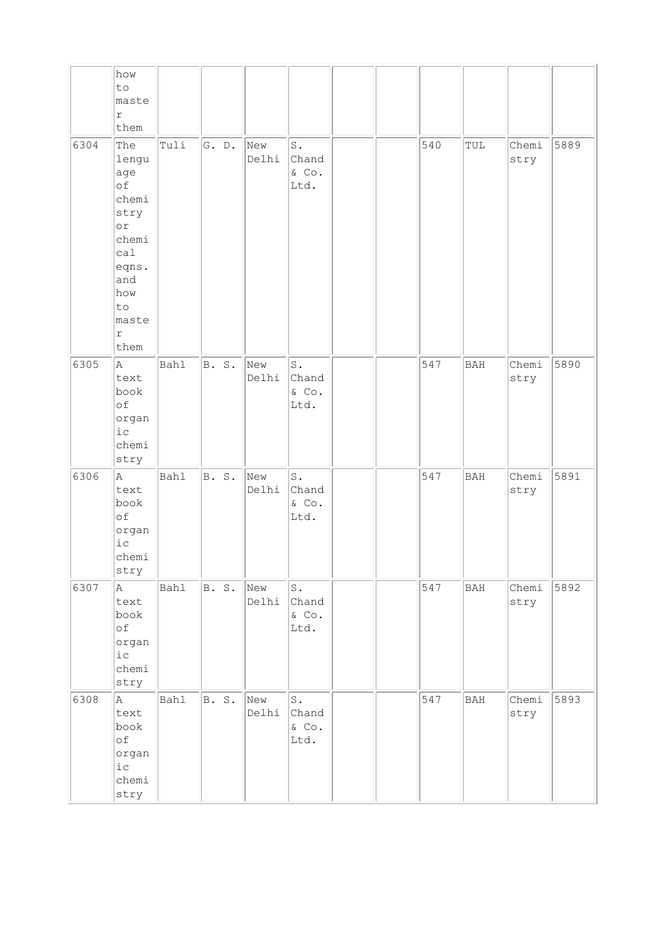|      | how<br>to                                                                                                                      |      |       |              |                                             |  |     |            |               |      |
|------|--------------------------------------------------------------------------------------------------------------------------------|------|-------|--------------|---------------------------------------------|--|-----|------------|---------------|------|
|      | maste<br>$\mathtt{r}$                                                                                                          |      |       |              |                                             |  |     |            |               |      |
|      | them                                                                                                                           |      |       |              |                                             |  |     |            |               |      |
| 6304 | The<br>lengu<br>age<br>of<br>chemi<br>stry<br>or<br>chemi<br>ca1<br>eqns.<br>and<br>how<br>to<br>maste<br>$\mathtt{r}$<br>them | Tuli | G. D. | New<br>Delhi | $\texttt{S}$ .<br>Chand<br>$\&$ Co.<br>Ltd. |  | 540 | TUL        | Chemi<br>stry | 5889 |
| 6305 | A.<br>text<br>book<br>of<br>organ<br>ic<br>chemi<br>stry                                                                       | Bahl | B. S. | New<br>Delhi | $\texttt{S}$ .<br>Chand<br>$\&$ Co.<br>Ltd. |  | 547 | <b>BAH</b> | Chemi<br>stry | 5890 |
| 6306 | A.<br>text<br>book<br>of<br>organ<br>$i\,c$<br>chemi<br>stry                                                                   | Bahl | B. S. | New<br>Delhi | $\texttt{S}$ .<br>Chand<br>$\&$ Co.<br>Ltd. |  | 547 | <b>BAH</b> | Chemi<br>stry | 5891 |
| 6307 | A<br>text<br>book<br>of<br>organ<br>${\rm i\hskip 0.5mm} c$<br>chemi<br>stry                                                   | Bahl | B. S. | New<br>Delhi | $\mathtt{S}$ .<br>Chand<br>$\&$ Co.<br>Ltd. |  | 547 | BAH        | Chemi<br>stry | 5892 |
| 6308 | A<br>text<br>book<br>оf<br>organ<br>$ic$<br>chemi<br>stry                                                                      | Bahl | B. S. | New<br>Delhi | $\mathtt{S}$ .<br>Chand<br>$\&$ Co.<br>Ltd. |  | 547 | BAH        | Chemi<br>stry | 5893 |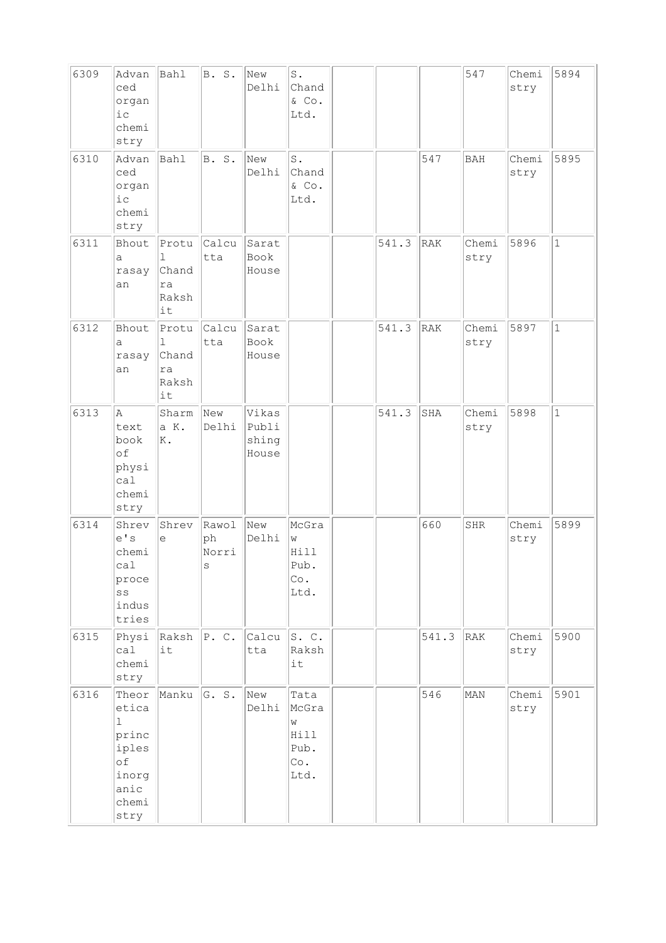| 6309 | Advan<br>ced<br>organ<br>i c<br>chemi<br>stry                                            | Bahl                                     | B. S.                                | New<br>Delhi                     | $\texttt{S}$ .<br>Chand<br>& Co.<br>Ltd.          |       |       | 547           | Chemi<br>stry | 5894         |
|------|------------------------------------------------------------------------------------------|------------------------------------------|--------------------------------------|----------------------------------|---------------------------------------------------|-------|-------|---------------|---------------|--------------|
| 6310 | Advan<br>ced<br>organ<br>$i$ c<br>chemi<br>stry                                          | Bahl                                     | B. S.                                | New<br>Delhi                     | S.<br>Chand<br>& Co.<br>Ltd.                      |       | 547   | <b>BAH</b>    | Chemi<br>stry | 5895         |
| 6311 | Bhout<br>a<br>rasay<br>an                                                                | Protu<br>1<br>Chand<br>ra<br>Raksh<br>it | Calcu<br>tta                         | Sarat<br>Book<br>House           |                                                   | 541.3 | RAK   | Chemi<br>stry | 5896          | $\mathbf{1}$ |
| 6312 | Bhout<br>а<br>rasay<br>an                                                                | Protu<br>1<br>Chand<br>ra<br>Raksh<br>it | Calcu<br>tta                         | Sarat<br>Book<br>House           |                                                   | 541.3 | RAK   | Chemi<br>stry | 5897          | $1\,$        |
| 6313 | A<br>text<br>book<br>of<br>physi<br>ca1<br>chemi<br>stry                                 | Sharm<br>a K.<br>K.                      | New<br>Delhi                         | Vikas<br>Publi<br>shing<br>House |                                                   | 541.3 | SHA   | Chemi<br>stry | 5898          | $\mathbf{1}$ |
| 6314 | Shrev<br>e' s<br>chemi<br>calal<br>proce<br>SS<br>indus<br>tries                         | Shrev<br>e                               | Rawol<br>ph<br>Norri<br>$\mathbf{s}$ | New<br>Delhi                     | McGra<br>W<br>Hill<br>Pub.<br>Co.<br>Ltd.         |       | 660   | <b>SHR</b>    | Chemi<br>stry | 5899         |
| 6315 | Physi<br>calal<br>chemi<br>stry                                                          | $Raksh$ $P. C.$<br>it                    |                                      | Calcu<br>tta                     | S.C.<br>Raksh<br>it                               |       | 541.3 | RAK           | Chemi<br>stry | 5900         |
| 6316 | Theor<br>etica<br>$\mathbf{1}$<br>princ<br>iples<br>оf<br>inorg<br>anic<br>chemi<br>stry | Manku                                    | G. S.                                | New<br>Delhi                     | Tata<br>McGra<br>W<br>Hill<br>Pub.<br>Co.<br>Ltd. |       | 546   | MAN           | Chemi<br>stry | 5901         |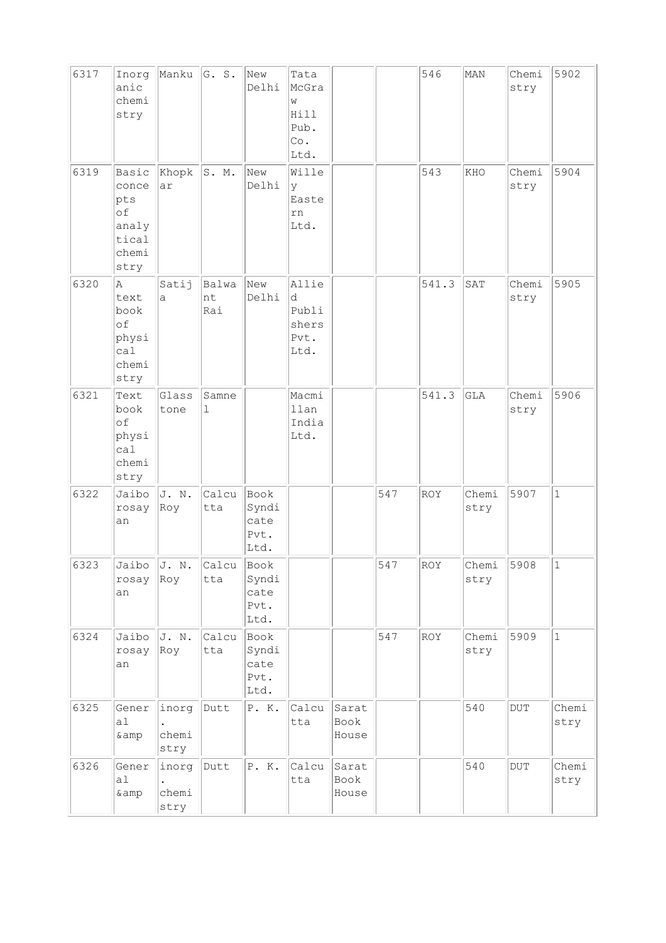| 6317 | Inorg<br>anic<br>chemi<br>stry                                 | Manku                  | G. S.                | New<br>Delhi                          | Tata<br>McGra<br>W<br>Hill<br>Pub.<br>Co.<br>Ltd. |                        |     | 546        | MAN           | Chemi<br>stry | 5902          |
|------|----------------------------------------------------------------|------------------------|----------------------|---------------------------------------|---------------------------------------------------|------------------------|-----|------------|---------------|---------------|---------------|
| 6319 | Basic<br>conce<br>pts<br>of<br>analy<br>tical<br>chemi<br>stry | Khopk<br>ar            | S. M.                | New<br>Delhi                          | Wille<br>У<br>Easte<br>rn<br>Ltd.                 |                        |     | 543        | KHO           | Chemi<br>stry | 5904          |
| 6320 | Α<br>text<br>book<br>of<br>physi<br>ca1<br>chemi<br>stry       | Satij<br>a             | Balwa<br>nt<br>Rai   | New<br>Delhi                          | Allie<br>d<br>Publi<br>shers<br>Pvt.<br>Ltd.      |                        |     | 541.3      | SAT           | Chemi<br>stry | 5905          |
| 6321 | Text<br>book<br>of<br>physi<br>ca1<br>chemi<br>stry            | Glass<br>tone          | Samne<br>$\mathbf 1$ |                                       | Macmi<br>llan<br>India<br>Ltd.                    |                        |     | 541.3      | <b>GLA</b>    | Chemi<br>stry | 5906          |
| 6322 | Jaibo<br>rosay<br>an                                           | J. N.<br>Roy           | Calcu<br>tta         | Book<br>Syndi<br>cate<br>Pvt.<br>Ltd. |                                                   |                        | 547 | <b>ROY</b> | Chemi<br>stry | 5907          | $\mathbf{1}$  |
| 6323 | $rosay$ Roy<br>an                                              | Jaibo $J$ . N.         | Calcu<br>tta         | Book<br>Syndi<br>cate<br>Pvt.<br>Ltd. |                                                   |                        | 547 | ROY        | Chemi<br>stry | 5908          | $\vert$ 1     |
| 6324 | Jaibo<br>rosay<br>an                                           | J. N.<br>Roy           | Calcu<br>tta         | Book<br>Syndi<br>cate<br>Pvt.<br>Ltd. |                                                   |                        | 547 | ROY        | Chemi<br>stry | 5909          | $\mathbf 1$   |
| 6325 | Gener<br>a1<br>& amp                                           | inorg<br>chemi<br>stry | Dutt                 | P. K.                                 | Calcu<br>tta                                      | Sarat<br>Book<br>House |     |            | 540           | DUT           | Chemi<br>stry |
| 6326 | Gener<br>a1<br>& amp                                           | inorg<br>chemi<br>stry | Dutt                 | P. K.                                 | Calcu<br>tta                                      | Sarat<br>Book<br>House |     |            | 540           | $_{\rm DUT}$  | Chemi<br>stry |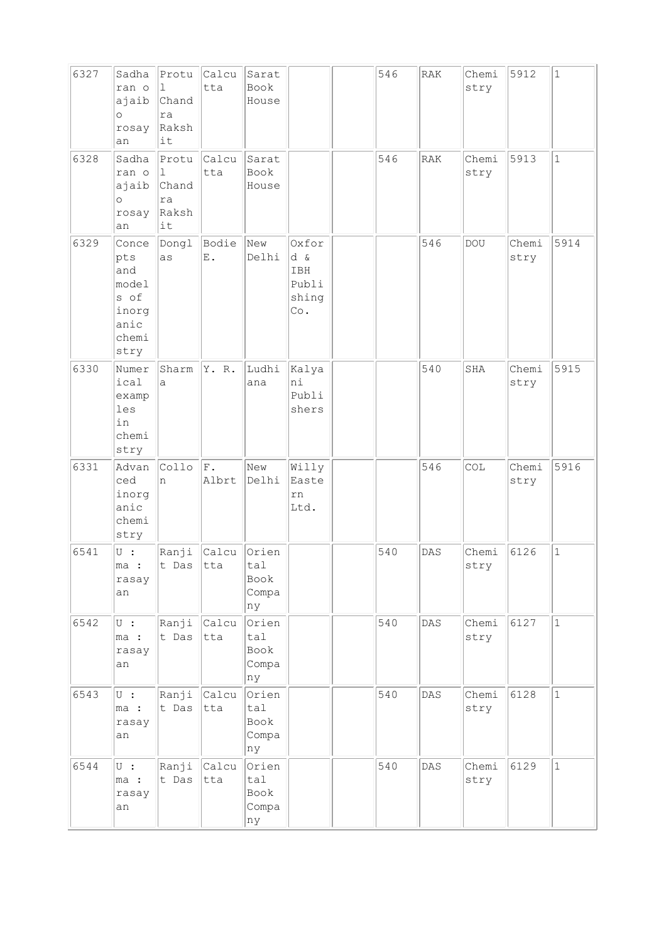| 6327 | Sadha<br>ran o<br>ajaib<br>$\circ$<br>rosay<br>an                      | Protu<br>$\mathbf{1}$<br>Chand<br>ra<br>Raksh<br>it | Calcu<br>tta           | Sarat<br>Book<br>House              |                                              | 546 | RAK            | Chemi<br>stry | 5912          | $1\,$        |
|------|------------------------------------------------------------------------|-----------------------------------------------------|------------------------|-------------------------------------|----------------------------------------------|-----|----------------|---------------|---------------|--------------|
| 6328 | Sadha<br>ran o<br>ajaib<br>$\circ$<br>rosay<br>an                      | Protu<br>1<br>Chand<br>ra<br>Raksh<br>it            | Calcu<br>tta           | Sarat<br>Book<br>House              |                                              | 546 | <b>RAK</b>     | Chemi<br>stry | 5913          | $\mathbf{1}$ |
| 6329 | Conce<br>pts<br>and<br>model<br>s of<br>inorg<br>anic<br>chemi<br>stry | Dongl<br>as                                         | Bodie<br>$\mathbf E$ . | New<br>Delhi                        | Oxfor<br>d &<br>IBH<br>Publi<br>shing<br>Co. |     | 546            | DOU           | Chemi<br>stry | 5914         |
| 6330 | Numer<br>ical<br>examp<br>les<br>in<br>chemi<br>stry                   | Sharm<br>a                                          | Y. R.                  | Ludhi<br>ana                        | Kalya<br>ni<br>Publi<br>shers                |     | 540            | SHA           | Chemi<br>stry | 5915         |
| 6331 | Advan<br>ced<br>inorg<br>anic<br>chemi<br>stry                         | Collo<br>n                                          | F.<br>Albrt            | New<br>Delhi                        | Willy<br>Easte<br>rn<br>Ltd.                 |     | 546            | COL           | Chemi<br>stry | 5916         |
| 6541 | U:<br>ma :<br>rasay<br>an                                              | t Das tta                                           | Ranji <i>Calcu</i>     | Orien<br>tal<br>Book<br>Compa<br>nу |                                              | 540 | DAS            | Chemi<br>stry | 6126          | $\mathbf{1}$ |
| 6542 | $U$ :<br>ma :<br>rasay<br>an                                           | Ranji<br>t Das                                      | $ $ Calcu<br>tta       | Orien<br>tal<br>Book<br>Compa<br>ny |                                              | 540 | $\mathtt{DAS}$ | Chemi<br>stry | 6127          | $\mathbf{1}$ |
| 6543 | $\cup$ :<br>ma :<br>rasay<br>an                                        | Ranji<br>t Das                                      | <b>Calcu</b><br> tta   | Orien<br>tal<br>Book<br>Compa<br>ny |                                              | 540 | DAS            | Chemi<br>stry | 6128          | $\mathbf 1$  |
| 6544 | $\cup$ :<br>ma :<br>rasay<br>an                                        | Ranji<br>t Das                                      | $ $ Calcu<br>tta       | Orien<br>tal<br>Book<br>Compa<br>ny |                                              | 540 | DAS            | Chemi<br>stry | 6129          | $\mathbf{1}$ |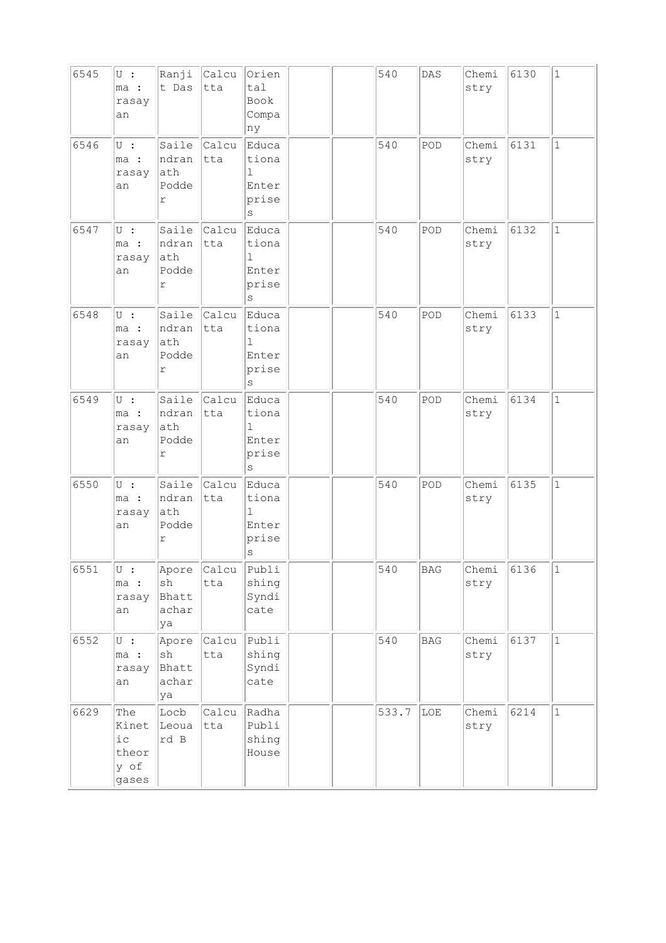| 6545 | $U$ :<br>ma :<br>rasay<br>an                  | Ranji<br>t Das                                       | Calcu<br>tta         | Orien<br>tal<br>Book<br>Compa<br>ny                   |  | 540   | DAS        | Chemi<br>stry | 6130 | $\mathbf{1}$ |
|------|-----------------------------------------------|------------------------------------------------------|----------------------|-------------------------------------------------------|--|-------|------------|---------------|------|--------------|
| 6546 | $U$ :<br>ma :<br>rasay<br>an                  | Saile<br>ndran<br>ath<br>Podde<br>$\Upsilon$         | Calcu<br>tta         | Educa<br>tiona<br>1<br>Enter<br>prise<br>S            |  | 540   | POD        | Chemi<br>stry | 6131 | $\mathbf{1}$ |
| 6547 | $\overline{U}$ :<br>ma :<br>rasay<br>an       | Saile<br>ndran<br>ath<br>Podde<br>r                  | Calcu<br>tta         | Educa<br>tiona<br>1<br>Enter<br>prise<br>$\rm s$      |  | 540   | POD        | Chemi<br>stry | 6132 | $\mathbf{1}$ |
| 6548 | $U$ :<br>ma :<br>rasay<br>an                  | Saile<br>ndran<br>ath<br>Podde<br>r                  | Calcu<br> tta        | Educa<br>tiona<br>$\mathbf{I}$<br>Enter<br>prise<br>S |  | 540   | POD        | Chemi<br>stry | 6133 | $\mathbf{1}$ |
| 6549 | $U$ :<br>ma :<br>rasay<br>an                  | Saile<br>ndran<br>ath<br>Podde<br>$\Upsilon$         | <b>Calcu</b><br> tta | Educa<br>tiona<br>1<br>Enter<br>prise<br>$\rm s$      |  | 540   | POD        | Chemi<br>stry | 6134 | $\mathbf{1}$ |
| 6550 | $U$ :<br>ma :<br>rasay<br>an                  | Saile<br>ndran<br>ath<br>Podde<br>r                  | Calcu<br> tta        | Educa<br>tiona<br>1<br>Enter<br>prise<br>$\rm s$      |  | 540   | POD        | Chemi<br>stry | 6135 | $\mathbf{1}$ |
| 6551 | $U$ :<br>ma :<br>rasay<br>an                  | Apore<br>$\operatorname{sh}$<br>Bhatt<br>achar<br>ya | Calcu<br>tta         | Publi<br>shing<br>Syndi<br>cate                       |  | 540   | BAG        | Chemi<br>stry | 6136 | 1            |
| 6552 | $\cup$ :<br>ma :<br>rasay<br>an               | Apore<br>$\operatorname{sh}$<br>Bhatt<br>achar<br>ya | <b>Calcu</b><br>tta  | Publi<br>shing<br>Syndi<br>cate                       |  | 540   | <b>BAG</b> | Chemi<br>stry | 6137 | $\vert$ 1    |
| 6629 | The<br>Kinet<br>i c<br>theor<br>y of<br>gases | Locb<br>Leoua<br>rd B                                | Calcu<br>tta         | Radha<br>Publi<br>shing<br>House                      |  | 533.7 | LOE        | Chemi<br>stry | 6214 | $\mathbf 1$  |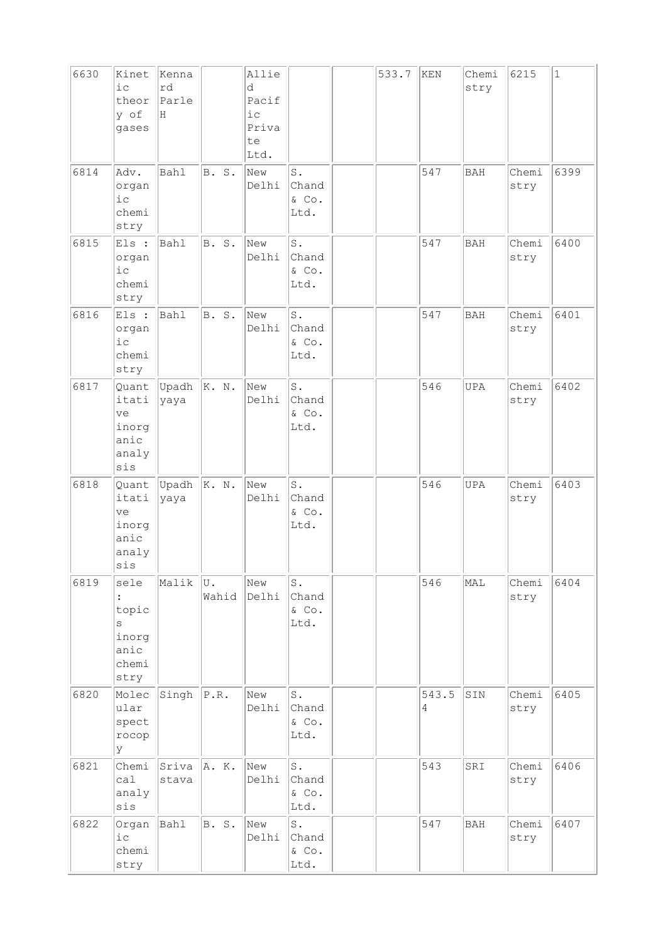| 6630 | Kinet                                                 | Kenna            |              | Allie                                    |                                             | 533.7 | KEN        | Chemi      | 6215          | $\vert$ 1 |
|------|-------------------------------------------------------|------------------|--------------|------------------------------------------|---------------------------------------------|-------|------------|------------|---------------|-----------|
|      | $i$ c<br>theor<br>y of<br>gases                       | rd<br>Parle<br>Н |              | d<br>Pacif<br>i c<br>Priva<br>te<br>Ltd. |                                             |       |            | stry       |               |           |
| 6814 | Adv.<br>organ<br>$i$ c<br>chemi<br>stry               | <b>Bahl</b>      | B. S.        | New<br>Delhi                             | S.<br>Chand<br>& Co.<br>Ltd.                |       | 547        | <b>BAH</b> | Chemi<br>stry | 6399      |
| 6815 | Els :<br>organ<br>i c<br>chemi<br>stry                | Bahl             | <b>B.</b> S. | New<br>Delhi                             | $\texttt{S}$ .<br>Chand<br>& Co.<br>Ltd.    |       | 547        | <b>BAH</b> | Chemi<br>stry | 6400      |
| 6816 | Els :<br>organ<br>$i$ c<br>chemi<br>stry              | <b>Bahl</b>      | B. S.        | New<br>Delhi                             | $\texttt{S}$ .<br>Chand<br>& Co.<br>Ltd.    |       | 547        | <b>BAH</b> | Chemi<br>stry | 6401      |
| 6817 | Quant<br>itati<br>ve<br>inorg<br>anic<br>analy<br>sis | Upadh<br>yaya    | K. N.        | New<br>Delhi                             | $\texttt{S}$ .<br>Chand<br>& Co.<br>Ltd.    |       | 546        | <b>UPA</b> | Chemi<br>stry | 6402      |
| 6818 | Quant<br>itati<br>ve<br>inorg<br>anic<br>analy<br>sis | Upadh<br>yaya    | K. N.        | New<br>Delhi                             | $\texttt{S}$ .<br>Chand<br>& Co.<br>Ltd.    |       | 546        | UPA        | Chemi<br>stry | 6403      |
| 6819 | sele<br>topic<br>S<br>inorg<br>anic<br>chemi<br>stry  | Malik            | U.<br>Wahid  | New<br>Delhi                             | $\texttt{S}$ .<br>Chand<br>& Co.<br>Ltd.    |       | 546        | MAL        | Chemi<br>stry | 6404      |
| 6820 | Molec<br>ular<br>spect<br>rocop<br>У                  | Singh            | P.R.         | New<br>Delhi                             | $\texttt{S}$ .<br>Chand<br>$\&$ Co.<br>Ltd. |       | 543.5<br>4 | SIN        | Chemi<br>stry | 6405      |
| 6821 | Chemi<br>ca1<br>analy<br>sis                          | Sriva<br>stava   | A. K.        | New<br>Delhi                             | $\mathsf{S}$ .<br>Chand<br>& Co.<br>Ltd.    |       | 543        | SRI        | Chemi<br>stry | 6406      |
| 6822 | Organ<br>$i$ c<br>chemi<br>stry                       | Bahl             | <b>B. S.</b> | New<br>Delhi                             | $\texttt{S}$ .<br>Chand<br>& Co.<br>Ltd.    |       | 547        | <b>BAH</b> | Chemi<br>stry | 6407      |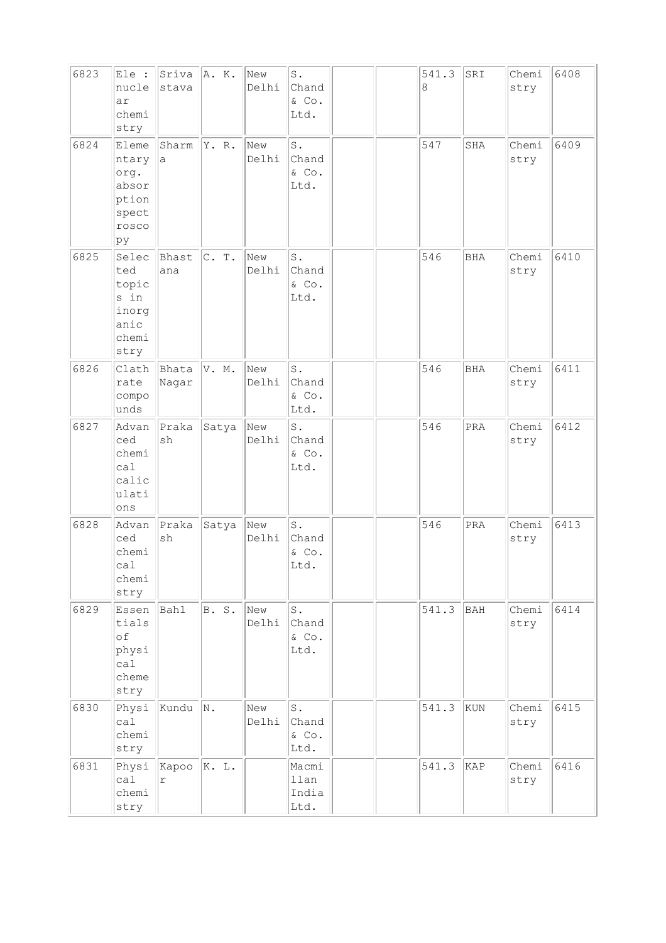| 6823 | Ele :<br>nucle<br>ar<br>chemi<br>stry                            | Sriva<br>stava      | A. K. | New<br>Delhi | $\texttt{S}$ .<br>Chand<br>$\&$ Co.<br>Ltd.                |  | 541.3<br>8 | SRI        | Chemi<br>stry | 6408 |
|------|------------------------------------------------------------------|---------------------|-------|--------------|------------------------------------------------------------|--|------------|------------|---------------|------|
| 6824 | Eleme<br>ntary<br>org.<br>absor<br>ption<br>spect<br>rosco<br>þу | Sharm<br>а          | Y. R. | New<br>Delhi | S.<br>Chand<br>& Co.<br>Ltd.                               |  | 547        | SHA        | Chemi<br>stry | 6409 |
| 6825 | Selec<br>ted<br>topic<br>s in<br>inorg<br>anic<br>chemi<br>stry  | Bhast<br>ana        | C. T. | New<br>Delhi | S.<br>Chand<br>& Co.<br>Ltd.                               |  | 546        | <b>BHA</b> | Chemi<br>stry | 6410 |
| 6826 | Clath<br>rate<br>compo<br>unds                                   | Bhata<br>Nagar      | V. M. | New<br>Delhi | $\operatorname{\mathsf{S}}$ .<br>Chand<br>$\&$ Co.<br>Ltd. |  | 546        | <b>BHA</b> | Chemi<br>stry | 6411 |
| 6827 | Advan<br>ced<br>chemi<br>ca1<br>calic<br>ulati<br>ons            | Praka<br>sh         | Satya | New<br>Delhi | $\texttt{S}$ .<br>Chand<br>& Co.<br>Ltd.                   |  | 546        | PRA        | Chemi<br>stry | 6412 |
| 6828 | Advan<br>ced<br>chemi<br>ca1<br>chemi<br>stry                    | Praka<br>sh         | Satya | New<br>Delhi | $\texttt{S}$ .<br>Chand<br>& Co.<br>Ltd.                   |  | 546        | PRA        | Chemi<br>stry | 6413 |
| 6829 | Essen<br>tials<br>of<br>physi<br>ca1<br>cheme<br>stry            | Bahl                | B. S. | New<br>Delhi | $\operatorname{\mathsf{S}}$ .<br>Chand<br>& Co.<br>Ltd.    |  | 541.3      | BAH        | Chemi<br>stry | 6414 |
| 6830 | Physi<br>calal<br>chemi<br>stry                                  | Kundu               | N.    | New<br>Delhi | $\mathtt{S}$ .<br>Chand<br>& Co.<br>Ltd.                   |  | 541.3      | KUN        | Chemi<br>stry | 6415 |
| 6831 | Physi<br>ca1<br>chemi<br>stry                                    | Kapoo<br>$\Upsilon$ | K. L. |              | Macmi<br>llan<br>India<br>Ltd.                             |  | 541.3      | KAP        | Chemi<br>stry | 6416 |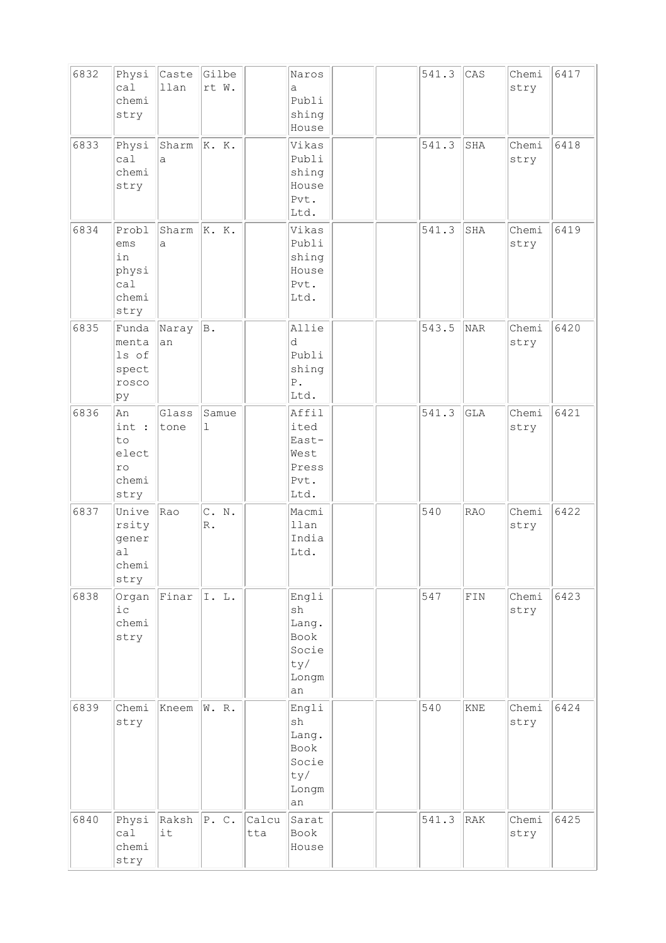| 6832 | Physi<br>ca1<br>chemi<br>stry                       | Caste<br>llan | Gilbe<br>rt W.          |              | Naros<br>a<br>Publi<br>shing<br>House                                        |  | 541.3 | CAS         | Chemi<br>stry | 6417 |
|------|-----------------------------------------------------|---------------|-------------------------|--------------|------------------------------------------------------------------------------|--|-------|-------------|---------------|------|
| 6833 | Physi<br>ca1<br>chemi<br>stry                       | Sharm<br>a    | K. K.                   |              | Vikas<br>Publi<br>shing<br>House<br>Pvt.<br>Ltd.                             |  | 541.3 | SHA         | Chemi<br>stry | 6418 |
| 6834 | Probl<br>ems<br>in<br>physi<br>ca1<br>chemi<br>stry | Sharm<br>a    | K. K.                   |              | Vikas<br>Publi<br>shing<br>House<br>Pvt.<br>Ltd.                             |  | 541.3 | SHA         | Chemi<br>stry | 6419 |
| 6835 | Funda<br>menta<br>ls of<br>spect<br>rosco<br>þу     | Naray<br>an   | B.                      |              | Allie<br>d<br>Publi<br>shing<br>${\mathbb P}$ .<br>Ltd.                      |  | 543.5 | NAR         | Chemi<br>stry | 6420 |
| 6836 | lAn<br>int :<br>to<br>elect<br>ro<br>chemi<br>stry  | Glass<br>tone | Samue<br>ı              |              | Affil<br>ited<br>East-<br>West<br>Press<br>Pvt.<br>Ltd.                      |  | 541.3 | <b>GLA</b>  | Chemi<br>stry | 6421 |
| 6837 | Unive<br>rsity<br>gener<br>a1<br>chemi<br>stry      | Rao           | C. N.<br>$\mathbb{R}$ . |              | Macmi<br>llan<br>India<br>Ltd.                                               |  | 540   | <b>RAO</b>  | Chemi<br>stry | 6422 |
| 6838 | Organ<br>iс<br>chemi<br>stry                        | Finar         | I.L.                    |              | Engli<br>sh<br>Lang.<br>Book<br>Socie<br>ty/<br>Longm<br>an                  |  | 547   | ${\tt FIN}$ | Chemi<br>stry | 6423 |
| 6839 | Chemi<br>stry                                       | Kneem         | W. R.                   |              | Engli<br>$\operatorname{sh}$<br>Lang.<br>Book<br>Socie<br>ty/<br>Longm<br>an |  | 540   | KNE         | Chemi<br>stry | 6424 |
| 6840 | Physi<br>cal<br>chemi<br>stry                       | Raksh<br>it   | $\Vert P. C. \Vert$     | Calcu<br>tta | Sarat<br>Book<br>House                                                       |  | 541.3 | RAK         | Chemi<br>stry | 6425 |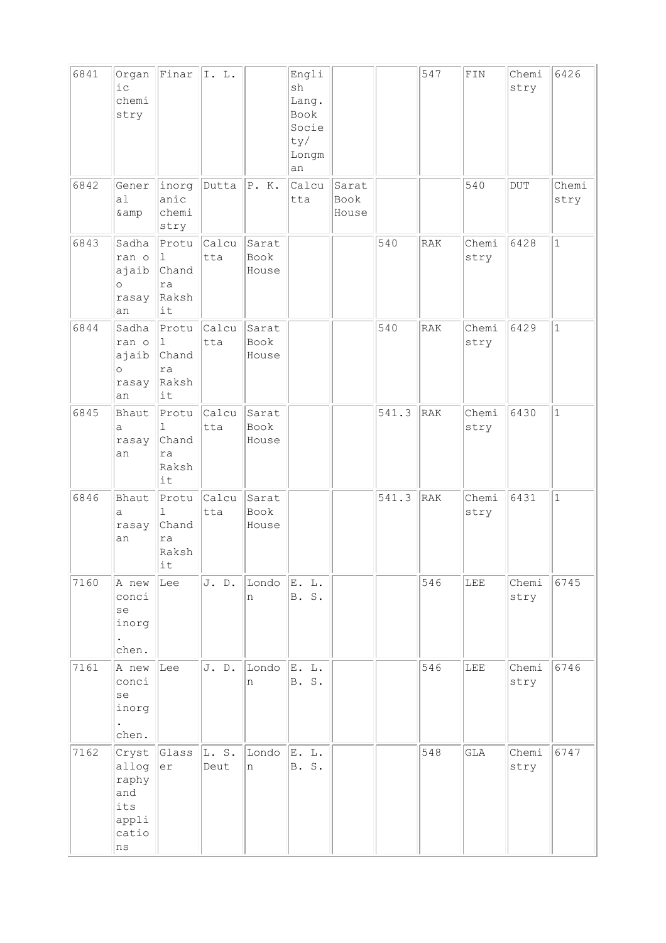| 6841 | Organ<br>$i$ $c$<br>chemi<br>stry                             | Finar                                                   | I. L.               |                        | Engli<br>sh<br>Lang.<br>Book<br>Socie<br>ty/<br>Longm<br>an |                        |       | 547        | ${\tt FIN}$   | Chemi<br>stry | 6426          |
|------|---------------------------------------------------------------|---------------------------------------------------------|---------------------|------------------------|-------------------------------------------------------------|------------------------|-------|------------|---------------|---------------|---------------|
| 6842 | Gener<br>a1<br>& amp                                          | inorg<br>anic<br>chemi<br>stry                          | Dutta               | P.K.                   | Calcu<br>tta                                                | Sarat<br>Book<br>House |       |            | 540           | DUT           | Chemi<br>stry |
| 6843 | Sadha<br>ran o<br>ajaib<br>$\circ$<br>rasay<br>an             | Protu<br>$\mathbf{1}$<br>Chand<br>ra<br>Raksh<br>it     | <b>Calcu</b><br>tta | Sarat<br>Book<br>House |                                                             |                        | 540   | RAK        | Chemi<br>stry | 6428          | $\mathbf{1}$  |
| 6844 | Sadha<br>ran o<br>ajaib<br>$\circ$<br>rasay<br>an             | Protu<br>1<br>Chand<br>ra<br>Raksh<br>it                | calcu<br>tta        | Sarat<br>Book<br>House |                                                             |                        | 540   | <b>RAK</b> | Chemi<br>stry | 6429          | $\mathbf{1}$  |
| 6845 | Bhaut<br>а<br>rasay<br>an                                     | Protu<br>$\mathbf 1$<br>Chand<br>ra<br>Raksh<br>it      | Calcu<br>tta        | Sarat<br>Book<br>House |                                                             |                        | 541.3 | RAK        | Chemi<br>stry | 6430          | $\mathbf{1}$  |
| 6846 | Bhaut<br>а<br>rasay<br>an                                     | Protu<br>$\mathbf{1}$<br>Chand<br>ra<br>Raksh<br>$ $ it | Calcu<br>tta        | Sarat<br>Book<br>House |                                                             |                        | 541.3 | RAK        | Chemi<br>stry | 6431          | $\mathbf{1}$  |
| 7160 | A new<br>conci<br>se<br>inorg<br>$\bullet$<br>chen.           | Lee                                                     | J. D.               | Londo<br>n             | E. L.<br><b>B. S.</b>                                       |                        |       | 546        | LEE           | Chemi<br>stry | 6745          |
| 7161 | A new<br>conci<br>se<br>inorg<br>chen.                        | Lee                                                     | J. D.               | Londo<br>n             | E. L.<br><b>B. S.</b>                                       |                        |       | 546        | LEE           | Chemi<br>stry | 6746          |
| 7162 | Cryst<br>allog<br>raphy<br>and<br>its<br>appli<br>catio<br>ns | Glass<br>er                                             | L. S.<br>Deut       | Londo<br>n             | E. L.<br>B. S.                                              |                        |       | 548        | GLA           | Chemi<br>stry | 6747          |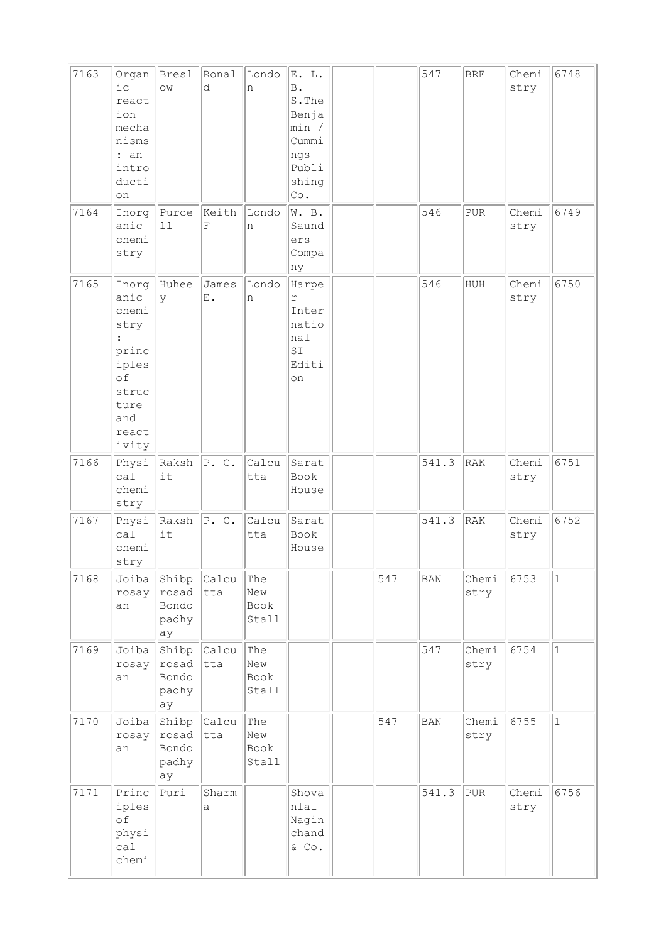| 7163 | Organ<br>$i$ c<br>react<br>ion<br>mecha<br>nisms<br>: an<br>intro<br>ducti<br>on                 | Bresl<br>OW                            | Ronal<br>d                         | Londo<br>n                  | E. L.<br>$\, {\bf B}$ .<br>S. The<br>Benja<br>min /<br>Cummi<br>ngs<br>Publi<br>shing<br>$\mathbb{C}\circ$ . |     | 547        | <b>BRE</b>    | Chemi<br>stry | 6748         |
|------|--------------------------------------------------------------------------------------------------|----------------------------------------|------------------------------------|-----------------------------|--------------------------------------------------------------------------------------------------------------|-----|------------|---------------|---------------|--------------|
| 7164 | Inorg<br>anic<br>chemi<br>stry                                                                   | Purce<br>11                            | Keith<br>F                         | Londo<br>n                  | W. B.<br>Saund<br>ers<br>Compa<br>ny                                                                         |     | 546        | PUR           | Chemi<br>stry | 6749         |
| 7165 | Inorg<br>anic<br>chemi<br>stry<br>princ<br>iples<br>of<br>struc<br>ture<br>and<br>react<br>ivity | Huhee<br>У                             | James<br>$\boldsymbol{\text{E}}$ . | Londo<br>n                  | Harpe<br>$\Upsilon$<br>Inter<br>natio<br>nal<br>$\texttt{SI}$<br>Editi<br>on                                 |     | 546        | HUH           | Chemi<br>stry | 6750         |
| 7166 | Physi<br>ca1<br>chemi<br>stry                                                                    | Raksh<br>it                            | P. C.                              | Calcu<br>tta                | Sarat<br>Book<br>House                                                                                       |     | 541.3      | RAK           | Chemi<br>stry | 6751         |
| 7167 | Physi<br>ca1<br>chemi<br>stry                                                                    | Raksh<br>it                            | P.C.                               | Calcu<br>tta                | Sarat<br>Book<br>House                                                                                       |     | 541.3      | RAK           | Chemi<br>stry | 6752         |
| 7168 | Joiba<br>rosay<br>an                                                                             | Shibp<br>rosad<br>Bondo<br>padhy<br>ay | Calcu<br>tta                       | The<br>New<br>Book<br>Stall |                                                                                                              | 547 | <b>BAN</b> | Chemi<br>stry | 6753          | $\vert$ 1    |
| 7169 | Joiba<br>rosay<br>an                                                                             | Shibp<br>rosad<br>Bondo<br>padhy<br>ay | Calcu<br> tta                      | The<br>New<br>Book<br>Stall |                                                                                                              |     | 547        | Chemi<br>stry | 6754          | $\vert$ 1    |
| 7170 | Joiba<br>rosay<br>an                                                                             | Shibp<br>rosad<br>Bondo<br>padhy<br>ay | <b>Calcu</b><br> tta               | The<br>New<br>Book<br>Stall |                                                                                                              | 547 | <b>BAN</b> | Chemi<br>stry | 6755          | $\mathbf{1}$ |
| 7171 | Princ<br>iples<br>$\circ$ f<br>physi<br>ca1<br>chemi                                             | Puri                                   | Sharm<br>a                         |                             | Shova<br>nlal<br>Nagin<br>chand<br>& Co.                                                                     |     | 541.3      | PUR           | Chemi<br>stry | 6756         |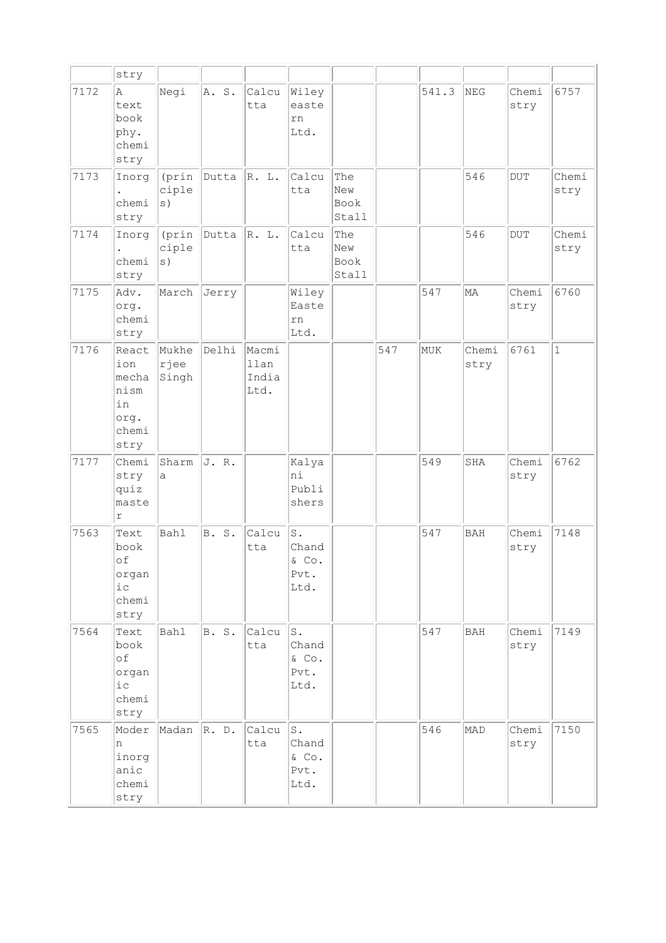|      | stry                                                         |                        |       |                                |                                                                 |                             |     |       |               |               |               |
|------|--------------------------------------------------------------|------------------------|-------|--------------------------------|-----------------------------------------------------------------|-----------------------------|-----|-------|---------------|---------------|---------------|
| 7172 | Α<br>text<br>book<br>phy.<br>chemi<br>stry                   | Negi                   | A. S. | Calcu<br>tta                   | Wiley<br>easte<br>rn<br>Ltd.                                    |                             |     | 541.3 | NEG           | Chemi<br>stry | 6757          |
| 7173 | Inorg<br>chemi<br>stry                                       | (prin<br>ciple<br>s)   | Dutta | R. L.                          | Calcu<br>tta                                                    | The<br>New<br>Book<br>Stall |     |       | 546           | <b>DUT</b>    | Chemi<br>stry |
| 7174 | Inorg<br>chemi<br>stry                                       | (prin<br>ciple<br>s)   | Dutta | R. L.                          | Calcu<br>tta                                                    | The<br>New<br>Book<br>Stall |     |       | 546           | <b>DUT</b>    | Chemi<br>stry |
| 7175 | Adv.<br>org.<br>chemi<br>stry                                | March                  | Jerry |                                | Wiley<br>Easte<br>rn<br>Ltd.                                    |                             |     | 547   | MA            | Chemi<br>stry | 6760          |
| 7176 | React<br>ion<br>mecha<br>nism<br>in<br>org.<br>chemi<br>stry | Mukhe<br>rjee<br>Singh | Delhi | Macmi<br>llan<br>India<br>Ltd. |                                                                 |                             | 547 | MUK   | Chemi<br>stry | 6761          | $\mathbf{1}$  |
| 7177 | Chemi<br>stry<br>quiz<br>maste<br>$\Upsilon$                 | Sharm<br>a             | J. R. |                                | Kalya<br>ni<br>Publi<br>shers                                   |                             |     | 549   | SHA           | Chemi<br>stry | 6762          |
| 7563 | Text<br>book<br>of<br>organ<br>i c<br>chemi<br>stry          | Bahl                   | B. S. | Calcu<br>tta                   | S.<br>Chand<br>& Co.<br>Pvt.<br>Ltd.                            |                             |     | 547   | <b>BAH</b>    | Chemi<br>stry | 7148          |
| 7564 | Text<br>book<br>of<br>organ<br>i c<br>chemi<br>stry          | <b>Bahl</b>            | B. S. | Calcu<br>tta                   | $\operatorname{\mathsf{S}}$ .<br>Chand<br>& Co.<br>Pvt.<br>Ltd. |                             |     | 547   | <b>BAH</b>    | Chemi<br>stry | 7149          |
| 7565 | Moder<br>n<br>inorg<br>anic<br>chemi<br>stry                 | Madan                  | R. D. | Calcu<br>tta                   | ${\tt S}$ .<br>Chand<br>$\&$ Co.<br>Pvt.<br>Ltd.                |                             |     | 546   | MAD           | Chemi<br>stry | 7150          |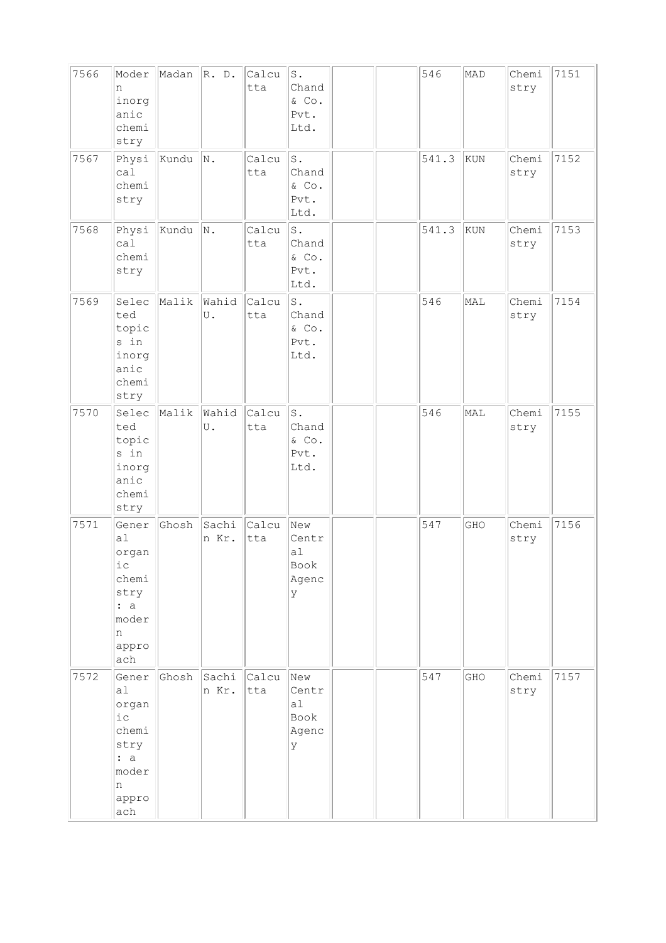| 7566 | Moder<br>n<br>inorg<br>anic<br>chemi<br>stry                                         | Madan | R. D.          | Calcu<br>tta | $\mathbbm{S}$ .<br>Chand<br>& Co.<br>Pvt.<br>Ltd. |  | 546   | MAD | Chemi<br>stry | 7151 |
|------|--------------------------------------------------------------------------------------|-------|----------------|--------------|---------------------------------------------------|--|-------|-----|---------------|------|
| 7567 | Physi<br>ca1<br>chemi<br>stry                                                        | Kundu | N.             | Calcu<br>tta | $\texttt{S}$ .<br>Chand<br>& Co.<br>Pvt.<br>Ltd.  |  | 541.3 | KUN | Chemi<br>stry | 7152 |
| 7568 | Physi<br>ca1<br>chemi<br>stry                                                        | Kundu | N.             | Calcu<br>tta | $\texttt{S}$ .<br>Chand<br>& Co.<br>Pvt.<br>Ltd.  |  | 541.3 | KUN | Chemi<br>stry | 7153 |
| 7569 | Selec<br>ted<br>topic<br>s in<br>inorg<br>anic<br>chemi<br>stry                      | Malik | Wahid<br>U.    | Calcu<br>tta | ${\tt S}$ .<br>Chand<br>& Co.<br>Pvt.<br>Ltd.     |  | 546   | MAL | Chemi<br>stry | 7154 |
| 7570 | Selec<br>ted<br>topic<br>s in<br>inorg<br>anic<br>chemi<br>stry                      | Malik | Wahid<br>U.    | Calcu<br>tta | $\texttt{S}$ .<br>Chand<br>& Co.<br>Pvt.<br>Ltd.  |  | 546   | MAL | Chemi<br>stry | 7155 |
| 7571 | Gener<br>a1<br>organ<br>iс<br>chemi<br>stry<br>: a<br>moder<br>n<br>appro<br>ach     | Ghosh | Sachi<br>n Kr. | Calcu<br>tta | New<br>Centr<br>a1<br>Book<br>Agenc<br>У          |  | 547   | GHO | Chemi<br>stry | 7156 |
| 7572 | Gener<br>al<br>organ<br>$i\,c$<br>chemi<br>stry<br>: a<br>moder<br>n<br>appro<br>ach | Ghosh | Sachi<br>n Kr. | Calcu<br>tta | New<br>Centr<br>a1<br>Book<br>Agenc<br>У          |  | 547   | GHO | Chemi<br>stry | 7157 |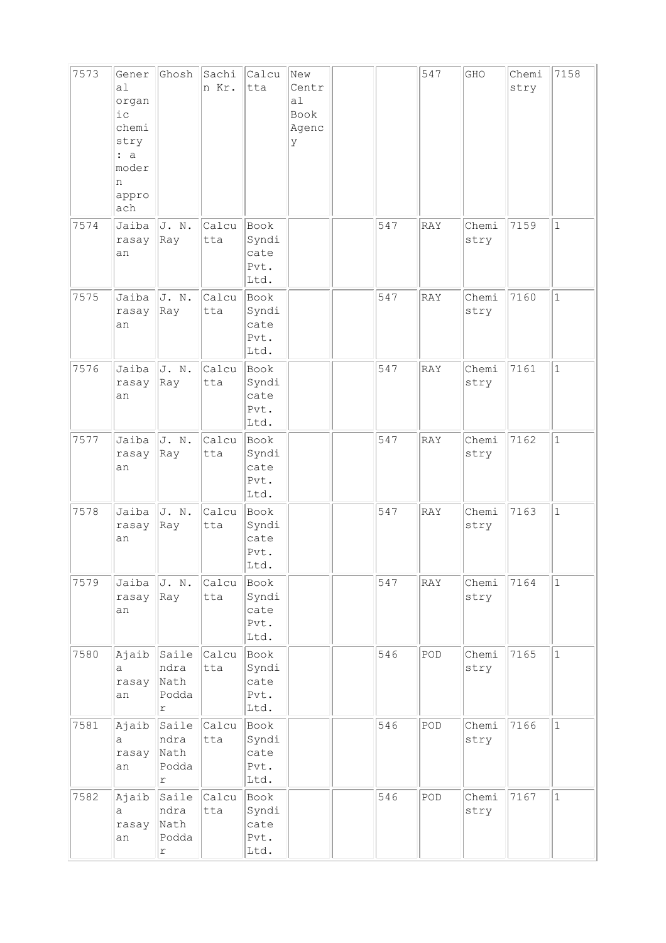| 7573 | Gener<br>a1<br>organ<br>$i$ c<br>chemi<br>stry<br>: a<br>moder<br>n<br>appro<br>ach | Ghosh                                        | Sachi<br>n Kr. | Calcu<br>tta                          | New<br>Centr<br>a1<br>Book<br>Agenc<br>У |     | 547        | GHO           | Chemi<br>stry | 7158         |
|------|-------------------------------------------------------------------------------------|----------------------------------------------|----------------|---------------------------------------|------------------------------------------|-----|------------|---------------|---------------|--------------|
| 7574 | Jaiba<br>rasay<br>an                                                                | J. N.<br>Ray                                 | Calcu<br>tta   | Book<br>Syndi<br>cate<br>Pvt.<br>Ltd. |                                          | 547 | <b>RAY</b> | Chemi<br>stry | 7159          | $\mathbf 1$  |
| 7575 | Jaiba<br>rasay<br>an                                                                | J. N.<br>Ray                                 | Calcu<br>tta   | Book<br>Syndi<br>cate<br>Pvt.<br>Ltd. |                                          | 547 | RAY        | Chemi<br>stry | 7160          | $\mathbf{1}$ |
| 7576 | Jaiba<br>rasay<br>an                                                                | J. N.<br>Ray                                 | Calcu<br>tta   | Book<br>Syndi<br>cate<br>Pvt.<br>Ltd. |                                          | 547 | RAY        | Chemi<br>stry | 7161          | $\mathbf{1}$ |
| 7577 | Jaiba<br>rasay<br>an                                                                | J. N.<br>Ray                                 | Calcu<br>tta   | Book<br>Syndi<br>cate<br>Pvt.<br>Ltd. |                                          | 547 | RAY        | Chemi<br>stry | 7162          | $\mathbf{1}$ |
| 7578 | Jaiba<br>rasay<br>an                                                                | J. N.<br>Ray                                 | Calcu<br>tta   | Book<br>Syndi<br>cate<br>Pvt.<br>Ltd. |                                          | 547 | RAY        | Chemi<br>stry | 7163          | $\mathbf{1}$ |
| 7579 | Jaiba<br>rasay<br>an                                                                | J. N.<br>Ray                                 | Calcu<br>tta   | Book<br>Syndi<br>cate<br>Pvt.<br>Ltd. |                                          | 547 | RAY        | Chemi<br>stry | 7164          | $1\,$        |
| 7580 | Ajaib<br>а<br>rasay<br>an                                                           | Saile<br>ndra<br>Nath<br>Podda<br>r          | Calcu<br>tta   | Book<br>Syndi<br>cate<br>Pvt.<br>Ltd. |                                          | 546 | POD        | Chemi<br>stry | 7165          | $\mathbf 1$  |
| 7581 | Ajaib<br>a<br>rasay<br>an                                                           | Saile<br>ndra<br>Nath<br>Podda<br>r          | Calcu<br>tta   | Book<br>Syndi<br>cate<br>Pvt.<br>Ltd. |                                          | 546 | POD        | Chemi<br>stry | 7166          | $\mathbf 1$  |
| 7582 | Ajaib<br>а<br>rasay<br>an                                                           | Saile<br>ndra<br>Nath<br>Podda<br>$\Upsilon$ | Calcu<br>tta   | Book<br>Syndi<br>cate<br>Pvt.<br>Ltd. |                                          | 546 | POD        | Chemi<br>stry | 7167          | $\mathbf 1$  |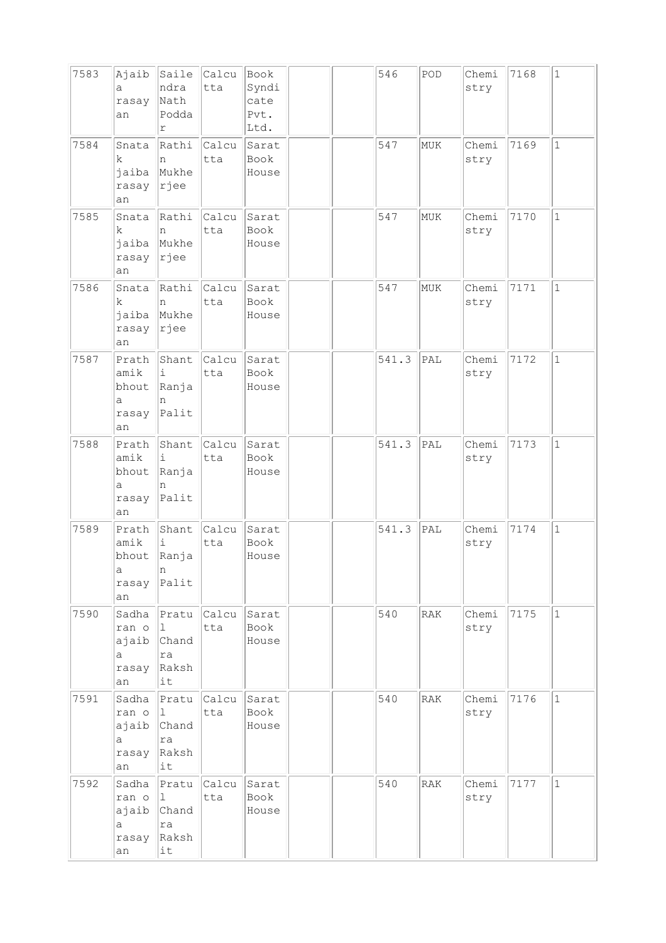| 7583 | Ajaib<br>a<br>rasay<br>an                   | Saile<br>ndra<br>Nath<br>Podda<br>r            | Calcu<br>tta       | Book<br>Syndi<br>cate<br>Pvt.<br>Ltd. |  | 546   | POD | Chemi<br>stry | 7168 | $\vert$ 1    |
|------|---------------------------------------------|------------------------------------------------|--------------------|---------------------------------------|--|-------|-----|---------------|------|--------------|
| 7584 | Snata<br>k<br>jaiba<br>rasay<br>an          | Rathi<br>n<br>Mukhe<br> rjee                   | Calcu<br>tta       | Sarat<br>Book<br>House                |  | 547   | MUK | Chemi<br>stry | 7169 | $\mathbf{1}$ |
| 7585 | Snata<br>k<br>jaiba<br>rasay<br>an          | Rathi<br>n<br>Mukhe<br>rjee                    | Calcu<br>tta       | Sarat<br>Book<br>House                |  | 547   | MUK | Chemi<br>stry | 7170 | $\mathbf{1}$ |
| 7586 | Snata<br>k<br>jaiba<br>rasay<br>an          | Rathi<br>n<br>Mukhe<br>rjee                    | Calcu<br>tta       | Sarat<br>Book<br>House                |  | 547   | MUK | Chemi<br>stry | 7171 | $\mathbf{1}$ |
| 7587 | Prath<br>amik<br>bhout<br>а<br>rasay<br>an  | Shant<br>i<br>Ranja<br>n<br>Palit              | Calcu<br>tta       | Sarat<br>Book<br>House                |  | 541.3 | PAL | Chemi<br>stry | 7172 | $\mathbf{1}$ |
| 7588 | Prath<br>amik<br>bhout<br>a<br>rasay<br>an  | Shant<br>i<br>Ranja<br>n<br>Palit              | Calcu<br>tta       | Sarat<br>Book<br>House                |  | 541.3 | PAL | Chemi<br>stry | 7173 | $\mathbf{1}$ |
| 7589 | Prath<br>amik<br>bhout<br>a<br>rasay<br>an  | Shant<br>i<br>Ranja<br>n<br>Palit              | Calcu<br>tta       | Sarat<br>Book<br>House                |  | 541.3 | PAL | Chemi<br>stry | 7174 | $1\,$        |
| 7590 | Sadha<br>ran o<br>ajaib<br>a<br>rasay<br>an | Pratu<br>11.<br>Chand<br>ra<br>Raksh<br>it     | Calcu<br>tta       | Sarat<br>Book<br>House                |  | 540   | RAK | Chemi<br>stry | 7175 | $\mathbf{1}$ |
| 7591 | Sadha<br>ran o<br>ajaib<br>a<br>rasay<br>an | Pratu<br>$\perp$<br>Chand<br>ra<br>Raksh<br>it | Calcu Sarat<br>tta | Book<br>House                         |  | 540   | RAK | Chemi<br>stry | 7176 | $\mathbf{1}$ |
| 7592 | Sadha<br>ran o<br>ajaib<br>a<br>rasay<br>an | Pratu<br>11.<br>Chand<br> ra<br>Raksh<br>it    | Calcu Sarat<br>tta | Book<br>House                         |  | 540   | RAK | Chemi<br>stry | 7177 | $\mathbf{1}$ |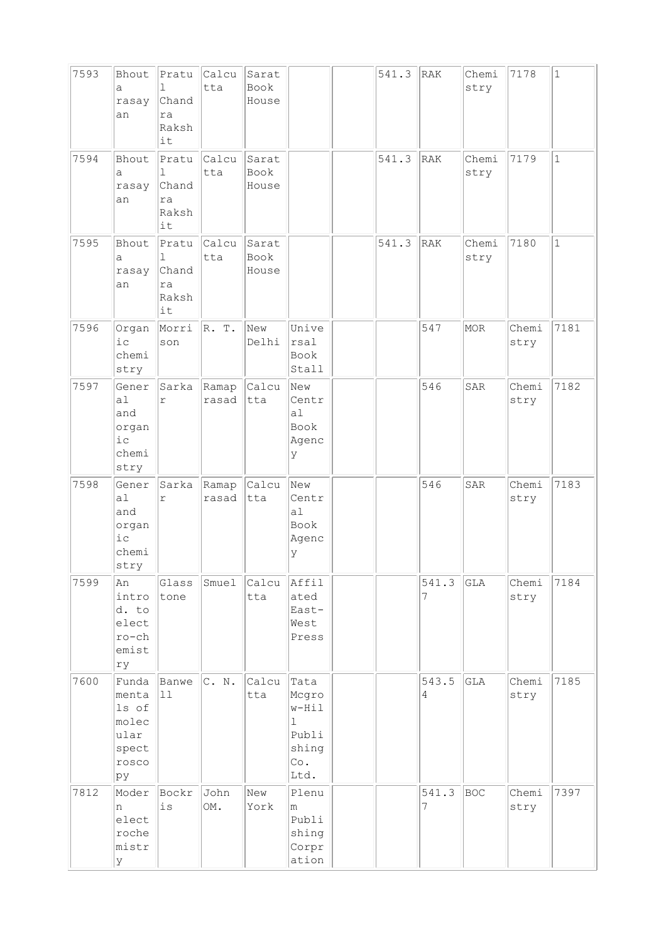| 7593 | Bhout<br>a<br>rasay<br>an                                         | Pratu<br>$\mathbb{L}$<br>Chand<br>ra<br>Raksh<br>it | Calcu<br>tta   | Sarat<br>Book<br>House        |                                                                                          | 541.3 | RAK        | Chemi<br>stry | 7178          | $\vert$ 1    |
|------|-------------------------------------------------------------------|-----------------------------------------------------|----------------|-------------------------------|------------------------------------------------------------------------------------------|-------|------------|---------------|---------------|--------------|
| 7594 | Bhout<br>a<br>rasay<br>an                                         | Pratu<br>$\mathbb{I}$<br>Chand<br>ra<br>Raksh<br>it | Calcu<br>tta   | Sarat<br><b>Book</b><br>House |                                                                                          | 541.3 | RAK        | Chemi<br>stry | 7179          | $\mathbf{1}$ |
| 7595 | Bhout<br>а<br>rasay<br>an                                         | Pratu<br>1<br>Chand<br>ra<br>Raksh<br>it            | Calcu<br>tta   | Sarat<br>Book<br>House        |                                                                                          | 541.3 | RAK        | Chemi<br>stry | 7180          | $\mathbf{1}$ |
| 7596 | Organ<br>$i$ c<br>chemi<br>stry                                   | Morri<br>son                                        | R. T.          | New<br>Delhi                  | Unive<br>rsal<br>Book<br>Stall                                                           |       | 547        | MOR           | Chemi<br>stry | 7181         |
| 7597 | Gener<br>a <sub>1</sub><br>and<br>organ<br>$i$ c<br>chemi<br>stry | Sarka<br>r                                          | Ramap<br>rasad | Calcu<br>tta                  | New<br>Centr<br>a <sub>1</sub><br>Book<br>Agenc<br>У                                     |       | 546        | SAR           | Chemi<br>stry | 7182         |
| 7598 | Gener<br>a <sub>1</sub><br>and<br>organ<br>i c<br>chemi<br>stry   | Sarka<br>$\Upsilon$                                 | Ramap<br>rasad | Calcu<br>tta                  | New<br>Centr<br>a1<br>Book<br>Agenc<br>У                                                 |       | 546        | <b>SAR</b>    | Chemi<br>stry | 7183         |
| 7599 | An<br>intro<br>d. to<br>elect<br>$ro-ch$<br>emist<br>ry           | Glass<br>tone                                       | Smuel          | Calcu<br>tta                  | Affil<br>ated<br>East-<br>West<br>Press                                                  |       | 541.3<br>7 | GLA           | Chemi<br>stry | 7184         |
| 7600 | Funda<br>menta<br>ls of<br>molec<br>ular<br>spect<br>rosco<br>pу  | Banwe<br>11                                         | C. N.          | Calcu<br>tta                  | Tata<br>Mcgro<br>$w-Hi1$<br>$\mathbf 1$<br>Publi<br>shing<br>$\mathbb{C}\circ$ .<br>Ltd. |       | 543.5<br>4 | GLA           | Chemi<br>stry | 7185         |
| 7812 | Moder<br>n<br>elect<br>roche<br>mistr<br>У                        | Bockr<br>is                                         | John<br>OM.    | New<br>York                   | Plenu<br>m<br>Publi<br>shing<br>Corpr<br>ation                                           |       | 541.3<br>7 | BOC           | Chemi<br>stry | 7397         |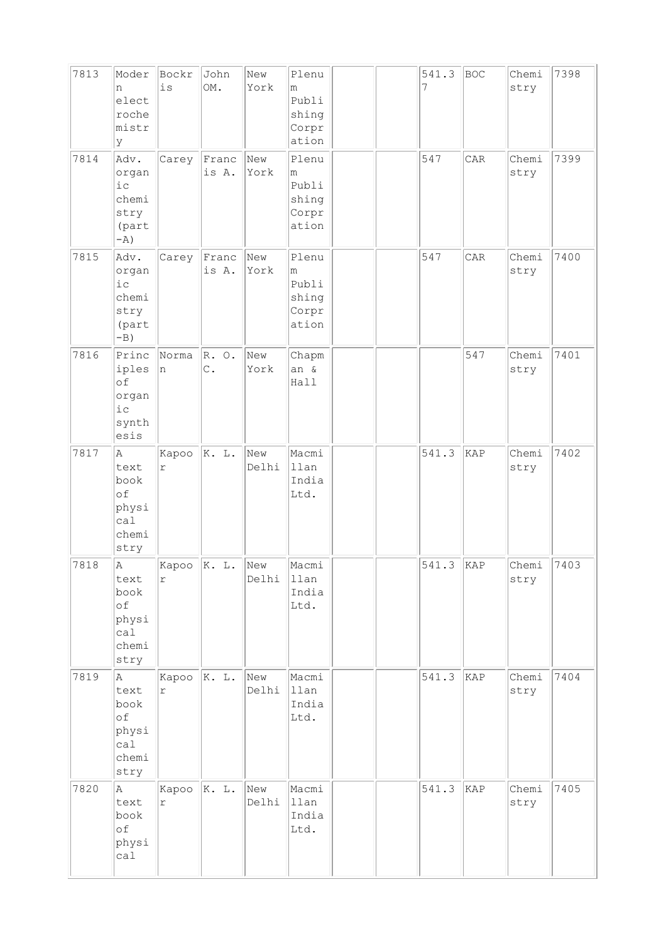| 7813<br>7814 | Moder<br>n<br>elect<br>roche<br>mistr<br>У<br>Adv.<br>organ<br>$i\,c$<br>chemi<br>stry<br>(part | Bockr<br>is<br>Carey          | John<br>OM.<br>Franc<br>is A. | New<br>York<br>New<br>York | Plenu<br>m<br>Publi<br>shing<br>Corpr<br>ation<br>Plenu<br>m<br>Publi<br>shing<br>Corpr<br>ation |  | 541.3<br>7<br>547 | <b>BOC</b><br>CAR | Chemi<br>stry<br>Chemi<br>stry | 7398<br>7399 |
|--------------|-------------------------------------------------------------------------------------------------|-------------------------------|-------------------------------|----------------------------|--------------------------------------------------------------------------------------------------|--|-------------------|-------------------|--------------------------------|--------------|
| 7815         | $-A$ )<br>Adv.<br>organ<br>i c<br>chemi<br>stry<br>(part<br>$-B)$                               | Carey                         | Franc<br>is A.                | New<br>York                | Plenu<br>m<br>Publi<br>shing<br>Corpr<br>ation                                                   |  | 547               | CAR               | Chemi<br>stry                  | 7400         |
| 7816         | Princ<br>iples<br>of<br>organ<br>$i$ c<br>synth<br>esis                                         | Norma<br>n                    | R. O.<br>$\mathbb C$ .        | New<br>York                | Chapm<br>an &<br>Hall                                                                            |  |                   | 547               | Chemi<br>stry                  | 7401         |
| 7817         | A<br>text<br>book<br>of<br>physi<br>cal<br>chemi<br>stry                                        | Kapoo<br>$\Upsilon$           | K. L.                         | New<br>Delhi               | Macmi<br>llan<br>India<br>Ltd.                                                                   |  | 541.3             | KAP               | Chemi<br>stry                  | 7402         |
| 7818         | $\,\!$ A<br>text<br>book<br>of<br>physi<br>cal<br>chemi<br>stry                                 | Kapoo $ K. L.$<br>r           |                               | New<br>Delhi               | Macmi<br>llan<br>India<br>Ltd.                                                                   |  | 541.3             | KAP               | Chemi<br>stry                  | 7403         |
| 7819         | Α<br>text<br>book<br>of<br>physi<br>cal<br>chemi<br>stry                                        | Kapoo $ K$ . L.<br>$\Upsilon$ |                               | New<br>Delhi               | Macmi<br>llan<br>India<br>Ltd.                                                                   |  | 541.3             | KAP               | Chemi<br>stry                  | 7404         |
| 7820         | $\mathbb A$<br>text<br>book<br>of<br>physi<br>calal                                             | Kapoo $ K$ . L.<br>$\Upsilon$ |                               | New<br>Delhi               | Macmi<br>llan<br>India<br>Ltd.                                                                   |  | 541.3             | KAP               | Chemi<br>stry                  | 7405         |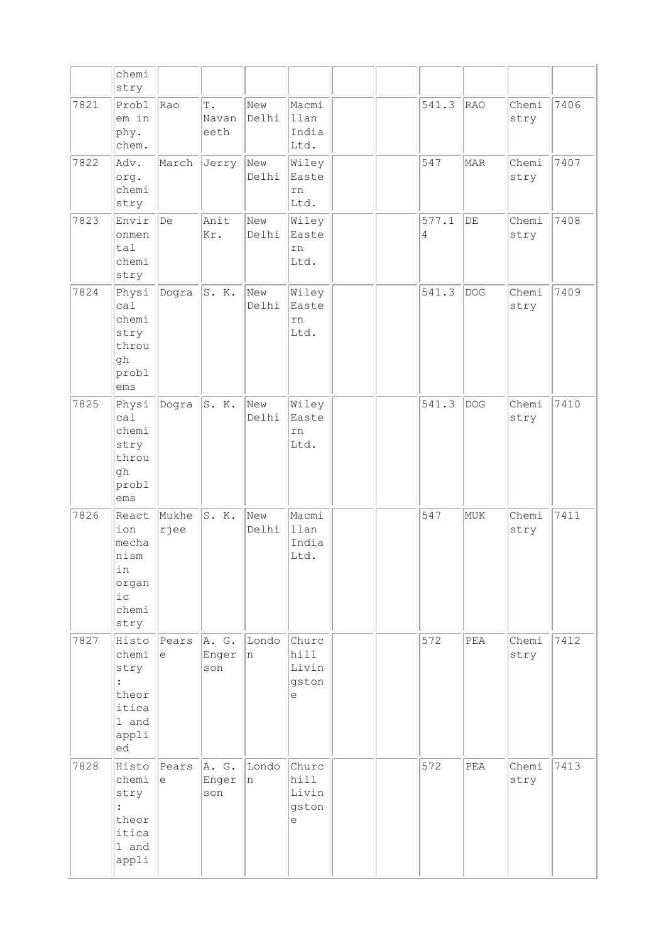|      | chemi<br>stry                                                                      |                     |                                |              |                                      |  |            |             |               |      |
|------|------------------------------------------------------------------------------------|---------------------|--------------------------------|--------------|--------------------------------------|--|------------|-------------|---------------|------|
| 7821 | Probl<br>em in<br>phy.<br>chem.                                                    | Rao                 | $\mathbb T$ .<br>Navan<br>eeth | New<br>Delhi | Macmi<br>llan<br>India<br>Ltd.       |  | 541.3      | RAO         | Chemi<br>stry | 7406 |
| 7822 | Adv.<br>org.<br>chemi<br>stry                                                      | March               | Jerry                          | New<br>Delhi | Wiley<br>Easte<br>rn<br>Ltd.         |  | 547        | <b>MAR</b>  | Chemi<br>stry | 7407 |
| 7823 | Envir<br>onmen<br>tal<br>chemi<br>stry                                             | $\overline{De}$     | Anit<br>Kr.                    | New<br>Delhi | Wiley<br>Easte<br>rn<br>Ltd.         |  | 577.1<br>4 | $\rm{DE}$   | Chemi<br>stry | 7408 |
| 7824 | Physi<br>ca1<br>chemi<br>stry<br>throu<br>gh<br>probl<br>ems                       | Dogra               | S. K.                          | New<br>Delhi | Wiley<br>Easte<br>rn<br>Ltd.         |  | 541.3      | <b>DOG</b>  | Chemi<br>stry | 7409 |
| 7825 | Physi<br>cal<br>chemi<br>stry<br>throu<br>qh<br>probl<br>ems                       | Dogra               | S. K.                          | New<br>Delhi | Wiley<br>Easte<br>rn<br>Ltd.         |  | 541.3      | <b>DOG</b>  | Chemi<br>stry | 7410 |
| 7826 | React<br>ion<br>mecha<br>nism<br>ın<br>organ<br>i c<br>chemi<br>stry               | Mukhe<br>rjee       | S. K.                          | New<br>Delhi | Macmi<br>llan<br>India<br>Ltd.       |  | 547        | MUK         | Chemi<br>stry | 7411 |
| 7827 | Histo<br>chemi<br>stry<br>$\ddot{\cdot}$<br>theor<br>itica<br>1 and<br>appli<br>ed | Pears<br>le         | A. G.<br>Enger<br>son          | Londo<br>n   | Churc<br>hill<br>Livin<br>gston<br>е |  | 572        | ${\tt PEA}$ | Chemi<br>stry | 7412 |
| 7828 | Histo<br>chemi<br>stry<br>$\ddot{\cdot}$<br>theor<br>itica<br>1 and<br>appli       | Pears<br>$\epsilon$ | A. G.<br>Enger<br>son          | Londo<br>n   | Churc<br>hill<br>Livin<br>gston<br>e |  | 572        | ${\tt PEA}$ | Chemi<br>stry | 7413 |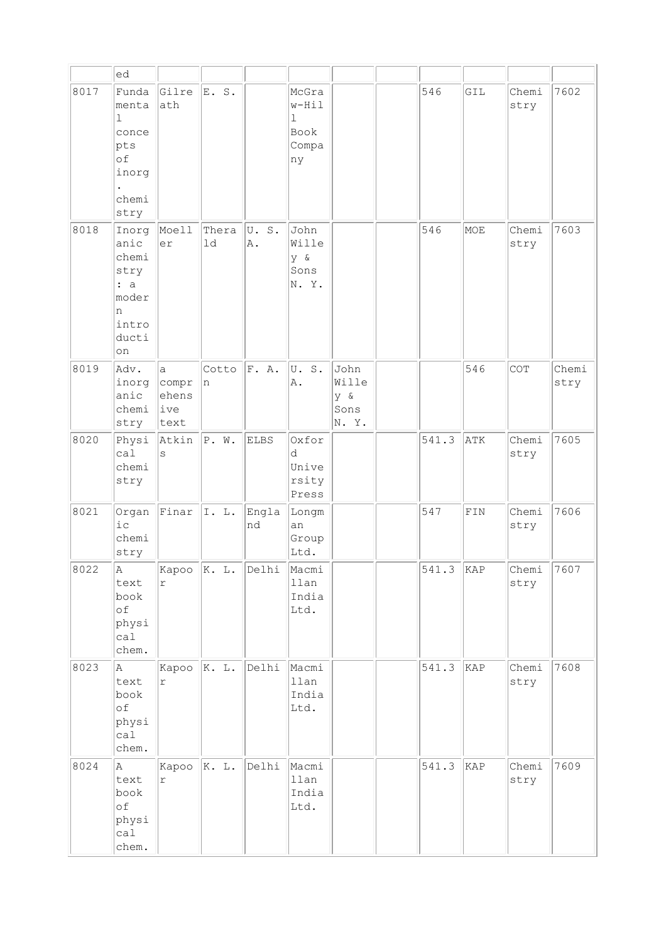|      | ed                                                                             |                                               |               |             |                                                      |                                      |       |     |               |               |
|------|--------------------------------------------------------------------------------|-----------------------------------------------|---------------|-------------|------------------------------------------------------|--------------------------------------|-------|-----|---------------|---------------|
| 8017 | Funda<br>menta<br>$\mathbf{1}$<br>conce<br>pts<br>of<br>inorg<br>chemi<br>stry | Gilre<br>ath                                  | E. S.         |             | McGra<br>w-Hil<br>$\mathbf 1$<br>Book<br>Compa<br>ny |                                      | 546   | GIL | Chemi<br>stry | 7602          |
| 8018 | Inorg<br>anic<br>chemi<br>stry<br>: a<br>moder<br>n<br>intro<br>ducti<br>on    | Moell<br>er                                   | Thera<br>1d   | U.S.<br>Α.  | John<br>Wille<br>y &<br>Sons<br>N.Y.                 |                                      | 546   | MOE | Chemi<br>stry | 7603          |
| 8019 | Adv.<br>inorg<br>anic<br>chemi<br>stry                                         | $\mathsf{a}$<br>compr<br>ehens<br>ive<br>text | Cotto<br>n    | F. A.       | U.S.<br>Α.                                           | John<br>Wille<br>y &<br>Sons<br>N.Y. |       | 546 | COT           | Chemi<br>stry |
| 8020 | Physi<br>cal<br>chemi<br>stry                                                  | Atkin<br>$\rm s$                              | P. W.         | ELBS        | Oxfor<br>d<br>Unive<br>rsity<br>Press                |                                      | 541.3 | ATK | Chemi<br>stry | 7605          |
| 8021 | Organ<br>$i$ c<br>chemi<br>stry                                                | Finar                                         | I. L.         | Engla<br>nd | Longm<br>an<br>Group<br>Ltd.                         |                                      | 547   | FIN | Chemi<br>stry | 7606          |
| 8022 | A<br>text<br>book<br>of<br>physi<br>ca1<br>chem.                               | Kapoo<br>$\Upsilon$                           | K. L.         | Delhi       | Macmi<br>llan<br>India<br>Ltd.                       |                                      | 541.3 | KAP | Chemi<br>stry | 7607          |
| 8023 | $\mathbb A$<br>text<br>book<br>of<br>physi<br>cal<br>chem.                     | Kapoo<br>$\Upsilon$                           | $\ K. L.$     | Delhi       | Macmi<br>llan<br>India<br>Ltd.                       |                                      | 541.3 | KAP | Chemi<br>stry | 7608          |
| 8024 | $\mathbb A$<br>text<br>book<br>оf<br>physi<br>cal<br>chem.                     | Kapoo<br>$\Upsilon$                           | $\vert K. L.$ | Delhi       | Macmi<br>llan<br>India<br>Ltd.                       |                                      | 541.3 | KAP | Chemi<br>stry | 7609          |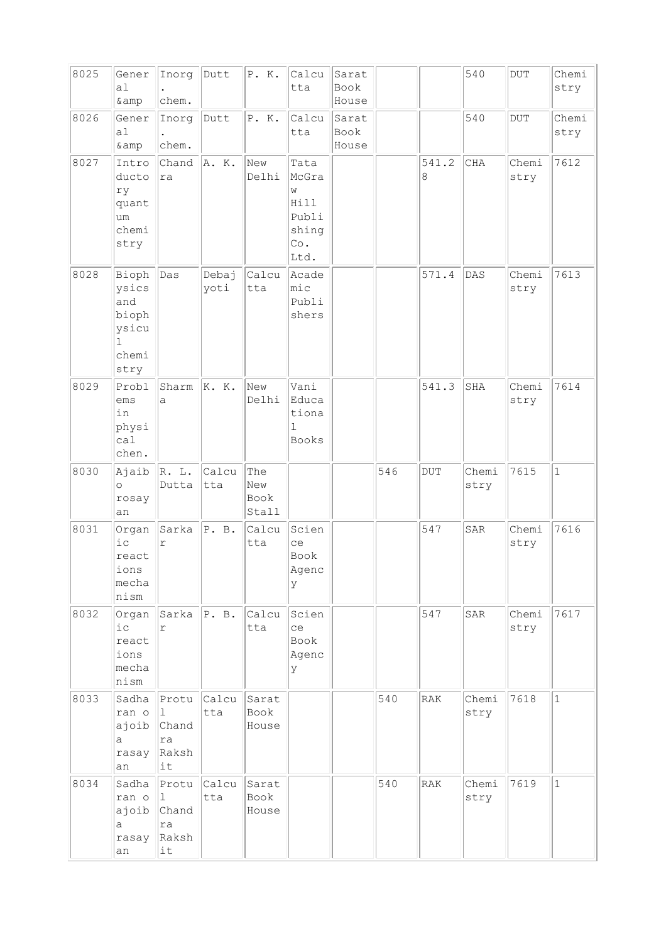| 8025 | Gener<br>a <sub>1</sub><br>& amp                                         | Inorg<br>chem.                                      | Dutt          | P. K.                       | Calcu<br>tta                                                | Sarat<br>Book<br>House |     |            | 540           | <b>DUT</b>    | Chemi<br>stry |
|------|--------------------------------------------------------------------------|-----------------------------------------------------|---------------|-----------------------------|-------------------------------------------------------------|------------------------|-----|------------|---------------|---------------|---------------|
| 8026 | Gener<br>a <sub>1</sub><br>& amp                                         | Inorg<br>chem.                                      | Dutt          | P. K.                       | Calcu<br>tta                                                | Sarat<br>Book<br>House |     |            | 540           | <b>DUT</b>    | Chemi<br>stry |
| 8027 | Intro<br>ducto<br>ry<br>quant<br>um<br>chemi<br>stry                     | Chand<br>ra                                         | A. K.         | New<br>Delhi                | Tata<br>McGra<br>W<br>Hill<br>Publi<br>shing<br>Co.<br>Ltd. |                        |     | 541.2<br>8 | <b>CHA</b>    | Chemi<br>stry | 7612          |
| 8028 | Bioph<br>ysics<br>and<br>bioph<br>ysicu<br>$\mathbf{1}$<br>chemi<br>stry | Das                                                 | Debaj<br>yoti | Calcu<br>tta                | Acade<br>mic<br>Publi<br>shers                              |                        |     | 571.4      | DAS           | Chemi<br>stry | 7613          |
| 8029 | Probl<br>ems<br>in<br>physi<br>cal<br>chen.                              | Sharm<br>a                                          | K. K.         | New<br>Delhi                | Vani<br>Educa<br>tiona<br>$\mathbb{I}$<br><b>Books</b>      |                        |     | 541.3      | SHA           | Chemi<br>stry | 7614          |
| 8030 | Ajaib<br>$\circ$<br>rosay<br>an                                          | R. L.<br>Dutta                                      | Calcu<br>tta  | The<br>New<br>Book<br>Stall |                                                             |                        | 546 | <b>DUT</b> | Chemi<br>stry | 7615          | $1\,$         |
| 8031 | Organ<br>ic<br>react<br>ions<br>mecha<br>nism                            | Sarka<br>$\Upsilon$                                 | P. B.         | Calcu<br>tta                | Scien<br>ce<br>Book<br>Agenc<br>У                           |                        |     | 547        | SAR           | Chemi<br>stry | 7616          |
| 8032 | Organ<br>ic<br>react<br>ions<br>mecha<br>nism                            | Sarka<br>r                                          | P. B.         | Calcu<br>tta                | Scien<br>ce<br>Book<br>Agenc<br>У                           |                        |     | 547        | SAR           | Chemi<br>stry | 7617          |
| 8033 | Sadha<br>ran o<br>ajoib<br>a<br>rasay<br>an                              | Protu<br>$\mathbf{1}$<br>Chand<br>ra<br>Raksh<br>it | Calcu<br>tta  | Sarat<br>Book<br>House      |                                                             |                        | 540 | RAK        | Chemi<br>stry | 7618          | $\mathbf{1}$  |
| 8034 | Sadha<br>ran o<br>ajoib<br>a<br>rasay<br>an                              | Protu<br>11.<br>Chand<br>ra<br>Raksh<br>it          | Calcu<br>tta  | Sarat<br>Book<br>House      |                                                             |                        | 540 | RAK        | Chemi<br>stry | 7619          | $\mathbf{1}$  |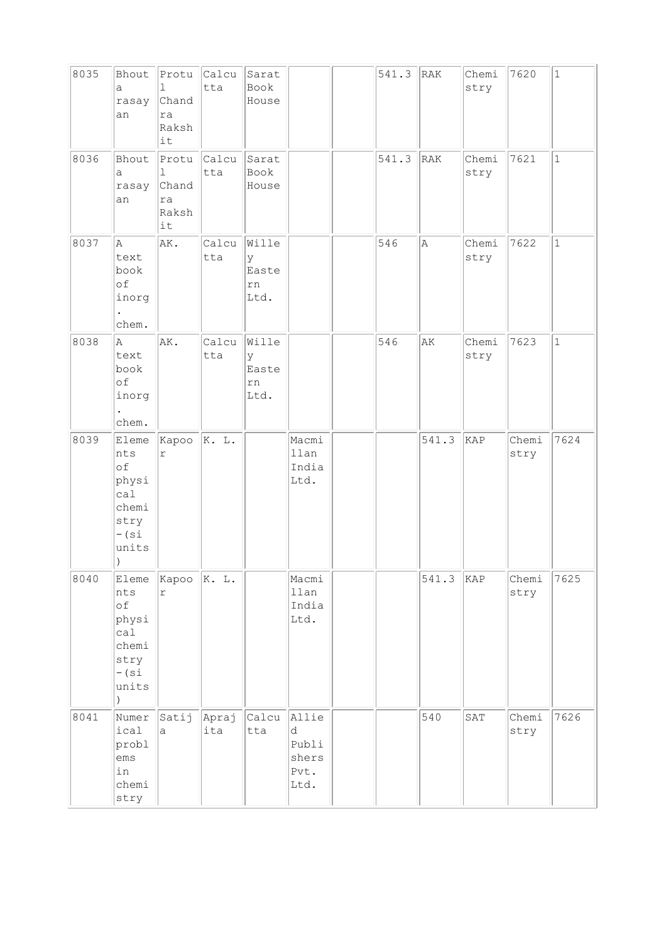| 8035 | Bhout<br>a<br>rasay<br>an                                                            | Protu<br>1<br>Chand<br>ra<br>Raksh<br>it | Calcu<br>tta | Sarat<br>Book<br>House            |                                              | 541.3 | RAK   | Chemi<br>stry | 7620          | $1\,$        |
|------|--------------------------------------------------------------------------------------|------------------------------------------|--------------|-----------------------------------|----------------------------------------------|-------|-------|---------------|---------------|--------------|
| 8036 | Bhout<br>а<br>rasay<br>an                                                            | Protu<br>1<br>Chand<br>ra<br>Raksh<br>it | Calcu<br>tta | Sarat<br>Book<br>House            |                                              | 541.3 | RAK   | Chemi<br>stry | 7621          | $\mathbf{1}$ |
| 8037 | A<br>text<br>book<br>of<br>inorg<br>chem.                                            | AK.                                      | Calcu<br>tta | Wille<br>У<br>Easte<br>rn<br>Ltd. |                                              | 546   | A     | Chemi<br>stry | 7622          | $1\,$        |
| 8038 | A<br>text<br>book<br>of<br>inorg<br>chem.                                            | AK.                                      | Calcu<br>tta | Wille<br>У<br>Easte<br>rn<br>Ltd. |                                              | 546   | AK    | Chemi<br>stry | 7623          | $1\,$        |
| 8039 | Eleme<br>nts<br>of<br>physi<br>cal<br>chemi<br>stry<br>$-$ (si<br>units<br>$\lambda$ | Kapoo<br>$\Upsilon$                      | K. L.        |                                   | Macmi<br>llan<br>India<br>Ltd.               |       | 541.3 | KAP           | Chemi<br>stry | 7624         |
| 8040 | Eleme<br>nts<br>оf<br>physi<br>cal<br>chemi<br>stry<br>$-$ (si<br>units<br>$\lambda$ | Kapoo<br>$\mathtt{r}$                    | K. L.        |                                   | Macmi<br>llan<br>India<br>Ltd.               |       | 541.3 | KAP           | Chemi<br>stry | 7625         |
| 8041 | Numer<br>ical<br>probl<br>ems<br>in<br>chemi<br>stry                                 | Satij<br>a                               | Apraj<br>ita | Calcu<br>tta                      | Allie<br>d<br>Publi<br>shers<br>Pvt.<br>Ltd. |       | 540   | SAT           | Chemi<br>stry | 7626         |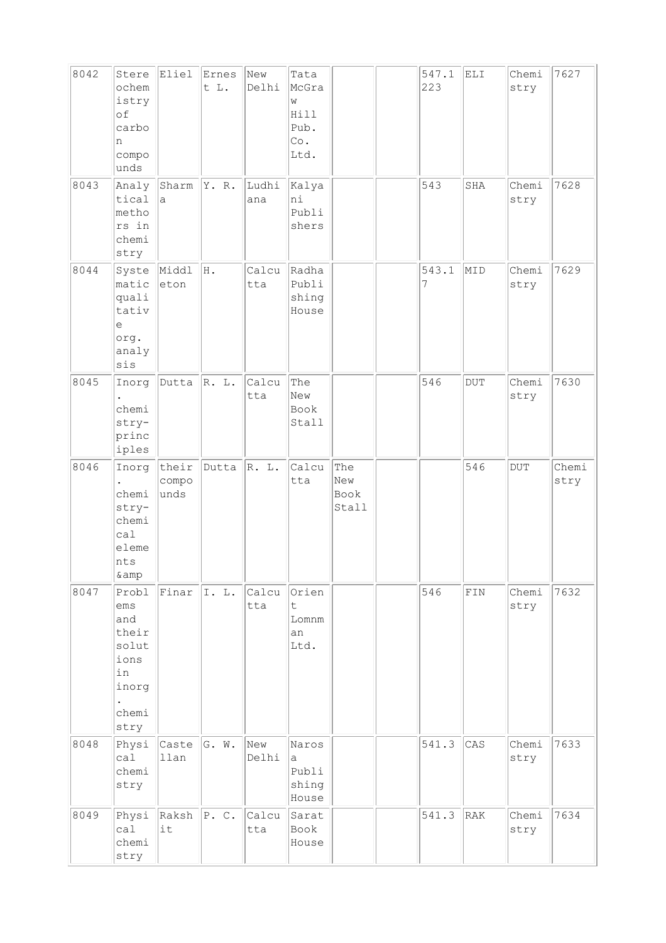| 8042 | Stere<br>ochem<br>istry<br>of<br>carbo<br>n<br>compo<br>unds                  | Eliel                  | Ernes<br>t L. | New<br>Delhi | Tata<br>McGra<br>W<br>Hill<br>Pub.<br>Co.<br>Ltd. |                             | 547.1<br>223 | ELI         | Chemi<br>stry | 7627          |
|------|-------------------------------------------------------------------------------|------------------------|---------------|--------------|---------------------------------------------------|-----------------------------|--------------|-------------|---------------|---------------|
| 8043 | Analy<br>tical<br>metho<br>rs in<br>chemi<br>stry                             | Sharm<br>a             | Y. R.         | Ludhi<br>ana | Kalya<br>ni<br>Publi<br>shers                     |                             | 543          | SHA         | Chemi<br>stry | 7628          |
| 8044 | Syste<br>matic<br>quali<br>tativ<br>e<br>org.<br>analy<br>sis                 | Middl<br>eton          | Η.            | Calcu<br>tta | Radha<br>Publi<br>shing<br>House                  |                             | 543.1<br>7   | MID         | Chemi<br>stry | 7629          |
| 8045 | Inorg<br>chemi<br>stry-<br>princ<br>iples                                     | Dutta                  | R. L.         | Calcu<br>tta | The<br>New<br>Book<br>Stall                       |                             | 546          | <b>DUT</b>  | Chemi<br>stry | 7630          |
| 8046 | Inorg<br>chemi<br>stry-<br>chemi<br>cal<br>eleme<br>nts<br>& amp              | their<br>compo<br>unds | Dutta         | R. L.        | Calcu<br>tta                                      | The<br>New<br>Book<br>Stall |              | 546         | DUT           | Chemi<br>stry |
| 8047 | Probl<br>ems<br>and<br>their<br>solut<br>ions<br>in<br>inorg<br>chemi<br>stry | Finar                  | I. L.         | Calcu<br>tta | Orien<br>$\mathsf{t}$<br>Lomnm<br>an<br>Ltd.      |                             | 546          | ${\tt FIN}$ | Chemi<br>stry | 7632          |
| 8048 | Physi<br>ca1<br>chemi<br>stry                                                 | Caste<br>llan          | G. W.         | New<br>Delhi | Naros<br>а<br>Publi<br>shing<br>House             |                             | 541.3        | CAS         | Chemi<br>stry | 7633          |
| 8049 | Physi<br>cal<br>chemi<br>stry                                                 | Raksh<br>it            | P. C.         | Calcu<br>tta | Sarat<br>Book<br>House                            |                             | 541.3        | RAK         | Chemi<br>stry | 7634          |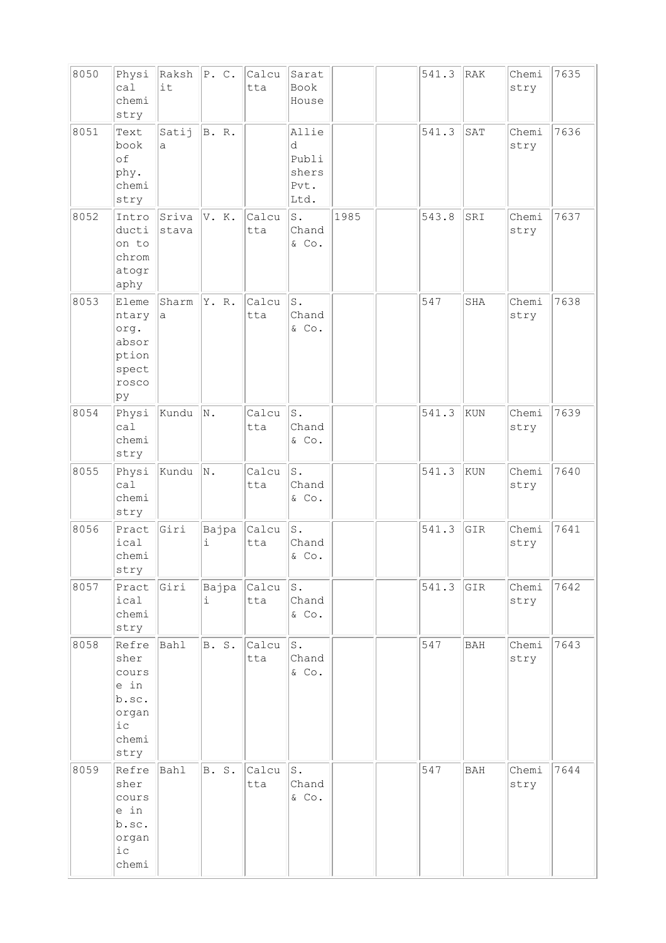| 8050 | Physi<br>ca1<br>chemi<br>stry                                              | Raksh<br>it    | P. C.      | Calcu<br>tta | Sarat<br>Book<br>House                       |      | 541.3 | RAK        | Chemi<br>stry | 7635 |
|------|----------------------------------------------------------------------------|----------------|------------|--------------|----------------------------------------------|------|-------|------------|---------------|------|
| 8051 | Text<br>book<br>of<br>phy.<br>chemi<br>stry                                | Satij<br>a     | B. R.      |              | Allie<br>d<br>Publi<br>shers<br>Pvt.<br>Ltd. |      | 541.3 | SAT        | Chemi<br>stry | 7636 |
| 8052 | Intro<br>ducti<br>on to<br>chrom<br>atogr<br>aphy                          | Sriva<br>stava | V. K.      | Calcu<br>tta | $S$ .<br>Chand<br>& Co.                      | 1985 | 543.8 | SRI        | Chemi<br>stry | 7637 |
| 8053 | Eleme<br>ntary<br>org.<br>absor<br>ption<br>spect<br>rosco<br>þу           | Sharm<br>a     | Y. R.      | Calcu<br>tta | $\texttt{S}$ .<br>Chand<br>& Co.             |      | 547   | SHA        | Chemi<br>stry | 7638 |
| 8054 | Physi<br>ca1<br>chemi<br>stry                                              | Kundu          | N.         | Calcu<br>tta | $\texttt{S}$ .<br>Chand<br>& Co.             |      | 541.3 | KUN        | Chemi<br>stry | 7639 |
| 8055 | Physi<br>ca1<br>chemi<br>stry                                              | Kundu          | N.         | Calcu<br>tta | $\texttt{S}$ .<br>Chand<br>& Co.             |      | 541.3 | KUN        | Chemi<br>stry | 7640 |
| 8056 | Pract<br>ical<br>chemi<br>stry                                             | Giri           | Bajpa<br>i | Calcu<br>tta | $\texttt{S}$ .<br>Chand<br>$\&$ Co.          |      | 541.3 | GIR        | Chemi<br>stry | 7641 |
| 8057 | Pract<br>ical<br>chemi<br>stry                                             | Giri           | Bajpa<br>i | Calcu<br>tta | $\texttt{S}$ .<br>Chand<br>$\&$ Co.          |      | 541.3 | GIR        | Chemi<br>stry | 7642 |
| 8058 | Refre<br>sher<br>cours<br>e in<br>b.sc.<br>organ<br>$i$ c<br>chemi<br>stry | Bahl           | B. S.      | Calcu<br>tta | S.<br>Chand<br>& Co.                         |      | 547   | <b>BAH</b> | Chemi<br>stry | 7643 |
| 8059 | Refre<br>sher<br>cours<br>e in<br>b.sc.<br>organ<br>i c<br>chemi           | Bahl           | B. S.      | Calcu<br>tta | s.<br>Chand<br>& Co.                         |      | 547   | <b>BAH</b> | Chemi<br>stry | 7644 |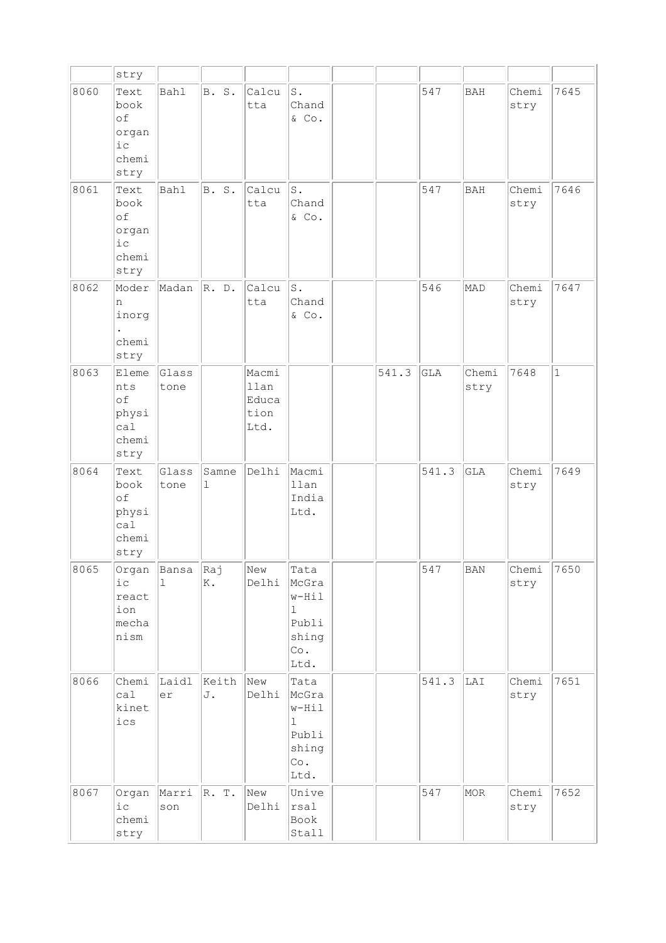|      | stry                                                  |                       |             |                                        |                                                              |       |       |               |               |             |
|------|-------------------------------------------------------|-----------------------|-------------|----------------------------------------|--------------------------------------------------------------|-------|-------|---------------|---------------|-------------|
| 8060 | Text<br>book<br>of<br>organ<br>ic<br>chemi<br>stry    | <b>Bahl</b>           | B. S.       | Calcu<br>tta                           | $\texttt{S}$ .<br>Chand<br>$\&$ Co.                          |       | 547   | <b>BAH</b>    | Chemi<br>stry | 7645        |
| 8061 | Text<br>book<br>of<br>organ<br>$i$ c<br>chemi<br>stry | <b>Bahl</b>           | B. S.       | Calcu<br>tta                           | $S$ .<br>Chand<br>& Co.                                      |       | 547   | BAH           | Chemi<br>stry | 7646        |
| 8062 | Moder<br>n<br>inorg<br>chemi<br>stry                  | Madan                 | R. D.       | Calcu<br>tta                           | $S$ .<br>Chand<br>$\&$ Co.                                   |       | 546   | MAD           | Chemi<br>stry | 7647        |
| 8063 | Eleme<br>nts<br>of<br>physi<br>ca1<br>chemi<br>stry   | Glass<br>tone         |             | Macmi<br>llan<br>Educa<br>tion<br>Ltd. |                                                              | 541.3 | GLA   | Chemi<br>stry | 7648          | $\mathbf 1$ |
| 8064 | Text<br>book<br>of<br>physi<br>ca1<br>chemi<br>stry   | Glass<br>tone         | Samne<br>1  | Delhi                                  | Macmi<br>llan<br>India<br>Ltd.                               |       | 541.3 | <b>GLA</b>    | Chemi<br>stry | 7649        |
| 8065 | Organ<br>i c<br>react<br>ion<br>mecha<br>nism         | Bansa<br>$\mathbf{1}$ | Raj<br>K.   | New<br>Delhi                           | Tata<br>McGra<br>w-Hil<br>ı<br>Publi<br>shing<br>Co.<br>Ltd. |       | 547   | <b>BAN</b>    | Chemi<br>stry | 7650        |
| 8066 | Chemi<br>ca1<br>kinet<br>ics                          | Laidl<br>er           | Keith<br>J. | New<br>Delhi                           | Tata<br>McGra<br>w-Hil<br>ı<br>Publi<br>shing<br>Co.<br>Ltd. |       | 541.3 | LAI           | Chemi<br>stry | 7651        |
| 8067 | Organ<br>$i$ c<br>chemi<br>stry                       | Marri<br>son          | R. T.       | New<br>Delhi                           | Unive<br>rsal<br>Book<br>Stall                               |       | 547   | MOR           | Chemi<br>stry | 7652        |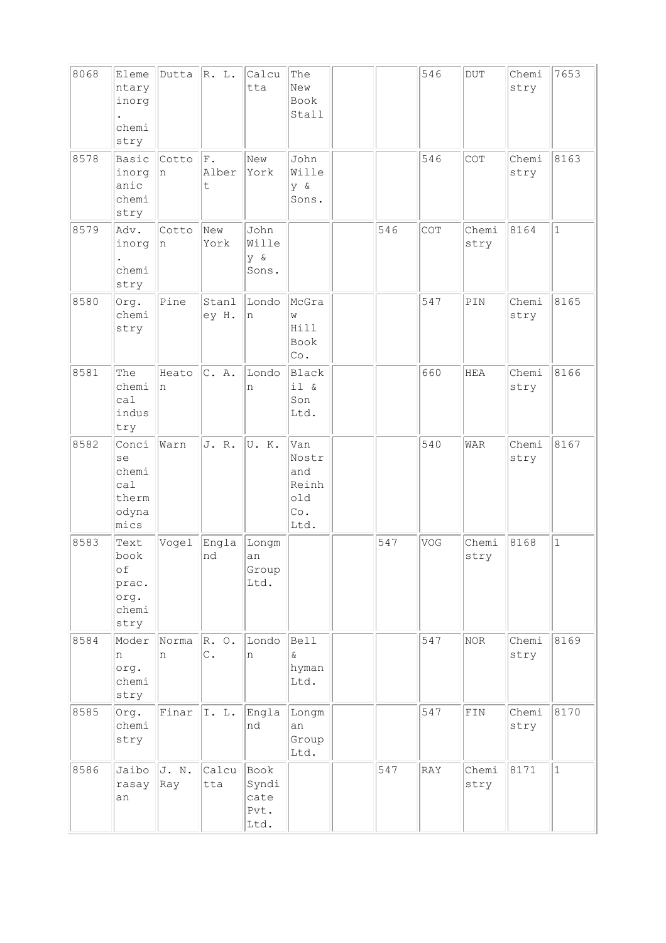| 8068 | Eleme<br>ntary<br>inorg<br>chemi<br>stry              | Dutta        | R. L.                         | Calcu<br>tta                          | The<br>New<br>Book<br>Stall                        |     | 546 | $\rm DUT$      | Chemi<br>stry | 7653         |
|------|-------------------------------------------------------|--------------|-------------------------------|---------------------------------------|----------------------------------------------------|-----|-----|----------------|---------------|--------------|
| 8578 | Basic<br>inorg<br>anic<br>chemi<br>stry               | Cotto<br>n   | F.<br>Alber<br>t              | New<br>York                           | John<br>Wille<br>y &<br>Sons.                      |     | 546 | COT            | Chemi<br>stry | 8163         |
| 8579 | Adv.<br>inorg<br>chemi<br>stry                        | Cotto<br>In  | New<br>York                   | John<br>Wille<br>y &<br>Sons.         |                                                    | 546 | COT | Chemi<br>stry  | 8164          | $\mathbf{1}$ |
| 8580 | Org.<br>chemi<br>stry                                 | Pine         | Stanl<br>ey H.                | Londo<br>n                            | McGra<br>W<br>Hill<br><b>Book</b><br>Co.           |     | 547 | $\texttt{PIN}$ | Chemi<br>stry | 8165         |
| 8581 | The<br>chemi<br>ca1<br>indus<br>try                   | Heato<br>n   | C. A.                         | Londo<br>n                            | Black<br>il &<br>Son<br>Ltd.                       |     | 660 | <b>HEA</b>     | Chemi<br>stry | 8166         |
| 8582 | Conci<br>se<br>chemi<br>ca1<br>therm<br>odyna<br>mics | Warn         | J. R.                         | U.K.                                  | Van<br>Nostr<br>and<br>Reinh<br>old<br>Co.<br>Ltd. |     | 540 | <b>WAR</b>     | Chemi<br>stry | 8167         |
| 8583 | Text<br>book<br>оf<br>prac.<br>org.<br>chemi<br>stry  | Vogel        | Engla<br>nd                   | Longm<br>an<br>Group<br>Ltd.          |                                                    | 547 | VOG | Chemi<br>stry  | 8168          | $\mathbf{1}$ |
| 8584 | Moder<br>n<br>org.<br>chemi<br>stry                   | Norma<br>n   | $R. \circ.$<br>$\mathsf{C}$ . | Londo<br>n                            | <b>Bell</b><br>$\delta$<br>hyman<br>Ltd.           |     | 547 | NOR            | Chemi<br>stry | 8169         |
| 8585 | Org.<br>chemi<br>stry                                 | Finar        | I. L.                         | Engla<br>nd                           | Longm<br>an<br>Group<br>Ltd.                       |     | 547 | $\texttt{FIN}$ | Chemi<br>stry | 8170         |
| 8586 | Jaibo<br>rasay<br>an                                  | J. N.<br>Ray | Calcu<br>tta                  | Book<br>Syndi<br>cate<br>Pvt.<br>Ltd. |                                                    | 547 | RAY | Chemi<br>stry  | 8171          | $\mathbf{1}$ |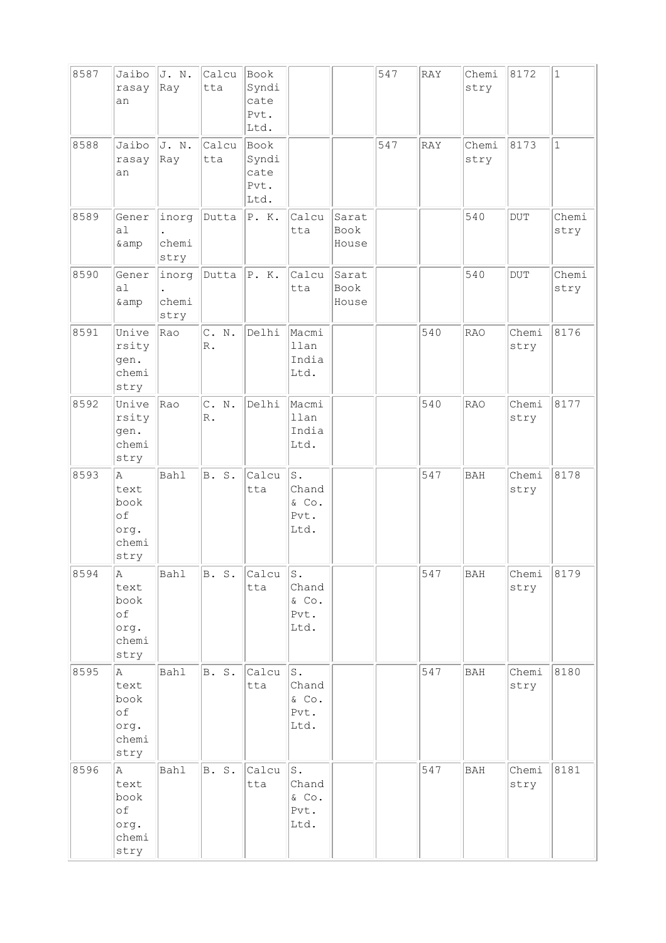| 8587 | Jaibo<br>rasay<br>an                             | J. N.<br>Ray           | Calcu<br>tta           | Book<br>Syndi<br>cate<br>Pvt.<br>Ltd. |                                      |                        | 547 | RAY | Chemi<br>stry | 8172          | $\mathbf{1}$  |
|------|--------------------------------------------------|------------------------|------------------------|---------------------------------------|--------------------------------------|------------------------|-----|-----|---------------|---------------|---------------|
| 8588 | Jaibo<br>rasay<br>an                             | J. N.<br>Ray           | Calcu<br>tta           | Book<br>Syndi<br>cate<br>Pvt.<br>Ltd. |                                      |                        | 547 | RAY | Chemi<br>stry | 8173          | $\mathbf{1}$  |
| 8589 | Gener<br>a1<br>& amp                             | inorg<br>chemi<br>stry | Dutta                  | P. K.                                 | Calcu<br>tta                         | Sarat<br>Book<br>House |     |     | 540           | <b>DUT</b>    | Chemi<br>stry |
| 8590 | Gener<br>a1<br>& amp                             | inorg<br>chemi<br>stry | Dutta                  | P. K.                                 | Calcu<br>tta                         | Sarat<br>Book<br>House |     |     | 540           | <b>DUT</b>    | Chemi<br>stry |
| 8591 | Unive<br>rsity<br>gen.<br>chemi<br>stry          | Rao                    | C. N.<br>$\mathbb R$ . | Delhi                                 | Macmi<br>llan<br>India<br>Ltd.       |                        |     | 540 | <b>RAO</b>    | Chemi<br>stry | 8176          |
| 8592 | Unive<br>rsity<br>gen.<br>chemi<br>stry          | Rao                    | C. N.<br>$\mathbb R$ . | Delhi                                 | Macmi<br>llan<br>India<br>Ltd.       |                        |     | 540 | <b>RAO</b>    | Chemi<br>stry | 8177          |
| 8593 | Α<br>text<br>book<br>of<br>org.<br>chemi<br>stry | Bahl                   | B. S.                  | Calcu<br>tta                          | S.<br>Chand<br>& Co.<br>Pvt.<br>Ltd. |                        |     | 547 | <b>BAH</b>    | Chemi<br>stry | 8178          |
| 8594 | A<br>text<br>book<br>of<br>org.<br>chemi<br>stry | <b>Bahl</b>            | B. S.                  | Calcu<br>tta                          | s.<br>Chand<br>& Co.<br>Pvt.<br>Ltd. |                        |     | 547 | BAH           | Chemi<br>stry | 8179          |
| 8595 | Α<br>text<br>book<br>of<br>org.<br>chemi<br>stry | Bahl                   | B. S.                  | Calcu<br>tta                          | s.<br>Chand<br>& Co.<br>Pvt.<br>Ltd. |                        |     | 547 | <b>BAH</b>    | Chemi<br>stry | 8180          |
| 8596 | Α<br>text<br>book<br>of<br>org.<br>chemi<br>stry | Bahl                   | B. S.                  | Calcu<br>tta                          | s.<br>Chand<br>& Co.<br>Pvt.<br>Ltd. |                        |     | 547 | <b>BAH</b>    | Chemi<br>stry | 8181          |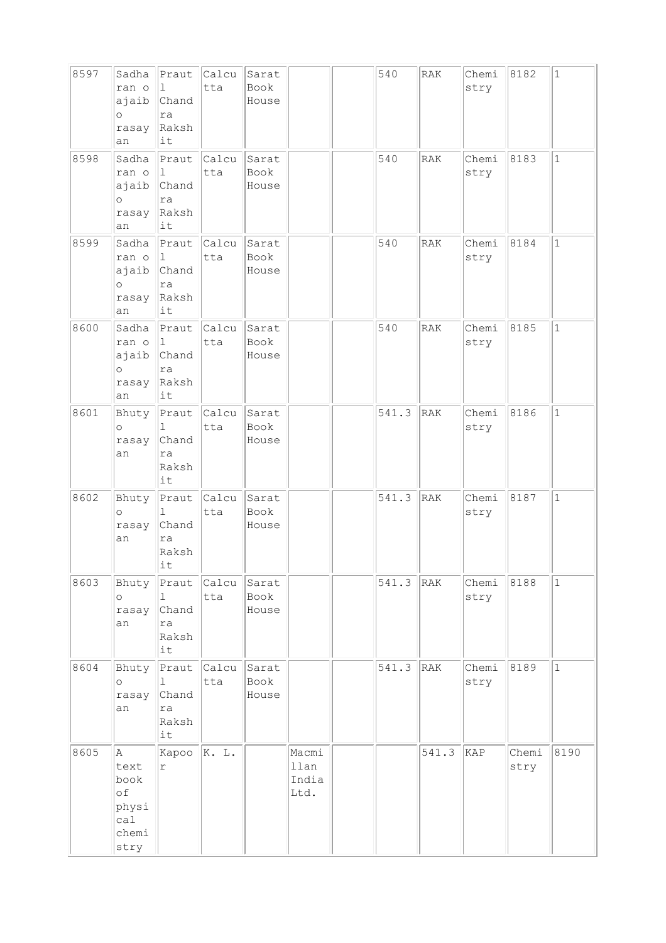| 8597 | Sadha<br>ran o<br>ajaib<br>$\circ$<br>rasay<br>an        | Praut<br>1<br>Chand<br>ra<br>Raksh<br>it                | Calcu<br>tta        | Sarat<br>Book<br>House |                                | 540   | RAK        | Chemi<br>stry | 8182          | $\mathbf{1}$ |
|------|----------------------------------------------------------|---------------------------------------------------------|---------------------|------------------------|--------------------------------|-------|------------|---------------|---------------|--------------|
| 8598 | Sadha<br>ran o<br>ajaib<br>$\circ$<br>rasay<br>an        | Praut<br>1<br>Chand<br>ra<br>Raksh<br>it                | Calcu<br>tta        | Sarat<br>Book<br>House |                                | 540   | RAK        | Chemi<br>stry | 8183          | $\mathbf{1}$ |
| 8599 | Sadha<br>ran o<br>ajaib<br>$\circ$<br>rasay<br>an        | Praut<br>$\mathbf{1}$<br>Chand<br>ra<br>Raksh<br>it     | Calcu<br>tta        | Sarat<br>Book<br>House |                                | 540   | RAK        | Chemi<br>stry | 8184          | $\mathbf{1}$ |
| 8600 | Sadha<br>ran o<br>ajaib<br>$\circ$<br>rasay<br>an        | Praut<br>1<br>Chand<br>ra<br>Raksh<br>it                | Calcu<br>tta        | Sarat<br>Book<br>House |                                | 540   | <b>RAK</b> | Chemi<br>stry | 8185          | $\mathbf 1$  |
| 8601 | Bhuty<br>$\circ$<br>rasay<br>an                          | Praut<br>ı<br>Chand<br>ra<br>Raksh<br>it                | <b>Calcu</b><br>tta | Sarat<br>Book<br>House |                                | 541.3 | RAK        | Chemi<br>stry | 8186          | $\mathbf{1}$ |
| 8602 | Bhuty<br>$\circ$<br>rasay<br>an                          | Praut<br>$\mathbf{1}$<br>Chand<br>ra<br>Raksh<br>$ $ it | Calcu<br>tta        | Sarat<br>Book<br>House |                                | 541.3 | RAK        | Chemi<br>stry | 8187          | $\mathbf{1}$ |
| 8603 | Bhuty<br>$\circ$<br>rasay<br>an                          | ı.<br>Chand<br>ra<br>Raksh<br>it                        | Praut Calcu<br>tta  | Sarat<br>Book<br>House |                                | 541.3 | RAK        | Chemi<br>stry | 8188          | $1\,$        |
| 8604 | Bhuty<br>$\circ$<br>rasay<br>an                          | Praut<br>$\mathbf{1}$<br>Chand<br>ra<br>Raksh<br>it     | Calcu<br>tta        | Sarat<br>Book<br>House |                                | 541.3 | RAK        | Chemi<br>stry | 8189          | $\mathbf{1}$ |
| 8605 | A<br>text<br>book<br>of<br>physi<br>cal<br>chemi<br>stry | Kapoo<br>$\Upsilon$                                     | K. L.               |                        | Macmi<br>llan<br>India<br>Ltd. |       | 541.3      | KAP           | Chemi<br>stry | 8190         |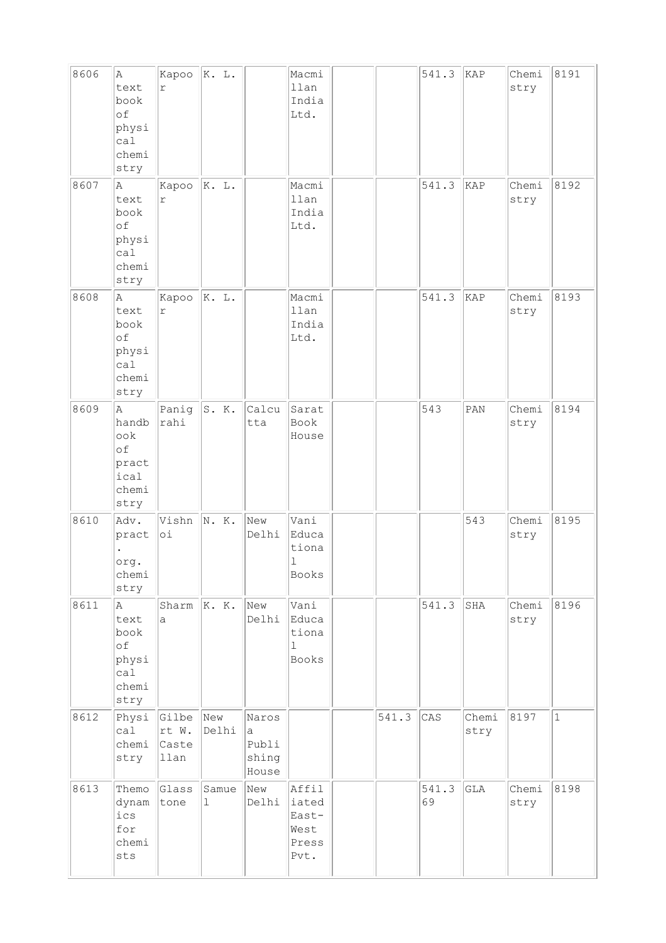| 8606 | A<br>text<br>book<br>of<br>physi<br>ca1<br>chemi<br>stry  | Kapoo<br>r                      | K. L.                |                                       | Macmi<br>llan<br>India<br>Ltd.                         |       | 541.3       | KAP           | Chemi<br>stry | 8191  |
|------|-----------------------------------------------------------|---------------------------------|----------------------|---------------------------------------|--------------------------------------------------------|-------|-------------|---------------|---------------|-------|
| 8607 | A.<br>text<br>book<br>of<br>physi<br>ca1<br>chemi<br>stry | Kapoo<br>$\Upsilon$             | K. L.                |                                       | Macmi<br>llan<br>India<br>Ltd.                         |       | 541.3       | KAP           | Chemi<br>stry | 8192  |
| 8608 | Α<br>text<br>book<br>of<br>physi<br>cal<br>chemi<br>stry  | Kapoo<br>$\Upsilon$             | K. L.                |                                       | Macmi<br>llan<br>India<br>Ltd.                         |       | 541.3       | KAP           | Chemi<br>stry | 8193  |
| 8609 | A<br>handb<br>ook<br>of<br>pract<br>ical<br>chemi<br>stry | Panig<br>rahi                   | S. K.                | Calcu<br>tta                          | Sarat<br>Book<br>House                                 |       | 543         | PAN           | Chemi<br>stry | 8194  |
| 8610 | Adv.<br>pract<br>org.<br>chemi<br>stry                    | Vishn<br>$\circ$ i              | N. K.                | New<br>Delhi                          | Vani<br>Educa<br>tiona<br>ı<br>Books                   |       |             | 543           | Chemi<br>stry | 8195  |
| 8611 | Α<br>text<br>book<br>of<br>physi<br>cal<br>chemi<br>stry  | Sharm $ K. K.$<br>a             |                      | New<br>Delhi                          | Vani<br>Educa<br>tiona<br>$\mathbf{1}$<br><b>Books</b> |       | 541.3       | SHA           | Chemi<br>stry | 8196  |
| 8612 | Physi<br>ca1<br>chemi<br>stry                             | Gilbe<br>rt W.<br>Caste<br>llan | New<br>Delhi         | Naros<br>a<br>Publi<br>shing<br>House |                                                        | 541.3 | CAS         | Chemi<br>stry | 8197          | $1\,$ |
| 8613 | Themo<br>dynam<br>ics<br>for<br>chemi<br>sts              | Glass<br>tone                   | Samue<br>$\mathbf 1$ | New<br>Delhi                          | Affil<br>iated<br>East-<br>West<br>Press<br>Pvt.       |       | 541.3<br>69 | GLA           | Chemi<br>stry | 8198  |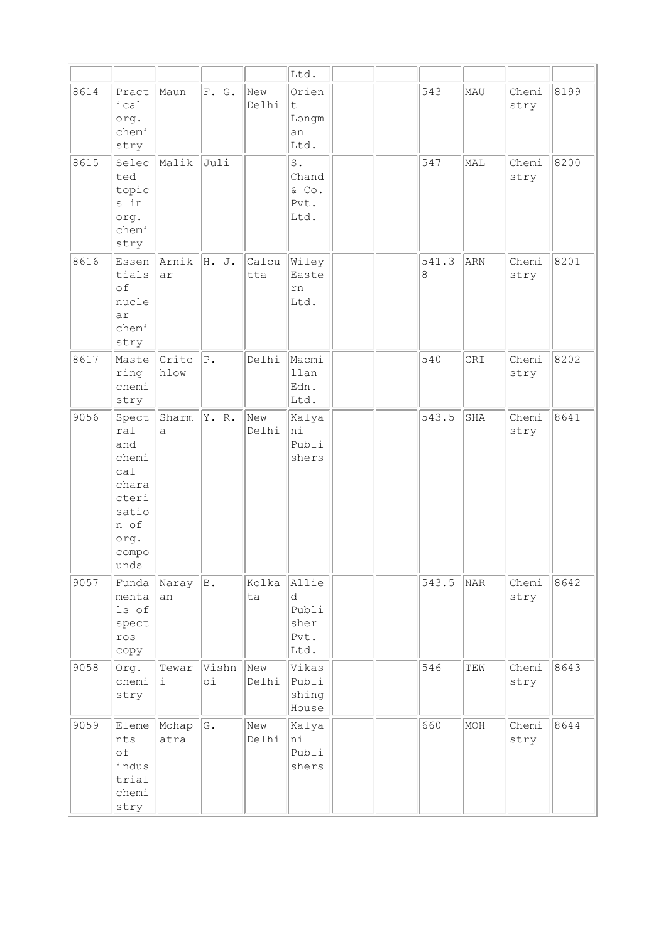|      |                                                                                                 |               |                 |              | Ltd.                                             |  |            |     |               |      |
|------|-------------------------------------------------------------------------------------------------|---------------|-----------------|--------------|--------------------------------------------------|--|------------|-----|---------------|------|
| 8614 | Pract<br>ical<br>org.<br>chemi<br>stry                                                          | Maun          | F. G.           | New<br>Delhi | Orien<br>It.<br>Longm<br>an<br>Ltd.              |  | 543        | MAU | Chemi<br>stry | 8199 |
| 8615 | Selec<br>ted<br>topic<br>s in<br>org.<br>chemi<br>stry                                          | Malik         | Juli            |              | $\texttt{S}$ .<br>Chand<br>& Co.<br>Pvt.<br>Ltd. |  | 547        | MAL | Chemi<br>stry | 8200 |
| 8616 | Essen<br>tials<br>of<br>nucle<br>ar<br>chemi<br>stry                                            | Arnik<br>ar   | H. J.           | Calcu<br>tta | Wiley<br>Easte<br>rn<br>Ltd.                     |  | 541.3<br>8 | ARN | Chemi<br>stry | 8201 |
| 8617 | Maste<br>ring<br>chemi<br>stry                                                                  | Crite<br>hlow | $P$ .           | Delhi        | Macmi<br>llan<br>Edn.<br>Ltd.                    |  | 540        | CRI | Chemi<br>stry | 8202 |
| 9056 | Spect<br>ral<br>and<br>chemi<br>cal<br>chara<br>cteri<br>satio<br>n of<br>org.<br>compo<br>unds | Sharm<br>a    | Y. R.           | New<br>Delhi | Kalya<br>hi<br>Publi<br>shers                    |  | 543.5      | SHA | Chemi<br>stry | 8641 |
| 9057 | Funda<br>Imenta<br>ls of<br>spect<br>ros<br>сору                                                | Naray<br>an   | B.              | Kolka<br>ta  | Allie<br>d<br>Publi<br>sher<br>Pvt.<br>Ltd.      |  | 543.5      | NAR | Chemi<br>stry | 8642 |
| 9058 | Org.<br>chemi<br>stry                                                                           | Tewar<br>i.   | Vishn<br>оi     | New<br>Delhi | Vikas<br>Publi<br>shing<br>House                 |  | 546        | TEW | Chemi<br>stry | 8643 |
| 9059 | Eleme<br>nts<br>оf<br>indus<br>trial<br>chemi<br>stry                                           | Mohap<br>atra | ${\mathbb G}$ . | New<br>Delhi | Kalya<br>ni<br>Publi<br>shers                    |  | 660        | MOH | Chemi<br>stry | 8644 |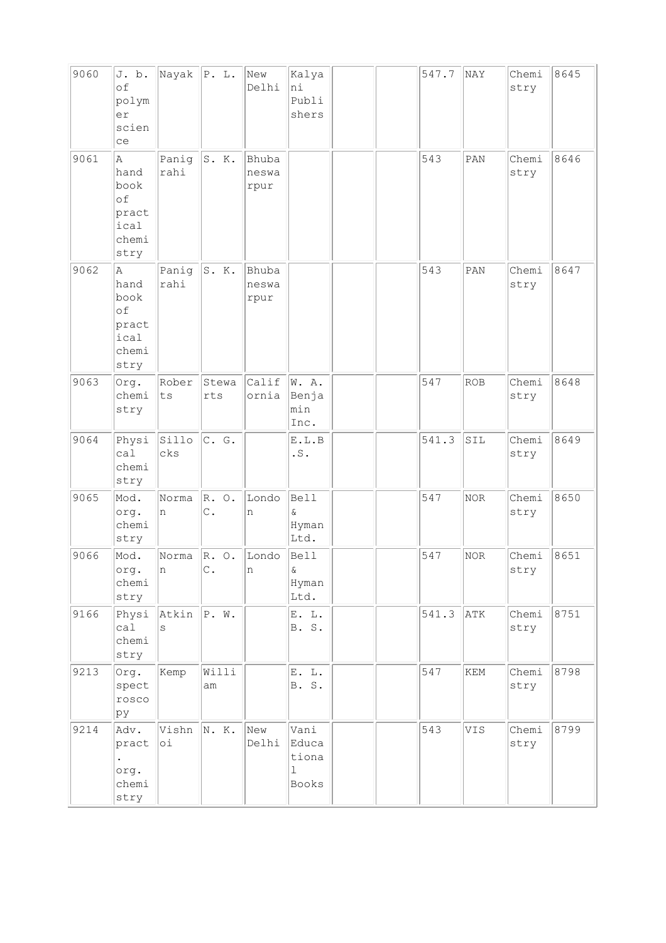| 9060 | J. b.<br>of<br>polym<br>er<br>scien<br>ce                 | Nayak P. L.         |                                    | New<br>Delhi           | Kalya<br>ni<br>Publi<br>shers            |  | 547.7 | NAY                         | Chemi<br>stry | 8645 |
|------|-----------------------------------------------------------|---------------------|------------------------------------|------------------------|------------------------------------------|--|-------|-----------------------------|---------------|------|
| 9061 | Α<br>hand<br>book<br>of<br>pract<br>ical<br>chemi<br>stry | Panig<br>rahi       | S. K.                              | Bhuba<br>neswa<br>rpur |                                          |  | 543   | PAN                         | Chemi<br>stry | 8646 |
| 9062 | Α<br>hand<br>book<br>of<br>pract<br>ical<br>chemi<br>stry | Panig<br>rahi       | S. K.                              | Bhuba<br>neswa<br>rpur |                                          |  | 543   | PAN                         | Chemi<br>stry | 8647 |
| 9063 | Org.<br>chemi<br>stry                                     | Rober<br>${\tt ts}$ | Stewa<br>rts                       | Calif<br>ornia         | W. A.<br>Benja<br>min<br>Inc.            |  | 547   | <b>ROB</b>                  | Chemi<br>stry | 8648 |
| 9064 | Physi<br>cal<br>chemi<br>stry                             | Sillo<br>cks        | C. G.                              |                        | E.L.B<br>$\cdot$ S .                     |  | 541.3 | SIL                         | Chemi<br>stry | 8649 |
| 9065 | Mod.<br>org.<br>chemi<br>stry                             | Norma<br>n          | R. O.<br>$\mathsf{C}$ .            | Londo<br>n             | <b>Bell</b><br>$\delta$<br>Hyman<br>Ltd. |  | 547   | NOR                         | Chemi<br>stry | 8650 |
| 9066 | Mod.<br>org.<br>chemi<br>stry                             | Norma<br> n         | $\mathbb{R}$ . O.<br>$\mathsf C$ . | Londo<br>n             | <b>Bell</b><br>$\delta$<br>Hyman<br>Ltd. |  | 547   | NOR                         | Chemi<br>stry | 8651 |
| 9166 | Physi<br>cal<br>chemi<br>stry                             | Atkin<br>S          | P. W.                              |                        | E. L.<br>B. S.                           |  | 541.3 | ATK                         | Chemi<br>stry | 8751 |
| 9213 | Org.<br>spect<br>rosco<br>ру                              | Kemp                | Willi<br>am                        |                        | E. L.<br>B. S.                           |  | 547   | $\mathop{\rm KEM}\nolimits$ | Chemi<br>stry | 8798 |
| 9214 | Adv.<br>pract<br>org.<br>chemi<br>stry                    | Vishn<br>оi         | N. K.                              | New<br>Delhi           | Vani<br>Educa<br>tiona<br>ı<br>Books     |  | 543   | VIS                         | Chemi<br>stry | 8799 |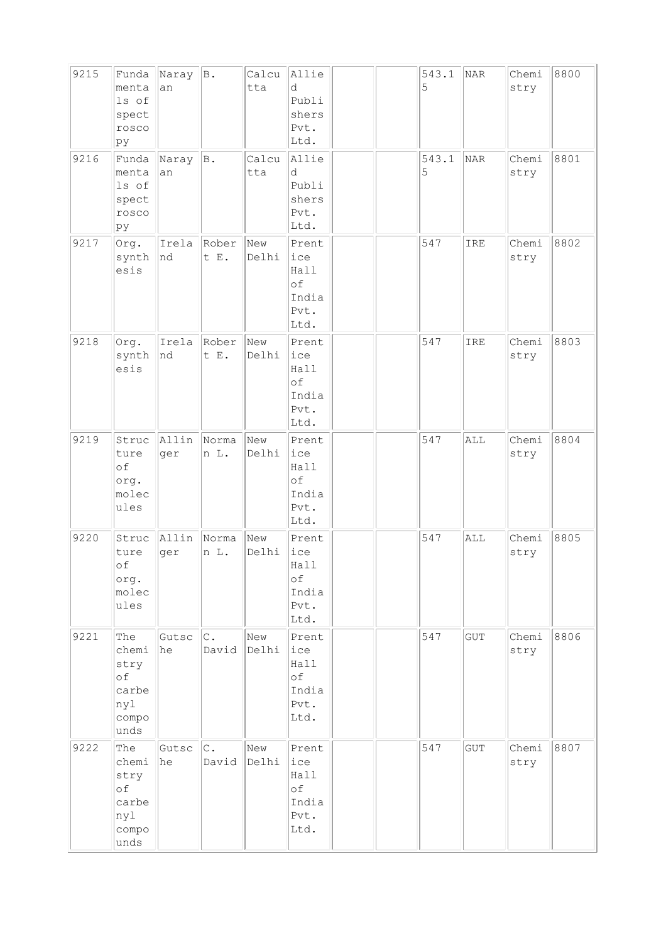| 9215 | Funda<br>menta<br>ls of<br>spect<br>rosco<br>þу             | Naray<br>an  | $\mathbb B$ .           | Calcu<br>tta | Allie<br>d<br>Publi<br>shers<br>Pvt.<br>Ltd.        |  | 543.1<br>5 | NAR                  | Chemi<br>stry | 8800 |
|------|-------------------------------------------------------------|--------------|-------------------------|--------------|-----------------------------------------------------|--|------------|----------------------|---------------|------|
| 9216 | Funda<br>menta<br>ls of<br>spect<br>rosco<br>þу             | Naray<br>an  | B.                      | Calcu<br>tta | Allie<br>d<br>Publi<br>shers<br>Pvt.<br>Ltd.        |  | 543.1<br>5 | NAR                  | Chemi<br>stry | 8801 |
| 9217 | Org.<br>synth<br>esis                                       | Irela<br>nd  | Rober<br>t E.           | New<br>Delhi | Prent<br>ice<br>Hall<br>of<br>India<br>Pvt.<br>Ltd. |  | 547        | IRE                  | Chemi<br>stry | 8802 |
| 9218 | Org.<br>synth<br>esis                                       | Irela<br>nd  | Rober<br>t E.           | New<br>Delhi | Prent<br>ice<br>Hall<br>of<br>India<br>Pvt.<br>Ltd. |  | 547        | IRE                  | Chemi<br>stry | 8803 |
| 9219 | Struc<br>ture<br>of<br>org.<br>molec<br>ules                | Allin<br>ger | Norma<br>n L.           | New<br>Delhi | Prent<br>ice<br>Hall<br>of<br>India<br>Pvt.<br>Ltd. |  | 547        | ALL                  | Chemi<br>stry | 8804 |
| 9220 | Struc<br>ture<br>of<br>org.<br>molec<br>ules                | Allin<br>ger | Norma<br>n L.           | New<br>Delhi | Prent<br>ice<br>Hall<br>оf<br>India<br>Pvt.<br>Ltd. |  | 547        | ALL                  | Chemi<br>stry | 8805 |
| 9221 | The<br>chemi<br>stry<br>of<br>carbe<br>nyl<br>compo<br>unds | Gutsc<br>he  | $\mathtt{C}$ .<br>David | New<br>Delhi | Prent<br>ice<br>Hall<br>оf<br>India<br>Pvt.<br>Ltd. |  | 547        | GUT                  | Chemi<br>stry | 8806 |
| 9222 | The<br>chemi<br>stry<br>оf<br>carbe<br>nyl<br>compo<br>unds | Gutsc<br>he  | $\mathbb{C}$ .<br>David | New<br>Delhi | Prent<br>ice<br>Hall<br>оf<br>India<br>Pvt.<br>Ltd. |  | 547        | $\operatorname{GUT}$ | Chemi<br>stry | 8807 |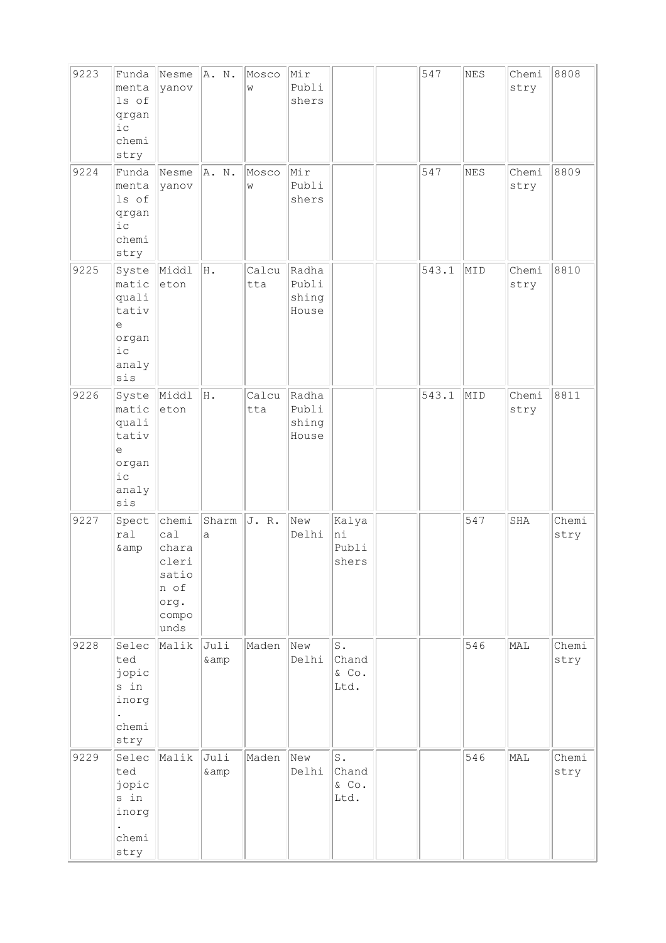| 9223 | Funda<br>menta<br>ls of<br>qrgan<br>$i$ c<br>chemi<br>stry                   | Nesme<br>yanov                                                           | A.N.          | Mosco<br>W   | Mir<br>Publi<br>shers            |                                             | 547   | NES | Chemi<br>stry | 8808          |
|------|------------------------------------------------------------------------------|--------------------------------------------------------------------------|---------------|--------------|----------------------------------|---------------------------------------------|-------|-----|---------------|---------------|
| 9224 | Funda<br>menta<br>ls of<br>qrgan<br>$i\,c$<br>chemi<br>stry                  | Nesme<br>yanov                                                           | A. N.         | Mosco<br>W   | Mir<br>Publi<br>shers            |                                             | 547   | NES | Chemi<br>stry | 8809          |
| 9225 | Syste<br>matic<br>quali<br>tativ<br>$\in$<br>organ<br>$i\,c$<br>analy<br>sis | Middl<br>eton                                                            | Η.            | Calcu<br>tta | Radha<br>Publi<br>shing<br>House |                                             | 543.1 | MID | Chemi<br>stry | 8810          |
| 9226 | Syste<br>matic<br>quali<br>tativ<br>e<br>organ<br>$i$ c<br>analy<br>sis      | Middl<br>eton                                                            | Η.            | Calcu<br>tta | Radha<br>Publi<br>shing<br>House |                                             | 543.1 | MID | Chemi<br>stry | 8811          |
| 9227 | Spect<br>ral<br>& amp                                                        | chemi<br>cal<br>chara<br>cleri<br>satio<br>n of<br>org.<br>compo<br>unds | Sharm<br>a    | J.R.         | New<br>Delhi                     | Kalya<br>hi<br>Publi<br>shers               |       | 547 | SHA           | Chemi<br>stry |
| 9228 | Selec<br>ted<br>jopic<br>s in<br>inorg<br>chemi<br>stry                      | Malik                                                                    | Juli<br>& amp | Maden        | New<br>Delhi                     | $\texttt{S}$ .<br>Chand<br>$\&$ Co.<br>Ltd. |       | 546 | MAL           | Chemi<br>stry |
| 9229 | Selec<br>ted<br>jopic<br>s in<br>inorg<br>chemi<br>stry                      | Malik                                                                    | Juli<br>& amp | Maden        | New<br>Delhi                     | $\mathtt{S}$ .<br>Chand<br>$\&$ Co.<br>Ltd. |       | 546 | MAL           | Chemi<br>stry |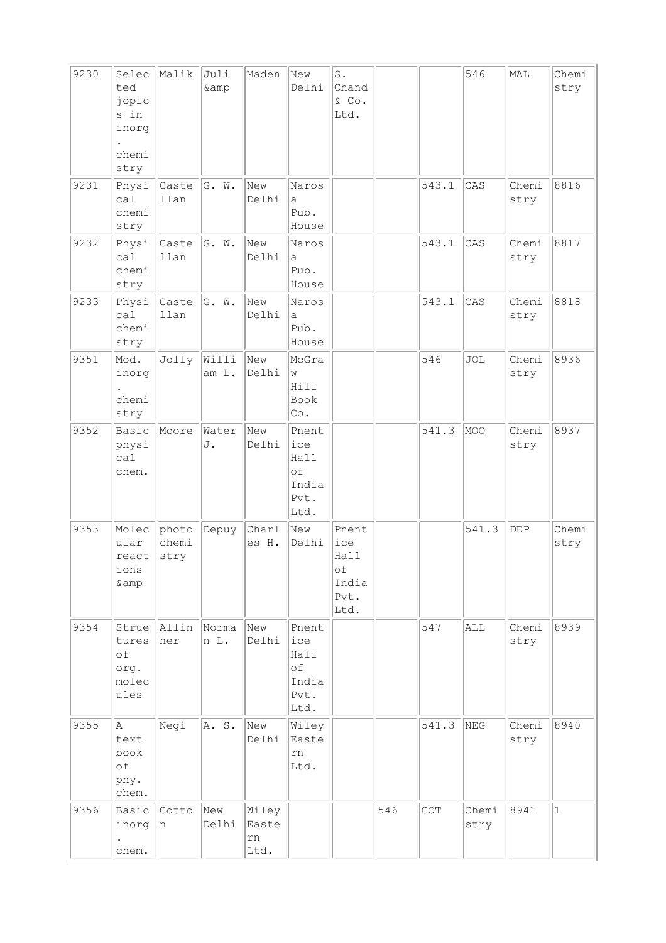| 9230 | Selec<br>ted<br>jopic<br>s in<br>inorg<br>chemi<br>stry | Malik                  | Juli<br>& amp  | Maden                        | New<br>Delhi                                        | $\mathbb S$ .<br>Chand<br>& Co.<br>Ltd.             |     |       | 546           | MAL           | Chemi<br>stry |
|------|---------------------------------------------------------|------------------------|----------------|------------------------------|-----------------------------------------------------|-----------------------------------------------------|-----|-------|---------------|---------------|---------------|
| 9231 | Physi<br>ca1<br>chemi<br>stry                           | Caste<br>llan          | G. W.          | New<br>Delhi                 | Naros<br>а<br>Pub.<br>House                         |                                                     |     | 543.1 | CAS           | Chemi<br>stry | 8816          |
| 9232 | Physi<br>ca1<br>chemi<br>stry                           | Caste<br>llan          | G. W.          | New<br>Delhi                 | Naros<br>a<br>Pub.<br>House                         |                                                     |     | 543.1 | CAS           | Chemi<br>stry | 8817          |
| 9233 | Physi<br>ca1<br>chemi<br>stry                           | Caste<br>llan          | G. W.          | New<br>Delhi                 | Naros<br>a<br>Pub.<br>House                         |                                                     |     | 543.1 | CAS           | Chemi<br>stry | 8818          |
| 9351 | Mod.<br>inorg<br>chemi<br>stry                          | Jolly                  | Willi<br>am L. | New<br>Delhi                 | McGra<br>W<br>Hill<br>Book<br>Co.                   |                                                     |     | 546   | JOL           | Chemi<br>stry | 8936          |
| 9352 | Basic<br>physi<br>cal<br>chem.                          | Moore                  | Water<br>J.    | New<br>Delhi                 | Pnent<br>ice<br>Hall<br>of<br>India<br>Pvt.<br>Ltd. |                                                     |     | 541.3 | MOO           | Chemi<br>stry | 8937          |
| 9353 | Molec<br>ular<br>react<br>ions<br>& amp                 | photo<br>chemi<br>stry | Depuy          | Charl<br>es H.               | New<br>Delhi                                        | Pnent<br>ice<br>Hall<br>оf<br>India<br>Pvt.<br>Ltd. |     |       | 541.3         | DEP           | Chemi<br>stry |
| 9354 | Strue<br>tures<br>of<br>org.<br>molec<br>ules           | Allin<br>her           | Norma<br>n L.  | New<br>Delhi                 | Pnent<br>ice<br>Hall<br>of<br>India<br>Pvt.<br>Ltd. |                                                     |     | 547   | ALL           | Chemi<br>stry | 8939          |
| 9355 | Α<br>text<br>book<br>of<br>phy.<br>chem.                | Negi                   | A. S.          | New<br>Delhi                 | Wiley<br>Easte<br>rn<br>Ltd.                        |                                                     |     | 541.3 | NEG           | Chemi<br>stry | 8940          |
| 9356 | Basic<br>inorg<br>chem.                                 | Cotto<br>n             | New<br>Delhi   | Wiley<br>Easte<br>rn<br>Ltd. |                                                     |                                                     | 546 | COT   | Chemi<br>stry | 8941          | $\mathbf{1}$  |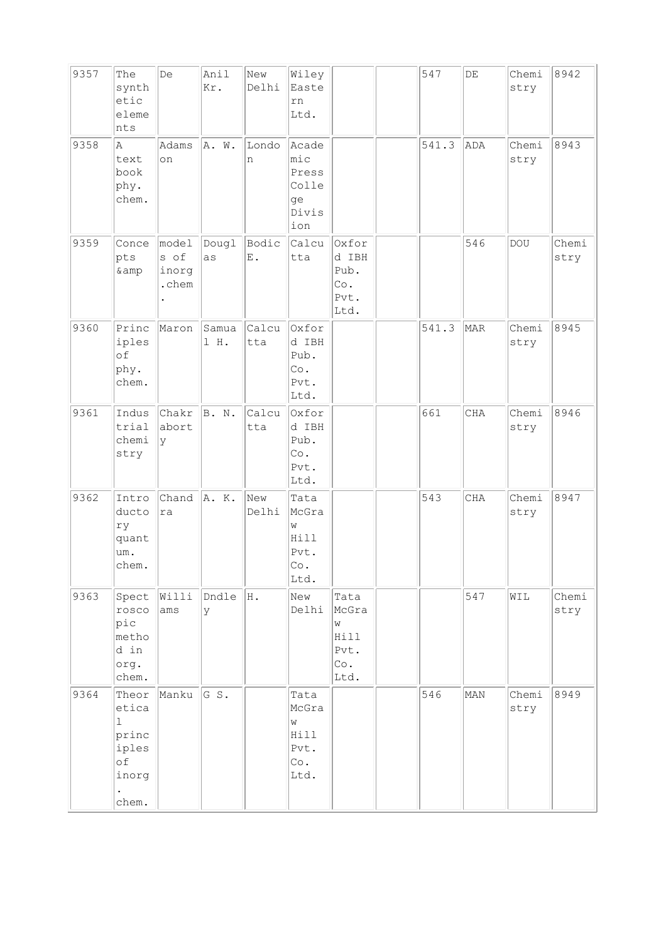| 9357 | The<br>synth<br>etic<br>eleme<br>nts                                     | De                              | Anil<br>Kr.   | New<br>Delhi | Wiley<br>Easte<br>rn<br>Ltd.                             |                                                   | 547   | $\rm{DE}$  | Chemi<br>stry | 8942          |
|------|--------------------------------------------------------------------------|---------------------------------|---------------|--------------|----------------------------------------------------------|---------------------------------------------------|-------|------------|---------------|---------------|
| 9358 | la.<br>text<br>book<br>phy.<br>chem.                                     | Adams<br>on                     | A. W.         | Londo<br>n   | Acade<br>$ $ mic<br>Press<br>Colle<br>ge<br>Divis<br>ion |                                                   | 541.3 | ADA        | Chemi<br>stry | 8943          |
| 9359 | Conce<br>pts<br>& amp                                                    | model<br>s of<br>inorg<br>.chem | Dougl<br>as   | Bodic<br>Ε.  | Calcu<br>tta                                             | Oxfor<br>d IBH<br>Pub.<br>Co.<br>Pvt.<br>Ltd.     |       | 546        | <b>DOU</b>    | Chemi<br>stry |
| 9360 | Princ<br>iples<br>of<br>phy.<br>chem.                                    | Maron                           | Samua<br>1 H. | Calcu<br>tta | Oxfor<br>d IBH<br>Pub.<br>Co.<br>Pvt.<br>Ltd.            |                                                   | 541.3 | MAR        | Chemi<br>stry | 8945          |
| 9361 | Indus<br>trial<br>chemi<br>stry                                          | Chakr<br>abort<br>У             | B. N.         | Calcu<br>tta | Oxfor<br>d IBH<br>Pub.<br>Co.<br>Pvt.<br>Ltd.            |                                                   | 661   | <b>CHA</b> | Chemi<br>stry | 8946          |
| 9362 | Intro<br>ducto<br>ry<br>quant<br>um.<br>chem.                            | Chand<br>ra                     | A. K.         | New<br>Delhi | Tata<br>McGra<br>W<br>Hill<br>Pvt.<br>Co.<br>Ltd.        |                                                   | 543   | CHA        | Chemi<br>stry | 8947          |
| 9363 | Spect<br>rosco<br>pic<br>metho<br>d in<br>org.<br>chem.                  | Willi<br>ams                    | Dndle<br>У    | H.           | New<br>Delhi                                             | Tata<br>McGra<br>W<br>Hill<br>Pvt.<br>Co.<br>Ltd. |       | 547        | WIL           | Chemi<br>stry |
| 9364 | Theor<br>etica<br>$\mathbf{1}$<br>princ<br>iples<br>оf<br>inorg<br>chem. | Manku                           | GS.           |              | Tata<br>McGra<br>W<br>Hill<br>Pvt.<br>Co.<br>Ltd.        |                                                   | 546   | MAN        | Chemi<br>stry | 8949          |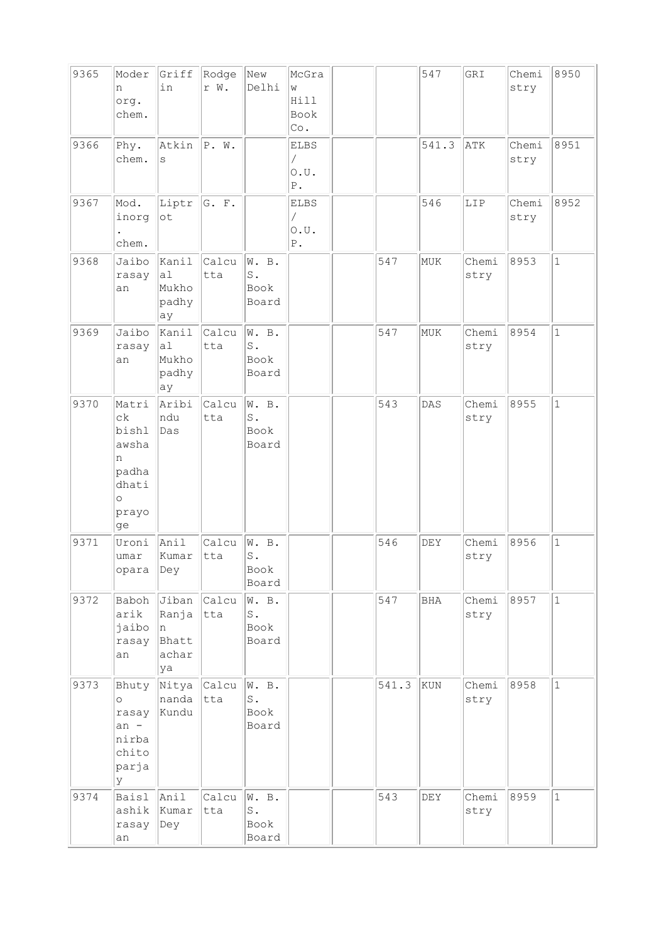| 9365 | Moder<br>n<br>org.<br>chem.                                                               | Griff<br>in                                   | Rodge<br>r W. | New<br>Delhi                                            | McGra<br>W<br>Hill<br>Book<br>Co.                    |       | 547        | GRI           | Chemi<br>stry | 8950         |
|------|-------------------------------------------------------------------------------------------|-----------------------------------------------|---------------|---------------------------------------------------------|------------------------------------------------------|-------|------------|---------------|---------------|--------------|
| 9366 | Phy.<br>chem.                                                                             | Atkin<br>S                                    | P. W.         |                                                         | <b>ELBS</b><br>T<br>0.0.<br>${\mathbb P}$ .          |       | 541.3      | ATK           | Chemi<br>stry | 8951         |
| 9367 | Mod.<br>inorg<br>chem.                                                                    | Liptr<br>$\circ t$                            | G. F.         |                                                         | <b>ELBS</b><br>$\sqrt{2}$<br>0.0.<br>${\mathbb P}$ . |       | 546        | LIP           | Chemi<br>stry | 8952         |
| 9368 | Jaibo<br>rasay<br>an                                                                      | Kanil<br>a1<br>Mukho<br>padhy<br>ay           | Calcu<br>tta  | W. B.<br>$\operatorname{\mathsf{S}}$ .<br>Book<br>Board |                                                      | 547   | MUK        | Chemi<br>stry | 8953          | $\mathbf{1}$ |
| 9369 | Jaibo<br>rasay<br>an                                                                      | Kanil<br>al<br>Mukho<br>padhy<br>ay           | Calcu<br>tta  | W. B.<br>$\texttt{S}$ .<br>Book<br>Board                |                                                      | 547   | MUK        | Chemi<br>stry | 8954          | $\mathbf{1}$ |
| 9370 | Matri<br>$c\mathbf{k}$<br>bishl<br>awsha<br>n<br>padha<br>dhati<br>$\circ$<br>prayo<br>ge | Aribi<br>ndu<br>Das                           | Calcu<br>tta  | W. B.<br>$\mathtt{S}$ .<br>Book<br>Board                |                                                      | 543   | DAS        | Chemi<br>stry | 8955          | $\mathbf 1$  |
| 9371 | Uroni<br>umar<br>opara                                                                    | Anil<br>Kumar<br>Dey                          | Calcu<br>tta  | W. B.<br>$S$ .<br>Book<br>Board                         |                                                      | 546   | DEY        | Chemi<br>stry | 8956          | $\mathbf{1}$ |
| 9372 | Baboh<br>arik<br>jaibo<br>rasay<br>an                                                     | Jiban<br>Ranja<br>In.<br>Bhatt<br>achar<br>ya | Calcu<br>tta  | W. B.<br>$\operatorname{\mathsf{S}}$ .<br>Book<br>Board |                                                      | 547   | <b>BHA</b> | Chemi<br>stry | 8957          | $\vert$ 1    |
| 9373 | Bhuty<br>$\circ$<br>rasay<br>$an -$<br>nirba<br>chito<br>parja<br>lУ                      | Nitya<br>nanda<br>Kundu                       | Calcu<br>tta  | W. B.<br>$\operatorname{\mathsf{S}}$ .<br>Book<br>Board |                                                      | 541.3 | KUN        | Chemi<br>stry | 8958          | $\mathbf{1}$ |
| 9374 | Baisl<br>ashik<br>rasay<br>an                                                             | Anil<br>Kumar<br>Dey                          | Calcu<br>tta  | W. B.<br>${\tt S}$ .<br>Book<br>Board                   |                                                      | 543   | DEY        | Chemi<br>stry | 8959          | $\mathbf{1}$ |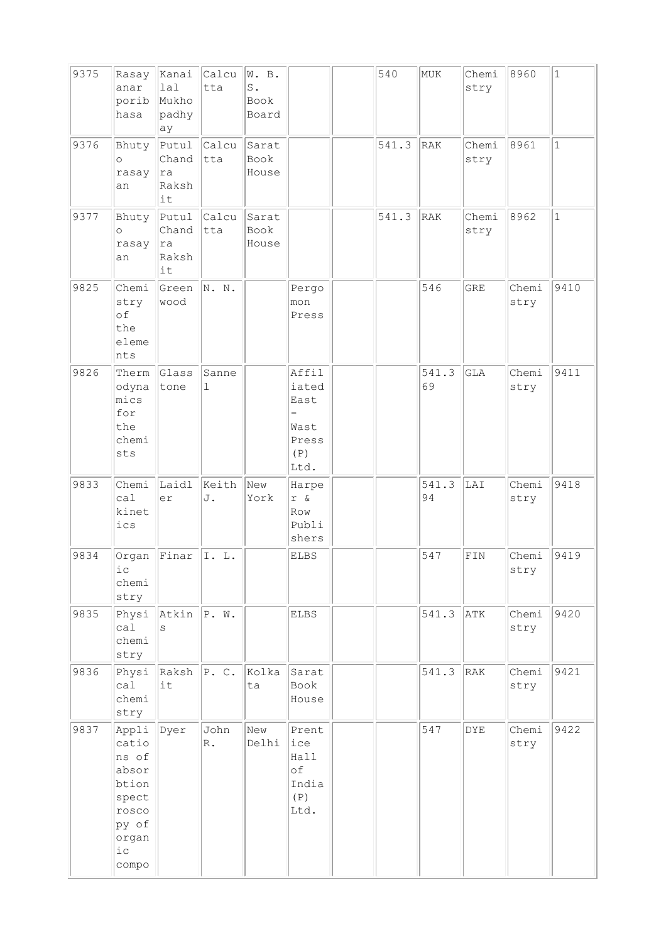| 9375 | Rasay<br>anar<br>porib<br>hasa                                                                   | Kanai<br>lal<br>Mukho<br>padhy<br> ay   | Calcu<br>tta           | W. B.<br>$\texttt{S}$ .<br>Book<br>Board |                                                        | 540   | MUK         | Chemi<br>stry | 8960          | $\mathbf{1}$ |
|------|--------------------------------------------------------------------------------------------------|-----------------------------------------|------------------------|------------------------------------------|--------------------------------------------------------|-------|-------------|---------------|---------------|--------------|
| 9376 | Bhuty<br>$\circ$<br>rasay<br>an                                                                  | Putul<br>Chand<br>ra<br>Raksh<br>it     | Calcu<br>tta           | Sarat<br>Book<br>House                   |                                                        | 541.3 | RAK         | Chemi<br>stry | 8961          | $\mathbf{1}$ |
| 9377 | Bhuty<br>$\circ$<br>rasay<br>an                                                                  | Putul<br>Chand<br>ra<br>Raksh<br>it     | Calcu<br>tta           | Sarat<br>Book<br>House                   |                                                        | 541.3 | RAK         | Chemi<br>stry | 8962          | $\mathbf{1}$ |
| 9825 | Chemi<br>stry<br>of<br>the<br>eleme<br>nts                                                       | Green<br>wood                           | N. N.                  |                                          | Pergo<br>mon<br>Press                                  |       | 546         | <b>GRE</b>    | Chemi<br>stry | 9410         |
| 9826 | Therm<br>odyna<br>mics<br>for<br>the<br>chemi<br>sts                                             | Glass<br>tone                           | Sanne<br>1             |                                          | Affil<br>iated<br>East<br>Wast<br>Press<br>(P)<br>Ltd. |       | 541.3<br>69 | <b>GLA</b>    | Chemi<br>stry | 9411         |
| 9833 | Chemi<br>ca1<br>kinet<br>ics                                                                     | Laidl<br>er                             | Keith<br>J.            | New<br>York                              | Harpe<br>r &<br>Row<br>Publi<br>shers                  |       | 541.3<br>94 | LAI           | Chemi<br>stry | 9418         |
| 9834 | Organ<br>1C<br>chemi<br>stry                                                                     | Finar                                   | I. L.                  |                                          | <b>ELBS</b>                                            |       | 547         | FIN           | Chemi<br>stry | 9419         |
| 9835 | Physi<br>ca1<br>chemi<br>stry                                                                    | $\lambda$ tkin $\Vert P. W. \Vert$<br>S |                        |                                          | ELBS                                                   |       | 541.3       | ATK           | Chemi<br>stry | 9420         |
| 9836 | Physi<br>cal<br>chemi<br>stry                                                                    | $Raksh$ $P. C.$<br>it                   |                        | Kolka<br>ta                              | Sarat<br>Book<br>House                                 |       | 541.3       | RAK           | Chemi<br>stry | 9421         |
| 9837 | Appli<br>catio<br>ns of<br>absor<br>btion<br>spect<br>rosco<br>py of<br>organ<br>$i\,c$<br>compo | Dyer                                    | John<br>$\mathbb{R}$ . | New<br>Delhi                             | Prent<br>lice<br>Hall<br>оf<br>India<br>(P)<br>Ltd.    |       | 547         | <b>DYE</b>    | Chemi<br>stry | 9422         |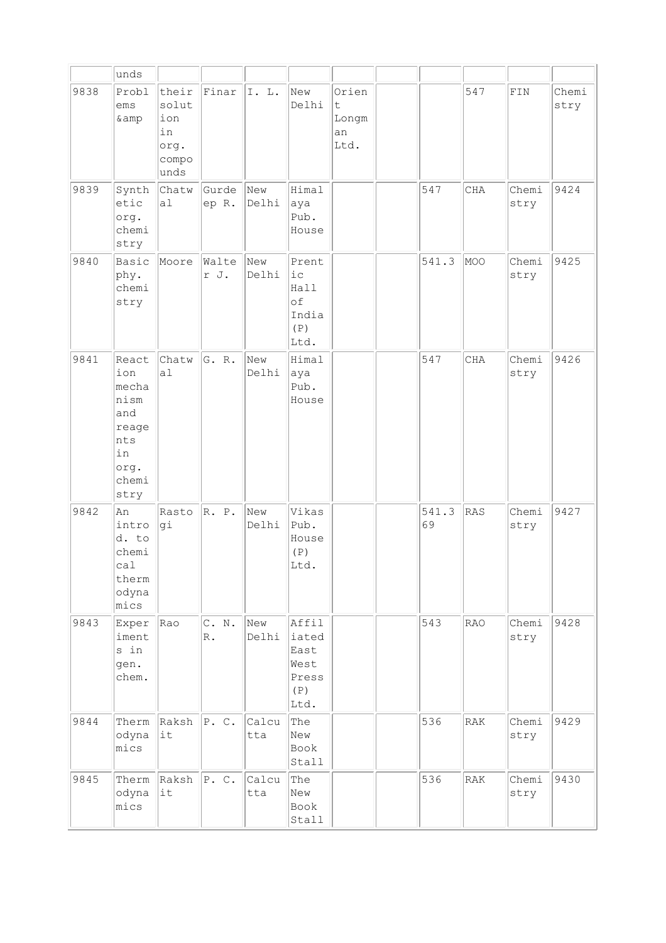|      | unds                                                                                |                                                      |                         |              |                                                        |                                   |             |            |                |               |
|------|-------------------------------------------------------------------------------------|------------------------------------------------------|-------------------------|--------------|--------------------------------------------------------|-----------------------------------|-------------|------------|----------------|---------------|
| 9838 | Probl<br>ems<br>&                                                                   | their<br>solut<br>ion<br>in<br>org.<br>compo<br>unds | Finar                   | I. L.        | New<br>Delhi                                           | Orien<br>t<br>Longm<br>an<br>Ltd. |             | 547        | $\texttt{FIN}$ | Chemi<br>stry |
| 9839 | Synth<br>etic<br>org.<br>chemi<br>stry                                              | Chatw<br>a1                                          | Gurde<br>ep R.          | New<br>Delhi | Himal<br>aya<br>Pub.<br>House                          |                                   | 547         | CHA        | Chemi<br>stry  | 9424          |
| 9840 | Basic<br>phy.<br>chemi<br>stry                                                      | Moore                                                | Walte<br>r J.           | New<br>Delhi | Prent<br>ic<br>Hall<br>of<br>India<br>(P)<br>Ltd.      |                                   | 541.3       | MOO        | Chemi<br>stry  | 9425          |
| 9841 | React<br>ion<br>mecha<br>nism<br>and<br>reage<br>nts<br>in<br>org.<br>chemi<br>stry | Chatw<br>a1                                          | G. R.                   | New<br>Delhi | Himal<br>aya<br>Pub.<br>House                          |                                   | 547         | CHA        | Chemi<br>stry  | 9426          |
| 9842 | An<br>intro<br>d. to<br>chemi<br>ca1<br>therm<br>odyna<br>mics                      | Rasto<br>gi                                          | R. P.                   | New<br>Delhi | Vikas<br>Pub.<br>House<br>(P)<br>Ltd.                  |                                   | 541.3<br>69 | <b>RAS</b> | Chemi<br>stry  | 9427          |
| 9843 | Exper<br>iment<br>s in<br>gen.<br>chem.                                             | Rao                                                  | C. N.<br>$\mathbb{R}$ . | New<br>Delhi | Affil<br>iated<br>East<br>West<br>Press<br>(P)<br>Ltd. |                                   | 543         | <b>RAO</b> | Chemi<br>stry  | 9428          |
| 9844 | Therm<br>odyna<br>mics                                                              | Raksh<br>lit                                         | P. C.                   | Calcu<br>tta | The<br>New<br>Book<br>Stall                            |                                   | 536         | RAK        | Chemi<br>stry  | 9429          |
| 9845 | Therm<br>odyna<br>mics                                                              | $Raksh$ $P. C.$<br>it                                |                         | Calcu<br>tta | The<br>New<br>Book<br>Stall                            |                                   | 536         | RAK        | Chemi<br>stry  | 9430          |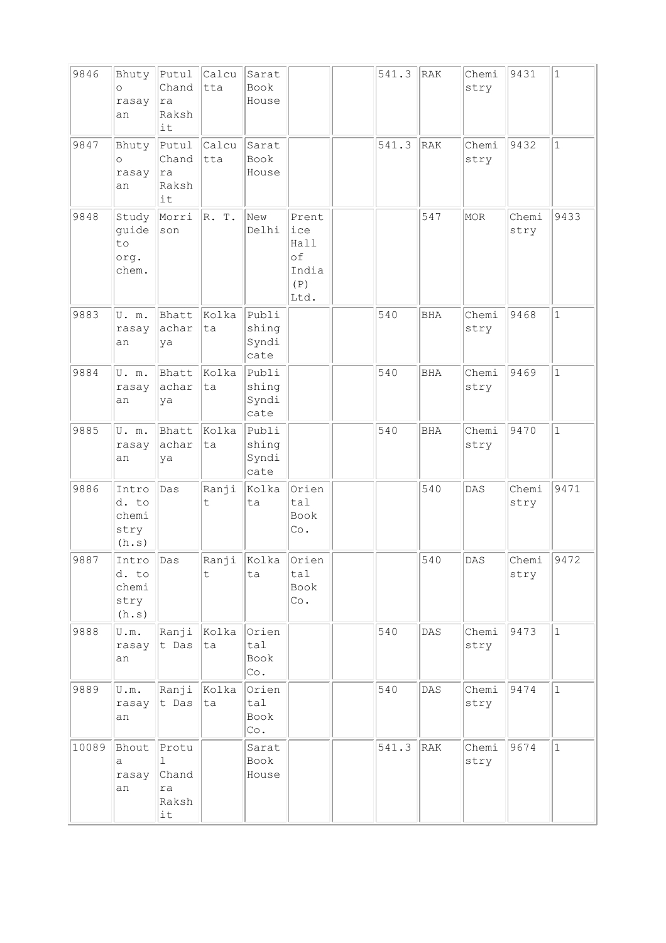| 9846  | Bhuty<br>$\circ$<br>rasay<br>an              | Putul<br>Chand<br>ra<br>Raksh<br>it                 | Calcu<br>tta     | Sarat<br>Book<br>House          |                                                    | 541.3 | RAK            | Chemi<br>stry | 9431          | $1\,$        |
|-------|----------------------------------------------|-----------------------------------------------------|------------------|---------------------------------|----------------------------------------------------|-------|----------------|---------------|---------------|--------------|
| 9847  | Bhuty<br>$\circ$<br>rasay<br>an              | Putul<br>Chand<br>ra<br>Raksh<br>it                 | Calcu<br>tta     | Sarat<br>Book<br>House          |                                                    | 541.3 | RAK            | Chemi<br>stry | 9432          | $\mathbf 1$  |
| 9848  | Study<br>guide<br>to<br>org.<br>chem.        | Morri<br>son                                        | R. T.            | New<br>Delhi                    | Prent<br>ice<br>Hall<br>of<br>India<br>(P)<br>Ltd. |       | 547            | MOR           | Chemi<br>stry | 9433         |
| 9883  | U.m.<br>rasay<br>an                          | Bhatt<br>achar<br>ya                                | Kolka<br>ta      | Publi<br>shing<br>Syndi<br>cate |                                                    | 540   | <b>BHA</b>     | Chemi<br>stry | 9468          | $\mathbf{1}$ |
| 9884  | U. m.<br>rasay<br>an                         | Bhatt<br>achar<br>ya                                | Kolka<br>ta      | Publi<br>shing<br>Syndi<br>cate |                                                    | 540   | <b>BHA</b>     | Chemi<br>stry | 9469          | $\mathbf{1}$ |
| 9885  | U.m.<br>rasay<br>an                          | Bhatt<br>achar<br>ya                                | Kolka<br>ta      | Publi<br>shing<br>Syndi<br>cate |                                                    | 540   | <b>BHA</b>     | Chemi<br>stry | 9470          | $\mathbf{1}$ |
| 9886  | Intro<br>d. to<br>chemi<br>stry<br>(h.s)     | Das                                                 | Ranji<br>t       | Kolka<br>ta                     | Orien<br>tal<br>Book<br>Co.                        |       | 540            | DAS           | Chemi<br>stry | 9471         |
| 9887  | Intro<br>d. to<br>chemi<br>stry<br>(h.s)     | Das                                                 | Ranji<br>$\sf t$ | Kolka<br>ta                     | Orien<br>tal<br>Book<br>$\circ$ .                  |       | 540            | DAS           | Chemi<br>stry | 9472         |
| 9888  | $\mathtt{U}$ . $\mathtt{m}$ .<br>rasay<br>an | Ranji<br>t Das                                      | Kolka<br>ta      | Orien<br>tal<br>Book<br>Co.     |                                                    | 540   | $\mathtt{DAS}$ | Chemi<br>stry | 9473          | $\mathbf{1}$ |
| 9889  | U.m.<br>rasay<br>an                          | Ranji<br>t Das                                      | Kolka<br>ta      | Orien<br>tal<br>Book<br>Co.     |                                                    | 540   | $\mathtt{DAS}$ | Chemi<br>stry | 9474          | $\mathbf{1}$ |
| 10089 | Bhout<br>а<br>rasay<br>an                    | Protu<br>$\mathbb{I}$<br>Chand<br>ra<br>Raksh<br>it |                  | Sarat<br>Book<br>House          |                                                    | 541.3 | RAK            | Chemi<br>stry | 9674          | $1\,$        |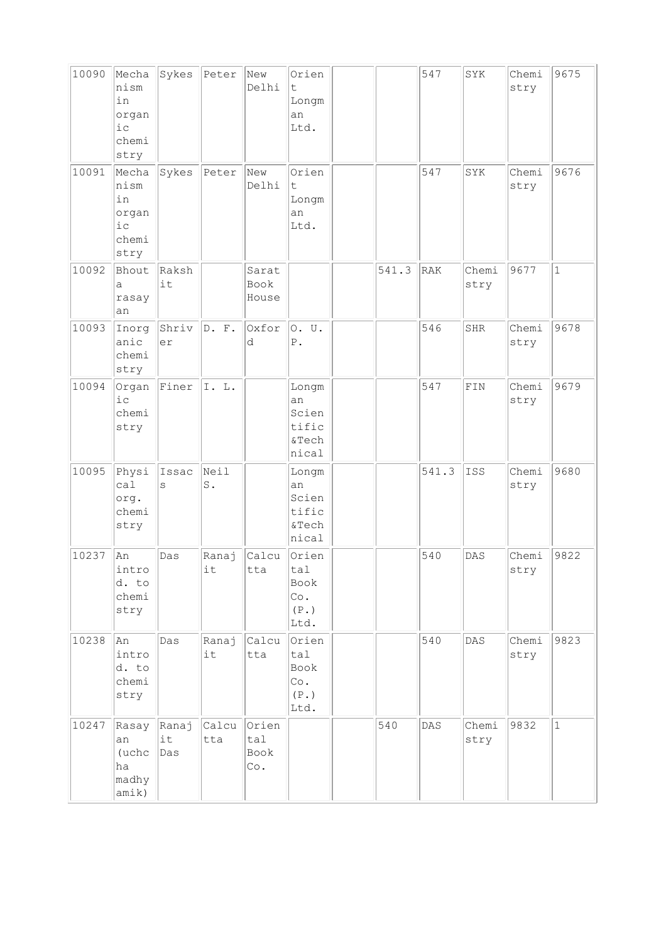| 10090 | Mecha<br>nism<br>in<br>organ<br>i c<br>chemi<br>stry   | Sykes              | Peter                  | New<br>Delhi                                | Orien<br>t.<br>Longm<br>an<br>Ltd.                          |       | 547   | SYK           | Chemi<br>stry | 9675         |
|-------|--------------------------------------------------------|--------------------|------------------------|---------------------------------------------|-------------------------------------------------------------|-------|-------|---------------|---------------|--------------|
| 10091 | Mecha<br>nism<br>in<br>organ<br>$i$ c<br>chemi<br>stry | Sykes              | Peter                  | New<br>Delhi                                | Orien<br>t<br>Longm<br>an<br>Ltd.                           |       | 547   | SYK           | Chemi<br>stry | 9676         |
| 10092 | Bhout<br>a<br>rasay<br>an                              | Raksh<br>it        |                        | Sarat<br>Book<br>House                      |                                                             | 541.3 | RAK   | Chemi<br>stry | 9677          | $\mathbf{1}$ |
| 10093 | Inorg<br>anic<br>chemi<br>stry                         | Shriv<br>er        | D. F.                  | Oxfor<br>d                                  | 0. U.<br>${\tt P}$ .                                        |       | 546   | SHR           | Chemi<br>stry | 9678         |
| 10094 | Organ<br>$i$ c<br>chemi<br>stry                        | Finer              | I. L.                  |                                             | Longm<br>an<br>Scien<br>tific<br>&Tech<br>nical             |       | 547   | FIN           | Chemi<br>stry | 9679         |
| 10095 | Physi<br>ca1<br>org.<br>chemi<br>stry                  | Issac<br>S         | Neil<br>$\texttt{S}$ . |                                             | Longm<br>an<br>Scien<br>tific<br>&Tech<br>nical             |       | 541.3 | ISS           | Chemi<br>stry | 9680         |
| 10237 | An<br>intro<br>d. to<br>chemi<br>stry                  | Das                | Ranaj<br>it            | Calcu<br>tta                                | Orien<br>tal<br>Book<br>Co.<br>(P. )<br>Ltd.                |       | 540   | DAS           | Chemi<br>stry | 9822         |
| 10238 | An<br>intro<br>d. to<br>chemi<br>stry                  | Das                | Ranaj<br>it            | Calcu<br>tta                                | Orien<br>tal<br>Book<br>Co.<br>$(\mathbb{P}\, .\,)$<br>Ltd. |       | 540   | DAS           | Chemi<br>stry | 9823         |
| 10247 | Rasay<br>an<br>(uchc<br>ha<br>madhy<br>amik)           | Ranaj<br>it<br>Das | Calcu<br>tta           | Orien<br>tal<br>Book<br>$\mathbb{C}\circ$ . |                                                             | 540   | DAS   | Chemi<br>stry | 9832          | $\mathbf{1}$ |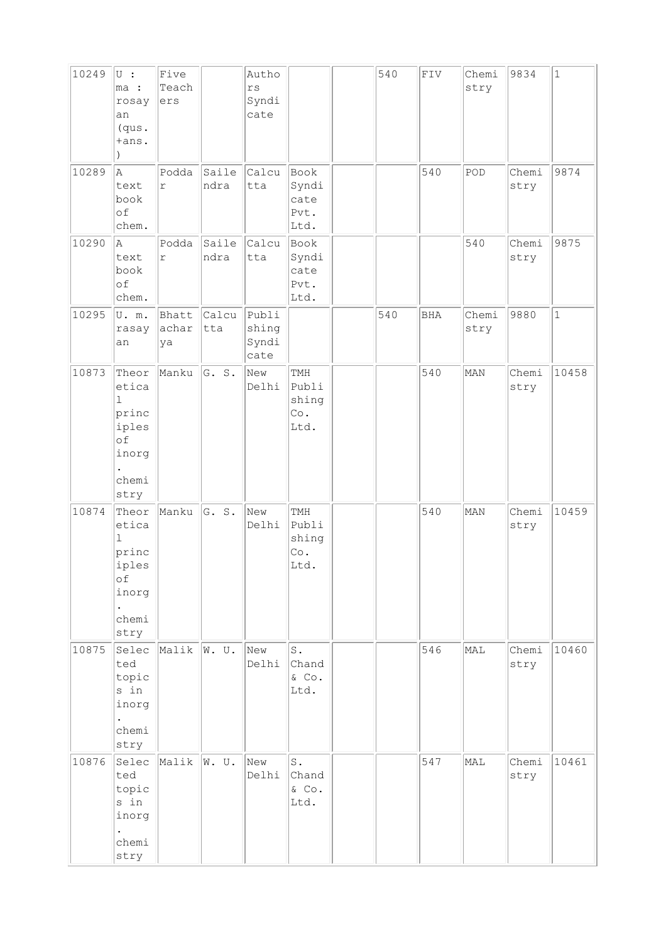| 10249 | $ U $ :<br>ma :<br>rosay<br>an<br>(qus.<br>+ans.                                 | Five<br>Teach<br>ers |               | Autho<br>$r\,s$<br>Syndi<br>cate |                                          | 540 | ${\tt FIV}$ | Chemi<br>stry | 9834          | $\vert$ 1    |
|-------|----------------------------------------------------------------------------------|----------------------|---------------|----------------------------------|------------------------------------------|-----|-------------|---------------|---------------|--------------|
| 10289 | la.<br>text<br>book<br>of<br>chem.                                               | Podda<br>r           | Saile<br>ndra | Calcu<br>tta                     | Book<br>Syndi<br>cate<br>Pvt.<br>Ltd.    |     | 540         | POD           | Chemi<br>stry | 9874         |
| 10290 | A<br>text<br>book<br>of<br>chem.                                                 | Podda<br>$\Upsilon$  | Saile<br>ndra | Calcu<br>tta                     | Book<br>Syndi<br>cate<br>Pvt.<br>Ltd.    |     |             | 540           | Chemi<br>stry | 9875         |
| 10295 | U.m.<br>rasay<br>an                                                              | Bhatt<br>achar<br>ya | Calcu<br>tta  | Publi<br>shing<br>Syndi<br>cate  |                                          | 540 | <b>BHA</b>  | Chemi<br>stry | 9880          | $\mathbf{1}$ |
| 10873 | Theor<br>etica<br>$\mathbf 1$<br>princ<br>iples<br>of<br>inorg<br>chemi<br>stry  | Manku                | G. s.         | New<br>Delhi                     | TMH<br>Publi<br>shing<br>Co.<br>Ltd.     |     | 540         | MAN           | Chemi<br>stry | 10458        |
| 10874 | Theor<br>etica<br>$\mathbf{1}$<br>princ<br>iples<br>оf<br>inorg<br>chemi<br>stry | Manku                | G. S.         | New<br>Delhi                     | TMH<br>Publi<br>shing<br>Co.<br>Ltd.     |     | 540         | MAN           | Chemi<br>stry | 10459        |
| 10875 | Selec<br>ted<br>topic<br>s in<br>inorg<br>chemi<br>stry                          | Malik                | W. U.         | New<br>Delhi                     | $\mathtt{S}$ .<br>Chand<br>& Co.<br>Ltd. |     | 546         | MAL           | Chemi<br>stry | 10460        |
| 10876 | Selec<br>ted<br>topic<br>s in<br>inorg<br>chemi<br>stry                          | Malik                | W. U.         | New<br>Delhi                     | $\mathtt{S}$ .<br>Chand<br>& Co.<br>Ltd. |     | 547         | MAL           | Chemi<br>stry | 10461        |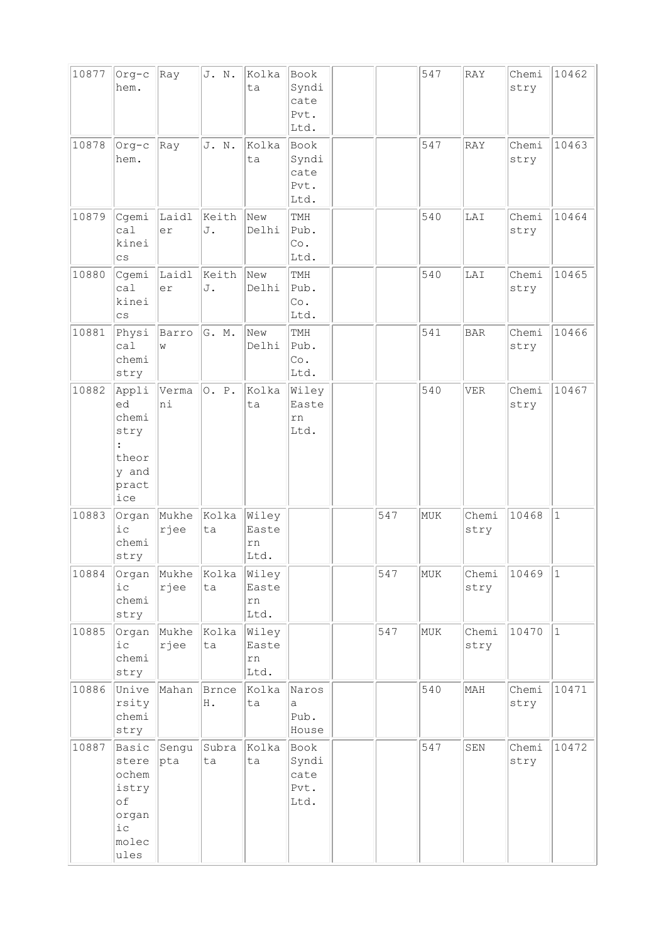| 10877 | Org-c                                                                            | Ray           | J. N.       | Kolka                        | Book                                  |     | 547 | RAY           | Chemi         | 10462        |
|-------|----------------------------------------------------------------------------------|---------------|-------------|------------------------------|---------------------------------------|-----|-----|---------------|---------------|--------------|
|       | hem.                                                                             |               |             | ta                           | Syndi<br>cate<br>Pvt.<br>Ltd.         |     |     |               | stry          |              |
| 10878 | Org-c<br>hem.                                                                    | Ray           | J. N.       | Kolka<br>ta                  | Book<br>Syndi<br>cate<br>Pvt.<br>Ltd. |     | 547 | RAY           | Chemi<br>stry | 10463        |
| 10879 | Cgemi<br>ca1<br>kinei<br>$\mathsf{cs}$                                           | Laidl<br>er   | Keith<br>J. | New<br>Delhi                 | TMH<br>Pub.<br>Co.<br>Ltd.            |     | 540 | LAI           | Chemi<br>stry | 10464        |
| 10880 | Cgemi<br>ca1<br>kinei<br>$\mathsf{cs}$                                           | Laidl<br>er   | Keith<br>J. | New<br>Delhi                 | TMH<br>Pub.<br>Co.<br>Ltd.            |     | 540 | LAI           | Chemi<br>stry | 10465        |
| 10881 | Physi<br>ca1<br>chemi<br>stry                                                    | Barro<br>W    | G. M.       | New<br>Delhi                 | TMH<br>Pub.<br>Co.<br>Ltd.            |     | 541 | <b>BAR</b>    | Chemi<br>stry | 10466        |
| 10882 | Appli<br>ed<br>chemi<br>stry<br>$\ddot{\cdot}$<br>theor<br>y and<br>pract<br>ice | Verma<br>ni   | O. P.       | Kolka<br>ta                  | Wiley<br>Easte<br>rn<br>Ltd.          |     | 540 | <b>VER</b>    | Chemi<br>stry | 10467        |
| 10883 | Organ<br>$i\,c$<br>chemi<br>stry                                                 | Mukhe<br>rjee | Kolka<br>ta | Wiley<br>Easte<br>rn<br>Ltd. |                                       | 547 | MUK | Chemi<br>stry | 10468         | $\mathbf{1}$ |
| 10884 | Organ<br>i c<br>chemi<br>stry                                                    | Mukhe<br>rjee | Kolka<br>ta | Wiley<br>Easte<br>rn<br>Ltd. |                                       | 547 | MUK | Chemi<br>stry | 10469         | $\vert$ 1    |
| 10885 | Organ<br>$i$ c<br>chemi<br>stry                                                  | Mukhe<br>rjee | Kolka<br>ta | Wiley<br>Easte<br>rn<br>Ltd. |                                       | 547 | MUK | Chemi<br>stry | 10470         | $\mathbf{1}$ |
| 10886 | Unive<br>rsity<br>chemi<br>stry                                                  | Mahan         | Brnce<br>Η. | Kolka<br>ta                  | Naros<br>а<br>Pub.<br>House           |     | 540 | MAH           | Chemi<br>stry | 10471        |
| 10887 | Basic<br>stere<br>ochem<br>istry<br>of<br>organ<br>i c<br>molec<br>ules          | Sengu<br>pta  | Subra<br>ta | Kolka<br>ta                  | Book<br>Syndi<br>cate<br>Pvt.<br>Ltd. |     | 547 | SEN           | Chemi<br>stry | 10472        |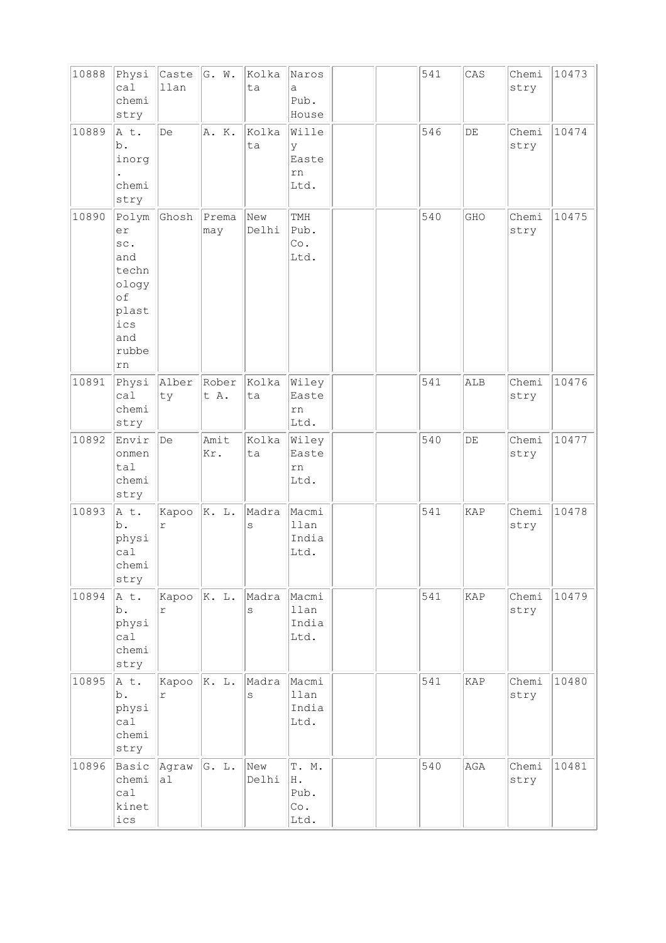| 10888 | Physi<br>ca1<br>chemi<br>stry                                                           | Caste<br>llan | G. W.         | Kolka<br>ta  | Naros<br>$\mathsf{a}$<br>Pub.<br>House |  | 541 | CAS       | Chemi<br>stry | 10473 |
|-------|-----------------------------------------------------------------------------------------|---------------|---------------|--------------|----------------------------------------|--|-----|-----------|---------------|-------|
| 10889 | A t.<br>b.<br>inorg<br>chemi<br>stry                                                    | De            | A. K.         | Kolka<br>ta  | Wille<br>У<br>Easte<br>rn<br>Ltd.      |  | 546 | $\rm{DE}$ | Chemi<br>stry | 10474 |
| 10890 | Polym<br>er<br>SC.<br>and<br>techn<br>ology<br>of<br>plast<br>ics<br>and<br>rubbe<br>rn | Ghosh         | Prema<br>may  | New<br>Delhi | TMH<br>Pub.<br>Co.<br>Ltd.             |  | 540 | GHO       | Chemi<br>stry | 10475 |
| 10891 | Physi<br>ca1<br>chemi<br>stry                                                           | Alber<br>ty   | Rober<br>t A. | Kolka<br>ta  | Wiley<br>Easte<br>rn<br>Ltd.           |  | 541 | ALB       | Chemi<br>stry | 10476 |
| 10892 | Envir<br>onmen<br>tal<br>chemi<br>stry                                                  | De            | Amit<br>Kr.   | Kolka<br>ta  | Wiley<br>Easte<br>rn<br>Ltd.           |  | 540 | $\rm{DE}$ | Chemi<br>stry | 10477 |
| 10893 | A t.<br>b.<br>physi<br>ca1<br>chemi<br>stry                                             | Kapoo<br>r    | K. L.         | Madra<br>S   | Macmi<br>llan<br>India<br>Ltd.         |  | 541 | KAP       | Chemi<br>stry | 10478 |
| 10894 | A t.<br>b.<br>physi<br>cal<br>chemi<br>stry                                             | Kapoo<br>r    | K. L.         | Madra<br>S   | Macmi<br>llan<br>India<br>Ltd.         |  | 541 | KAP       | Chemi<br>stry | 10479 |
| 10895 | A t.<br>b.<br>physi<br>cal<br>chemi<br>stry                                             | Kapoo<br>r    | K. L.         | Madra<br>S   | Macmi<br>llan<br>India<br>Ltd.         |  | 541 | KAP       | Chemi<br>stry | 10480 |
| 10896 | Basic<br>chemi<br>cal<br>kinet<br>$ics$                                                 | Agraw<br>al   | G. L.         | New<br>Delhi | T. M.<br>Η.<br>Pub.<br>Co.<br>Ltd.     |  | 540 | AGA       | Chemi<br>stry | 10481 |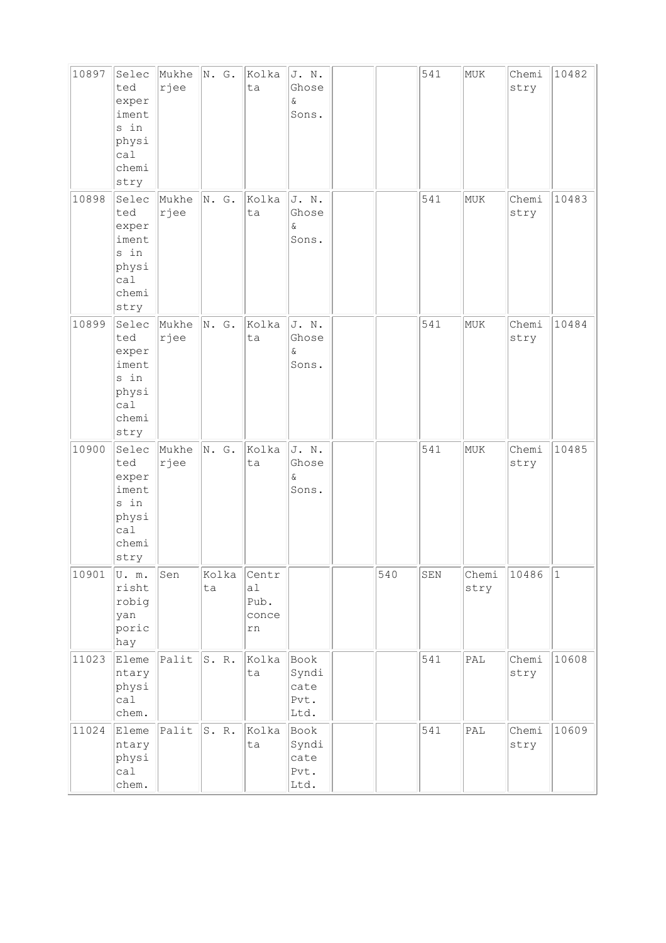| 10897 | Selec<br>ted<br>exper<br>iment<br>s in<br>physi<br>ca1<br>chemi<br>stry | Mukhe<br>rjee | N. G.         | Kolka<br>ta                        | J. N.<br>Ghose<br>$\delta$<br>Sons.   |     | 541 | MUK            | Chemi<br>stry | 10482 |
|-------|-------------------------------------------------------------------------|---------------|---------------|------------------------------------|---------------------------------------|-----|-----|----------------|---------------|-------|
| 10898 | Selec<br>ted<br>exper<br>iment<br>s in<br>physi<br>cal<br>chemi<br>stry | Mukhe<br>rjee | N. G.         | Kolka<br>ta                        | J. N.<br>Ghose<br>$\delta$<br>Sons.   |     | 541 | MUK            | Chemi<br>stry | 10483 |
| 10899 | Selec<br>ted<br>exper<br>iment<br>s in<br>physi<br>ca1<br>chemi<br>stry | Mukhe<br>rjee | $\vert N.$ G. | Kolka<br>ta                        | J. N.<br>Ghose<br>$\delta$<br>Sons.   |     | 541 | MUK            | Chemi<br>stry | 10484 |
| 10900 | Selec<br>ted<br>exper<br>iment<br>s in<br>physi<br>ca1<br>chemi<br>stry | Mukhe<br>rjee | N. G.         | Kolka<br>ta                        | J. N.<br>Ghose<br>$\delta$<br>Sons.   |     | 541 | MUK            | Chemi<br>stry | 10485 |
| 10901 | U.m.<br>risht<br>robig<br>yan<br>poric<br>hay                           | Sen           | Kolka<br>ta   | Centr<br>a1<br>Pub.<br>conce<br>rn |                                       | 540 | SEN | Chemi<br>stry  | 10486         | 1     |
| 11023 | Eleme<br>ntary<br>physi<br>cal<br>chem.                                 | $ $ Palit     | S. R.         | Kolka<br>ta                        | Book<br>Syndi<br>cate<br>Pvt.<br>Ltd. |     | 541 | PAL            | Chemi<br>stry | 10608 |
| 11024 | Eleme<br>ntary<br>physi<br>ca1<br>chem.                                 | Palit         | S. R.         | Kolka<br>ta                        | Book<br>Syndi<br>cate<br>Pvt.<br>Ltd. |     | 541 | $\mathsf{PAL}$ | Chemi<br>stry | 10609 |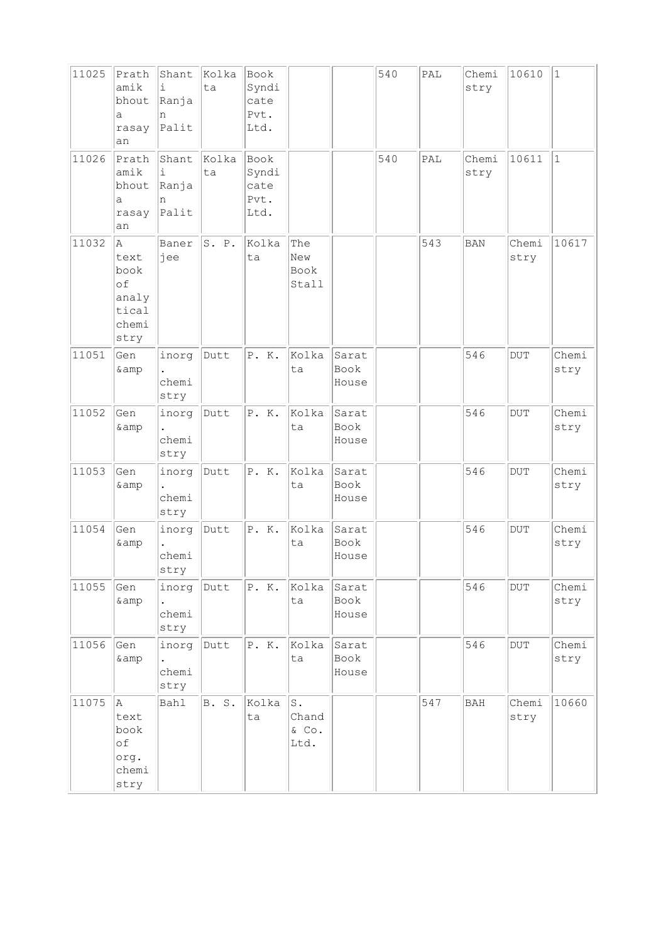| 11025 | Prath<br>amik<br>bhout<br>a<br>rasay<br>an                 | Shant<br>i<br>Ranja<br>n<br>Palit | Kolka<br>ta | Book<br>Syndi<br>cate<br>Pvt.<br>Ltd. |                                       |                               | 540 | PAL | Chemi<br>stry | 10610                   | $\mathbf{1}$  |
|-------|------------------------------------------------------------|-----------------------------------|-------------|---------------------------------------|---------------------------------------|-------------------------------|-----|-----|---------------|-------------------------|---------------|
| 11026 | Prath<br>amik<br>bhout<br>a<br>rasay<br>an                 | Shant<br>i<br>Ranja<br>n<br>Palit | Kolka<br>ta | Book<br>Syndi<br>cate<br>Pvt.<br>Ltd. |                                       |                               | 540 | PAL | Chemi<br>stry | 10611                   | $\mathbf{1}$  |
| 11032 | Α<br>text<br>book<br>of<br>analy<br>tical<br>chemi<br>stry | Baner<br>jee                      | S. P.       | Kolka<br>ta                           | The<br>New<br>Book<br>Stall           |                               |     | 543 | <b>BAN</b>    | Chemi<br>stry           | 10617         |
| 11051 | Gen<br>& amp                                               | inorg<br>chemi<br>stry            | Dutt        | P. K.                                 | Kolka<br>ta                           | Sarat<br><b>Book</b><br>House |     |     | 546           | <b>DUT</b>              | Chemi<br>stry |
| 11052 | Gen<br>& amp                                               | inorg<br>chemi<br>stry            | Dutt        | P. K.                                 | Kolka<br>ta                           | Sarat<br>Book<br>House        |     |     | 546           | <b>DUT</b>              | Chemi<br>stry |
| 11053 | Gen<br>& amp                                               | inorg<br>chemi<br>stry            | Dutt        | P. K.                                 | Kolka<br>ta                           | Sarat<br>Book<br>House        |     |     | 546           | $_{\rm DUT}$            | Chemi<br>stry |
| 11054 | Gen<br>& amp                                               | inorg<br>chemi<br>stry            | Dutt        | P. K.                                 | Kolka<br>ta                           | Sarat<br>Book<br>House        |     |     | 546           | <b>DUT</b>              | Chemi<br>stry |
| 11055 | Gen<br>& amp                                               | inorg<br>chemi<br>stry            | Dutt        | P. K.                                 | Kolka<br>ta                           | Sarat<br>Book<br>House        |     |     | 546           | $\overline{\text{DUT}}$ | Chemi<br>stry |
| 11056 | Gen<br>& amp                                               | inorg<br>chemi<br>stry            | Dutt        | P. K.                                 | Kolka<br>ta                           | Sarat<br>Book<br>House        |     |     | 546           | DUT                     | Chemi<br>stry |
| 11075 | A.<br>text<br>book<br>of<br>org.<br>chemi<br>stry          | Bahl                              | B. S.       | Kolka<br>ta                           | ${\tt S}$ .<br>Chand<br>& Co.<br>Ltd. |                               |     | 547 | BAH           | Chemi<br>stry           | 10660         |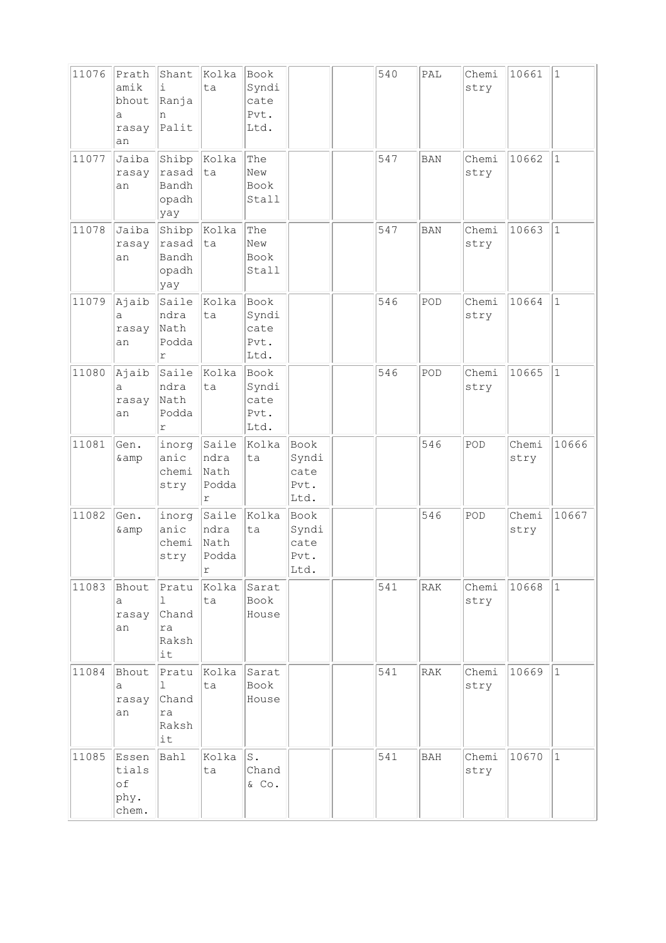| 11076 | Prath<br>amik<br>bhout<br>a<br>rasay<br>an | Shant<br>i<br>Ranja<br>n<br>Palit                   | Kolka<br>ta                                  | Book<br>Syndi<br>cate<br>Pvt.<br>Ltd. |                                       | 540 | PAL        | Chemi<br>stry | 10661         | $\vert$ 1    |
|-------|--------------------------------------------|-----------------------------------------------------|----------------------------------------------|---------------------------------------|---------------------------------------|-----|------------|---------------|---------------|--------------|
| 11077 | Jaiba<br>rasay<br>an                       | Shibp<br>rasad<br>Bandh<br>opadh<br>yay             | Kolka<br> ta                                 | The<br>New<br>Book<br>Stall           |                                       | 547 | <b>BAN</b> | Chemi<br>stry | 10662         | $\mathbf{1}$ |
| 11078 | Jaiba<br>rasay<br>an                       | Shibp<br>rasad<br>Bandh<br>opadh<br>yay             | Kolka<br> ta                                 | The<br>New<br><b>Book</b><br>Stall    |                                       | 547 | <b>BAN</b> | Chemi<br>stry | 10663         | $\vert$ 1    |
| 11079 | Ajaib<br>a<br>rasay<br>an                  | Saile<br>ndra<br>Nath<br>Podda<br>r                 | Kolka<br>ta                                  | Book<br>Syndi<br>cate<br>Pvt.<br>Ltd. |                                       | 546 | POD        | Chemi<br>stry | 10664         | $\mathbf{1}$ |
| 11080 | Ajaib<br>а<br>rasay<br>an                  | Saile<br>ndra<br>Nath<br>Podda<br>r                 | Kolka<br>ta                                  | Book<br>Syndi<br>cate<br>Pvt.<br>Ltd. |                                       | 546 | POD        | Chemi<br>stry | 10665         | $\vert$ 1    |
| 11081 | Gen.<br>& amp                              | inorg<br>anic<br>chemi<br>stry                      | Saile<br>ndra<br>Nath<br>Podda<br>r          | Kolka<br>ta                           | Book<br>Syndi<br>cate<br>Pvt.<br>Ltd. |     | 546        | POD           | Chemi<br>stry | 10666        |
| 11082 | Gen.<br>& amp                              | inorg<br>anic<br>chemi<br>stry                      | Saile<br>ndra<br>Nath<br>Podda<br>$\Upsilon$ | Kolka<br>ta                           | Book<br>Syndi<br>cate<br>Pvt.<br>Ltd. |     | 546        | POD           | Chemi<br>stry | 10667        |
| 11083 | Bhout<br>а<br>rasay<br>an                  | Pratu<br>$\mathbf{1}$<br>Chand<br>ra<br>Raksh<br>it | Kolka<br>ta                                  | Sarat<br>Book<br>House                |                                       | 541 | RAK        | Chemi<br>stry | 10668         | 1            |
| 11084 | Bhout<br>a<br>rasay<br>an                  | Pratu<br>$\mathbf{1}$<br>Chand<br>ra<br>Raksh<br>it | Kolka<br>ta                                  | Sarat<br>Book<br>House                |                                       | 541 | RAK        | Chemi<br>stry | 10669         | $\vert$ 1    |
| 11085 | Essen<br>tials<br>of<br>phy.<br>chem.      | Bahl                                                | Kolka<br>ta                                  | S.<br>Chand<br>& Co.                  |                                       | 541 | BAH        | Chemi<br>stry | 10670         | $\vert$ 1    |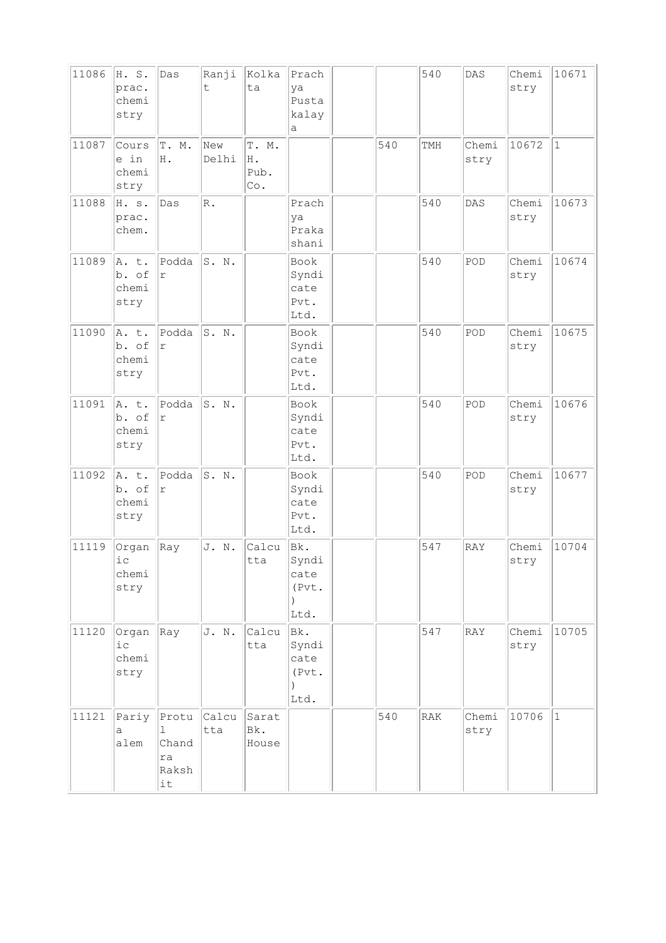| 11086 | H. S.<br>prac.<br>chemi<br>stry | Das                                      | Ranji<br>t.  | Kolka<br>ta                                | Prach<br>ya<br>Pusta<br>kalay<br>а                 |     | 540            | DAS           | Chemi<br>stry | 10671        |
|-------|---------------------------------|------------------------------------------|--------------|--------------------------------------------|----------------------------------------------------|-----|----------------|---------------|---------------|--------------|
| 11087 | Cours<br>e in<br>chemi<br>stry  | T.<br>Μ.<br>H .                          | New<br>Delhi | T. M.<br>Η.<br>Pub.<br>$\mathbb{C}\circ$ . |                                                    | 540 | TMH            | Chemi<br>stry | 10672         | $\mathbf{1}$ |
| 11088 | H. s.<br>prac.<br>chem.         | Das                                      | R.           |                                            | Prach<br>ya<br>Praka<br>shani                      |     | 540            | DAS           | Chemi<br>stry | 10673        |
| 11089 | A. t.<br>b. of<br>chemi<br>stry | Podda<br>$\Upsilon$                      | S. N.        |                                            | Book<br>Syndi<br>cate<br>Pvt.<br>Ltd.              |     | 540            | POD           | Chemi<br>stry | 10674        |
| 11090 | A. t.<br>b. of<br>chemi<br>stry | Podda<br>$\Upsilon$                      | S. N.        |                                            | Book<br>Syndi<br>cate<br>Pvt.<br>Ltd.              |     | 540            | POD           | Chemi<br>stry | 10675        |
| 11091 | A. t.<br>b. of<br>chemi<br>stry | Podda<br>$\Upsilon$                      | S. N.        |                                            | Book<br>Syndi<br>cate<br>Pvt.<br>Ltd.              |     | 540            | POD           | Chemi<br>stry | 10676        |
| 11092 | A. t.<br>b. of<br>chemi<br>stry | Podda<br>$\Upsilon$                      | S. N.        |                                            | Book<br>Syndi<br>cate<br>Pvt.<br>Ltd.              |     | 540            | POD           | Chemi<br>stry | 10677        |
| 11119 | Organ<br>i c<br>chemi<br>stry   | Ray                                      | J. N.        | Calcu<br>tta                               | Bk.<br>Syndi<br>cate<br>(Pvt.<br>$\lambda$<br>Ltd. |     | 547            | <b>RAY</b>    | Chemi<br>stry | 10704        |
| 11120 | Organ<br>i c<br>chemi<br>stry   | Ray                                      | J. N.        | Calcu<br>tta                               | Bk.<br>Syndi<br>cate<br>(Pvt.<br>Ltd.              |     | 547            | <b>RAY</b>    | Chemi<br>stry | 10705        |
| 11121 | Pariy<br>а<br>alem              | Protu<br>T<br>Chand<br>ra<br>Raksh<br>it | Calcu<br>tta | Sarat<br>Bk.<br>House                      |                                                    | 540 | $\mathtt{RAK}$ | Chemi<br>stry | 10706         | $\mathbf{1}$ |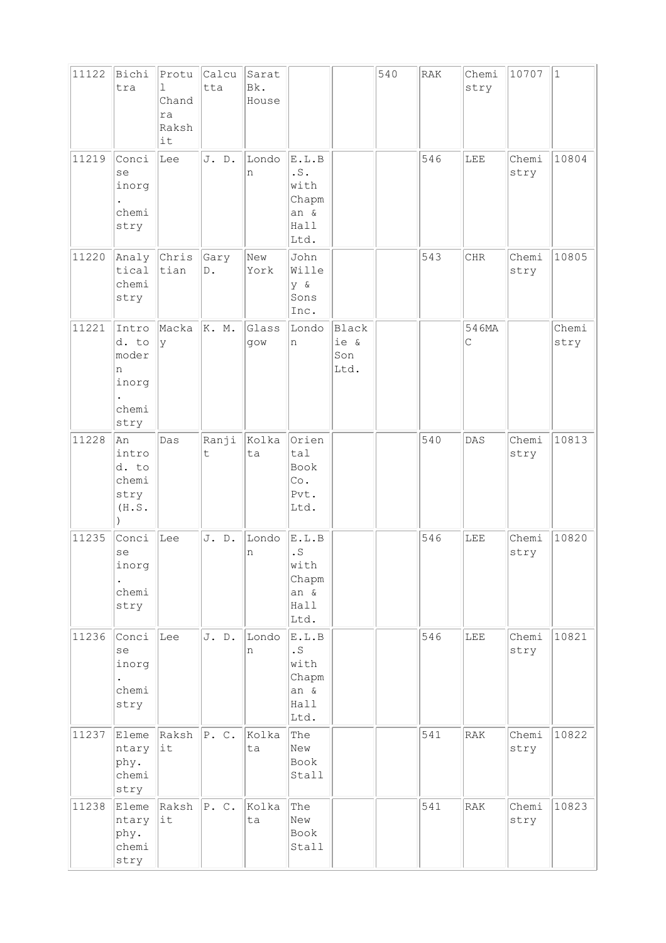| 11122 | Bichi<br>tra                                           | Protu<br>ı<br>Chand<br>ra<br>Raksh<br>it | Calcu<br>tta          | Sarat<br>Bk.<br>House |                                                                     |                              | 540 | RAK | Chemi<br>stry        | 10707         | $\mathbf{1}$  |
|-------|--------------------------------------------------------|------------------------------------------|-----------------------|-----------------------|---------------------------------------------------------------------|------------------------------|-----|-----|----------------------|---------------|---------------|
| 11219 | Conci<br>se<br>inorg<br>chemi<br>stry                  | Lee                                      | J. D.                 | Londo<br>n            | E.L.B<br>$\cdot$ S $\cdot$<br>with<br>Chapm<br>an &<br>Hall<br>Ltd. |                              |     | 546 | LEE                  | Chemi<br>stry | 10804         |
| 11220 | Analy<br>tical<br>chemi<br>stry                        | Chris<br>tian                            | Gary<br>$\mathbb D$ . | New<br>York           | John<br>Wille<br>y &<br>Sons<br>Inc.                                |                              |     | 543 | CHR                  | Chemi<br>stry | 10805         |
| 11221 | Intro<br>d. to<br>moder<br>n<br>inorg<br>chemi<br>stry | Macka<br>У                               | K. M.                 | Glass<br>gow          | Londo<br>n                                                          | Black<br>ie &<br>Son<br>Ltd. |     |     | 546MA<br>$\mathsf C$ |               | Chemi<br>stry |
| 11228 | lAn<br>intro<br>d. to<br>chemi<br>stry<br>(H.S.        | Das                                      | Ranji<br>t.           | Kolka<br>ta           | Orien<br>tal<br>Book<br>Co.<br>Pvt.<br>Ltd.                         |                              |     | 540 | DAS                  | Chemi<br>stry | 10813         |
| 11235 | Conci<br>se<br>inorg<br>chemi<br>stry                  | Lee                                      | J. D.                 | Londo<br>n            | E.L.B<br>$\cdot$ S<br>with<br>Chapm<br>an &<br>Hall<br>Ltd.         |                              |     | 546 | LEE                  | Chemi<br>stry | 10820         |
| 11236 | Conci<br>se<br>inorg<br>chemi<br>stry                  | Lee                                      | J. D.                 | Londo<br>n            | E.L.B<br>. $\mathbf S$<br>with<br>Chapm<br>an &<br>Hall<br>Ltd.     |                              |     | 546 | LEE                  | Chemi<br>stry | 10821         |
| 11237 | Eleme<br>ntary<br>phy.<br>chemi<br>stry                | Raksh<br> it                             | P. C.                 | Kolka<br>ta           | The<br>New<br>Book<br>Stall                                         |                              |     | 541 | RAK                  | Chemi<br>stry | 10822         |
| 11238 | Eleme<br>ntary<br>phy.<br>chemi<br>stry                | Raksh<br>lit                             | P. C.                 | Kolka<br>ta           | The<br>New<br>Book<br>Stall                                         |                              |     | 541 | RAK                  | Chemi<br>stry | 10823         |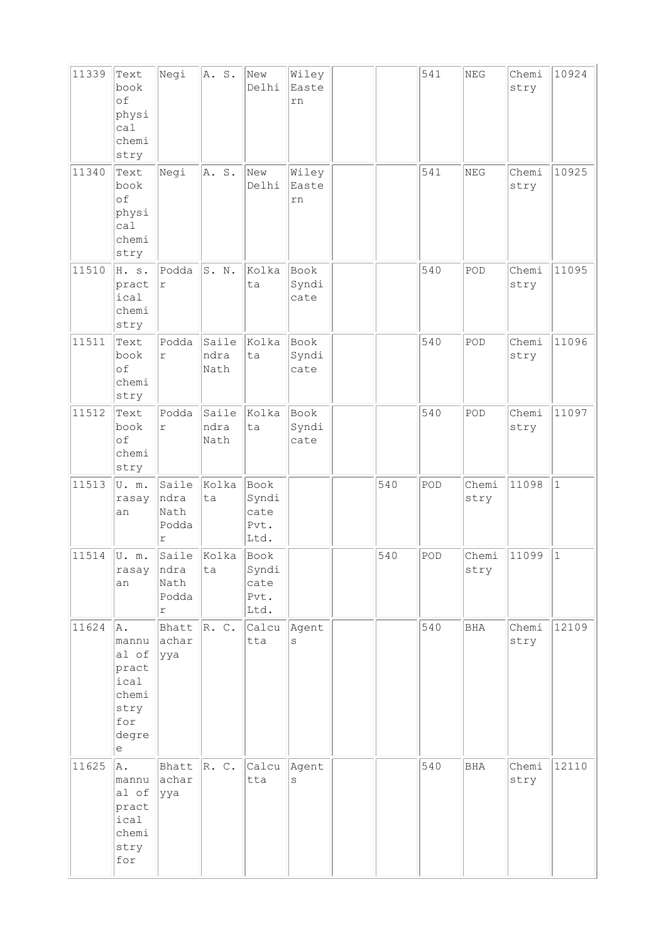| 11339 | Text<br>book<br>of<br>physi<br>ca1<br>chemi<br>stry                         | Negi                                          | A. S.                 | New<br>Delhi                          | Wiley<br>Easte<br>rn  |     | 541 | $\operatorname{NEG}$ | Chemi<br>stry | 10924        |
|-------|-----------------------------------------------------------------------------|-----------------------------------------------|-----------------------|---------------------------------------|-----------------------|-----|-----|----------------------|---------------|--------------|
| 11340 | Text<br>book<br>of<br>physi<br>ca1<br>chemi<br>stry                         | Negi                                          | A. S.                 | New<br>Delhi                          | Wiley<br>Easte<br>rn  |     | 541 | <b>NEG</b>           | Chemi<br>stry | 10925        |
| 11510 | H. s.<br>pract<br>ical<br>chemi<br>stry                                     | Podda<br>$\Upsilon$                           | S. N.                 | Kolka<br>ta                           | Book<br>Syndi<br>cate |     | 540 | POD                  | Chemi<br>stry | 11095        |
| 11511 | Text<br>book<br>of<br>chemi<br>stry                                         | Podda<br>$\Gamma$                             | Saile<br>ndra<br>Nath | Kolka<br>ta                           | Book<br>Syndi<br>cate |     | 540 | POD                  | Chemi<br>stry | 11096        |
| 11512 | Text<br>book<br>of<br>chemi<br>stry                                         | Podda<br>$\Upsilon$                           | Saile<br>ndra<br>Nath | Kolka<br>ta                           | Book<br>Syndi<br>cate |     | 540 | POD                  | Chemi<br>stry | 11097        |
| 11513 | U.m.<br>rasay<br>an                                                         | Saile<br>ndra<br>Nath<br>Podda<br>r           | Kolka<br>ta           | Book<br>Syndi<br>cate<br>Pvt.<br>Ltd. |                       | 540 | POD | Chemi<br>stry        | 11098         | $\mathbf{1}$ |
| 11514 | U.m.<br>rasay<br>an                                                         | Saile<br> ndra<br>Nath<br>Podda<br>$\Upsilon$ | Kolka<br>ta           | Book<br>Syndi<br>cate<br>Pvt.<br>Ltd. |                       | 540 | POD | Chemi<br>stry        | 11099         | $1\,$        |
| 11624 | A.<br>mannu<br>al of<br>pract<br>ical<br>chemi<br>stry<br>for<br>degre<br>е | Bhatt<br>achar<br> yya                        | R. C.                 | Calcu<br>tta                          | Agent<br>S            |     | 540 | BHA                  | Chemi<br>stry | 12109        |
| 11625 | A.<br>mannu<br>al of<br>pract<br>ical<br>chemi<br>stry<br>for               | Bhatt<br>achar<br> yya                        | $ R$ . C.             | Calcu<br>tta                          | Agent<br>S            |     | 540 | <b>BHA</b>           | Chemi<br>stry | 12110        |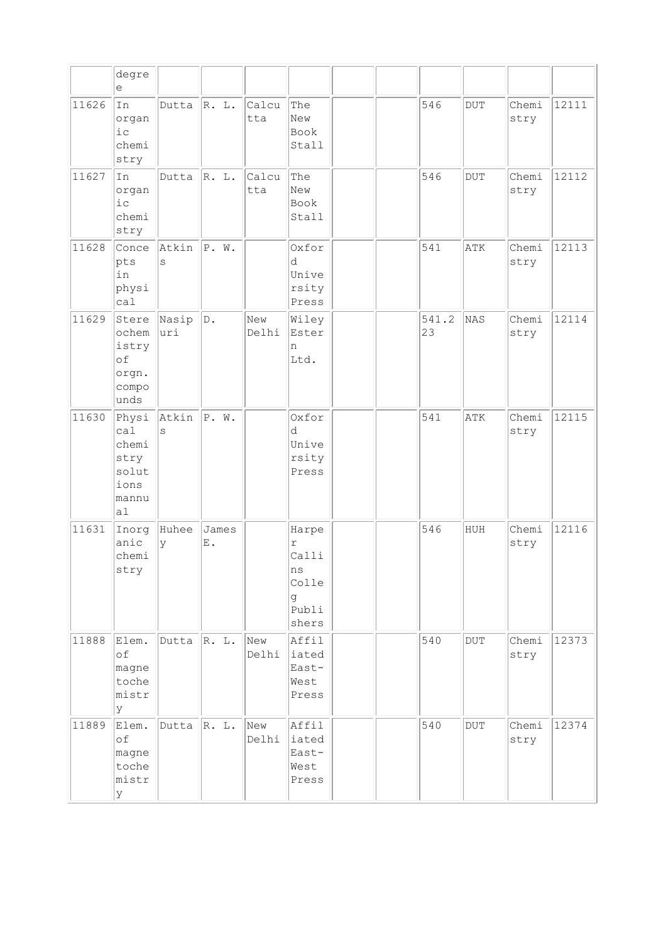|       | degre<br>е                                                    |               |             |              |                                                           |  |             |                         |               |       |
|-------|---------------------------------------------------------------|---------------|-------------|--------------|-----------------------------------------------------------|--|-------------|-------------------------|---------------|-------|
| 11626 | In<br>organ<br>i c<br>chemi<br>stry                           | Dutta         | R. L.       | Calcu<br>tta | The<br>New<br>Book<br>Stall                               |  | 546         | <b>DUT</b>              | Chemi<br>stry | 12111 |
| 11627 | In<br>organ<br>i c<br>chemi<br>stry                           | Dutta         | R. L.       | Calcu<br>tta | The<br>New<br>Book<br>Stall                               |  | 546         | <b>DUT</b>              | Chemi<br>stry | 12112 |
| 11628 | Conce<br>pts<br>in<br>physi<br>call                           | Atkin<br>S    | P. W.       |              | Oxfor<br>d<br>Unive<br>rsity<br>Press                     |  | 541         | ATK                     | Chemi<br>stry | 12113 |
| 11629 | Stere<br>ochem<br>istry<br>of<br>orgn.<br>compo<br>unds       | Nasip<br>luri | D.          | New<br>Delhi | Wiley<br>Ester<br>n<br>Ltd.                               |  | 541.2<br>23 | NAS                     | Chemi<br>stry | 12114 |
| 11630 | Physi<br>ca1<br>chemi<br>stry<br>solut<br>ions<br>mannu<br>al | Atkin<br>S    | P. W.       |              | Oxfor<br>d<br>Unive<br>rsity<br>Press                     |  | 541         | ATK                     | Chemi<br>stry | 12115 |
| 11631 | Inorg<br>anic<br>chemi<br>stry                                | Huhee<br>У    | James<br>Ε. |              | Harpe<br>r<br>Calli<br>ns<br>Colle<br>g<br>Publi<br>shers |  | 546         | HUH                     | Chemi<br>stry | 12116 |
| 11888 | Elem.<br>of<br>magne<br>toche<br>mistr<br>У                   | Dutta         | R. L.       | New<br>Delhi | Affil<br>iated<br>East-<br>West<br>Press                  |  | 540         | $_{\rm DUT}$            | Chemi<br>stry | 12373 |
| 11889 | Elem.<br>of<br>magne<br>toche<br>mistr<br>У                   | Dutta         | R. L.       | New<br>Delhi | Affil<br>iated<br>East-<br>West<br>Press                  |  | 540         | $\overline{\text{DUT}}$ | Chemi<br>stry | 12374 |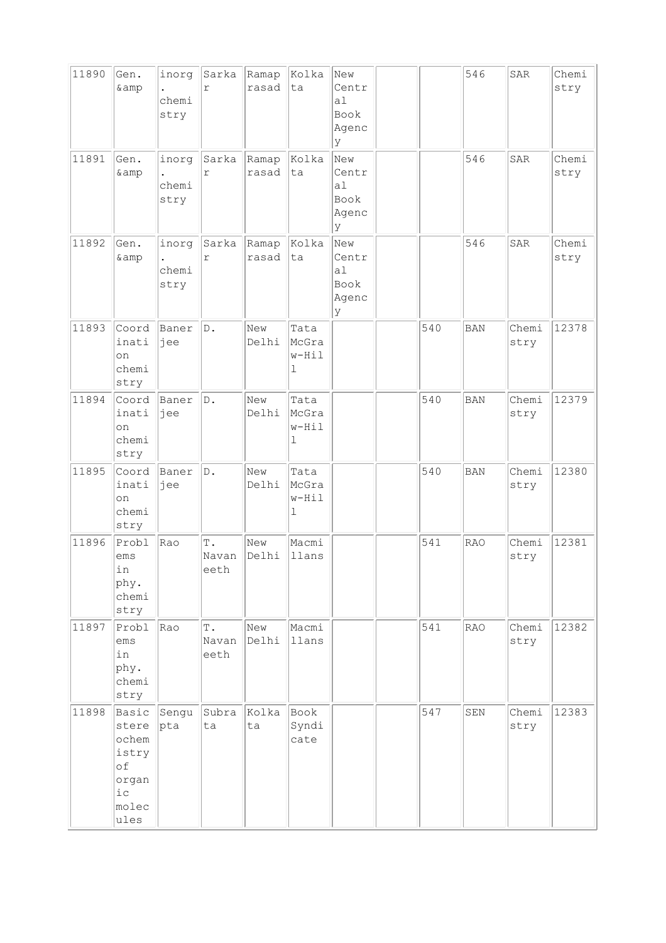| 11890 | Gen.<br>& amp                                                           | inorg<br>chemi<br>stry | Sarka<br>$\Gamma$              | Ramap<br>rasad | Kolka<br>ta                   | New<br>Centr<br>a <sub>1</sub><br>Book<br>Agenc<br>У |     | 546        | SAR           | Chemi<br>stry |
|-------|-------------------------------------------------------------------------|------------------------|--------------------------------|----------------|-------------------------------|------------------------------------------------------|-----|------------|---------------|---------------|
| 11891 | Gen.<br>& amp                                                           | inorg<br>chemi<br>stry | Sarka<br>$\Upsilon$            | Ramap<br>rasad | Kolka<br>ta                   | New<br>Centr<br>a1<br>Book<br>Agenc<br>У             |     | 546        | <b>SAR</b>    | Chemi<br>stry |
| 11892 | Gen.<br>& amp                                                           | inorg<br>chemi<br>stry | Sarka<br>$\Upsilon$            | Ramap<br>rasad | Kolka<br>lta                  | New<br>Centr<br>a1<br>Book<br>Agenc<br>У             |     | 546        | SAR           | Chemi<br>stry |
| 11893 | Coord<br>inati<br>on<br>chemi<br>stry                                   | Baner<br>jee           | D.                             | New<br>Delhi   | Tata<br>McGra<br>$w-Hil$<br>1 |                                                      | 540 | <b>BAN</b> | Chemi<br>stry | 12378         |
| 11894 | Coord<br>inati<br>on<br>chemi<br>stry                                   | Baner<br>jee           | D.                             | New<br>Delhi   | Tata<br>McGra<br>w-Hil<br>1   |                                                      | 540 | <b>BAN</b> | Chemi<br>stry | 12379         |
| 11895 | Coord<br>inati<br>on<br>chemi<br>stry                                   | Baner<br>jee           | $\mathbb D$ .                  | New<br>Delhi   | Tata<br>McGra<br>$w-Hi1$<br>ı |                                                      | 540 | <b>BAN</b> | Chemi<br>stry | 12380         |
| 11896 | Probl<br>ems<br>in<br>phy.<br>chemi<br>stry                             | Rao                    | T.<br>Navan<br>eeth            | New<br>Delhi   | Macmi<br>llans                |                                                      | 541 | <b>RAO</b> | Chemi<br>stry | 12381         |
| 11897 | Probl<br>ems<br>in<br>phy.<br>chemi<br>stry                             | Rao                    | $\mathbb T$ .<br>Navan<br>eeth | New<br>Delhi   | Macmi<br>llans                |                                                      | 541 | <b>RAO</b> | Chemi<br>stry | 12382         |
| 11898 | Basic<br>stere<br>ochem<br>istry<br>of<br>organ<br>i c<br>molec<br>ules | Sengu<br>pta           | Subra<br>ta                    | Kolka<br>ta    | Book<br>Syndi<br>cate         |                                                      | 547 | SEN        | Chemi<br>stry | 12383         |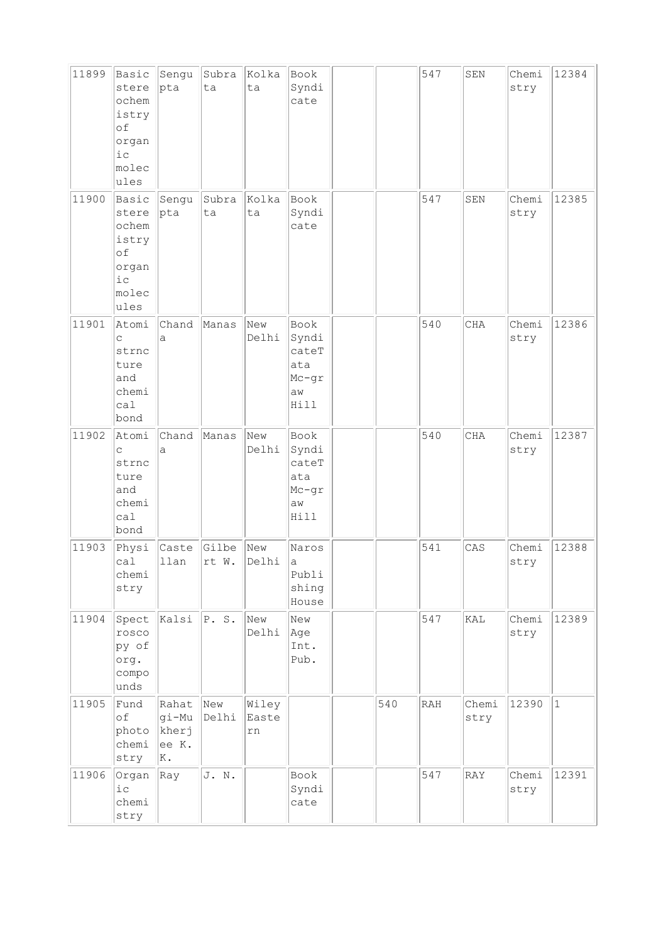| 11899 | Basic<br>stere<br>ochem<br>istry<br>of<br>organ<br>$i$ c<br>molec<br>ules  | Sengu<br>pta                           | Subra<br>ta    | Kolka<br>ta          | Book<br>Syndi<br>cate                                |     | 547 | SEN           | Chemi<br>stry | 12384        |
|-------|----------------------------------------------------------------------------|----------------------------------------|----------------|----------------------|------------------------------------------------------|-----|-----|---------------|---------------|--------------|
| 11900 | Basic<br>stere<br>ochem<br>istry<br>of<br>organ<br>$i\,c$<br>molec<br>ules | Sengu<br>pta                           | Subra<br>ta    | Kolka<br>ta          | Book<br>Syndi<br>cate                                |     | 547 | SEN           | Chemi<br>stry | 12385        |
| 11901 | Atomi<br>C<br>strnc<br>ture<br>and<br>chemi<br>ca1<br>bond                 | Chand<br>а                             | Manas          | New<br>Delhi         | Book<br>Syndi<br>cateT<br>ata<br>Mc-gr<br>aw<br>Hill |     | 540 | <b>CHA</b>    | Chemi<br>stry | 12386        |
| 11902 | Atomi<br>$\mathsf C$<br>strnc<br>ture<br>and<br>chemi<br>ca1<br>bond       | Chand<br>a                             | Manas          | New<br>Delhi         | Book<br>Syndi<br>cateT<br>ata<br>Mc-gr<br>aw<br>Hill |     | 540 | CHA           | Chemi<br>stry | 12387        |
| 11903 | Physi<br>ca1<br>chemi<br>stry                                              | Caste<br>llan                          | Gilbe<br>rt W. | New<br>Delhi         | Naros<br>а<br>Publi<br>shing<br>House                |     | 541 | CAS           | Chemi<br>stry | 12388        |
| 11904 | Spect<br>rosco<br>py of<br>org.<br>compo<br>unds                           | Kalsi                                  | P.S.           | New<br>Delhi         | New<br> Age<br>Int.<br>Pub.                          |     | 547 | KAL           | Chemi<br>stry | 12389        |
| 11905 | Fund<br>of<br>photo<br>chemi<br>stry                                       | Rahat<br>gi-Mu<br>kherj<br>ee K.<br>K. | New<br>Delhi   | Wiley<br>Easte<br>rn |                                                      | 540 | RAH | Chemi<br>stry | 12390         | $\mathbf{1}$ |
| 11906 | Organ<br>$i\,c$<br>chemi<br>stry                                           | Ray                                    | J. N.          |                      | Book<br>Syndi<br>cate                                |     | 547 | RAY           | Chemi<br>stry | 12391        |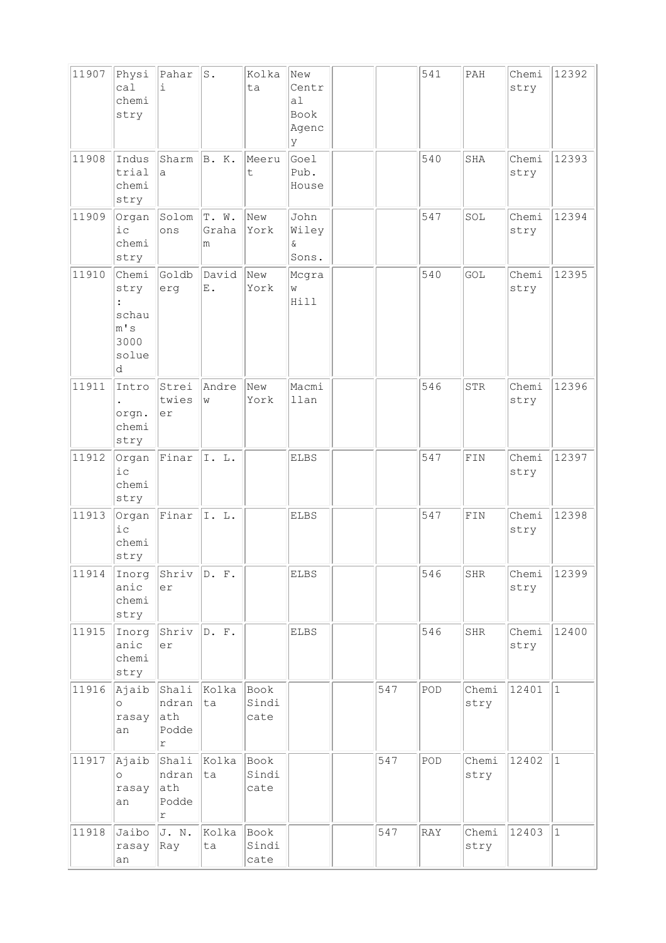| 11907 | Physi<br>ca1<br>chemi<br>stry                                          | Pahar<br>i                          | $\texttt{S}$ .      | Kolka<br>ta           | New<br>Centr<br>a <sub>1</sub><br>Book<br>Agenc<br>У |     | 541 | PAH           | Chemi<br>stry | 12392        |
|-------|------------------------------------------------------------------------|-------------------------------------|---------------------|-----------------------|------------------------------------------------------|-----|-----|---------------|---------------|--------------|
| 11908 | Indus<br>trial<br>chemi<br>stry                                        | Sharm<br>a                          | B. K.               | Meeru<br>t            | Goel<br>Pub.<br>House                                |     | 540 | SHA           | Chemi<br>stry | 12393        |
| 11909 | Organ<br>$i$ c<br>chemi<br>stry                                        | Solom<br>ons                        | T. W.<br>Graha<br>m | New<br>York           | John<br>Wiley<br>ଙ<br>Sons.                          |     | 547 | SOL           | Chemi<br>stry | 12394        |
| 11910 | Chemi<br>stry<br>$\ddot{\cdot}$<br>schau<br>m' s<br>3000<br>solue<br>d | Goldb<br>erg                        | David<br>Ε.         | New<br>York           | Mcgra<br>W<br>Hill                                   |     | 540 | GOL           | Chemi<br>stry | 12395        |
| 11911 | Intro<br>orgn.<br>chemi<br>stry                                        | Strei<br>twies<br>er                | Andre<br>W          | New<br>York           | Macmi<br>llan                                        |     | 546 | STR           | Chemi<br>stry | 12396        |
| 11912 | Organ<br>ic<br>chemi<br>stry                                           | Finar                               | I. L.               |                       | <b>ELBS</b>                                          |     | 547 | FIN           | Chemi<br>stry | 12397        |
| 11913 | Organ<br>i c<br>chemi<br>stry                                          | Finar                               | I. L.               |                       | <b>ELBS</b>                                          |     | 547 | ${\tt FIN}$   | Chemi<br>stry | 12398        |
| 11914 | Inorg<br>anic<br>chemi<br>stry                                         | Shriv<br>er                         | D. F.               |                       | ELBS                                                 |     | 546 | SHR           | Chemi<br>stry | 12399        |
| 11915 | Inorg<br>anic<br>chemi<br>stry                                         | Shriv<br>er                         | D. F.               |                       | <b>ELBS</b>                                          |     | 546 | SHR           | Chemi<br>stry | 12400        |
| 11916 | Ajaib<br>$\circ$<br>rasay<br>an                                        | Shali<br>ndran<br>ath<br>Podde<br>r | Kolka<br>ta         | Book<br>Sindi<br>cate |                                                      | 547 | POD | Chemi<br>stry | 12401         | $\mathbf{1}$ |
| 11917 | Ajaib<br>$\circ$<br>rasay<br>an                                        | Shali<br>ndran<br>ath<br>Podde<br>r | Kolka<br>ta         | Book<br>Sindi<br>cate |                                                      | 547 | POD | Chemi<br>stry | 12402         | $\mathbf{1}$ |
| 11918 | Jaibo<br>rasay<br>an                                                   | J. N.<br>Ray                        | Kolka<br>ta         | Book<br>Sindi<br>cate |                                                      | 547 | RAY | Chemi<br>stry | 12403         | $\mathbf 1$  |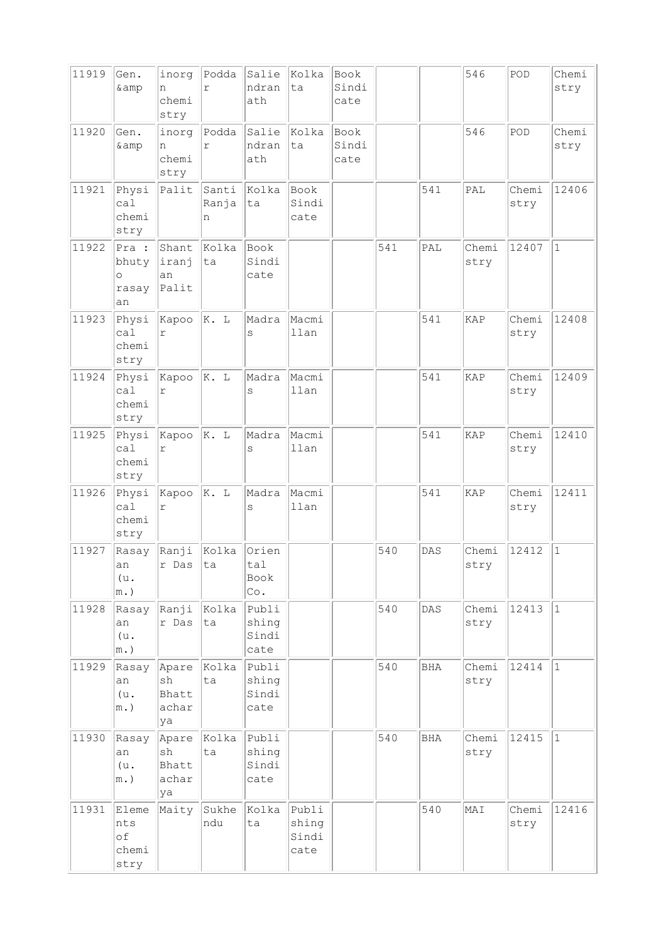| 11919 | Gen.<br>& amp                            | inorg<br>n<br>chemi                 | Podda<br>$\Upsilon$ | Salie<br>ndran<br>ath           | Kolka<br>ta                     | Book<br>Sindi<br>cate |     |            | 546           | POD           | Chemi<br>stry |
|-------|------------------------------------------|-------------------------------------|---------------------|---------------------------------|---------------------------------|-----------------------|-----|------------|---------------|---------------|---------------|
|       |                                          | stry                                |                     |                                 |                                 |                       |     |            |               |               |               |
| 11920 | Gen.<br>& amp                            | inorg<br>n<br>chemi<br>stry         | Podda<br>$\Upsilon$ | Salie<br>ndran<br>ath           | Kolka<br>ta                     | Book<br>Sindi<br>cate |     |            | 546           | POD           | Chemi<br>stry |
| 11921 | Physi<br>ca1<br>chemi<br>stry            | Palit                               | Santi<br>Ranja<br>n | Kolka<br>ta                     | Book<br>Sindi<br>cate           |                       |     | 541        | PAL           | Chemi<br>stry | 12406         |
| 11922 | Pra :<br>bhuty<br>$\circ$<br>rasay<br>an | Shant<br>iranj<br>an<br>Palit       | Kolka<br>ta         | Book<br>Sindi<br>cate           |                                 |                       | 541 | PAL        | Chemi<br>stry | 12407         | $\mathbf{1}$  |
| 11923 | Physi<br>ca1<br>chemi<br>stry            | Kapoo<br>r                          | K. L                | Madra<br>S                      | Macmi<br>llan                   |                       |     | 541        | KAP           | Chemi<br>stry | 12408         |
| 11924 | Physi<br>cal<br>chemi<br>stry            | Kapoo<br>r                          | K. L                | Madra<br>S                      | Macmi<br>llan                   |                       |     | 541        | KAP           | Chemi<br>stry | 12409         |
| 11925 | Physi<br>ca1<br>chemi<br>stry            | Kapoo<br>r                          | K. L                | Madra<br>S                      | Macmi<br>llan                   |                       |     | 541        | KAP           | Chemi<br>stry | 12410         |
| 11926 | Physi<br>ca1<br>chemi<br>stry            | Kapoo<br>r                          | K. L                | Madra<br>S                      | Macmi<br>llan                   |                       |     | 541        | KAP           | Chemi<br>stry | 12411         |
| 11927 | Rasay<br>an<br>(u.<br>$m.$ )             | Ranji<br>r Das                      | Kolka<br>ta         | Orien<br>tal<br>Book<br>Co.     |                                 |                       | 540 | DAS        | Chemi<br>stry | 12412         | $\vert$ 1     |
| 11928 | Rasay<br>an<br>(u.<br>$m.$ )             | Ranji<br>r Das                      | Kolka<br>ta         | Publi<br>shing<br>Sindi<br>cate |                                 |                       | 540 | DAS        | Chemi<br>stry | 12413         | $\vert$ 1     |
| 11929 | Rasay<br>an<br>(u.<br>$m.$ )             | Apare<br>sh<br>Bhatt<br>achar<br>ya | Kolka<br>ta         | Publi<br>shing<br>Sindi<br>cate |                                 |                       | 540 | <b>BHA</b> | Chemi<br>stry | 12414         | $\vert$ 1     |
| 11930 | Rasay<br>an<br>(u.<br>$m.$ )             | Apare<br>sh<br>Bhatt<br>achar<br>ya | Kolka<br>ta         | Publi<br>shing<br>Sindi<br>cate |                                 |                       | 540 | <b>BHA</b> | Chemi<br>stry | 12415         | $\vert$ 1     |
| 11931 | Eleme<br>nts<br>of<br>chemi<br>stry      | Maity                               | Sukhe<br>ndu        | Kolka<br>ta                     | Publi<br>shing<br>Sindi<br>cate |                       |     | 540        | MAI           | Chemi<br>stry | 12416         |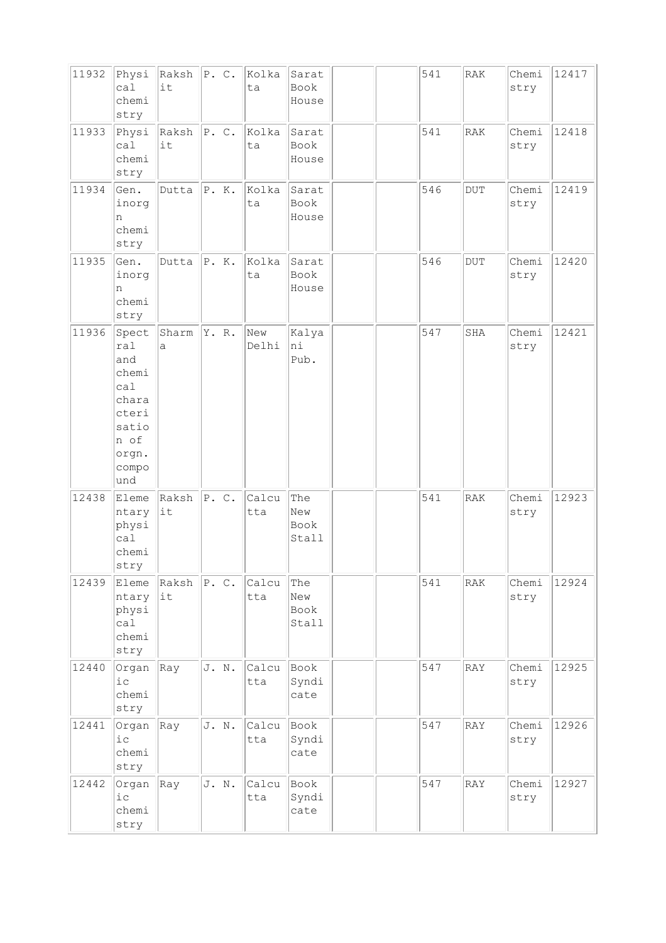| 11932 | Physi<br>ca1<br>chemi<br>stry                                                                   | $Raksh$ $ P. C.$<br>it |       | Kolka<br>ta  | Sarat<br>Book<br>House      |  | 541 | RAK       | Chemi<br>stry | 12417 |
|-------|-------------------------------------------------------------------------------------------------|------------------------|-------|--------------|-----------------------------|--|-----|-----------|---------------|-------|
| 11933 | Physi<br>ca1<br>chemi<br>stry                                                                   | Raksh<br>it            | P.C.  | Kolka<br>ta  | Sarat<br>Book<br>House      |  | 541 | RAK       | Chemi<br>stry | 12418 |
| 11934 | Gen.<br>inorg<br>n<br>chemi<br>stry                                                             | Dutta                  | P. K. | Kolka<br>ta  | Sarat<br>Book<br>House      |  | 546 | DUT       | Chemi<br>stry | 12419 |
| 11935 | Gen.<br>inorg<br>n<br>chemi<br>stry                                                             | Dutta                  | P. K. | Kolka<br>ta  | Sarat<br>Book<br>House      |  | 546 | $\rm DUT$ | Chemi<br>stry | 12420 |
| 11936 | Spect<br>ral<br>and<br>chemi<br>ca1<br>chara<br>cteri<br>satio<br>n of<br>orgn.<br>compo<br>und | Sharm<br>a             | Y. R. | New<br>Delhi | kalya<br>hi<br>Pub.         |  | 547 | SHA       | Chemi<br>stry | 12421 |
| 12438 | Eleme<br>ntary<br>physi<br>ca1<br>chemi<br>stry                                                 | Raksh<br>it            | P.C.  | Calcu<br>tta | The<br>New<br>Book<br>Stall |  | 541 | RAK       | Chemi<br>stry | 12923 |
| 12439 | Eleme<br>ntary<br>physi<br>ca1<br>chemi<br>stry                                                 | Raksh<br>it            | P.C.  | Calcu<br>tta | The<br>New<br>Book<br>Stall |  | 541 | RAK       | Chemi<br>stry | 12924 |
| 12440 | Organ<br>i c<br>chemi<br>stry                                                                   | kay                    | J. N. | Calcu<br>tta | Book<br>Syndi<br>cate       |  | 547 | RAY       | Chemi<br>stry | 12925 |
| 12441 | Organ<br>$i$ $c$<br>chemi<br>stry                                                               | Ray                    | J. N. | Calcu<br>tta | Book<br>Syndi<br>cate       |  | 547 | RAY       | Chemi<br>stry | 12926 |
| 12442 | Organ<br>$i\,c$<br>chemi<br>stry                                                                | Ray                    | J. N. | Calcu<br>tta | Book<br>Syndi<br>cate       |  | 547 | RAY       | Chemi<br>stry | 12927 |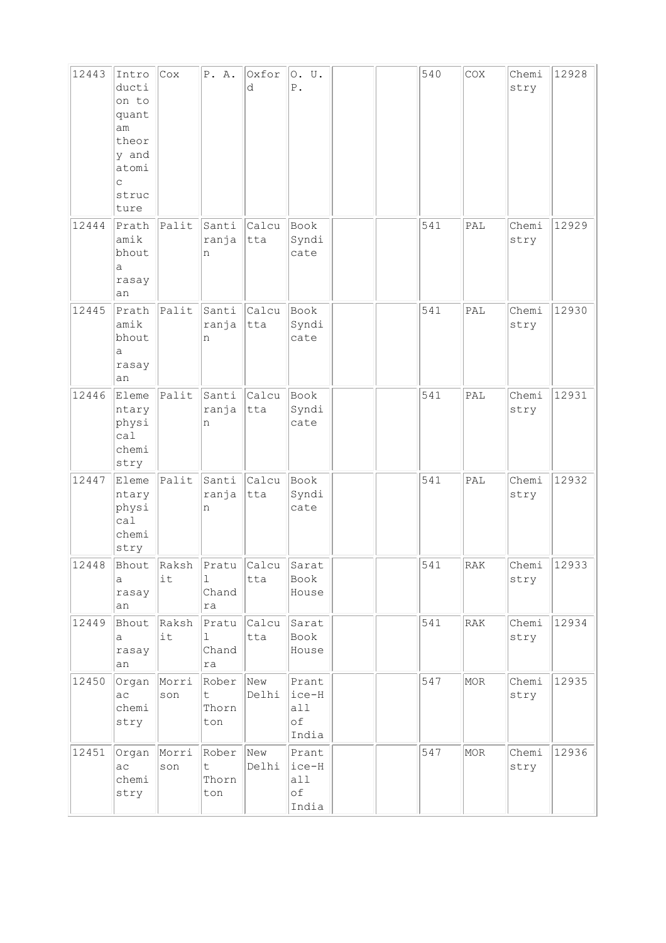| 12443 | Intro<br>ducti<br>on to<br>quant<br>am<br>theor<br>y and<br>atomi<br>C<br>struc<br>ture | Cox                           | P. A.                       | Oxfor<br>d   | 0. U.<br>$P$ .                         |  | 540 | COX | Chemi<br>stry | 12928 |
|-------|-----------------------------------------------------------------------------------------|-------------------------------|-----------------------------|--------------|----------------------------------------|--|-----|-----|---------------|-------|
| 12444 | Prath<br>amik<br>bhout<br>а<br>rasay<br>an                                              | $ $ Palit                     | Santi<br>ranja<br>n         | Calcu<br>tta | Book<br>Syndi<br>cate                  |  | 541 | PAL | Chemi<br>stry | 12929 |
| 12445 | Prath<br>amik<br>bhout<br>a<br>rasay<br>an                                              | $ $ Palit                     | Santi<br>ranja<br>n         | Calcu<br>tta | Book<br>Syndi<br>cate                  |  | 541 | PAL | Chemi<br>stry | 12930 |
| 12446 | Eleme<br>ntary<br>physi<br>ca1<br>chemi<br>stry                                         | Palit                         | Santi<br>ranja<br>n         | Calcu<br>tta | Book<br>Syndi<br>cate                  |  | 541 | PAL | Chemi<br>stry | 12931 |
| 12447 | Eleme<br>ntary<br>physi<br>ca1<br>chemi<br>stry                                         | Palit                         | Santi<br>ranja<br>n         | Calcu<br>tta | Book<br>Syndi<br>cate                  |  | 541 | PAL | Chemi<br>stry | 12932 |
| 12448 | а<br>rasay<br>an                                                                        | Bhout Raksh Pratu Calcu<br>it | ı<br>Chand<br>ra            | tta          | Sarat<br>Book<br>House                 |  | 541 | RAK | Chemi<br>stry | 12933 |
| 12449 | Bhout<br>а<br>rasay<br>an                                                               | Raksh<br>it                   | Pratu<br>ı<br>Chand<br>ra   | Calcu<br>tta | Sarat<br>Book<br>House                 |  | 541 | RAK | Chemi<br>stry | 12934 |
| 12450 | Organ<br>ac<br>chemi<br>stry                                                            | Morri<br>son                  | Rober<br>t.<br>Thorn<br>ton | New<br>Delhi | Prant<br>$ice-H$<br>a11<br>оf<br>India |  | 547 | MOR | Chemi<br>stry | 12935 |
| 12451 | Organ<br>ac<br>chemi<br>stry                                                            | Morri<br>son                  | Rober<br>t.<br>Thorn<br>ton | New<br>Delhi | Prant<br>$ice-H$<br>all<br>оf<br>India |  | 547 | MOR | Chemi<br>stry | 12936 |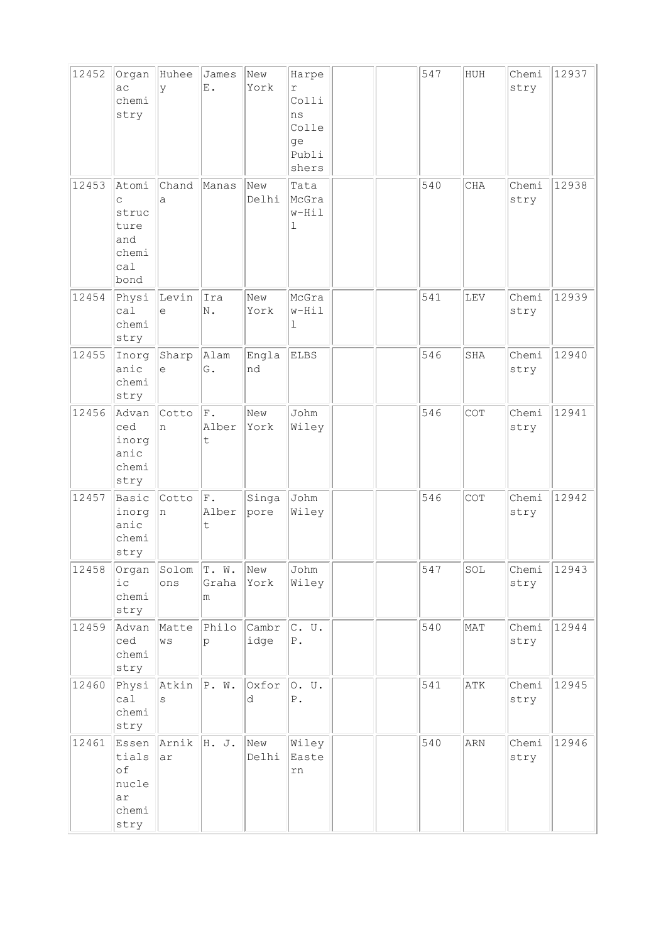| 12452 | Organ<br>ac<br>chemi<br>stry                               | Huhee<br>У          | James<br>E.                            | New<br>York   | Harpe<br>r<br>Colli<br>ns<br>Colle<br>ge<br>Publi<br>shers |  | 547 | HUH        | Chemi<br>stry | 12937 |
|-------|------------------------------------------------------------|---------------------|----------------------------------------|---------------|------------------------------------------------------------|--|-----|------------|---------------|-------|
| 12453 | Atomi<br>C<br>struc<br>ture<br>and<br>chemi<br>ca1<br>bond | Chand<br>a          | Manas                                  | New<br>Delhi  | Tata<br>McGra<br>w-Hil<br>ı                                |  | 540 | <b>CHA</b> | Chemi<br>stry | 12938 |
| 12454 | Physi<br>ca1<br>chemi<br>stry                              | Levin<br>$\epsilon$ | līra<br>N.                             | New<br>York   | McGra<br>w-Hil<br>ı                                        |  | 541 | LEV        | Chemi<br>stry | 12939 |
| 12455 | Inorg<br>anic<br>chemi<br>stry                             | Sharp<br>e          | Alam<br>G.                             | Engla<br>nd   | <b>ELBS</b>                                                |  | 546 | SHA        | Chemi<br>stry | 12940 |
| 12456 | Advan<br>ced<br>inorg<br>anic<br>chemi<br>stry             | Cotto<br>n          | $ _{\operatorname{F}}$ .<br>Alber<br>t | New<br>York   | Johm<br>Wiley                                              |  | 546 | COT        | Chemi<br>stry | 12941 |
| 12457 | Basic<br>inorg<br>anic<br>chemi<br>stry                    | Cotto<br>n          | F.<br>Alber<br>t                       | Singa<br>pore | Johm<br>Wiley                                              |  | 546 | COT        | Chemi<br>stry | 12942 |
| 12458 | Organ<br>$i$ c<br>chemi<br>stry                            | Solom<br>ons        | T. W.<br>Graha<br>m                    | New<br>York   | Johm<br>Wiley                                              |  | 547 | SOL        | Chemi<br>stry | 12943 |
| 12459 | Advan<br>ced<br>chemi<br>stry                              | Matte<br>WS         | Philo<br>$\mathsf{p}$                  | Cambr<br>idge | $C.$ U.<br>${\mathbb P}$ .                                 |  | 540 | MAT        | Chemi<br>stry | 12944 |
| 12460 | Physi<br>ca1<br>chemi<br>stry                              | Atkin<br>S          | P. W.                                  | Oxfor<br>d    | 0. U.<br>${\mathbb P}$ .                                   |  | 541 | ATK        | Chemi<br>stry | 12945 |
| 12461 | Essen<br>tials<br>of<br>nucle<br>ar<br>chemi<br>stry       | Arnik<br>ar         | H. J.                                  | New<br>Delhi  | Wiley<br>Easte<br>rn                                       |  | 540 | ARN        | Chemi<br>stry | 12946 |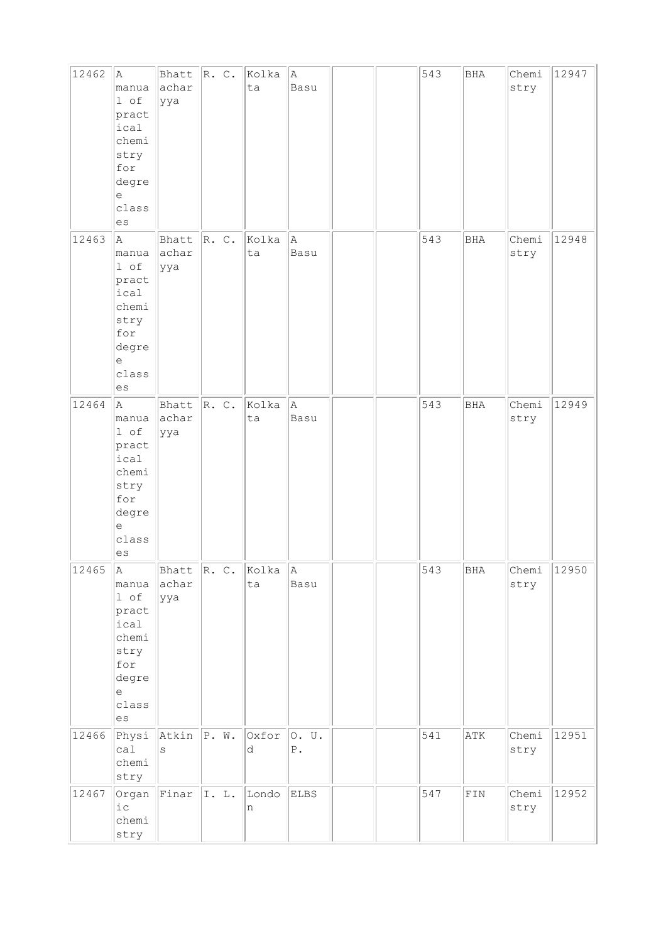| 12462 | A<br>manua<br>1 of<br>pract<br>ical<br>chemi<br>stry<br>for<br>degre<br>е<br>class<br>es                                        | Bhatt<br>achar<br>ууа         | R. C.                    | Kolka<br>ta | A)<br>Basu               |  | 543 | $_{\rm BHA}$ | Chemi<br>stry | 12947 |
|-------|---------------------------------------------------------------------------------------------------------------------------------|-------------------------------|--------------------------|-------------|--------------------------|--|-----|--------------|---------------|-------|
| 12463 | la.<br>manua<br>1 of<br>pract<br>ical<br>chemi<br>stry<br>for<br>degre<br>е<br>class<br>$\mathop{\rm es}\nolimits$              | Bhatt<br>achar<br>ууа         | R. C.                    | Kolka<br>ta | la.<br>Basu              |  | 543 | <b>BHA</b>   | Chemi<br>stry | 12948 |
| 12464 | A<br>manua<br>1 of<br>pract<br>ical<br>chemi<br>stry<br>for<br>degre<br>$\epsilon$<br>class<br>es                               | Bhatt<br>achar<br>ууа         | R. C.                    | Kolka<br>ta | A<br>Basu                |  | 543 | <b>BHA</b>   | Chemi<br>stry | 12949 |
| 12465 | A<br>manua<br>l of<br>pract<br>ical<br>chemi<br>stry<br>for<br>degre<br>$\mathrel{\mathop{\mathrm{e}}\nolimits}$<br>class<br>es | achar<br>ууа                  | Bhatt $\ R. C. \ $ Kolka | ta          | A<br>Basu                |  | 543 | BHA          | Chemi<br>stry | 12950 |
| 12466 | Physi<br>calal<br>chemi<br>stry                                                                                                 | $ $ Atkin $ $ P. W.<br>S      |                          | Oxfor<br>d  | O. U.<br>${\mathbb P}$ . |  | 541 | ATK          | Chemi<br>stry | 12951 |
| 12467 | Organ<br>$i$ c<br>chemi<br>stry                                                                                                 | $\lvert$ Finar $\lvert$ I. L. |                          | Londo<br>n  | <b>ELBS</b>              |  | 547 | ${\tt FIN}$  | Chemi<br>stry | 12952 |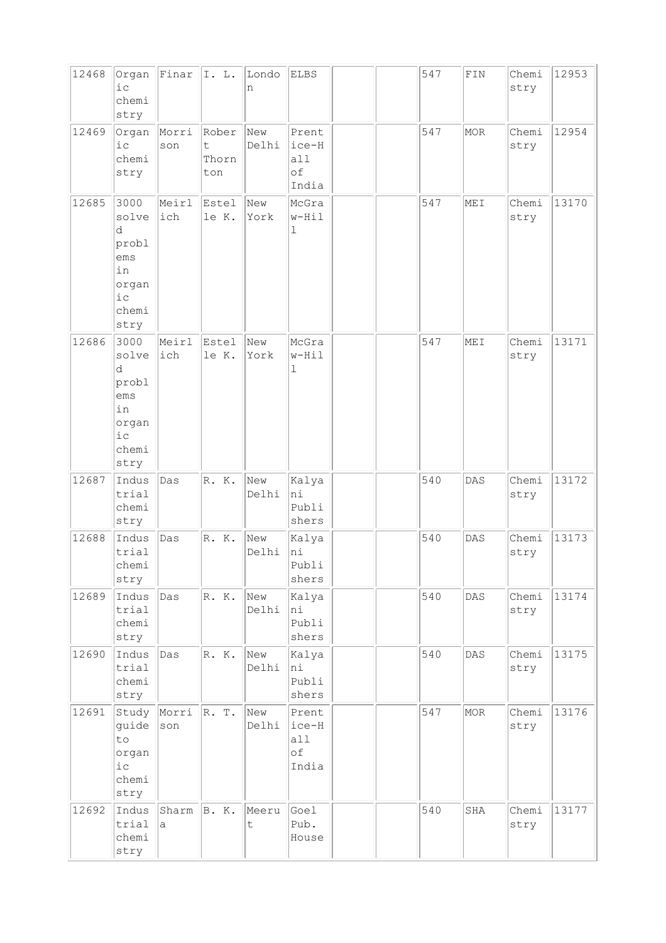| 12468 | Organ<br>i c<br>chemi<br>stry                                               | Finar        | I. L.                      | Londo<br>n           | ELBS                                 |  | 547 | ${\tt FIN}$ | Chemi<br>stry | 12953 |
|-------|-----------------------------------------------------------------------------|--------------|----------------------------|----------------------|--------------------------------------|--|-----|-------------|---------------|-------|
| 12469 | Organ<br>$i$ $c$<br>chemi<br>stry                                           | Morri<br>son | Rober<br>t<br>Thorn<br>ton | New<br>Delhi         | Prent<br>ice-H<br>a11<br>of<br>India |  | 547 | MOR         | Chemi<br>stry | 12954 |
| 12685 | 3000<br>solve<br>d<br>probl<br>ems<br>in<br>organ<br>$i$ c<br>chemi<br>stry | Meirl<br>ich | Estel<br>le K.             | New<br>York          | McGra<br>$w-Hil$<br>ı                |  | 547 | MEI         | Chemi<br>stry | 13170 |
| 12686 | 3000<br>solve<br>d<br>probl<br>ems<br>in<br>organ<br>$i$ c<br>chemi<br>stry | Meirl<br>ich | Estel<br>le K.             | New<br>York          | McGra<br>w-Hil<br>ı                  |  | 547 | MEI         | Chemi<br>stry | 13171 |
| 12687 | Indus<br>trial<br>chemi<br>stry                                             | Das          | R.K.                       | New<br>Delhi         | Kalya<br>hi<br>Publi<br>shers        |  | 540 | DAS         | Chemi<br>stry | 13172 |
| 12688 | Indus<br>trial<br>chemi<br>stry                                             | Das          | R.K.                       | New<br>Delhi         | Kalya<br>hi<br>Publi<br>shers        |  | 540 | DAS         | Chemi<br>stry | 13173 |
| 12689 | Indus<br>trial<br>chemi<br>stry                                             | Das          | R.K.                       | New<br>Delhi         | Kalya<br>hi<br>Publi<br>shers        |  | 540 | DAS         | Chemi<br>stry | 13174 |
| 12690 | Indus<br>trial<br>chemi<br>stry                                             | Das          | R. K.                      | New<br>Delhi         | Kalya<br>hi<br>Publi<br>shers        |  | 540 | DAS         | Chemi<br>stry | 13175 |
| 12691 | Study<br>guide<br>to<br>organ<br>$i$ $c$<br>chemi<br>stry                   | Morri<br>son | R. T.                      | New<br>Delhi         | Prent<br>ice-H<br>all<br>оf<br>India |  | 547 | MOR         | Chemi<br>stry | 13176 |
| 12692 | Indus<br>trial<br>chemi<br>stry                                             | Sharm<br>a   | B. K.                      | Meeru<br>$\mathsf t$ | Goel<br>Pub.<br>House                |  | 540 | SHA         | Chemi<br>stry | 13177 |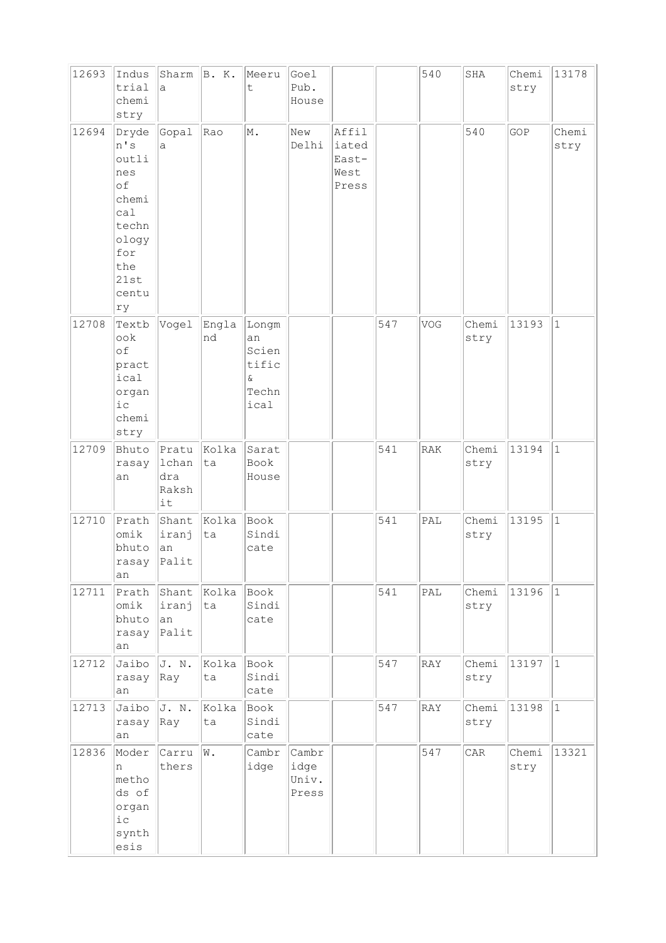| 12693 | Indus<br>trial<br>chemi<br>stry                                                                           | Sharm B. K.<br>a                     |             | Meeru<br>t                                                 | Goel<br>Pub.<br>House           |                                          |     | 540        | SHA           | Chemi<br>stry | 13178         |
|-------|-----------------------------------------------------------------------------------------------------------|--------------------------------------|-------------|------------------------------------------------------------|---------------------------------|------------------------------------------|-----|------------|---------------|---------------|---------------|
| 12694 | Dryde<br>n's<br>outli<br>nes<br>of<br>chemi<br>cal<br>techn<br>ology<br>for<br>the<br>21st<br>centu<br>ry | Gopal<br>a                           | Rao         | M.                                                         | New<br>Delhi                    | Affil<br>iated<br>East-<br>West<br>Press |     |            | 540           | GOP           | Chemi<br>stry |
| 12708 | Textb<br>look<br>of<br>pract<br>ical<br>organ<br>i c<br>chemi<br>stry                                     | Vogel                                | Engla<br>nd | Longm<br>an<br>Scien<br>tific<br>$\delta$<br>Techn<br>ical |                                 |                                          | 547 | VOG        | Chemi<br>stry | 13193         | $\vert$ 1     |
| 12709 | Bhuto<br>rasay<br>an                                                                                      | Pratu<br>lchan<br>dra<br>Raksh<br>it | Kolka<br>ta | Sarat<br>Book<br>House                                     |                                 |                                          | 541 | <b>RAK</b> | Chemi<br>stry | 13194         | $\mathbf{1}$  |
| 12710 | Prath<br>omik<br>bhuto<br>rasay<br>an                                                                     | Shant<br>iranj<br>an<br>Palit        | Kolka<br>ta | Book<br>Sindi<br>cate                                      |                                 |                                          | 541 | PAL        | Chemi<br>stry | 13195         | $\vert$ 1     |
| 12711 | Prath<br>omik<br>bhuto<br>rasay<br>an                                                                     | Shant<br>iranj<br>an<br>Palit        | Kolka<br>ta | Book<br>Sindi<br>cate                                      |                                 |                                          | 541 | PAL        | Chemi<br>stry | 13196         | $ 1\rangle$   |
| 12712 | Jaibo<br>rasay<br>an                                                                                      | J. N.<br>Ray                         | Kolka<br>ta | Book<br>Sindi<br>cate                                      |                                 |                                          | 547 | RAY        | Chemi<br>stry | 13197         | $ 1\rangle$   |
| 12713 | Jaibo<br>rasay<br>an                                                                                      | J. N.<br>Ray                         | Kolka<br>ta | Book<br>Sindi<br>cate                                      |                                 |                                          | 547 | RAY        | Chemi<br>stry | 13198         | $ 1\rangle$   |
| 12836 | Moder<br>n<br>metho<br>ds of<br>organ<br>$i$ $c$<br>synth<br>esis                                         | Carru<br>thers                       | W.          | Cambr<br>idge                                              | Cambr<br>idge<br>Univ.<br>Press |                                          |     | 547        | CAR           | Chemi<br>stry | 13321         |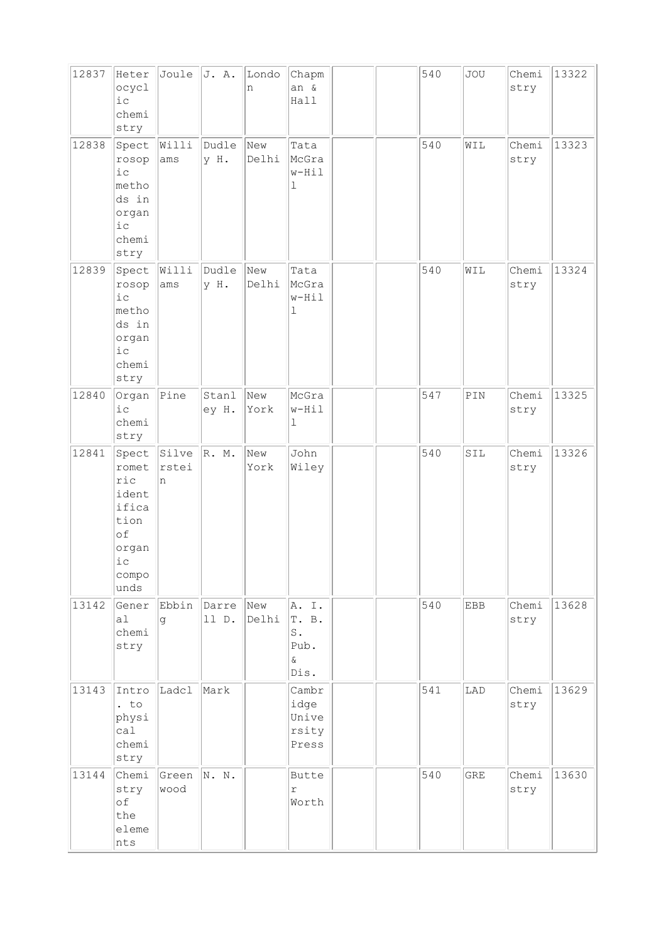| 12837 | Heter<br>ocycl<br>i c<br>chemi<br>stry                                                 | Joule               | J. A.                | Londo<br>n   | Chapm<br>an &<br>Hall                              |  | 540 | <b>JOU</b> | Chemi<br>stry | 13322 |
|-------|----------------------------------------------------------------------------------------|---------------------|----------------------|--------------|----------------------------------------------------|--|-----|------------|---------------|-------|
| 12838 | Spect<br>rosop<br>$i\,c$<br>metho<br>ds in<br>organ<br>$i\,c$<br>chemi<br>stry         | Willi<br>ams        | Dudle<br>у Н.        | New<br>Delhi | Tata<br>McGra<br>w-Hil<br>ı                        |  | 540 | WIL        | Chemi<br>stry | 13323 |
| 12839 | Spect<br>rosop<br>$i$ c<br>metho<br>ds in<br>organ<br>i c<br>chemi<br>stry             | Willi<br>ams        | Dudle<br>y H.        | New<br>Delhi | Tata<br>McGra<br>w-Hil<br>ı                        |  | 540 | WIL        | Chemi<br>stry | 13324 |
| 12840 | Organ<br>i c<br>chemi<br>stry                                                          | Pine                | Stanl<br>ey H.       | New<br>York  | McGra<br>w-Hil<br>ı                                |  | 547 | PIN        | Chemi<br>stry | 13325 |
| 12841 | Spect<br>romet<br>ric<br>ident<br>ifica<br>tion<br>of<br>organ<br>i c<br>compo<br>unds | Silve<br>rstei<br>n | $\mathbb{R}$ . M.    | New<br>York  | John<br>Wiley                                      |  | 540 | SIL        | Chemi<br>stry | 13326 |
| 13142 | Gener<br>a1<br>chemi<br>stry                                                           | q                   | Ebbin Darre<br>11 D. | New<br>Delhi | A.I.<br>T. B.<br>$S$ .<br>Pub.<br>$\delta$<br>Dis. |  | 540 | <b>EBB</b> | Chemi<br>stry | 13628 |
| 13143 | Intro<br>$:$ to<br>physi<br>ca1<br>chemi<br>stry                                       | Ladcl               | Mark                 |              | Cambr<br>idge<br>Unive<br>rsity<br>Press           |  | 541 | LAD        | Chemi<br>stry | 13629 |
| 13144 | Chemi<br>stry<br>of<br>the<br>eleme<br>nts                                             | Green<br>wood       | N. N.                |              | Butte<br>r<br>Worth                                |  | 540 | <b>GRE</b> | Chemi<br>stry | 13630 |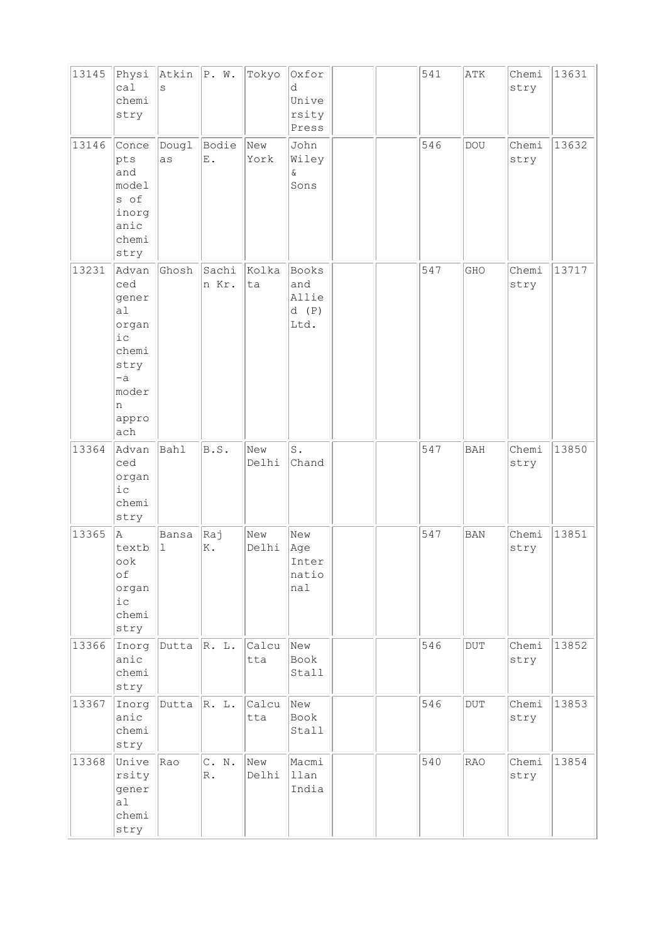| 13145 | Physi<br>ca1<br>chemi<br>stry                                                                                  | Atkin<br>S           | P. W.          | Tokyo        | Oxfor<br>d<br>Unive<br>rsity<br>Press |  | 541 | ATK        | Chemi<br>stry | 13631 |
|-------|----------------------------------------------------------------------------------------------------------------|----------------------|----------------|--------------|---------------------------------------|--|-----|------------|---------------|-------|
| 13146 | Conce<br>pts<br>and<br>model<br>s of<br>inorg<br>anic<br>chemi<br>stry                                         | Dougl<br>as          | Bodie<br>Ε.    | New<br>York  | John<br>Wiley<br>&<br>Sons            |  | 546 | DOU        | Chemi<br>stry | 13632 |
| 13231 | Advan<br>ced<br>gener<br>a <sub>l</sub><br>organ<br>i c<br>chemi<br>stry<br>$-a$<br>moder<br>n<br>appro<br>ach | Ghosh                | Sachi<br>n Kr. | Kolka<br>ta  | Books<br>and<br>Allie<br>d(P)<br>Ltd. |  | 547 | GHO        | Chemi<br>stry | 13717 |
| 13364 | Advan<br>ced<br>organ<br>i c<br>chemi<br>stry                                                                  | Bahl                 | B.S.           | New<br>Delhi | S.<br>Chand                           |  | 547 | <b>BAH</b> | Chemi<br>stry | 13850 |
| 13365 | A<br>textb<br>ook<br>of<br>organ<br>$i$ $c$<br>chemi<br>stry                                                   | Bansa<br>$\mathbf 1$ | Raj<br>Κ.      | New<br>Delhi | New<br>Age<br>Inter<br>natio<br>nal   |  | 547 | <b>BAN</b> | Chemi<br>stry | 13851 |
| 13366 | Inorg<br>anic<br>chemi<br>stry                                                                                 | Dutta                | R. L.          | Calcu<br>tta | New<br>Book<br>Stall                  |  | 546 | $\rm DUT$  | Chemi<br>stry | 13852 |
| 13367 | Inorg<br>anic<br>chemi<br>stry                                                                                 | Dutta                | R. L.          | Calcu<br>tta | New<br>Book<br>Stall                  |  | 546 | DUT        | Chemi<br>stry | 13853 |
| 13368 | Unive<br>rsity<br>gener<br>a1<br>chemi<br>stry                                                                 | Rao                  | C. N.<br>$R$ . | New<br>Delhi | Macmi<br>llan<br>India                |  | 540 | RAO        | Chemi<br>stry | 13854 |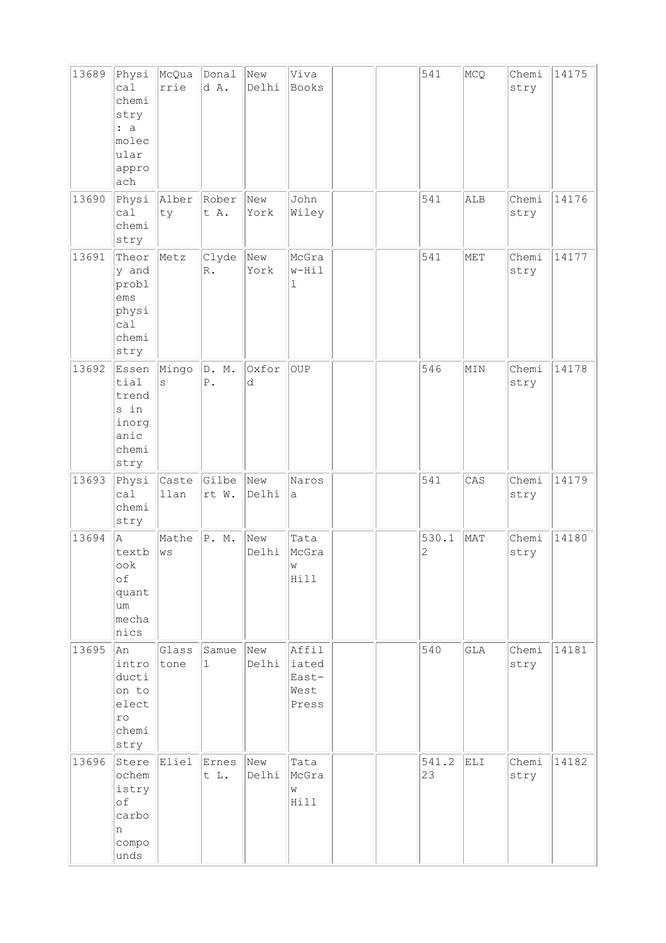| 13689 | Physi<br>ca1<br>chemi<br>stry<br>: a<br>molec<br>ular<br>appro<br>ach | McQua<br>rrie | Donal<br>d A.           | New<br>Delhi | Viva<br><b>Books</b>                     |  | 541                     | MCQ                  | Chemi<br>stry | 14175 |
|-------|-----------------------------------------------------------------------|---------------|-------------------------|--------------|------------------------------------------|--|-------------------------|----------------------|---------------|-------|
| 13690 | Physi<br>ca1<br>chemi<br>stry                                         | Alber<br>ty   | Rober<br>t A.           | New<br>York  | John<br>Wiley                            |  | 541                     | ALB                  | Chemi<br>stry | 14176 |
| 13691 | Theor<br>y and<br>probl<br>ems<br>physi<br>ca1<br>chemi<br>stry       | Metz          | Clyde<br>$\mathbb{R}$ . | New<br>York  | McGra<br>w-Hil<br>ı                      |  | 541                     | MET                  | Chemi<br>stry | 14177 |
| 13692 | Essen<br>tial<br>trend<br>s in<br>inorg<br>anic<br>chemi<br>stry      | Mingo<br>S    | D. M.<br>${\tt P}$ .    | Oxfor<br>d   | OUP                                      |  | 546                     | MIN                  | Chemi<br>stry | 14178 |
| 13693 | Physi<br>cal<br>chemi<br>stry                                         | Caste<br>llan | Gilbe<br>rt W.          | New<br>Delhi | Naros<br>а                               |  | 541                     | CAS                  | Chemi<br>stry | 14179 |
| 13694 | A<br>textb<br>ook<br>оf<br>quant<br>um<br>mecha<br>nics               | Mathe<br>WS   | P. M.                   | New<br>Delhi | Tata<br>McGra<br>W<br>Hill               |  | 530.1<br>$\overline{c}$ | MAT                  | Chemi<br>stry | 14180 |
| 13695 | An<br>intro<br>ducti<br>on to<br>elect<br>ro<br>chemi<br>stry         | Glass<br>tone | Samue<br>ı              | New<br>Delhi | Affil<br>iated<br>East-<br>West<br>Press |  | 540                     | $\operatorname{GLA}$ | Chemi<br>stry | 14181 |
| 13696 | Stere<br>ochem<br>istry<br>of<br>carbo<br>n<br>compo<br>unds          | Eliel         | Ernes<br>t L.           | New<br>Delhi | Tata<br>McGra<br>W<br>Hill               |  | 541.2<br>23             | ELI                  | Chemi<br>stry | 14182 |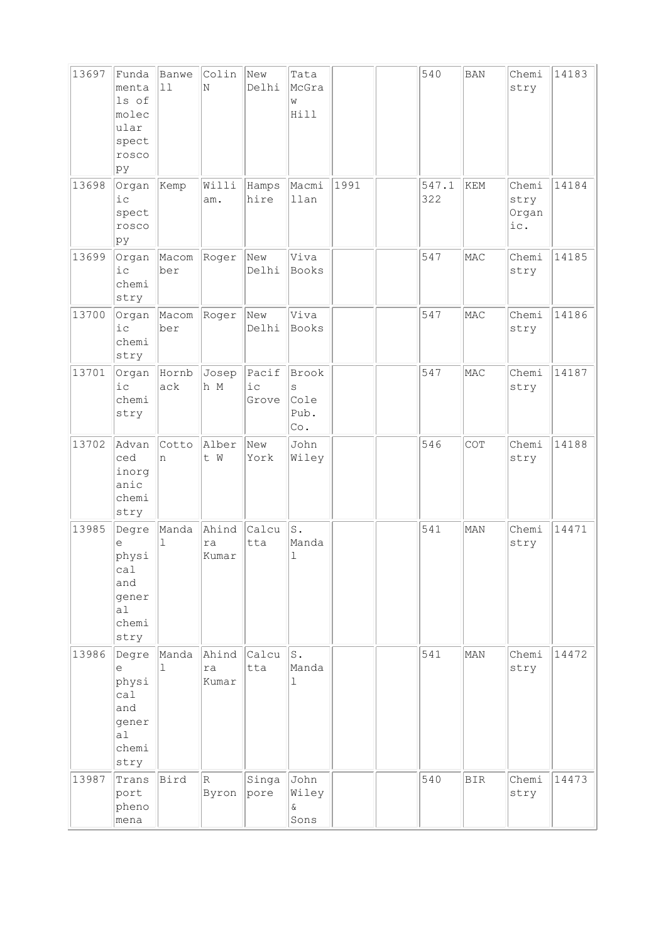| 13697 | Funda<br>menta<br>ls of<br>molec<br>ular<br>spect<br>rosco<br>pу              | Banwe<br>11           | Colin<br>N           | New<br>Delhi            | Tata<br>McGra<br>W<br>Hill        |      | 540          | <b>BAN</b> | Chemi<br>stry                 | 14183 |
|-------|-------------------------------------------------------------------------------|-----------------------|----------------------|-------------------------|-----------------------------------|------|--------------|------------|-------------------------------|-------|
| 13698 | Organ<br>$i$ c<br>spect<br>rosco<br>þу                                        | Kemp                  | Willi<br>am.         | Hamps<br>hire           | Macmi<br>llan                     | 1991 | 547.1<br>322 | KEM        | Chemi<br>stry<br>Organ<br>ic. | 14184 |
| 13699 | Organ<br>i c<br>chemi<br>stry                                                 | Macom<br>ber          | Roger                | New<br>Delhi            | Viva<br>Books                     |      | 547          | MAC        | Chemi<br>stry                 | 14185 |
| 13700 | Organ<br>i c<br>chemi<br>stry                                                 | Macom<br>ber          | Roger                | New<br>Delhi            | Viva<br>Books                     |      | 547          | MAC        | Chemi<br>stry                 | 14186 |
| 13701 | Organ<br>$i$ c<br>chemi<br>stry                                               | Hornb<br>ack          | Josep<br>h M         | Pacif<br>$i$ c<br>Grove | Brook<br>S<br>Cole<br>Pub.<br>Co. |      | 547          | MAC        | Chemi<br>stry                 | 14187 |
| 13702 | Advan<br>ced<br>inorg<br>anic<br>chemi<br>stry                                | Cotto<br>n            | Alber<br>t W         | New<br>York             | John<br>Wiley                     |      | 546          | COT        | Chemi<br>stry                 | 14188 |
| 13985 | Degre<br>е<br>physi<br>ca1<br>and<br>gener<br>a <sub>l</sub><br>chemi<br>stry | Manda<br>$\mathbf 1$  | Ahind<br>ra<br>Kumar | Calcu<br>tta            | S.<br>Manda<br>$\mathbf 1$        |      | 541          | MAN        | Chemi<br>stry                 | 14471 |
| 13986 | Degre<br>е<br>physi<br>cal<br>and<br>gener<br>a1<br>chemi<br>stry             | Manda<br>$\mathbf{1}$ | Ahind<br>ra<br>Kumar | Calcu<br>tta            | s.<br>Manda<br>$\mathbf{1}$       |      | 541          | MAN        | Chemi<br>stry                 | 14472 |
| 13987 | Trans<br>port<br>pheno<br>mena                                                | Bird                  | $\mathbb R$<br>Byron | Singa<br>pore           | John<br>Wiley<br>$\delta$<br>Sons |      | 540          | <b>BIR</b> | Chemi<br>stry                 | 14473 |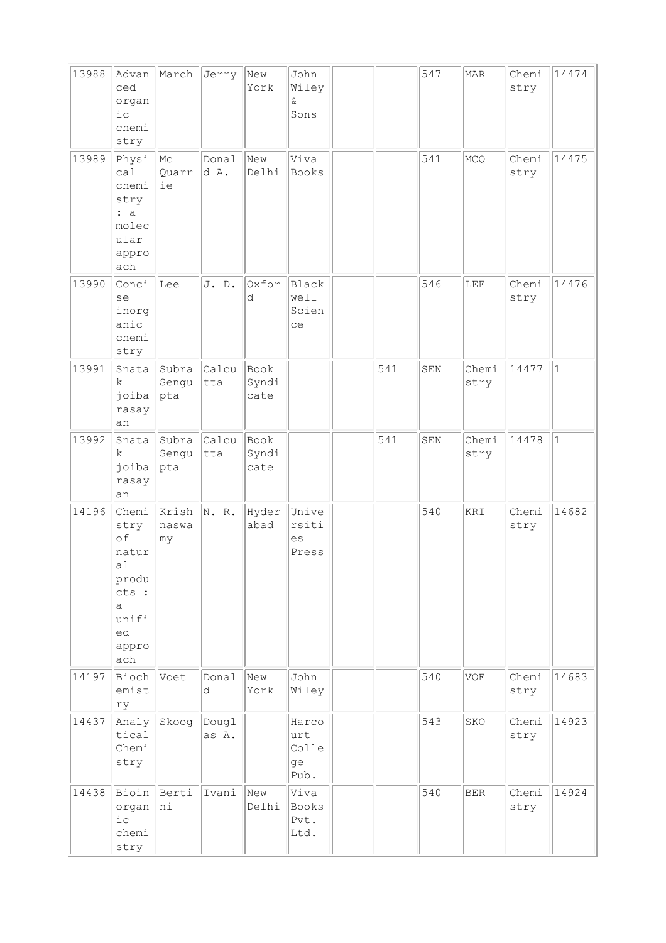| 13988 | Advan<br>ced<br>organ<br>i c<br>chemi<br>stry                                            | March                      | Jerry          | New<br>York           | John<br>Wiley<br>&<br>Sons          |     | 547 | <b>MAR</b>    | Chemi<br>stry | 14474        |
|-------|------------------------------------------------------------------------------------------|----------------------------|----------------|-----------------------|-------------------------------------|-----|-----|---------------|---------------|--------------|
| 13989 | Physi<br>ca1<br>chemi<br>stry<br>: a<br>molec<br>ular<br>appro<br>ach                    | $ {\rm Mc}$<br>Quarr<br>ie | Donal<br>d A.  | New<br>Delhi          | Viva<br>Books                       |     | 541 | MCQ           | Chemi<br>stry | 14475        |
| 13990 | Conci<br>se<br>inorg<br>anic<br>chemi<br>stry                                            | Lee                        | J. D.          | Oxfor<br>d            | <b>Black</b><br>well<br>Scien<br>ce |     | 546 | LEE           | Chemi<br>stry | 14476        |
| 13991 | Snata<br>k.<br>joiba<br>rasay<br>an                                                      | Subra<br>Sengu<br>pta      | Calcu<br>tta   | Book<br>Syndi<br>cate |                                     | 541 | SEN | Chemi<br>stry | 14477         | $\mathbf{1}$ |
| 13992 | Snata<br>k<br>joiba<br>rasay<br>an                                                       | Subra<br>Sengu<br> pta     | Calcu<br>tta   | Book<br>Syndi<br>cate |                                     | 541 | SEN | Chemi<br>stry | 14478         | $\vert$ 1    |
| 14196 | Chemi<br>stry<br>of<br>natur<br>a1<br>produ<br>cts :<br>a<br>unifi<br>ed<br>appro<br>ach | Krish<br>naswa<br>∣my      | N. R.          | Hyder<br>abad         | Unive<br>rsiti<br>es<br>Press       |     | 540 | KRI           | Chemi<br>stry | 14682        |
| 14197 | Bioch<br>emist<br>ry                                                                     | Voet                       | Donal<br>d     | New<br>York           | John<br>Wiley                       |     | 540 | <b>VOE</b>    | Chemi<br>stry | 14683        |
| 14437 | Analy<br>tical<br>Chemi<br>stry                                                          | Skoog                      | Dougl<br>as A. |                       | Harco<br>urt<br>Colle<br>ge<br>Pub. |     | 543 | SKO           | Chemi<br>stry | 14923        |
| 14438 | Bioin<br>organ<br>$i$ $c$<br>chemi<br>stry                                               | Berti<br>hi                | Ivani          | New<br>Delhi          | Viva<br>Books<br>Pvt.<br>Ltd.       |     | 540 | <b>BER</b>    | Chemi<br>stry | 14924        |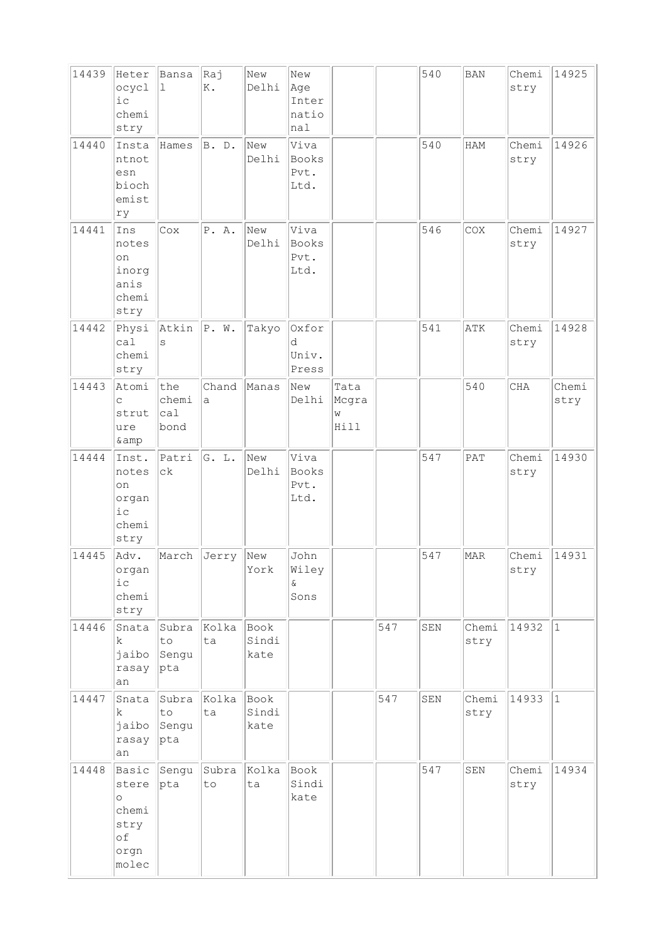| 14439<br>14440 | Heter<br>ocycl<br>i c<br>chemi<br>stry<br>Insta<br>ntnot<br>esn<br>bioch<br>emist | Bansa<br>ı<br>Hames          | Raj<br>Κ.<br>B. D.    | New<br>Delhi<br>New<br>Delhi | New<br>Age<br>Inter<br>natio<br>nal<br>Viva<br>Books<br>Pvt.<br>Ltd. |                            |     | 540<br>540  | <b>BAN</b><br>HAM | Chemi<br>stry<br>Chemi<br>stry | 14925<br>14926 |
|----------------|-----------------------------------------------------------------------------------|------------------------------|-----------------------|------------------------------|----------------------------------------------------------------------|----------------------------|-----|-------------|-------------------|--------------------------------|----------------|
| 14441          | ry<br>Ins<br>notes<br>on<br>inorg<br>anis<br>chemi<br>stry                        | Cox                          | P. A.                 | New<br>Delhi                 | Viva<br><b>Books</b><br>Pvt.<br>Ltd.                                 |                            |     | 546         | COX               | Chemi<br>stry                  | 14927          |
| 14442          | Physi<br>ca1<br>chemi<br>stry                                                     | Atkin<br>S                   | P. W.                 | Takyo                        | Oxfor<br>d<br>Univ.<br>Press                                         |                            |     | 541         | ATK               | Chemi<br>stry                  | 14928          |
| 14443          | Atomi<br>C<br>strut<br>ure<br>& amp                                               | the<br>chemi<br>ca1<br>bond  | Chand<br>$\mathsf{a}$ | Manas                        | New<br>Delhi                                                         | Tata<br>Mcgra<br>W<br>Hill |     |             | 540               | CHA                            | Chemi<br>stry  |
| 14444          | Inst.<br>notes<br>on<br>organ<br>ic<br>chemi<br>stry                              | Patri<br>$c\,k$              | G. L.                 | New<br>Delhi                 | Viva<br><b>Books</b><br>Pvt.<br>Ltd.                                 |                            |     | 547         | PAT               | Chemi<br>stry                  | 14930          |
| 14445          | Adv.<br>organ<br>${\rm i\hskip 0.5mm} c$<br>chemi<br>stry                         | March                        | Jerry                 | New<br>York                  | John<br>Wiley<br>ଙ<br>Sons                                           |                            |     | 547         | MAR               | Chemi<br>stry                  | 14931          |
| 14446          | Snata<br>k.<br>jaibo<br>rasay<br>an                                               | Subra<br>to<br>Sengu<br> pta | Kolka<br>ta           | Book<br>Sindi<br>kate        |                                                                      |                            | 547 | SEN         | Chemi<br>stry     | 14932                          | $ 1\rangle$    |
| 14447          | Snata<br>k.<br>jaibo<br>rasay<br>an                                               | Subra<br>to<br>Sengu<br> pta | Kolka<br>ta           | Book<br>Sindi<br>kate        |                                                                      |                            | 547 | ${\tt SEN}$ | Chemi<br>stry     | 14933                          | $ 1\rangle$    |
| 14448          | Basic<br>stere<br>$\circ$<br>chemi<br>stry<br>of<br>orgn<br>molec                 | Sengu<br> pta                | Subra<br>to           | Kolka<br>ta                  | Book<br>Sindi<br>kate                                                |                            |     | 547         | SEN               | Chemi<br>stry                  | 14934          |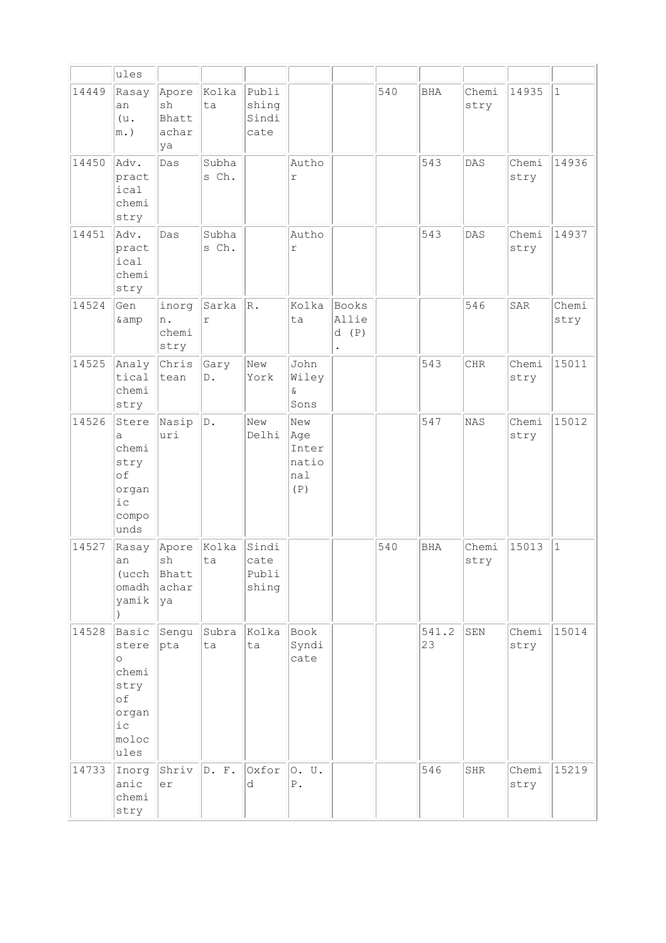|       | ules                                                                                |                                     |                     |                                 |                                                           |                        |     |              |               |               |               |
|-------|-------------------------------------------------------------------------------------|-------------------------------------|---------------------|---------------------------------|-----------------------------------------------------------|------------------------|-----|--------------|---------------|---------------|---------------|
| 14449 | Rasay<br>an<br>(u.<br>$m.$ )                                                        | Apore<br>sh<br>Bhatt<br>achar<br>ya | Kolka<br>ta         | Publi<br>shing<br>Sindi<br>cate |                                                           |                        | 540 | <b>BHA</b>   | Chemi<br>stry | 14935         | $\mathbf{1}$  |
| 14450 | Adv.<br>pract<br>ical<br>chemi<br>stry                                              | Das                                 | Subha<br>s Ch.      |                                 | Autho<br>r                                                |                        |     | 543          | DAS           | Chemi<br>stry | 14936         |
| 14451 | Adv.<br>pract<br>ical<br>chemi<br>stry                                              | Das                                 | Subha<br>s Ch.      |                                 | Autho<br>r                                                |                        |     | 543          | DAS           | Chemi<br>stry | 14937         |
| 14524 | Gen<br>& amp                                                                        | inorg<br>n.<br>chemi<br>stry        | Sarka<br>$\Upsilon$ | $\vert_{\rm R}$ .               | Kolka<br>ta                                               | Books<br>Allie<br>d(P) |     |              | 546           | SAR           | Chemi<br>stry |
| 14525 | Analy<br>tical<br>chemi<br>stry                                                     | Chris<br>tean                       | Gary<br>$D$ .       | New<br>York                     | John<br>Wiley<br>$\delta$<br>Sons                         |                        |     | 543          | <b>CHR</b>    | Chemi<br>stry | 15011         |
| 14526 | Stere<br>a<br>chemi<br>stry<br>of<br>organ<br>$i$ c<br>compo<br>unds                | Nasip<br>uri                        | D.                  | New<br>Delhi                    | New<br>Age<br>Inter<br>natio<br>nal<br>$(\,\mathbb{P}\,)$ |                        |     | 547          | NAS           | Chemi<br>stry | 15012         |
| 14527 | Rasay<br>an<br>(ucch<br>omadh<br>yamik                                              | Apore<br>sh<br>Bhatt<br>achar<br>ya | Kolka<br>ta         | Sindi<br>cate<br>Publi<br>shing |                                                           |                        | 540 | BHA          | Chemi<br>stry | 15013         | $\mathbf{1}$  |
| 14528 | Basic<br>stere<br>$\circ$<br>chemi<br>stry<br>of<br>organ<br>$i$ c<br>moloc<br>ules | Sengu<br>pta                        | Subra<br>ta         | Kolka<br>ta                     | Book<br>Syndi<br>cate                                     |                        |     | 541.2<br> 23 | SEN           | Chemi<br>stry | 15014         |
| 14733 | Inorg<br>anic<br>chemi<br>stry                                                      | Shriv<br>er                         | D. F.               | Oxfor<br>d                      | 0. U.<br>${\bf P}$ .                                      |                        |     | 546          | SHR           | Chemi<br>stry | 15219         |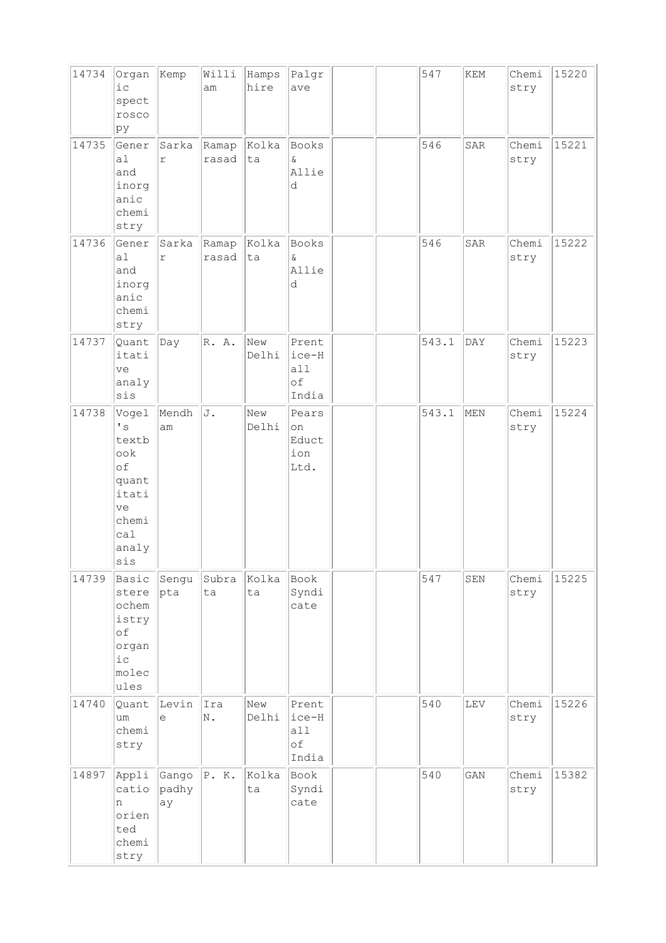| 14734 | Organ<br>$i$ c<br>spect<br>rosco<br>pу                                                                            | Kemp                 | Willi<br>am    | Hamps<br>hire | Palgr<br>ave                         |  | 547   | KEM         | Chemi<br>stry | 15220 |
|-------|-------------------------------------------------------------------------------------------------------------------|----------------------|----------------|---------------|--------------------------------------|--|-------|-------------|---------------|-------|
| 14735 | Gener<br>a1<br>and<br>inorg<br>anic<br>chemi<br>stry                                                              | Sarka<br>r           | Ramap<br>rasad | Kolka<br>ta   | Books<br>$\delta$<br>Allie<br>d      |  | 546   | SAR         | Chemi<br>stry | 15221 |
| 14736 | Gener<br>a1<br>and<br>inorg<br>anic<br>chemi<br>stry                                                              | Sarka<br>$\Upsilon$  | Ramap<br>rasad | Kolka<br>ta   | Books<br>$\delta$<br>Allie<br>d      |  | 546   | SAR         | Chemi<br>stry | 15222 |
| 14737 | Quant<br>itati<br>ve<br>analy<br>sis                                                                              | Day                  | R. A.          | New<br>Delhi  | Prent<br>ice-H<br>a11<br>оf<br>India |  | 543.1 | DAY         | Chemi<br>stry | 15223 |
| 14738 | Vogel<br>$\mathbf{I}$ s<br>textb<br>$\circ \circ k$<br>of<br>quant<br>itati<br>ve<br>chemi<br>cal<br>analy<br>sis | Mendh<br>am          | J.             | New<br>Delhi  | Pears<br>on<br>Educt<br>ion<br>Ltd.  |  | 543.1 | MEN         | Chemi<br>stry | 15224 |
| 14739 | Basic<br>stere<br>ochem<br>istry<br>of<br>organ<br>$i$ c<br>molec<br>ules                                         | Sengu<br>pta         | Subra<br>ta    | Kolka<br>ta   | Book<br>Syndi<br>cate                |  | 547   | ${\tt SEN}$ | Chemi<br>stry | 15225 |
| 14740 | Quant<br>um<br>chemi<br>stry                                                                                      | Levin<br>е           | Ira<br>N.      | New<br>Delhi  | Prent<br>ice-H<br>a11<br>оf<br>India |  | 540   | ${\tt LEV}$ | Chemi<br>stry | 15226 |
| 14897 | Appli<br>catio<br>n<br>orien<br>ted<br>chemi<br>stry                                                              | Gango<br>padhy<br>ay | P. K.          | Kolka<br>ta   | Book<br>Syndi<br>cate                |  | 540   | GAN         | Chemi<br>stry | 15382 |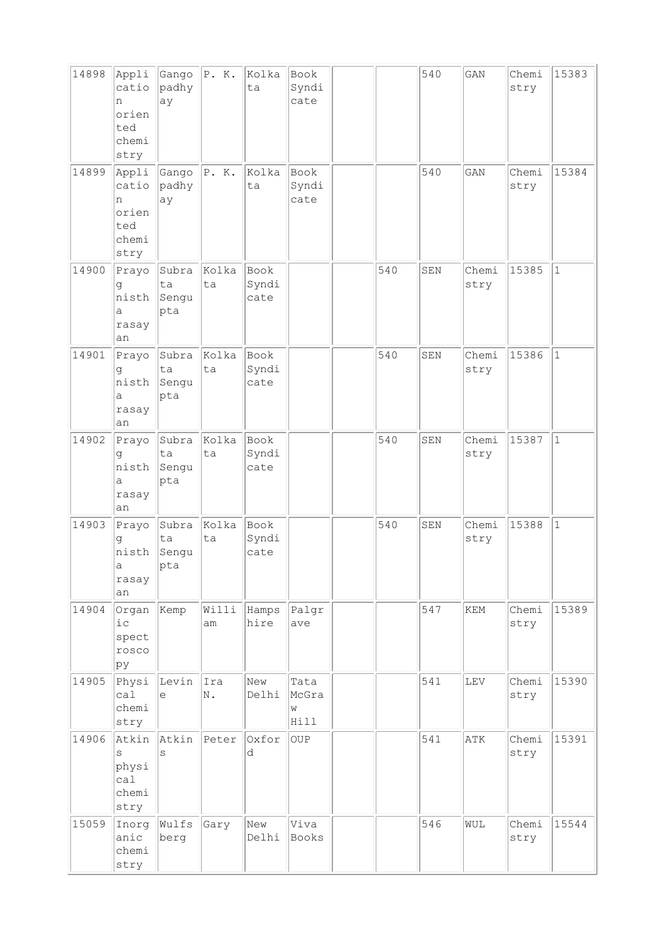| 14898 | Appli<br>catio<br>n<br>orien<br>ted<br>chemi<br>stry | Gango<br>padhy<br>ay        | P. K.       | Kolka<br>ta           | Book<br>Syndi<br>cate      |     | 540         | GAN           | Chemi<br>stry | 15383        |
|-------|------------------------------------------------------|-----------------------------|-------------|-----------------------|----------------------------|-----|-------------|---------------|---------------|--------------|
| 14899 | Appli<br>catio<br>n<br>orien<br>ted<br>chemi<br>stry | Gango<br>padhy<br>ay        | P. K.       | Kolka<br>ta           | Book<br>Syndi<br>cate      |     | 540         | GAN           | Chemi<br>stry | 15384        |
| 14900 | Prayo<br>g<br>nisth<br>a<br>rasay<br>an              | Subra<br>ta<br>Sengu<br>pta | Kolka<br>ta | Book<br>Syndi<br>cate |                            | 540 | SEN         | Chemi<br>stry | 15385         | $\mathbf{1}$ |
| 14901 | Prayo<br>đ<br>nisth<br>а<br>rasay<br>an              | Subra<br>ta<br>Sengu<br>pta | Kolka<br>ta | Book<br>Syndi<br>cate |                            | 540 | ${\tt SEM}$ | Chemi<br>stry | 15386         | $1\,$        |
| 14902 | Prayo<br>g<br>nisth<br>а<br>rasay<br>an              | Subra<br>ta<br>Sengu<br>pta | Kolka<br>ta | Book<br>Syndi<br>cate |                            | 540 | SEN         | Chemi<br>stry | 15387         | $\mathbf{1}$ |
| 14903 | Prayo<br>q<br>nisth<br>$\overline{a}$<br>rasay<br>an | Subra<br>ta<br>Sengu<br>pta | Kolka<br>ta | Book<br>Syndi<br>cate |                            | 540 | SEN         | Chemi<br>stry | 15388         | $\mathbf{1}$ |
| 14904 | Organ<br>$i$ c<br>spect<br>rosco<br>pу               | Kemp                        | Willi<br>am | Hamps<br>hire         | Palgr<br>ave               |     | 547         | KEM           | Chemi<br>stry | 15389        |
| 14905 | Physi<br>ca1<br>chemi<br>stry                        | Levin<br>e                  | Ira<br>N.   | New<br>Delhi          | Tata<br>McGra<br>M<br>Hill |     | 541         | LEV           | Chemi<br>stry | 15390        |
| 14906 | Atkin<br>S<br>physi<br>cal<br>chemi<br>stry          | Atkin<br>S                  | Peter       | Oxfor<br>d            | <b>OUP</b>                 |     | 541         | ATK           | Chemi<br>stry | 15391        |
| 15059 | Inorg<br>anic<br>chemi<br>stry                       | Wulfs<br>berg               | Gary        | New<br>Delhi          | Viva<br>Books              |     | 546         | WUL           | Chemi<br>stry | 15544        |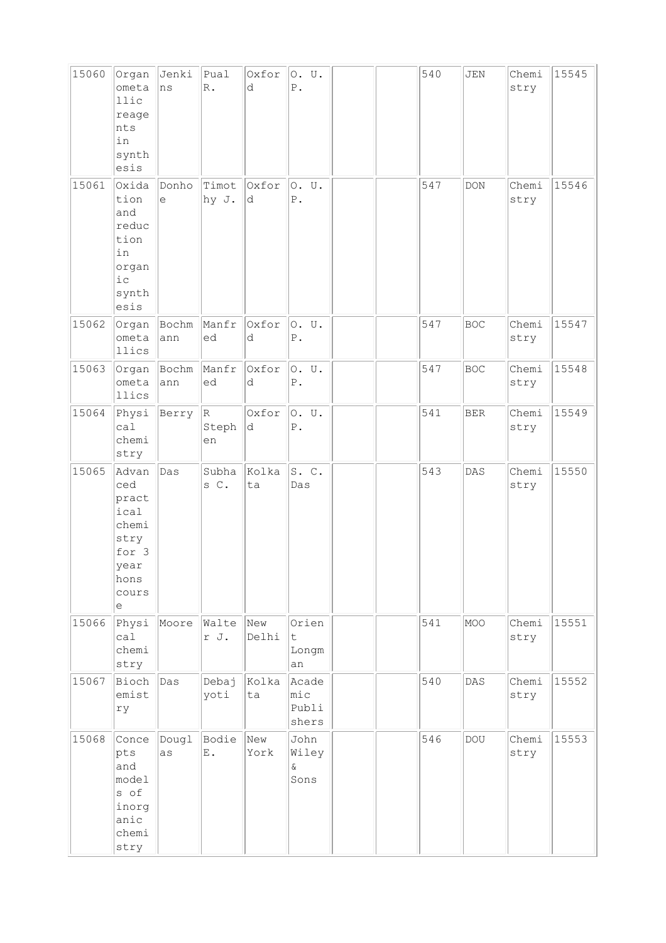| 15060 | Organ<br>ometa<br>llic<br>reage<br>nts<br>in<br>synth<br>esis                         | Jenki<br>ns                                       | $ $ Pual<br>$\mathbb{R}$ . | Oxfor<br>d   | 0. U.<br>${\mathbb P}$ .          |  | 540 | JEN        | Chemi<br>stry | 15545 |
|-------|---------------------------------------------------------------------------------------|---------------------------------------------------|----------------------------|--------------|-----------------------------------|--|-----|------------|---------------|-------|
| 15061 | Oxida<br>tion<br>and<br>reduc<br>tion<br>in<br>organ<br>ic<br>synth<br>esis           | Donho<br>$\mathrel{\mathop{\mathrm{e}}\nolimits}$ | Timot<br>hy J.             | Oxfor<br>d   | O. U.<br>${\mathbb P}$ .          |  | 547 | <b>DON</b> | Chemi<br>stry | 15546 |
| 15062 | Organ<br>ometa<br>llics                                                               | Bochm<br>ann                                      | Manfr<br>ed                | Oxfor<br>d   | 0. U.<br>${\mathbb P}$ .          |  | 547 | <b>BOC</b> | Chemi<br>stry | 15547 |
| 15063 | Organ<br>ometa<br>llics                                                               | Bochm<br>ann                                      | Manfr<br>ed                | Oxfor<br>d   | 0. U.<br>${\mathbb P}$ .          |  | 547 | <b>BOC</b> | Chemi<br>stry | 15548 |
| 15064 | Physi<br>ca1<br>chemi<br>stry                                                         | Berry                                             | R<br>Steph<br>en           | Oxfor<br>d.  | O. U.<br>${\mathbb P}$ .          |  | 541 | <b>BER</b> | Chemi<br>stry | 15549 |
| 15065 | Advan<br>ced<br>pract<br>ical<br>chemi<br>stry<br>for 3<br>year<br>hons<br>cours<br>е | Das                                               | Subha<br>s C.              | Kolka<br>ta  | S.C.<br>Das                       |  | 543 | DAS        | Chemi<br>stry | 15550 |
| 15066 | Physi<br>ca1<br>chemi<br>stry                                                         | Moore                                             | Walte<br>r J.              | New<br>Delhi | Orien<br>t<br>Longm<br>an         |  | 541 | MOO        | Chemi<br>stry | 15551 |
| 15067 | Bioch<br>emist<br>rу                                                                  | Das                                               | Debaj<br>yoti              | Kolka<br>ta  | Acade<br>mic<br>Publi<br>shers    |  | 540 | DAS        | Chemi<br>stry | 15552 |
| 15068 | Conce<br>pts<br>and<br>model<br>s of<br>inorg<br>anic<br>chemi<br>stry                | Dougl<br>as                                       | Bodie<br>$\mathbf E$ .     | New<br>York  | John<br>Wiley<br>$\delta$<br>Sons |  | 546 | <b>DOU</b> | Chemi<br>stry | 15553 |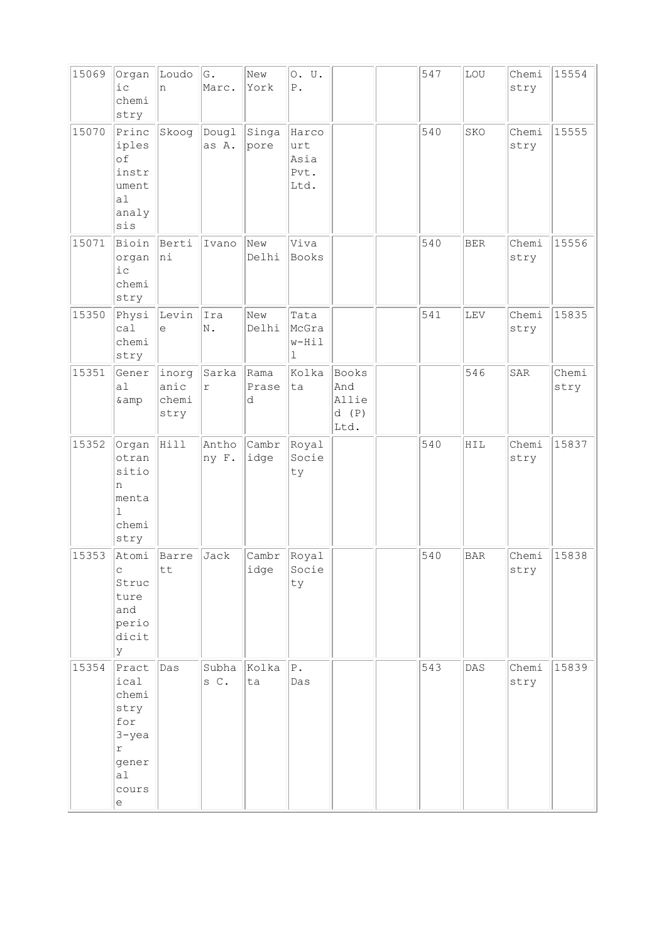| 15069 | Organ<br>i c<br>chemi<br>stry                                                                             | Loudo<br>n                     | G.<br>Marc.           | New<br>York        | 0. U.<br>$P$ .                       |                                       | 547 | LOU        | Chemi<br>stry | 15554         |
|-------|-----------------------------------------------------------------------------------------------------------|--------------------------------|-----------------------|--------------------|--------------------------------------|---------------------------------------|-----|------------|---------------|---------------|
| 15070 | Princ<br>iples<br>of<br>instr<br>ument<br>a1<br>analy<br>sis                                              | Skoog                          | Dougl<br>as A.        | Singa<br>pore      | Harco<br>urt<br>Asia<br>Pvt.<br>Ltd. |                                       | 540 | SKO        | Chemi<br>stry | 15555         |
| 15071 | Bioin<br>organ<br>$i$ c<br>chemi<br>stry                                                                  | Berti<br>hi                    | Ivano                 | New<br>Delhi       | Viva<br>Books                        |                                       | 540 | <b>BER</b> | Chemi<br>stry | 15556         |
| 15350 | Physi<br>ca1<br>chemi<br>stry                                                                             | Levin<br>e                     | Ira<br>N.             | New<br>Delhi       | Tata<br>McGra<br>$w-Hil$<br>1        |                                       | 541 | LEV        | Chemi<br>stry | 15835         |
| 15351 | Gener<br>a1<br>& amp                                                                                      | inorg<br>anic<br>chemi<br>stry | Sarka<br>$\mathtt{r}$ | Rama<br>Prase<br>d | Kolka<br>ta                          | Books<br>And<br>Allie<br>d(P)<br>Ltd. |     | 546        | SAR           | Chemi<br>stry |
| 15352 | Organ<br>otran<br>sitio<br>n<br>menta<br>$\mathbf{1}$<br>chemi<br>stry                                    | Hill                           | Antho<br>ny F.        | Cambr<br>idge      | Royal<br>Socie<br>ty                 |                                       | 540 | HIL        | Chemi<br>stry | 15837         |
| 15353 | Atomi<br>$\mathop{\mathsf{C}}$<br>Struc<br>ture<br>and<br>perio<br>dicit<br>У                             | Barre<br>tt                    | Jack                  | Cambr<br>idge      | Royal<br>Socie<br>ty                 |                                       | 540 | <b>BAR</b> | Chemi<br>stry | 15838         |
| 15354 | Pract<br>ical<br>chemi<br>stry<br>for<br>$3 - yea$<br>$\Upsilon$<br>gener<br>a <sub>l</sub><br>cours<br>е | Das                            | Subha<br>s C.         | Kolka<br>ta        | $ P$ .<br>Das                        |                                       | 543 | DAS        | Chemi<br>stry | 15839         |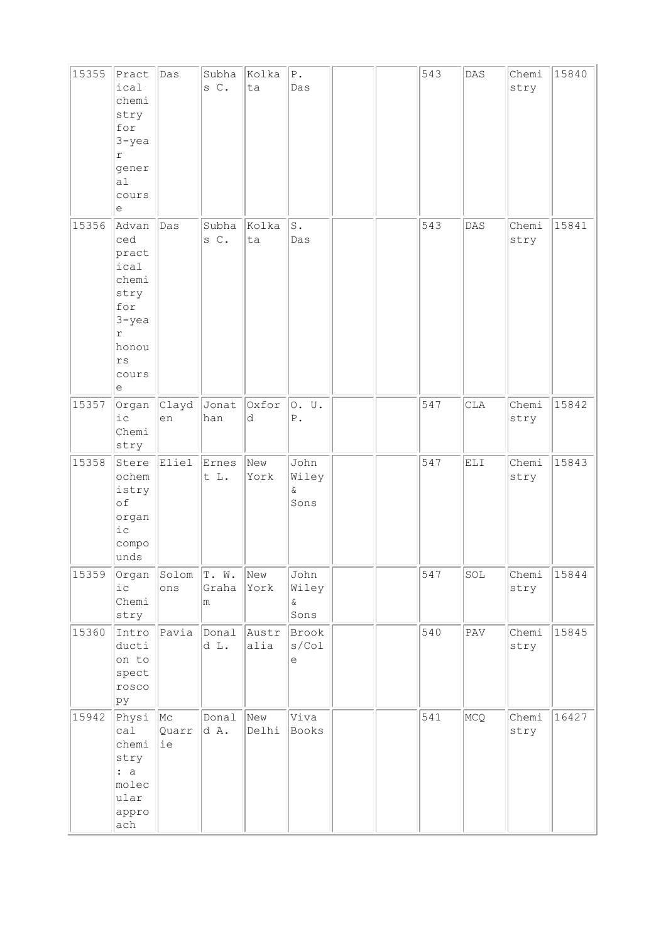| 15355 | Pract<br>ical<br>chemi<br>stry<br>for<br>$3 - yea$<br>r<br>gener<br>al<br>cours<br>е                                      | Das                         | s C.                | Subha Kolka<br>ta | ${\bf P}$ .<br>Das            |  | 543 | DAS | Chemi<br>stry | 15840 |
|-------|---------------------------------------------------------------------------------------------------------------------------|-----------------------------|---------------------|-------------------|-------------------------------|--|-----|-----|---------------|-------|
| 15356 | Advan<br>ced<br>pract<br>ical<br>chemi<br>stry<br>for<br>$3 - y$ ea<br>$\Upsilon$<br>honou<br>$\mathtt{rs}$<br>cours<br>е | Das                         | Subha<br>s C.       | Kolka<br>ta       | $\mathbbm{S}$ .<br>Das        |  | 543 | DAS | Chemi<br>stry | 15841 |
| 15357 | Organ<br>$i$ c<br>Chemi<br>stry                                                                                           | Clayd<br>en                 | Jonat<br>han        | Oxfor<br>d        | O. U.<br>${\tt P}$ .          |  | 547 | CLA | Chemi<br>stry | 15842 |
| 15358 | Stere<br>ochem<br>istry<br>of<br>organ<br>$i$ с<br>compo<br>unds                                                          | Eliel                       | Ernes<br>t L.       | New<br>York       | John<br>Wiley<br>ଙ<br>Sons    |  | 547 | ELI | Chemi<br>stry | 15843 |
| 15359 | Organ<br>$i\,c$<br>Chemi<br>stry                                                                                          | Solom<br>ons                | T. W.<br>Graha<br>m | New<br>York       | John<br>Wiley<br>$\&$<br>Sons |  | 547 | SOL | Chemi<br>stry | 15844 |
| 15360 | Intro<br>ducti<br>on to<br>spect<br>rosco<br>pу                                                                           | Pavia                       | Donal<br>d L.       | Austr<br>alia     | Brook<br>$s$ /Col<br>е        |  | 540 | PAV | Chemi<br>stry | 15845 |
| 15942 | Physi<br>ca1<br>chemi<br>stry<br>: a<br>molec<br>ular<br>appro<br>ach                                                     | $ {\rm Mc}$<br>Quarr<br> ie | Donal<br>d A.       | New<br>Delhi      | Viva<br>Books                 |  | 541 | MCQ | Chemi<br>stry | 16427 |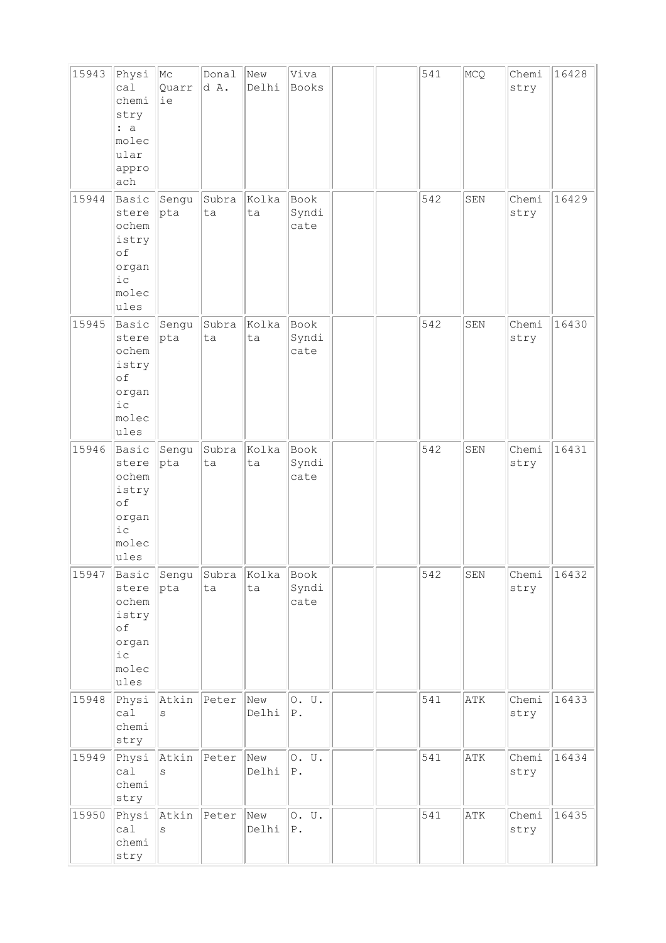| 15943 | Physi<br>ca1<br>chemi<br>stry<br>: a<br>molec<br>ular<br>appro<br>ach                       | $ {\rm Mc}$<br>Quarr<br>ie | Donal<br>d A. | New<br>Delhi | Viva<br>Books            |  | 541 | MCQ | Chemi<br>stry | 16428 |
|-------|---------------------------------------------------------------------------------------------|----------------------------|---------------|--------------|--------------------------|--|-----|-----|---------------|-------|
| 15944 | Basic<br>stere<br>ochem<br>istry<br>of<br>organ<br>iс<br>molec<br>ules                      | Sengu<br>pta               | Subra<br>ta   | Kolka<br>ta  | Book<br>Syndi<br>cate    |  | 542 | SEN | Chemi<br>stry | 16429 |
| 15945 | Basic<br>stere<br>ochem<br>istry<br>of<br>organ<br>i c<br>molec<br>ules                     | Sengu<br> pta              | Subra<br>ta   | Kolka<br>ta  | Book<br>Syndi<br>cate    |  | 542 | SEN | Chemi<br>stry | 16430 |
| 15946 | Basic<br>stere<br>ochem<br>istry<br>of<br>organ<br>$i$ c<br>molec<br>ules                   | Sengu<br>pta               | Subra<br>ta   | Kolka<br>ta  | Book<br>Syndi<br>cate    |  | 542 | SEN | Chemi<br>stry | 16431 |
| 15947 | Basic<br>stere<br>ochem<br>istry<br>of<br>organ<br>${\rm i\hskip 0.5mm} c$<br>molec<br>ules | Sengu<br>$ {\rm pta} $     | Subra<br>ta   | Kolka<br>ta  | Book<br>Syndi<br>cate    |  | 542 | SEN | Chemi<br>stry | 16432 |
| 15948 | Physi<br>ca1<br>chemi<br>stry                                                               | Atkin<br>S                 | Peter         | New<br>Delhi | 0. U.<br>${\mathbb P}$ . |  | 541 | ATK | Chemi<br>stry | 16433 |
| 15949 | Physi<br>ca1<br>chemi<br>stry                                                               | Atkin<br>S                 | Peter         | New<br>Delhi | 0. U.<br>${\bf P}$ .     |  | 541 | ATK | Chemi<br>stry | 16434 |
| 15950 | Physi<br>calal<br>chemi<br>stry                                                             | Atkin<br>S                 | Peter         | New<br>Delhi | 0. U.<br>$P$ .           |  | 541 | ATK | Chemi<br>stry | 16435 |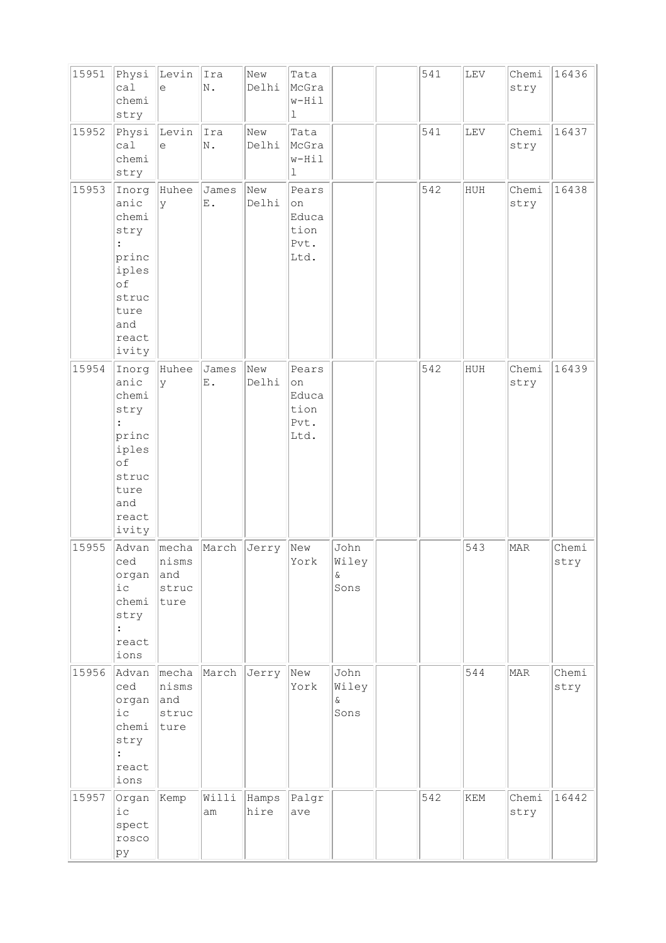| 15951 | Physi<br>ca1<br>chemi<br>stry                                                                                      | Levin<br>e                             | Ira<br>N.              | New<br>Delhi  | Tata<br>McGra<br>$w-Hil$<br>$\mathbf{1}$     |                               | 541 | ${\tt LEV}$ | Chemi<br>stry | 16436         |
|-------|--------------------------------------------------------------------------------------------------------------------|----------------------------------------|------------------------|---------------|----------------------------------------------|-------------------------------|-----|-------------|---------------|---------------|
| 15952 | Physi<br>ca1<br>chemi<br>stry                                                                                      | Levin<br>e                             | Ira<br>N.              | New<br>Delhi  | Tata<br>McGra<br>$w-Hil$<br>ı                |                               | 541 | LEV         | Chemi<br>stry | 16437         |
| 15953 | Inorg<br>anic<br>chemi<br>stry<br>$\ddot{\cdot}$<br>princ<br>iples<br>of<br>struc<br>ture<br>and<br>react<br>ivity | Huhee<br>lУ                            | James<br>$\mathbf E$ . | New<br>Delhi  | Pears<br>on<br>Educa<br>tion<br>Pvt.<br>Ltd. |                               | 542 | HUH         | Chemi<br>stry | 16438         |
| 15954 | Inorg<br>anic<br>chemi<br>stry<br>$\ddot{\cdot}$<br>princ<br>iples<br>of<br>struc<br>ture<br>and<br>react<br>ivity | Huhee<br>У                             | James<br>$\mathbf E$ . | New<br>Delhi  | Pears<br>on<br>Educa<br>tion<br>Pvt.<br>Ltd. |                               | 542 | HUH         | Chemi<br>stry | 16439         |
| 15955 | Advan<br>ced<br>organ<br>i c<br>chemi<br>stry<br>$\ddot{\phantom{a}}$<br>react<br>ions                             | mecha<br>nisms<br>and<br>struc<br>ture | March                  | Jerry         | New<br>York                                  | John<br>Wiley<br>$\&$<br>Sons |     | 543         | MAR           | Chemi<br>stry |
| 15956 | Advan<br>ced<br>organ<br>i c<br>chemi<br>stry<br>$\ddot{\cdot}$<br>react<br>ions                                   | mecha<br>nisms<br>and<br>struc<br>ture | March                  | Jerry         | New<br>York                                  | John<br>Wiley<br>Q.<br>Sons   |     | 544         | MAR           | Chemi<br>stry |
| 15957 | Organ<br>$i$ c<br>spect<br>rosco<br>ру                                                                             | Kemp                                   | Willi<br>am            | Hamps<br>hire | Palgr<br>ave                                 |                               | 542 | KEM         | Chemi<br>stry | 16442         |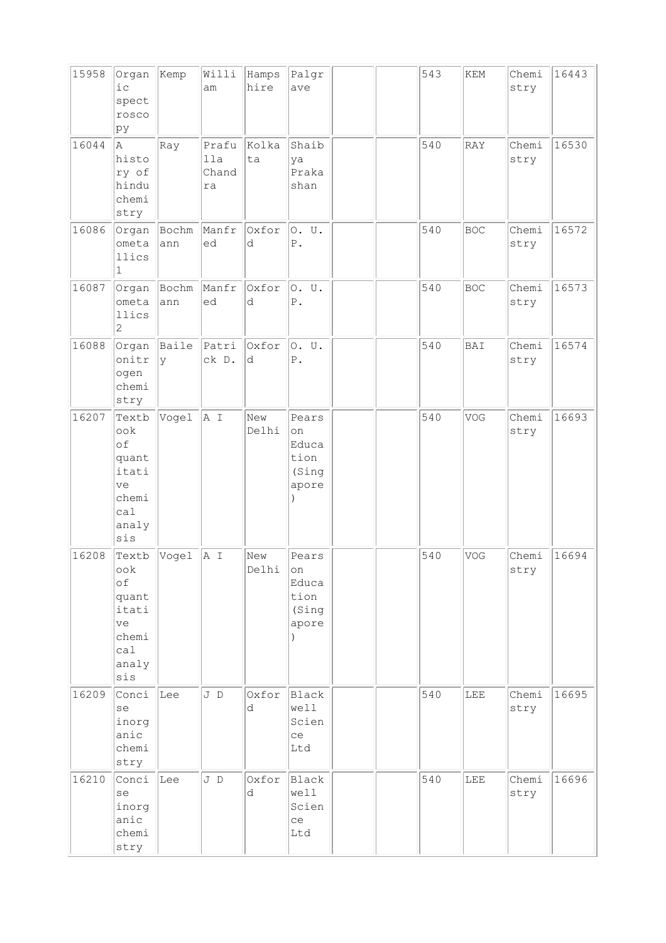| 15958 | Organ<br>$i$ $c$<br>spect<br>rosco<br>pу                                   | Kemp         | Willi<br>am                 | Hamps<br>hire | Palgr<br>ave                                    |  | 543 | $\mathop{\rm KEM}\nolimits$ | Chemi<br>stry | 16443 |
|-------|----------------------------------------------------------------------------|--------------|-----------------------------|---------------|-------------------------------------------------|--|-----|-----------------------------|---------------|-------|
| 16044 | la.<br>histo<br>ry of<br>hindu<br>chemi<br>stry                            | Ray          | Prafu<br>11a<br>Chand<br>ra | Kolka<br>ta   | Shaib<br>ya<br>Praka<br>shan                    |  | 540 | RAY                         | Chemi<br>stry | 16530 |
| 16086 | Organ<br>ometa<br>llics<br>$\mathbf{1}$                                    | Bochm<br>ann | Manfr<br>ed                 | Oxfor<br>d    | O. U.<br>${\mathbb P}$ .                        |  | 540 | <b>BOC</b>                  | Chemi<br>stry | 16572 |
| 16087 | Organ<br>ometa<br>llics<br>$\mathbf{2}$                                    | Bochm<br>ann | Manfr<br>ed                 | Oxfor<br>d    | 0. U.<br>${\mathbb P}$ .                        |  | 540 | <b>BOC</b>                  | Chemi<br>stry | 16573 |
| 16088 | Organ<br>onitr<br>ogen<br>chemi<br>stry                                    | Baile<br>Ιy  | Patri<br>ck D.              | Oxfor<br>d    | O. U.<br>${\mathbb P}$ .                        |  | 540 | BAI                         | Chemi<br>stry | 16574 |
| 16207 | Textb<br>ook<br>of<br>quant<br>itati<br>ve<br>chemi<br>ca1<br>analy<br>sis | Vogel        | A I                         | New<br>Delhi  | Pears<br>on<br>Educa<br>tion<br>(Sing<br>apore  |  | 540 | VOG                         | Chemi<br>stry | 16693 |
| 16208 | Textb<br>ook<br>of<br>quant<br>itati<br>ve<br>chemi<br>cal<br>analy<br>sis | Vogel        | A I                         | New<br>Delhi  | Pears<br> on<br>Educa<br>tion<br>(Sing<br>apore |  | 540 | VOG                         | Chemi<br>stry | 16694 |
| 16209 | Conci<br>se<br>inorg<br>anic<br>chemi<br>stry                              | Lee          | J D                         | Oxfor<br>d    | Black<br>well<br>Scien<br>ce<br>Ltd             |  | 540 | LEE                         | Chemi<br>stry | 16695 |
| 16210 | Conci<br>se<br>inorg<br>anic<br>chemi<br>stry                              | Lee          | J D                         | Oxfor<br>d    | Black<br>well<br>Scien<br>ce<br>Ltd             |  | 540 | LEE                         | Chemi<br>stry | 16696 |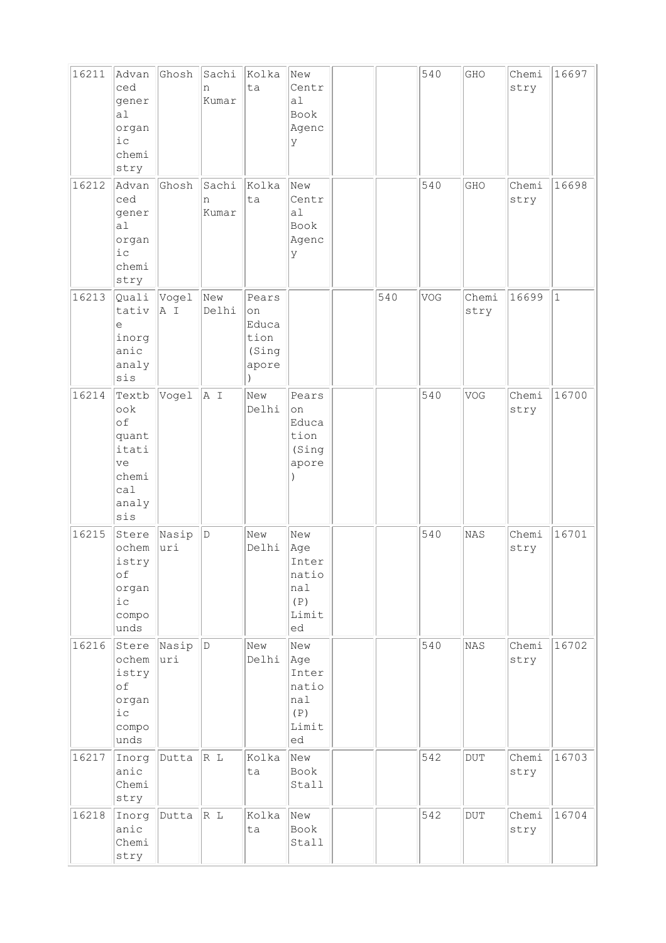| 16211 | Advan<br>ced<br>gener<br>a <sub>1</sub><br>organ<br>i c<br>chemi<br>stry   | Ghosh        | Sachi<br>n<br>Kumar | Kolka<br>ta                                    | New<br>Centr<br>a <sub>1</sub><br>Book<br>Agenc<br>У      |     | 540 | GHO                     | Chemi<br>stry | 16697        |
|-------|----------------------------------------------------------------------------|--------------|---------------------|------------------------------------------------|-----------------------------------------------------------|-----|-----|-------------------------|---------------|--------------|
| 16212 | Advan<br>ced<br>gener<br>a <sub>l</sub><br>organ<br>$i$ c<br>chemi<br>stry | Ghosh        | Sachi<br>n<br>Kumar | Kolka<br>ta                                    | New<br>Centr<br>a1<br>Book<br>Agenc<br>У                  |     | 540 | GHO                     | Chemi<br>stry | 16698        |
| 16213 | Quali<br>tativ<br>$\in$<br>inorg<br>anic<br>analy<br>sis                   | Vogel<br>A I | New<br>Delhi        | Pears<br>on<br>Educa<br>tion<br>(Sing<br>apore |                                                           | 540 | VOG | Chemi<br>stry           | 16699         | $\mathbf{1}$ |
| 16214 | Textb<br>ook<br>of<br>quant<br>itati<br>ve<br>chemi<br>cal<br>analy<br>sis | Vogel        | A I                 | New<br>Delhi                                   | Pears<br>on<br>Educa<br>tion<br>(Sing<br>apore            |     | 540 | VOG                     | Chemi<br>stry | 16700        |
| 16215 | Stere<br>ochem<br>istry<br>of<br>organ<br>$ic$<br>compo<br>unds            | Nasip<br>uri | D                   | New<br>Delhi                                   | New<br>Age<br>Inter<br>natio<br>nal<br>(P)<br>Limit<br>ed |     | 540 | NAS                     | Chemi<br>stry | 16701        |
| 16216 | Stere<br>ochem<br>istry<br>of<br>organ<br>i c<br>compo<br>unds             | Nasip<br>uri | D                   | New<br>Delhi                                   | New<br>Age<br>Inter<br>natio<br>nal<br>(P)<br>Limit<br>ed |     | 540 | <b>NAS</b>              | Chemi<br>stry | 16702        |
| 16217 | Inorg<br>anic<br>Chemi<br>stry                                             | Dutta        | R L                 | Kolka<br>ta                                    | New<br>Book<br>Stall                                      |     | 542 | $\overline{\text{DUT}}$ | Chemi<br>stry | 16703        |
| 16218 | Inorg<br>anic<br>Chemi<br>stry                                             | Dutta        | R L                 | Kolka<br>ta                                    | New<br>Book<br>Stall                                      |     | 542 | <b>DUT</b>              | Chemi<br>stry | 16704        |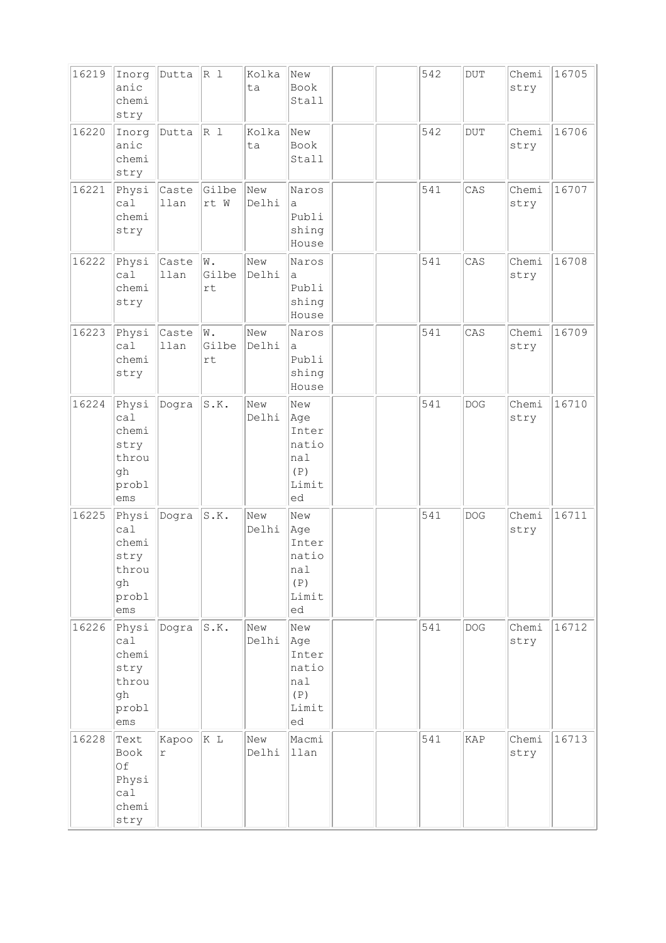| 16219 | Inorg<br>anic<br>chemi<br>stry                               | Dutta         | R 1                          | Kolka<br>ta  | New<br>Book<br>Stall                                      |  | 542 | $\rm DUT$  | Chemi<br>stry | 16705 |
|-------|--------------------------------------------------------------|---------------|------------------------------|--------------|-----------------------------------------------------------|--|-----|------------|---------------|-------|
| 16220 | Inorg<br>anic<br>chemi<br>stry                               | Dutta         | R 1                          | Kolka<br>ta  | New<br>Book<br>Stall                                      |  | 542 | <b>DUT</b> | Chemi<br>stry | 16706 |
| 16221 | Physi<br>ca1<br>chemi<br>stry                                | Caste<br>llan | Gilbe<br>rt W                | New<br>Delhi | Naros<br>а<br>Publi<br>shing<br>House                     |  | 541 | CAS        | Chemi<br>stry | 16707 |
| 16222 | Physi<br>ca1<br>chemi<br>stry                                | Caste<br>llan | W.<br>Gilbe<br>rt            | New<br>Delhi | Naros<br>a<br>Publi<br>shing<br>House                     |  | 541 | CAS        | Chemi<br>stry | 16708 |
| 16223 | Physi<br>cal<br>chemi<br>stry                                | Caste<br>llan | W.<br>Gilbe<br>$\mathtt{rt}$ | New<br>Delhi | Naros<br>а<br>Publi<br>shing<br>House                     |  | 541 | CAS        | Chemi<br>stry | 16709 |
| 16224 | Physi<br>cal<br>chemi<br>stry<br>throu<br>gh<br>probl<br>ems | Dogra         | S.K.                         | New<br>Delhi | New<br>Age<br>Inter<br>natio<br>nal<br>(P)<br>Limit<br>ed |  | 541 | <b>DOG</b> | Chemi<br>stry | 16710 |
| 16225 | Physi<br>ca1<br>chemi<br>stry<br>throu<br>gh<br>probl<br>ems | Dogra         | S.K.                         | New<br>Delhi | New<br>Age<br>Inter<br>natio<br>nal<br>(P)<br>Limit<br>ed |  | 541 | <b>DOG</b> | Chemi<br>stry | 16711 |
| 16226 | Physi<br>ca1<br>chemi<br>stry<br>throu<br>gh<br>probl<br>ems | Dogra         | S.K.                         | New<br>Delhi | New<br>Age<br>Inter<br>natio<br>nal<br>(P)<br>Limit<br>ed |  | 541 | <b>DOG</b> | Chemi<br>stry | 16712 |
| 16228 | Text<br>Book<br>Of<br>Physi<br>cal<br>chemi<br>stry          | Kapoo<br>r    | K L                          | New<br>Delhi | Macmi<br>llan                                             |  | 541 | KAP        | Chemi<br>stry | 16713 |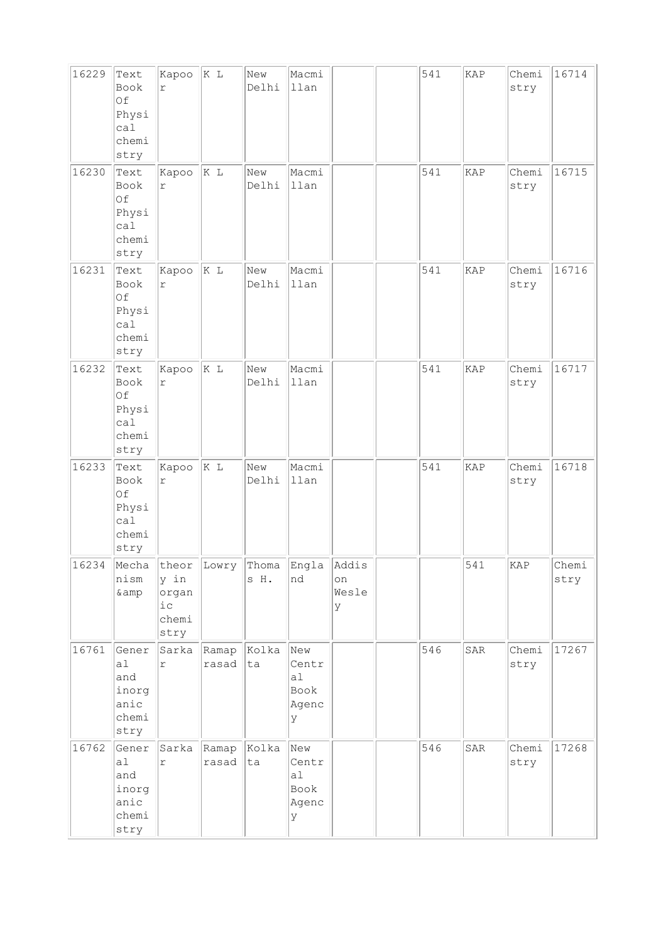| 16229 | Text<br>Book<br>Of<br>Physi<br>ca1<br>chemi<br>stry   | Kapoo<br>r                               | K L            | New<br>Delhi                    | Macmi<br>llan                            |                           | 541 | KAP         | Chemi<br>stry             | 16714         |
|-------|-------------------------------------------------------|------------------------------------------|----------------|---------------------------------|------------------------------------------|---------------------------|-----|-------------|---------------------------|---------------|
| 16230 | Text<br>Book<br>Of<br>Physi<br>ca1<br>chemi<br>stry   | Kapoo<br>$\Upsilon$                      | K L            | New<br>Delhi                    | Macmi<br>llan                            |                           | 541 | KAP         | Chemi<br>stry             | 16715         |
| 16231 | Text<br>Book<br>Of<br>Physi<br>ca1<br>chemi<br>stry   | Kapoo<br>$\Upsilon$                      | K L            | New<br>Delhi                    | Macmi<br>llan                            |                           | 541 | KAP         | Chemi<br>stry             | 16716         |
| 16232 | Text<br>Book<br>Of<br>Physi<br>ca1<br>chemi<br>stry   | Kapoo<br>$\Upsilon$                      | K L            | New<br>Delhi                    | Macmi<br>llan                            |                           | 541 | KAP         | Chemi<br>stry             | 16717         |
| 16233 | Text<br>Book<br>Of<br>Physi<br>ca1<br>chemi<br>stry   | Kapoo<br>$\Upsilon$                      | K L            | New<br>Delhi                    | Macmi<br>llan                            |                           | 541 | KAP         | Chemi<br>stry             | 16718         |
| 16234 | Mecha<br>nism<br>& amp                                | y in<br>organ<br>$i\,c$<br>chemi<br>stry |                | theor Lowry Thoma Engla<br>s H. | Ind                                      | Addis<br>on<br>Wesle<br>У |     | 541         | $\ensuremath{\text{KAP}}$ | Chemi<br>stry |
| 16761 | Gener<br> a <br>and<br>inorg<br>anic<br>chemi<br>stry | Sarka<br>$\Upsilon$                      | Ramap<br>rasad | Kolka<br> ta                    | New<br>Centr<br>a1<br>Book<br>Agenc<br>У |                           | 546 | SAR         | Chemi<br>stry             | 17267         |
| 16762 | Gener<br>a1<br>and<br>inorg<br>anic<br>chemi<br>stry  | Sarka<br>$\Upsilon$                      | Ramap<br>rasad | Kolka<br> ta                    | New<br>Centr<br>al<br>Book<br>Agenc<br>У |                           | 546 | ${\tt SAR}$ | Chemi<br>stry             | 17268         |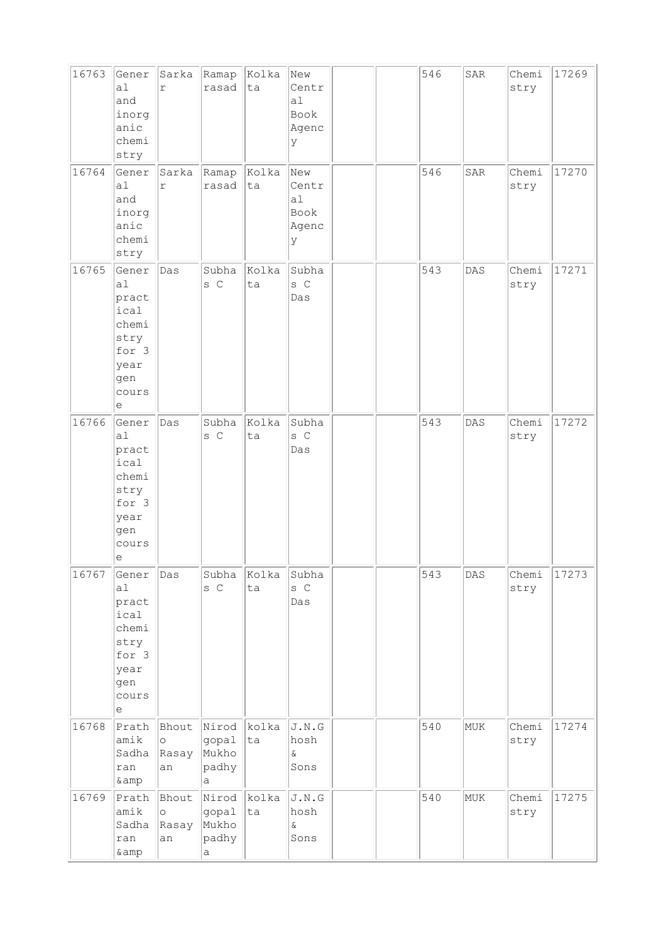| 16763 | Gener<br>a1<br>and<br>inorg<br>anic<br>chemi<br>stry                                                                       | Sarka<br>r                      | Ramap<br>rasad                                  | Kolka<br>ta | New<br>Centr<br>a1<br>Book<br>Agenc<br>У                                         |  | 546 | SAR | Chemi<br>stry | 17269 |
|-------|----------------------------------------------------------------------------------------------------------------------------|---------------------------------|-------------------------------------------------|-------------|----------------------------------------------------------------------------------|--|-----|-----|---------------|-------|
| 16764 | Gener<br>a1<br>and<br>inorg<br>anic<br>chemi<br>stry                                                                       | Sarka<br>$\Upsilon$             | Ramap<br>rasad                                  | Kolka<br>ta | New<br>Centr<br>a1<br>Book<br>Agenc<br>У                                         |  | 546 | SAR | Chemi<br>stry | 17270 |
| 16765 | Gener<br>a1<br>pract<br>ical<br>chemi<br>stry<br>for 3<br>year<br>gen<br>cours<br>е                                        | Das                             | Subha<br>s C                                    | Kolka<br>ta | Subha<br>s C<br>Das                                                              |  | 543 | DAS | Chemi<br>stry | 17271 |
| 16766 | Gener<br>a1<br>pract<br>ical<br>chemi<br>stry<br>for 3<br>year<br>gen<br>cours<br>$\mathrel{\mathop{\mathrm{e}}\nolimits}$ | Das                             | Subha<br>s C                                    | Kolka<br>ta | Subha<br>s C<br>Das                                                              |  | 543 | DAS | Chemi<br>stry | 17272 |
| 16767 | Gener<br>a1<br>pract<br>ical<br>chemi<br>stry<br>for 3<br>year<br>gen<br>cours<br>$\mathrel{\mathop{\mathrm{e}}\nolimits}$ | Das                             | Subha<br>s C                                    | Kolka<br>ta | Subha<br>s C<br>Das                                                              |  | 543 | DAS | Chemi<br>stry | 17273 |
| 16768 | Prath<br>amik<br>Sadha<br>ran<br>& amp                                                                                     | Bhout<br>$\circ$<br>Rasay<br>an | Nirod<br>gopal<br>Mukho<br>padhy<br>a           | kolka<br>ta | J.N.G<br>hosh<br>$\&$<br>Sons                                                    |  | 540 | MUK | Chemi<br>stry | 17274 |
| 16769 | Prath<br>amik<br>Sadha<br>ran<br>& amp                                                                                     | Bhout<br>O<br>Rasay<br>an       | Nirod<br>gopal<br>Mukho<br>padhy<br>$\mathsf a$ | kolka<br>ta | $\texttt{J} \centerdot \texttt{N} \centerdot \texttt{G}$<br>hosh<br>$\&$<br>Sons |  | 540 | MUK | Chemi<br>stry | 17275 |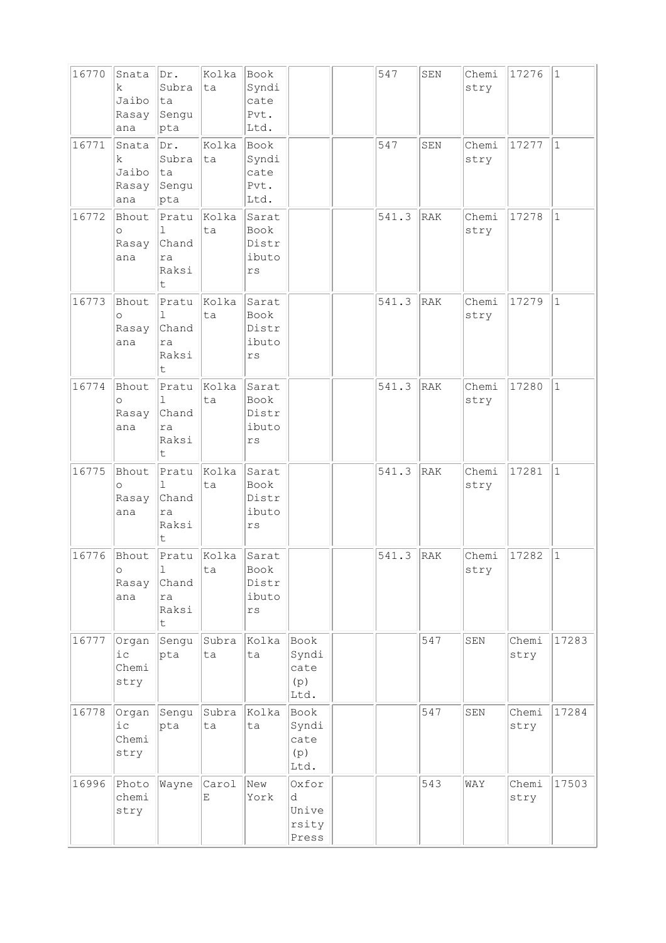| 16770 | Snata<br>k.<br>Jaibo<br>Rasay<br>ana | Dr.<br>Subra<br>ta<br>Sengu<br> pta                     | Kolka<br>ta | Book<br>Syndi<br>cate<br>Pvt.<br>Ltd. |                                       | 547   | SEN        | Chemi<br>stry | 17276         | $\vert$ 1    |
|-------|--------------------------------------|---------------------------------------------------------|-------------|---------------------------------------|---------------------------------------|-------|------------|---------------|---------------|--------------|
| 16771 | Snata<br>k.<br>Jaibo<br>Rasay<br>ana | Dr.<br>Subra<br> ta<br>Sengu<br>pta                     | Kolka<br>ta | Book<br>Syndi<br>cate<br>Pvt.<br>Ltd. |                                       | 547   | SEN        | Chemi<br>stry | 17277         | $\mathbf{1}$ |
| 16772 | Bhout<br>$\circ$<br>Rasay<br>ana     | Pratu<br>1<br>Chand<br>ra<br>Raksi<br>t                 | Kolka<br>ta | Sarat<br>Book<br>Distr<br>ibuto<br>rs |                                       | 541.3 | RAK        | Chemi<br>stry | 17278         | $\mathbf{1}$ |
| 16773 | Bhout<br>$\circ$<br>Rasay<br>ana     | Pratu<br>1<br>Chand<br>ra<br>Raksi<br>t                 | Kolka<br>ta | Sarat<br>Book<br>Distr<br>ibuto<br>rs |                                       | 541.3 | RAK        | Chemi<br>stry | 17279         | $\vert$ 1    |
| 16774 | Bhout<br>$\circ$<br>Rasay<br>ana     | Pratu<br>ı<br>Chand<br>ra<br>Raksi<br>t                 | Kolka<br>ta | Sarat<br>Book<br>Distr<br>ibuto<br>rs |                                       | 541.3 | RAK        | Chemi<br>stry | 17280         | $\vert$ 1    |
| 16775 | Bhout<br>$\Omega$<br>Rasay<br>ana    | Pratu<br>$\mathbb{L}$<br>Chand<br>ra<br>Raksi<br>t      | Kolka<br>ta | Sarat<br>Book<br>Distr<br>ibuto<br>rs |                                       | 541.3 | <b>RAK</b> | Chemi<br>stry | 17281         | $\mathbf{1}$ |
| 16776 | Bhout<br>$\circ$<br>Rasay<br>ana     | Pratu<br>$\perp$<br>Chand<br>ra<br>Raksi<br>$\mathsf t$ | Kolka<br>ta | Sarat<br>Book<br>Distr<br>ibuto<br>rs |                                       | 541.3 | RAK        | Chemi<br>stry | 17282         | $\vert$ 1    |
| 16777 | Organ<br>$i\,c$<br>Chemi<br>stry     | Sengu<br>pta                                            | Subra<br>ta | Kolka<br>ta                           | Book<br>Syndi<br>cate<br>(p)<br>Ltd.  |       | 547        | SEN           | Chemi<br>stry | 17283        |
| 16778 | Organ<br>$i$ $c$<br>Chemi<br>stry    | Sengu<br>pta                                            | Subra<br>ta | Kolka<br>ta                           | Book<br>Syndi<br>cate<br>(p)<br>Ltd.  |       | 547        | SEN           | Chemi<br>stry | 17284        |
| 16996 | Photo<br>chemi<br>stry               | Wayne                                                   | Carol<br>Ε  | New<br>York                           | Oxfor<br>d<br>Unive<br>rsity<br>Press |       | 543        | WAY           | Chemi<br>stry | 17503        |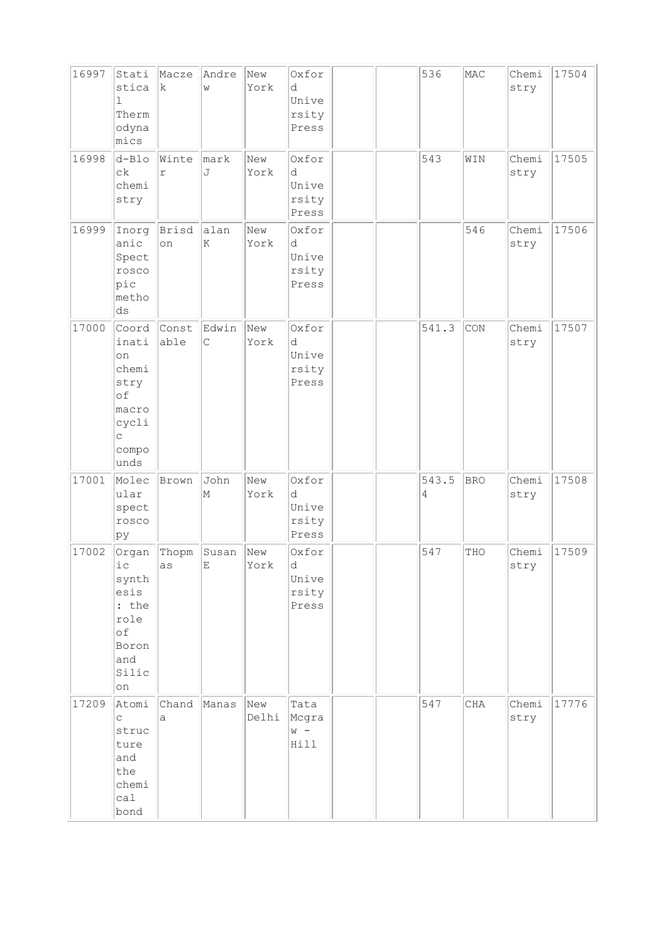| 16997 | Stati<br>stica<br>$\mathbf{1}$<br>Therm<br>odyna<br>mics                                | Macze<br>k.   | Andre<br>W                           | New<br>York  | Oxfor<br>d<br>Unive<br>rsity<br>Press |  | 536        | MAC        | Chemi<br>stry | 17504 |
|-------|-----------------------------------------------------------------------------------------|---------------|--------------------------------------|--------------|---------------------------------------|--|------------|------------|---------------|-------|
| 16998 | $d - B10$<br>$c\,k$<br>chemi<br>stry                                                    | Winte<br>r    | mark<br>J                            | New<br>York  | Oxfor<br>d<br>Unive<br>rsity<br>Press |  | 543        | WIN        | Chemi<br>stry | 17505 |
| 16999 | Inorg<br>anic<br>Spect<br>rosco<br>pic<br>metho<br>ds                                   | Brisd<br>on   | alan<br>K                            | New<br>York  | Oxfor<br>d<br>Unive<br>rsity<br>Press |  |            | 546        | Chemi<br>stry | 17506 |
| 17000 | Coord<br>inati<br>on<br>chemi<br>stry<br>of<br>macro<br>cycli<br>C<br>compo<br>unds     | Const<br>able | Edwin<br>$\mathsf{C}$                | New<br>York  | Oxfor<br>d<br>Unive<br>rsity<br>Press |  | 541.3      | CON        | Chemi<br>stry | 17507 |
| 17001 | Molec<br>ular<br>spect<br>rosco<br>pу                                                   | Brown         | John<br>M                            | New<br>York  | Oxfor<br>d<br>Unive<br>rsity<br>Press |  | 543.5<br>4 | <b>BRO</b> | Chemi<br>stry | 17508 |
| 17002 | Organ<br>ic<br>synth<br>esis<br>: the<br>role<br>of<br>Boron<br>and<br>Silic<br>on      | Thopm<br>as   | Susan<br>$\mathop{}\!\textnormal{E}$ | New<br>York  | Oxfor<br>d<br>Unive<br>rsity<br>Press |  | 547        | THO        | Chemi<br>stry | 17509 |
| 17209 | Atomi<br>$\mathop{\mathsf{C}}$<br>struc<br>ture<br>and<br>the<br>chemi<br>calal<br>bond | Chand<br>a    | Manas                                | New<br>Delhi | Tata<br>Mcgra<br>$W -$<br>Hill        |  | 547        | CHA        | Chemi<br>stry | 17776 |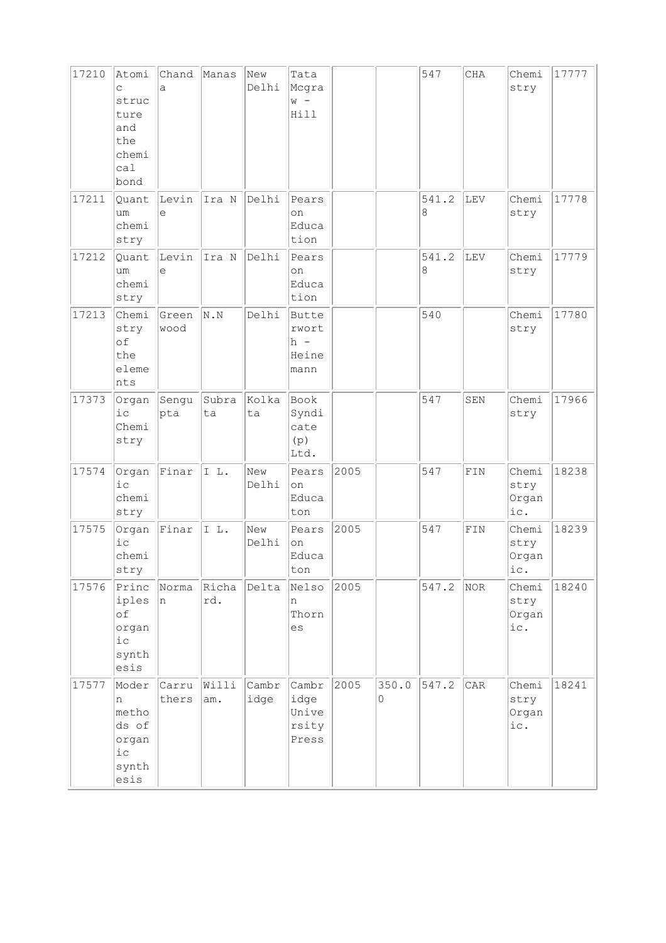| 17210 | Atomi<br>C<br>struc<br>ture<br>and<br>the<br>chemi<br>ca1<br>bond | Chand<br>a     | Manas        | New<br>Delhi  | Tata<br>Mcgra<br>$W -$<br>Hill                  |      |            | 547        | CHA         | Chemi<br>stry                 | 17777 |
|-------|-------------------------------------------------------------------|----------------|--------------|---------------|-------------------------------------------------|------|------------|------------|-------------|-------------------------------|-------|
| 17211 | Quant<br>um<br>chemi<br>stry                                      | Levin<br>e     | Ira N        | Delhi         | Pears<br>on<br>Educa<br>tion                    |      |            | 541.2<br>8 | LEV         | Chemi<br>stry                 | 17778 |
| 17212 | Quant<br>um<br>chemi<br>stry                                      | Levin<br>e     | Ira N        | Delhi         | Pears<br>on<br>Educa<br>tion                    |      |            | 541.2<br>8 | LEV         | Chemi<br>stry                 | 17779 |
| 17213 | Chemi<br>stry<br>of<br>the<br>eleme<br>nts                        | Green<br>wood  | N. N         | Delhi         | <b>Butte</b><br>rwort<br>$h -$<br>Heine<br>mann |      |            | 540        |             | Chemi<br>stry                 | 17780 |
| 17373 | Organ<br>$i$ c<br>Chemi<br>stry                                   | Sengu<br>pta   | Subra<br>ta  | Kolka<br>ta   | Book<br>Syndi<br>cate<br>(p)<br>Ltd.            |      |            | 547        | SEN         | Chemi<br>stry                 | 17966 |
| 17574 | Organ<br>i c<br>chemi<br>stry                                     | Finar          | IL.          | New<br>Delhi  | Pears<br>on<br>Educa<br>ton                     | 2005 |            | 547        | ${\tt FIN}$ | Chemi<br>stry<br>Organ<br>ic. | 18238 |
| 17575 | Organ<br>i c<br>chemi<br>stry                                     | Finar          | IL.          | New<br>Delhi  | Pears<br>on<br>Educa<br>ton                     | 2005 |            | 547        | ${\tt FIN}$ | Chemi<br>stry<br>Organ<br>ic. | 18239 |
| 17576 | Princ<br>iples<br>of<br>organ<br>$i\,c$<br>synth<br>esis          | Norma<br>In.   | Richa<br>rd. | Delta         | Nelso<br>n<br>Thorn<br>es                       | 2005 |            | 547.2      | NOR         | Chemi<br>stry<br>Organ<br>ic. | 18240 |
| 17577 | Moder<br>n<br>metho<br>ds of<br>organ<br>$i$ c<br>synth<br>esis   | Carru<br>thers | Willi<br>am. | Cambr<br>idge | Cambr<br>idge<br>Unive<br>rsity<br>Press        | 2005 | 350.0<br>0 | 547.2      | CAR         | Chemi<br>stry<br>Organ<br>ic. | 18241 |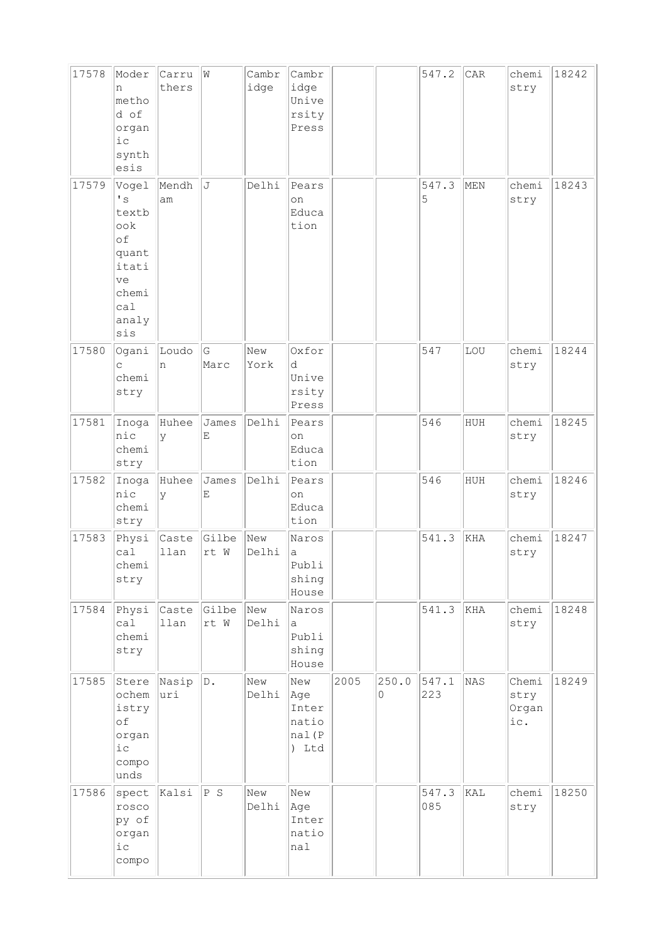| 17578 | Moder<br>n<br>metho<br>d of<br>organ<br>$i\,c$<br>synth<br>esis                                                 | Carru<br>thers | W             | Cambr<br>idge | Cambr<br>idge<br>Unive<br>rsity<br>Press       |      |            | 547.2        | CAR | chemi<br>stry                 | 18242 |
|-------|-----------------------------------------------------------------------------------------------------------------|----------------|---------------|---------------|------------------------------------------------|------|------------|--------------|-----|-------------------------------|-------|
| 17579 | Vogel<br>$\mathstrut^{\bullet}$ s<br>textb<br>ook<br>of<br>quant<br>itati<br>ve<br>chemi<br>ca1<br>analy<br>sis | Mendh<br>am    | J             | Delhi         | Pears<br>on<br>Educa<br>tion                   |      |            | 547.3<br>5   | MEN | chemi<br>stry                 | 18243 |
| 17580 | Ogani<br>C<br>chemi<br>stry                                                                                     | Loudo<br>n     | G<br>Marc     | New<br>York   | Oxfor<br>d<br>Unive<br>rsity<br>Press          |      |            | 547          | LOU | chemi<br>stry                 | 18244 |
| 17581 | Inoga<br>nic<br>chemi<br>stry                                                                                   | Huhee<br>У     | James<br>Ε    | Delhi         | Pears<br>on<br>Educa<br>tion                   |      |            | 546          | HUH | chemi<br>stry                 | 18245 |
| 17582 | Inoga<br>nic<br>chemi<br>stry                                                                                   | Huhee<br>У     | James<br>Ε    | Delhi         | Pears<br>on<br>Educa<br>tion                   |      |            | 546          | HUH | chemi<br>stry                 | 18246 |
| 17583 | Physi<br>ca1<br>chemi<br>stry                                                                                   | Caste<br>llan  | Gilbe<br>rt W | New<br>Delhi  | Naros<br>а<br>Publi<br>shing<br>House          |      |            | 541.3        | KHA | chemi<br>stry                 | 18247 |
| 17584 | Physi<br>cal<br>chemi<br>stry                                                                                   | Caste<br>llan  | Gilbe<br>rt W | New<br>Delhi  | Naros<br>а<br>Publi<br>shing<br>House          |      |            | 541.3        | KHA | chemi<br>stry                 | 18248 |
| 17585 | Stere<br>ochem<br>istry<br>of<br>organ<br>i c<br>compo<br>unds                                                  | Nasip<br>uri   | D.            | New<br>Delhi  | New<br>Age<br>Inter<br>natio<br>nal(P<br>) Ltd | 2005 | 250.0<br>0 | 547.1<br>223 | NAS | Chemi<br>stry<br>Organ<br>ic. | 18249 |
| 17586 | spect<br>rosco<br>py of<br>organ<br>i c<br>compo                                                                | kalsi          | P S           | New<br>Delhi  | New<br>Age<br>Inter<br>natio<br>nal            |      |            | 547.3<br>085 | KAL | chemi<br>stry                 | 18250 |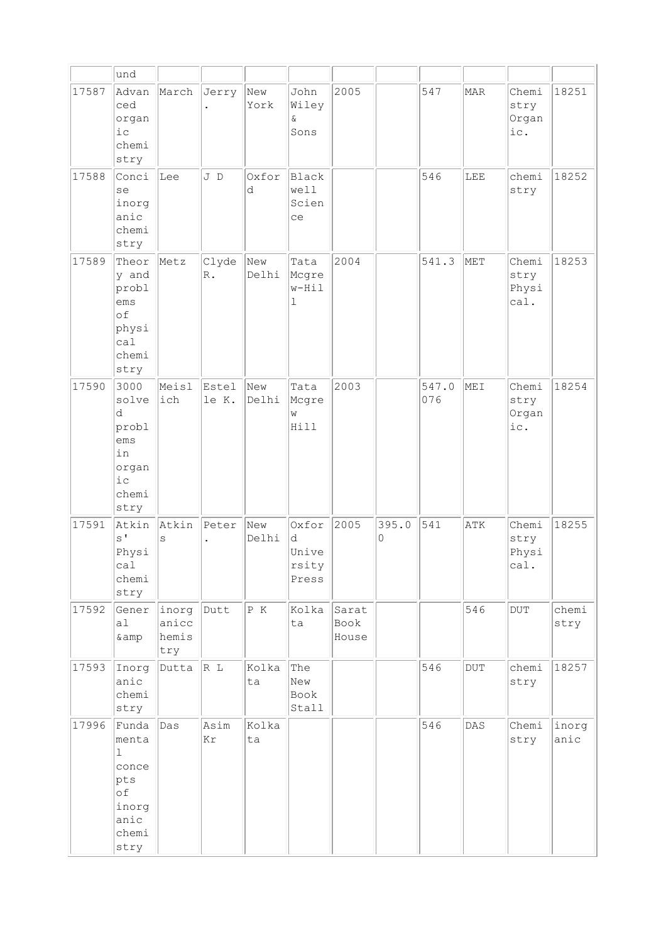|       | und                                                                                    |                                |                        |              |                                       |                        |            |              |                |                                |               |
|-------|----------------------------------------------------------------------------------------|--------------------------------|------------------------|--------------|---------------------------------------|------------------------|------------|--------------|----------------|--------------------------------|---------------|
| 17587 | Advan<br>ced<br>organ<br>$i\,c$<br>chemi<br>stry                                       | March                          | Jerry                  | New<br>York  | John<br>Wiley<br>ଙ<br>Sons            | 2005                   |            | 547          | MAR            | Chemi<br>stry<br>Organ<br>ic.  | 18251         |
| 17588 | Conci<br>se<br>inorg<br>anic<br>chemi<br>stry                                          | Lee                            | J D                    | Oxfor<br>d   | Black<br>well<br>Scien<br>ce          |                        |            | 546          | LEE            | chemi<br>stry                  | 18252         |
| 17589 | Theor<br>y and<br>probl<br>ems<br>of<br>physi<br>cal<br>chemi<br>stry                  | Metz                           | Clyde<br>$\mathbb R$ . | New<br>Delhi | Tata<br>Mcgre<br>$w-Hi1$<br>1         | 2004                   |            | 541.3        | MET            | Chemi<br>stry<br>Physi<br>cal. | 18253         |
| 17590 | 3000<br>solve<br>d<br>probl<br>ems<br>in<br>organ<br>$i$ c<br>chemi<br>stry            | Meisl<br>ich                   | Estel<br>le K.         | New<br>Delhi | Tata<br>Mcgre<br>W<br>Hill            | 2003                   |            | 547.0<br>076 | MEI            | Chemi<br>stry<br>Organ<br>ic.  | 18254         |
| 17591 | Atkin<br>$S^{\dagger}$<br>Physi<br>ca1<br>chemi<br>stry                                | Atkin<br>S                     | Peter                  | New<br>Delhi | Oxfor<br>d<br>Unive<br>rsity<br>Press | 2005                   | 395.0<br>0 | 541          | ATK            | Chemi<br>stry<br>Physi<br>cal. | 18255         |
| 17592 | Gener<br>a1<br>& amp                                                                   | inorg<br>anicc<br>hemis<br>try | Dutt                   | P K          | Kolka<br>ta                           | Sarat<br>Book<br>House |            |              | 546            | $\rm DUT$                      | chemi<br>stry |
| 17593 | Inorg<br>anic<br>chemi<br>stry                                                         | Dutta                          | R L                    | Kolka<br>ta  | The<br>New<br>Book<br>Stall           |                        |            | 546          | $\rm DUT$      | chemi<br>stry                  | 18257         |
| 17996 | Funda<br>menta<br>$\mathbf{1}$<br>conce<br>pts<br>оf<br>inorg<br>anic<br>chemi<br>stry | Das                            | Asim<br>Κr             | Kolka<br>ta  |                                       |                        |            | 546          | $\mathtt{DAS}$ | Chemi<br>stry                  | inorg<br>anic |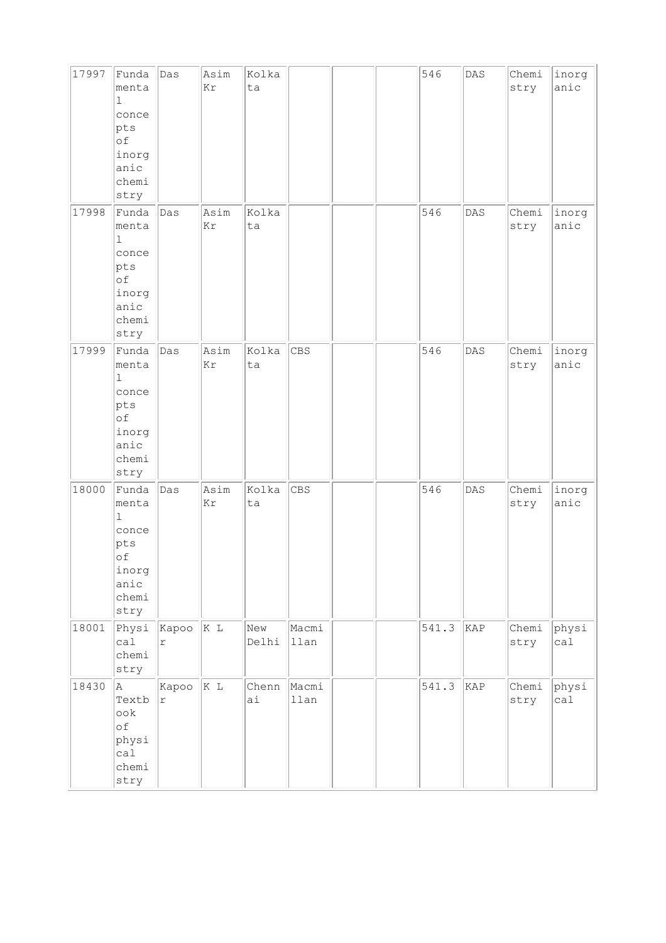| 17997 | Funda<br>menta<br>$\perp$<br>conce<br>pts<br>of<br>inorg<br>anic<br>chemi<br>stry          | Das                 | Asim<br>Kr | Kolka<br>ta  |               |  | 546   | $\mathtt{DAS}$ | Chemi<br>stry | inorg<br>anic |
|-------|--------------------------------------------------------------------------------------------|---------------------|------------|--------------|---------------|--|-------|----------------|---------------|---------------|
| 17998 | Funda<br>menta<br>$\vert$ 1<br>conce<br>pts<br>of<br>inorg<br>anic<br>chemi<br>stry        | Das                 | Asim<br>Kr | Kolka<br>ta  |               |  | 546   | DAS            | Chemi<br>stry | inorg<br>anic |
| 17999 | Funda<br>menta<br>$\vert$ 1<br>conce<br>pts<br>$\circ$ f<br>inorg<br>anic<br>chemi<br>stry | Das                 | Asim<br>Kr | Kolka<br>ta  | CBS           |  | 546   | DAS            | Chemi<br>stry | inorg<br>anic |
| 18000 | Funda<br>menta<br>$\mathbf 1$<br>conce<br>pts<br>of<br>inorg<br>anic<br>chemi<br>stry      | Das                 | Asim<br>Kr | Kolka<br>ta  | CBS           |  | 546   | DAS            | Chemi<br>stry | inorg<br>anic |
| 18001 | Physi<br>calal<br>chemi<br>stry                                                            | Kapoo<br>$\Upsilon$ | K L        | New<br>Delhi | Macmi<br>llan |  | 541.3 | KAP            | Chemi<br>stry | physi<br>cal  |
| 18430 | A.<br>Textb<br>ook<br>of<br>physi<br>cal<br>chemi<br>stry                                  | Kapoo<br>$\Upsilon$ | K L        | Chenn<br>ai  | Macmi<br>llan |  | 541.3 | KAP            | Chemi<br>stry | physi<br>cal  |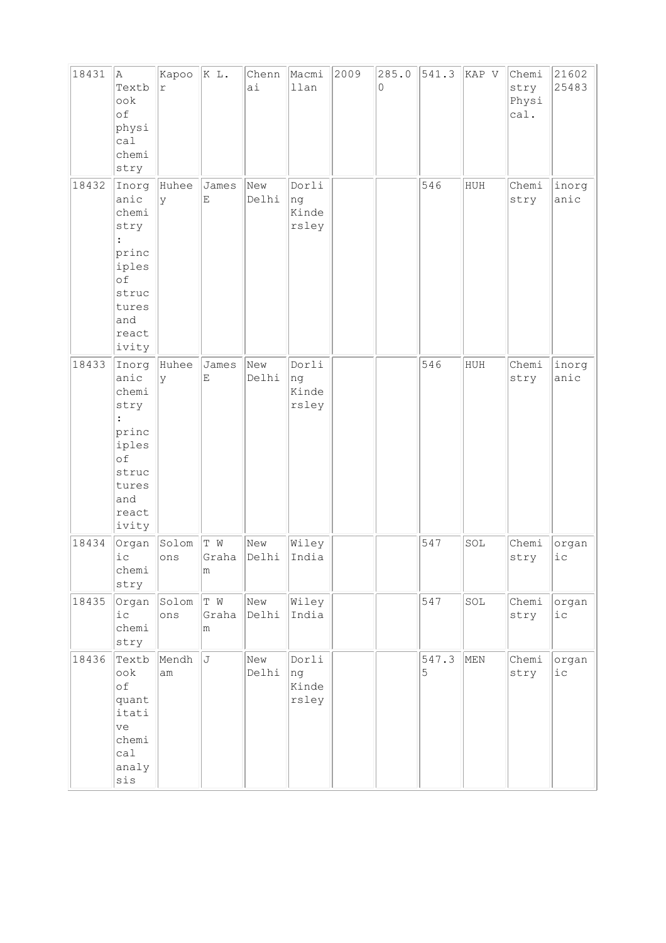| 18431 | A<br>Textb<br>ook<br>of<br>physi<br>ca1<br>chemi<br>stry                                          | Kapoo<br>$\acute{\text{r}}$ | K L.                              | Chenn<br>ai  | Macmi<br>llan                 | 2009 | 285.0<br>0 | 541.3      | KAP V | Chemi<br>stry<br>Physi<br>cal. | 21602<br>25483  |
|-------|---------------------------------------------------------------------------------------------------|-----------------------------|-----------------------------------|--------------|-------------------------------|------|------------|------------|-------|--------------------------------|-----------------|
| 18432 | Inorg<br>anic<br>chemi<br>stry<br>princ<br>iples<br>of<br>struc<br>tures<br>and<br>react<br>ivity | Huhee<br>У                  | James<br>$\mathop{}\mathopen{} E$ | New<br>Delhi | Dorli<br>ng<br>Kinde<br>rsley |      |            | 546        | HUH   | Chemi<br>stry                  | inorg<br>anic   |
| 18433 | Inorg<br>anic<br>chemi<br>stry<br>princ<br>iples<br>of<br>struc<br>tures<br>and<br>react<br>ivity | Huhee<br>У                  | James<br>E                        | New<br>Delhi | Dorli<br>ng<br>Kinde<br>rsley |      |            | 546        | HUH   | Chemi<br>stry                  | inorg<br>anic   |
| 18434 | Organ<br>$i$ $c$<br>chemi<br>stry                                                                 | Solom<br>ons                | T W<br>Graha<br>m                 | New<br>Delhi | Wiley<br>India                |      |            | 547        | SOL   | Chemi<br>stry                  | organ<br>$i$ c  |
| 18435 | Organ<br>i c<br>chemi<br>stry                                                                     | Solom<br>ons                | T W<br>Graha<br>m                 | New<br>Delhi | Wiley<br>India                |      |            | 547        | SOL   | Chemi<br>stry                  | organ<br>$i\,c$ |
| 18436 | Textb<br>ook<br>οf<br>quant<br>itati<br>ve<br>chemi<br>cal<br>analy<br>sis                        | Mendh<br>am                 | J                                 | New<br>Delhi | Dorli<br>ng<br>Kinde<br>rsley |      |            | 547.3<br>5 | MEN   | Chemi<br>stry                  | organ<br>$i$ c  |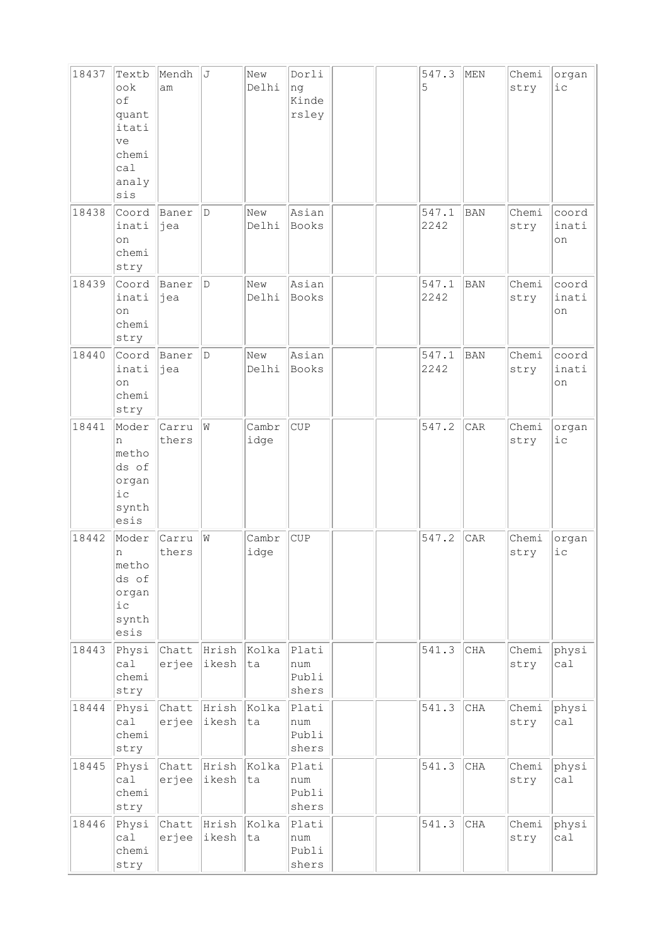| 18437 | Textb<br>ook<br>of<br>quant<br>itati<br>ve<br>chemi<br>ca1<br>analy<br>sis | Mendh<br>am    | J                    | New<br>Delhi  | Dorli<br>ng<br>Kinde<br>rsley  |  | 547.3<br>5    | MEN        | Chemi<br>stry | organ<br>$i$ c       |
|-------|----------------------------------------------------------------------------|----------------|----------------------|---------------|--------------------------------|--|---------------|------------|---------------|----------------------|
| 18438 | Coord<br>inati<br>on<br>chemi<br>stry                                      | Baner<br> jea  | D                    | New<br>Delhi  | Asian<br>Books                 |  | 547.1<br>2242 | BAN        | Chemi<br>stry | coord<br>inati<br>on |
| 18439 | Coord<br>inati<br>on<br>chemi<br>stry                                      | Baner<br>jea   | D                    | New<br>Delhi  | Asian<br>Books                 |  | 547.1<br>2242 | BAN        | Chemi<br>stry | coord<br>inati<br>on |
| 18440 | Coord<br>inati<br>on<br>chemi<br>stry                                      | Baner<br>jea   | D                    | New<br>Delhi  | Asian<br>Books                 |  | 547.1<br>2242 | <b>BAN</b> | Chemi<br>stry | coord<br>inati<br>on |
| 18441 | Moder<br>n<br>metho<br>ds of<br>organ<br>ic<br>synth<br>esis               | Carru<br>thers | W                    | Cambr<br>idge | <b>CUP</b>                     |  | 547.2         | CAR        | Chemi<br>stry | organ<br>$i$ c       |
| 18442 | Moder<br>n<br>metho<br>ds of<br>organ<br>$i\,c$<br>synth<br>esis           | Carru<br>thers | W                    | Cambr<br>idge | CUP                            |  | 547.2         | CAR        | Chemi<br>stry | organ<br>iс          |
| 18443 | Physi<br>ca1<br>chemi<br>stry                                              | Chatt<br>erjee | Hrish Kolka<br>ikesh | ta            | Plati<br>num<br>Publi<br>shers |  | 541.3         | CHA        | Chemi<br>stry | physi<br>cal         |
| 18444 | Physi<br>ca1<br>chemi<br>stry                                              | Chatt<br>erjee | Hrish<br>ikesh       | Kolka<br>ta   | Plati<br>num<br>Publi<br>shers |  | 541.3         | CHA        | Chemi<br>stry | physi<br>ca1         |
| 18445 | Physi<br>ca1<br>chemi<br>stry                                              | Chatt<br>erjee | Hrish<br>ikesh       | Kolka<br>ta   | Plati<br>num<br>Publi<br>shers |  | 541.3         | CHA        | Chemi<br>stry | physi<br>ca1         |
| 18446 | Physi<br>ca1<br>chemi<br>stry                                              | Chatt<br>erjee | Hrish<br>ikesh       | Kolka<br>ta   | Plati<br>num<br>Publi<br>shers |  | 541.3         | CHA        | Chemi<br>stry | physi<br>ca1         |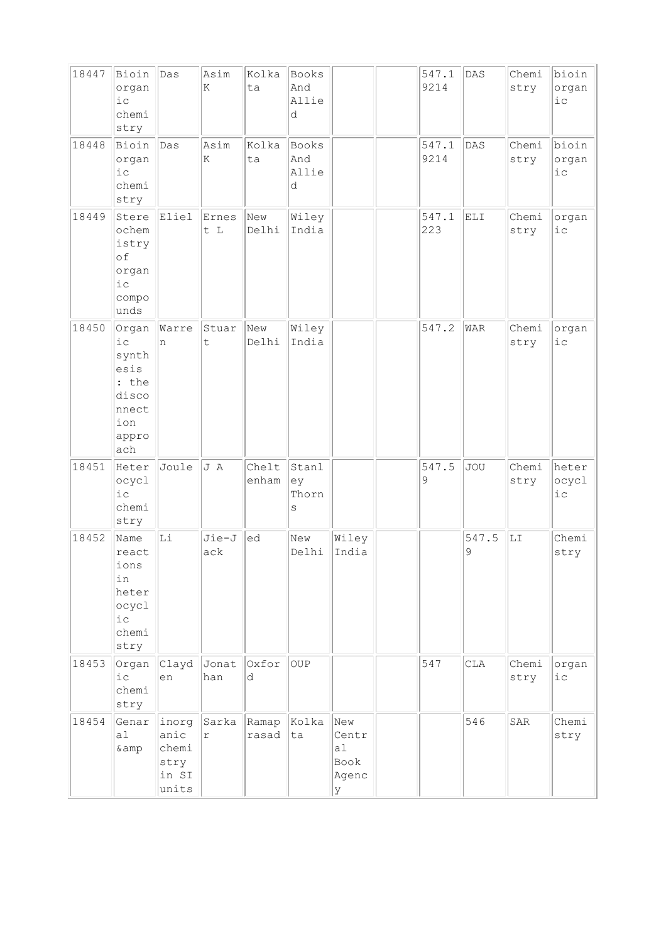| 18447 | Bioin<br>organ<br>$i$ c<br>chemi<br>stry                                          | Das                                              | Asim<br>K           | Kolka<br>ta    | Books<br>And<br>Allie<br>d |                                          | 547.1<br>9214 | DAS        | Chemi<br>stry | bioin<br>organ<br>iс    |
|-------|-----------------------------------------------------------------------------------|--------------------------------------------------|---------------------|----------------|----------------------------|------------------------------------------|---------------|------------|---------------|-------------------------|
| 18448 | Bioin<br>organ<br>$i\,c$<br>chemi<br>stry                                         | Das                                              | Asim<br>K           | kolka<br>ta    | Books<br>And<br>Allie<br>d |                                          | 547.1<br>9214 | <b>DAS</b> | Chemi<br>stry | bioin<br>organ<br>$i$ с |
| 18449 | Stere<br>ochem<br>istry<br>of<br>organ<br>$i\,c$<br>compo<br>unds                 | Eliel                                            | Ernes<br>t L        | New<br>Delhi   | Wiley<br>India             |                                          | 547.1<br>223  | ELI        | Chemi<br>stry | organ<br>$i\,c$         |
| 18450 | Organ<br>$i$ c<br>synth<br>esis<br>: the<br>disco<br>nnect<br>ion<br>appro<br>ach | Warre<br>In.                                     | Stuar<br>t          | New<br>Delhi   | Wiley<br>India             |                                          | 547.2         | WAR        | Chemi<br>stry | organ<br>$i$ $c$        |
| 18451 | Heter<br>ocycl<br>$i$ c<br>chemi<br>stry                                          | Joule                                            | J A                 | Chelt<br>enham | Stanl<br>ey<br>Thorn<br>S  |                                          | 547.5<br>9    | <b>JOU</b> | Chemi<br>stry | heter<br>ocycl<br>iс    |
| 18452 | Name<br>react<br>ions<br>in<br>heter<br>ocycl<br>i c<br>chemi<br>stry             | Li                                               | Jie-J<br>ack        | ed             | New<br>Delhi               | Wiley<br>India                           |               | 547.5<br>9 | LI            | Chemi<br>stry           |
| 18453 | Organ<br>$i$ c<br>chemi<br>stry                                                   | Clayd<br>en                                      | Jonat<br>han        | Oxfor<br>d     | <b>OUP</b>                 |                                          | 547           | CLA        | Chemi<br>stry | organ<br>iс             |
| 18454 | Genar<br>a1<br>& amp                                                              | inorg<br>anic<br>chemi<br>stry<br>in SI<br>units | Sarka<br>$\Upsilon$ | Ramap<br>rasad | Kolka<br>ta                | New<br>Centr<br>al<br>Book<br>Agenc<br>У |               | 546        | SAR           | Chemi<br>stry           |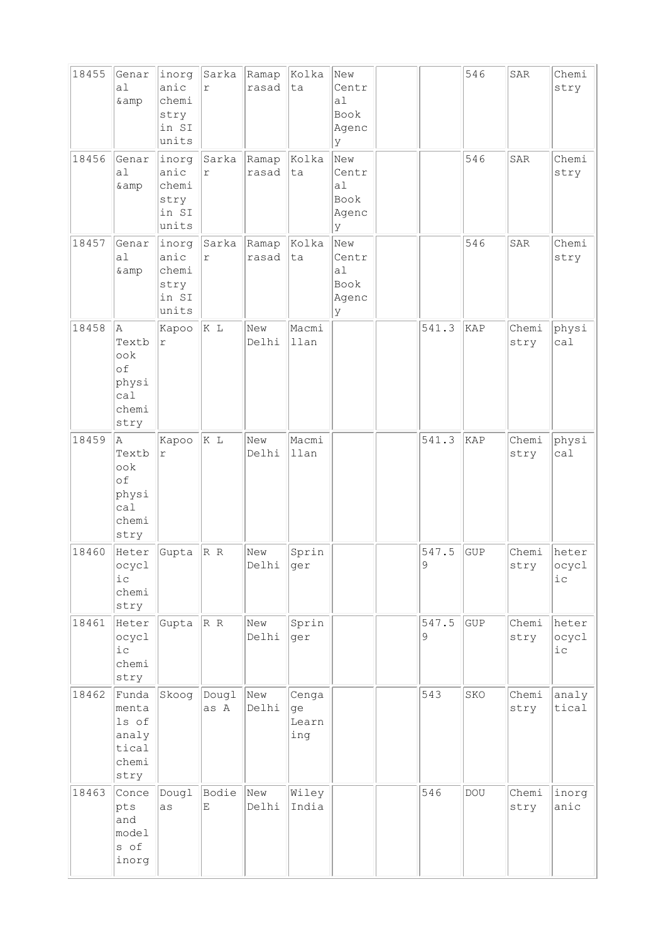| 18455 | Genar<br>a1<br>& amp                                                 | inorg<br>anic<br>chemi<br>stry<br>in SI<br>units | Sarka<br>$\mathtt{r}$ | Ramap<br>rasad | Kolka<br>ta                 | New<br>Centr<br>a <sub>1</sub><br>Book<br>Agenc<br>У |            | 546        | SAR           | Chemi<br>stry            |
|-------|----------------------------------------------------------------------|--------------------------------------------------|-----------------------|----------------|-----------------------------|------------------------------------------------------|------------|------------|---------------|--------------------------|
| 18456 | Genar<br>a1<br>& amp                                                 | inorg<br>anic<br>chemi<br>stry<br>in SI<br>units | Sarka<br>$\Upsilon$   | Ramap<br>rasad | Kolka<br>ta                 | New<br>Centr<br>a1<br>Book<br>Agenc<br>У             |            | 546        | SAR           | Chemi<br>stry            |
| 18457 | Genar<br>a <sub>1</sub><br>& amp                                     | inorg<br>anic<br>chemi<br>stry<br>in SI<br>units | Sarka<br>$\Upsilon$   | Ramap<br>rasad | Kolka<br>ta                 | New<br>Centr<br>al<br>Book<br>Agenc<br>У             |            | 546        | SAR           | Chemi<br>stry            |
| 18458 | Α<br>Textb<br>ook<br>of<br>physi<br>ca1<br>chemi<br>stry             | Kapoo<br>$\Upsilon$                              | K L                   | New<br>Delhi   | Macmi<br>llan               |                                                      | 541.3      | KAP        | Chemi<br>stry | physi<br>ca1             |
| 18459 | A<br>Textb<br>$\circ \circ k$<br>of<br>physi<br>cal<br>chemi<br>stry | Kapoo<br>$\Upsilon$                              | K L                   | New<br>Delhi   | Macmi<br>llan               |                                                      | 541.3      | KAP        | Chemi<br>stry | physi<br>ca1             |
| 18460 | Heter<br>ocycl<br>$ic$<br>chemi<br>stry                              | Gupta                                            | R R                   | New<br>Delhi   | Sprin<br>ger                |                                                      | 547.5<br>9 | <b>GUP</b> | Chemi<br>stry | heter<br> ocycl<br>i c   |
| 18461 | Heter<br>ocycl<br>$i\,c$<br>chemi<br>stry                            | Gupta                                            | R R                   | New<br>Delhi   | Sprin<br>ger                |                                                      | 547.5<br>9 | GUP        | Chemi<br>stry | heter<br>ocycl<br>$i\,c$ |
| 18462 | Funda<br>menta<br>ls of<br>analy<br>tical<br>chemi<br>stry           | Skoog                                            | Dougl<br>as A         | New<br>Delhi   | Cenga<br>ge<br>Learn<br>ing |                                                      | 543        | SKO        | Chemi<br>stry | analy<br>tical           |
| 18463 | Conce<br>pts<br>and<br>model<br>s of<br>inorg                        | Dougl<br>as                                      | Bodie<br>Ε            | New<br>Delhi   | Wiley<br>India              |                                                      | 546        | DOU        | Chemi<br>stry | inorg<br>anic            |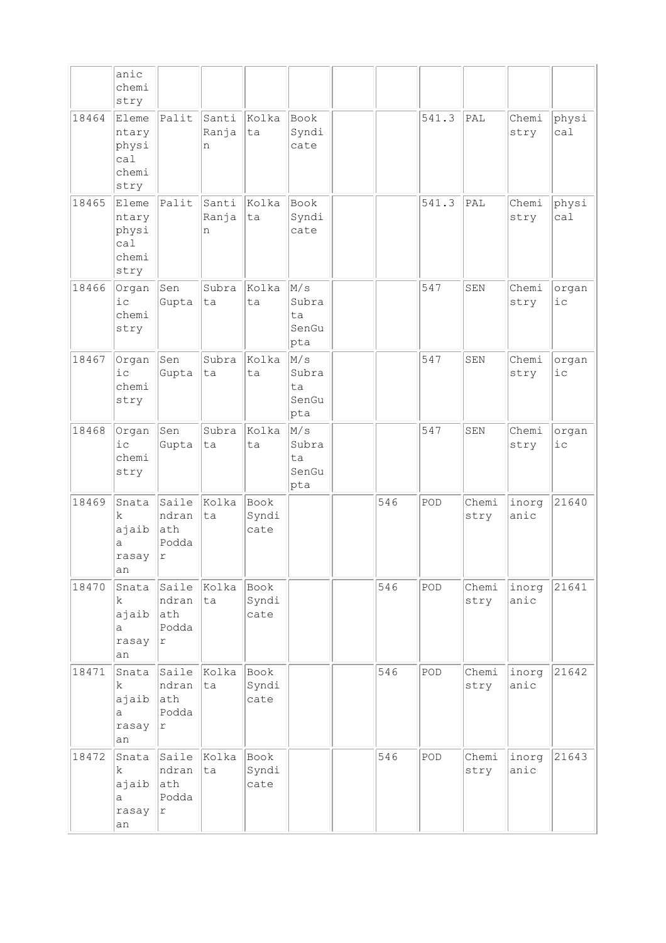|       | anic<br>chemi<br>stry                           |                                              |                     |                       |                                          |     |       |               |               |                  |
|-------|-------------------------------------------------|----------------------------------------------|---------------------|-----------------------|------------------------------------------|-----|-------|---------------|---------------|------------------|
| 18464 | Eleme<br>ntary<br>physi<br>ca1<br>chemi<br>stry | Palit                                        | Santi<br>Ranja<br>n | Kolka<br>ta           | Book<br>Syndi<br>cate                    |     | 541.3 | PAL           | Chemi<br>stry | physi<br>ca1     |
| 18465 | Eleme<br>ntary<br>physi<br>ca1<br>chemi<br>stry | Palit                                        | Santi<br>Ranja<br>n | Kolka<br>ta           | <b>Book</b><br>Syndi<br>cate             |     | 541.3 | PAL           | Chemi<br>stry | physi<br>ca1     |
| 18466 | Organ<br>$i$ c<br>chemi<br>stry                 | Sen<br>Gupta                                 | Subra<br>ta         | Kolka<br>ta           | $\rm M/s$<br>Subra<br>ta<br>SenGu<br>pta |     | 547   | ${\tt SEM}$   | Chemi<br>stry | organ<br>$i$ $c$ |
| 18467 | Organ<br>$i$ c<br>chemi<br>stry                 | Sen<br>Gupta                                 | Subra<br>ta         | Kolka<br>ta           | M/s<br>Subra<br>ta<br>SenGu<br>pta       |     | 547   | SEN           | Chemi<br>stry | organ<br>$i$ $c$ |
| 18468 | Organ<br>i c<br>chemi<br>stry                   | Sen<br>Gupta                                 | Subra<br>ta         | Kolka<br>ta           | M/s<br>Subra<br>ta<br>SenGu<br>pta       |     | 547   | SEN           | Chemi<br>stry | organ<br>$i$ $c$ |
| 18469 | Snata<br>k<br>ajaib<br>a<br>rasay<br>an         | Saile<br>ndran<br>ath<br>Podda<br>$\Upsilon$ | kolka<br>ta         | Book<br>Syndi<br>cate |                                          | 546 | POD   | Chemi<br>stry | inorg<br>anic | 21640            |
| 18470 | Snata<br>k<br>ajaib<br>a<br>rasay<br>an         | Saile<br>ndran<br>ath<br>Podda<br> r         | Kolka<br>ta         | Book<br>Syndi<br>cate |                                          | 546 | POD   | Chemi<br>stry | inorg<br>anic | 21641            |
| 18471 | Snata<br>k.<br>ajaib<br>a<br>rasay<br>an        | ndran<br>ath<br>Podda<br>r                   | Saile Kolka<br>ta   | Book<br>Syndi<br>cate |                                          | 546 | POD   | Chemi<br>stry | inorg<br>anic | 21642            |
| 18472 | Snata<br>k.<br>ajaib<br>a<br>rasay<br>an        | Saile<br>ndran<br>ath<br>Podda<br> r         | Kolka<br>ta         | Book<br>Syndi<br>cate |                                          | 546 | POD   | Chemi<br>stry | inorg<br>anic | 21643            |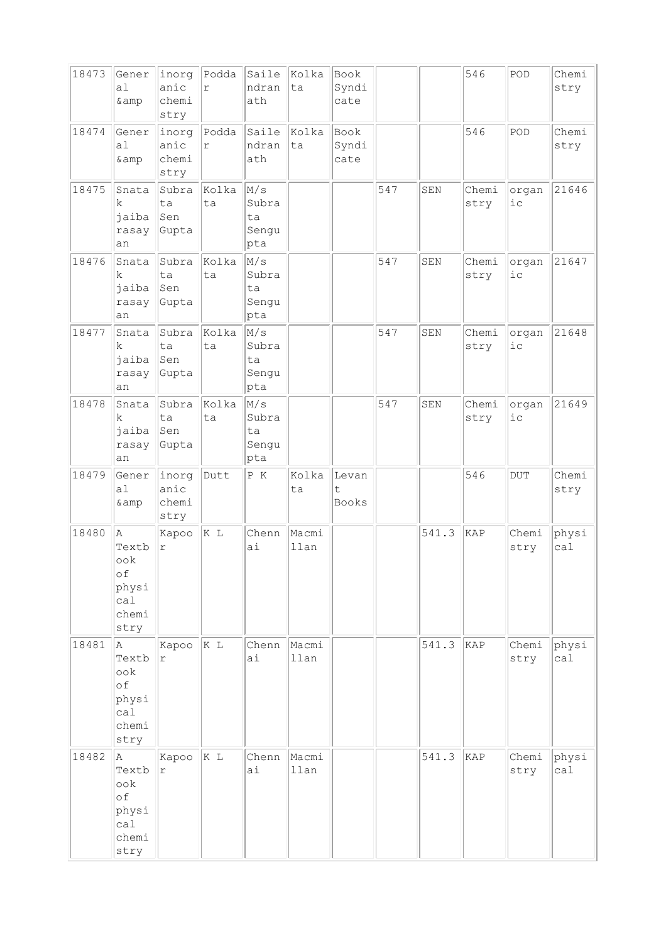| 18473 | Gener<br>a1<br>& amp                                       | inorg<br>anic<br>chemi<br>stry | Podda<br>$\Upsilon$ | Saile<br>ndran<br>ath               | Kolka<br>ta   | Book<br>Syndi<br>cate |     |       | 546           | POD              | Chemi<br>stry |
|-------|------------------------------------------------------------|--------------------------------|---------------------|-------------------------------------|---------------|-----------------------|-----|-------|---------------|------------------|---------------|
| 18474 | Gener<br>a <sub>1</sub><br>& amp                           | inorg<br>anic<br>chemi<br>stry | Podda<br>r          | Saile<br>ndran<br>ath               | kolka<br>ta   | Book<br>Syndi<br>cate |     |       | 546           | POD              | Chemi<br>stry |
| 18475 | Snata<br>k<br>jaiba<br>rasay<br>an                         | Subra<br>ta<br>Sen<br>Gupta    | Kolka<br>ta         | M/s<br>Subra<br>ta<br>Sengu<br>pta  |               |                       | 547 | SEN   | Chemi<br>stry | organ<br>i c     | 21646         |
| 18476 | Snata<br>k.<br>jaiba<br>rasay<br>an                        | Subra<br>ta<br>Sen<br>Gupta    | Kolka<br>ta         | M/s<br>Subra<br>ta<br>Sengu<br>pta  |               |                       | 547 | SEN   | Chemi<br>stry | organ<br>$i$ $c$ | 21647         |
| 18477 | Snata<br>k<br>jaiba<br>rasay<br>an                         | Subra<br>ta<br>Sen<br>Gupta    | Kolka<br>ta         | M/s<br>Subra<br>ta<br>Sengu<br>pta  |               |                       | 547 | SEN   | Chemi<br>stry | organ<br>i c     | 21648         |
| 18478 | Snata<br>k<br>jaiba<br>rasay<br>an                         | Subra<br>ta<br>Sen<br>Gupta    | Kolka<br>ta         | M/s<br>Subra<br>ta<br>Sengu<br> pta |               |                       | 547 | SEN   | Chemi<br>stry | organ<br>i c     | 21649         |
| 18479 | Gener<br>a1<br>& amp                                       | inorg<br>anic<br>chemi<br>stry | Dutt                | P K                                 | Kolka<br>ta   | Levan<br>t<br>Books   |     |       | 546           | <b>DUT</b>       | Chemi<br>stry |
| 18480 | la.<br>Textb<br>ook<br>of<br>physi<br>cal                  | Kapoo<br>$\Upsilon$            | K L                 | Chenn<br>ai                         | Macmi<br>llan |                       |     | 541.3 | KAP           | Chemi<br>stry    | physi<br>ca1  |
|       | chemi<br>stry                                              |                                |                     |                                     |               |                       |     |       |               |                  |               |
| 18481 | la.<br>Textb<br>ook<br>of<br>physi<br>ca1<br>chemi<br>stry | Kapoo<br>$\Upsilon$            | K L                 | Chenn<br>ai                         | Macmi<br>llan |                       |     | 541.3 | KAP           | Chemi<br>stry    | physi<br>ca1  |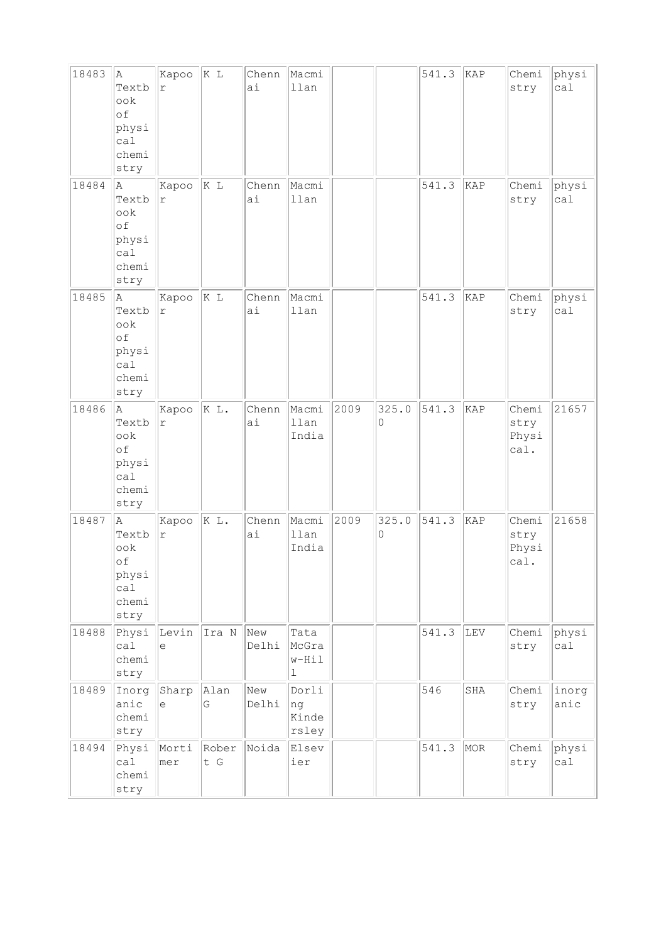| 18483 | Α<br>Textb<br>ook<br>of<br>physi<br>ca1<br>chemi<br>stry             | Kapoo<br>$\Upsilon$ | K L          | Chenn<br>ai  | Macmi<br>llan                 |      |            | 541.3 | KAP | Chemi<br>stry                  | physi<br>ca1  |
|-------|----------------------------------------------------------------------|---------------------|--------------|--------------|-------------------------------|------|------------|-------|-----|--------------------------------|---------------|
| 18484 | A<br>Textb<br>$\circ \circ k$<br>of<br>physi<br>ca1<br>chemi<br>stry | Kapoo<br>r          | K L          | Chenn<br>ai  | Macmi<br>llan                 |      |            | 541.3 | KAP | Chemi<br>stry                  | physi<br>ca1  |
| 18485 | Α<br>Textb<br>ook<br>of<br>physi<br>ca1<br>chemi<br>stry             | Kapoo<br>$\Upsilon$ | K L          | Chenn<br>ai  | Macmi<br>llan                 |      |            | 541.3 | KAP | Chemi<br>stry                  | physi<br>ca1  |
| 18486 | A<br>Textb<br>ook<br>of<br>physi<br>ca1<br>chemi<br>stry             | Kapoo<br>$\Upsilon$ | K L.         | Chenn<br>ai  | Macmi<br>llan<br>India        | 2009 | 325.0<br>0 | 541.3 | KAP | Chemi<br>stry<br>Physi<br>cal. | 21657         |
| 18487 | A<br>Textb<br>$\circ \circ k$<br>of<br>physi<br>cal<br>chemi<br>stry | Kapoo<br>r          | K L.         | Chenn<br>ai  | Macmi<br>llan<br>India        | 2009 | 325.0<br>0 | 541.3 | KAP | Chemi<br>stry<br>Physi<br>cal. | 21658         |
| 18488 | Physi<br>ca1<br>chemi<br>stry                                        | Levin<br>e          | Ira N        | New<br>Delhi | Tata<br>McGra<br>$w-Hil$<br>ı |      |            | 541.3 | LEV | Chemi<br>stry                  | physi<br>cal  |
| 18489 | Inorg<br>anic<br>chemi<br>stry                                       | Sharp<br>$\in$      | Alan<br>G    | New<br>Delhi | Dorli<br>ng<br>Kinde<br>rsley |      |            | 546   | SHA | Chemi<br>stry                  | inorg<br>anic |
| 18494 | Physi<br>ca1<br>chemi<br>stry                                        | Morti<br>mer        | Rober<br>t G | Noida        | Elsev<br>ier                  |      |            | 541.3 | MOR | Chemi<br>stry                  | physi<br>ca1  |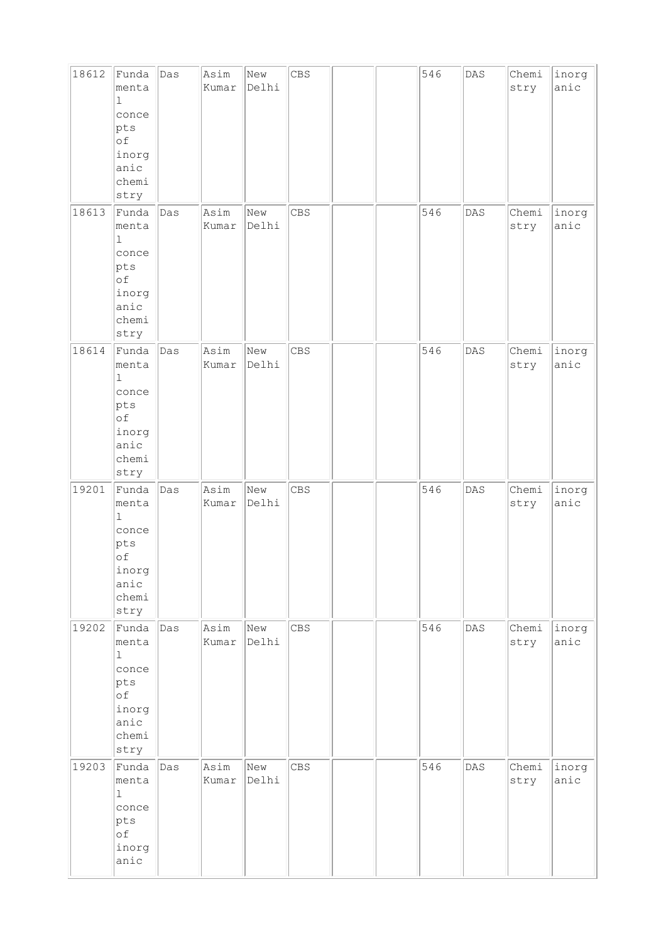| 18612 | Funda<br>menta<br>1<br>conce<br>$ {\rm pts} $<br>of<br>inorg<br>anic<br>chemi<br>stry           | Das | Asim<br>Kumar | New<br>Delhi | CBS        |  | 546 | DAS | Chemi<br>stry | inorg<br>anic |
|-------|-------------------------------------------------------------------------------------------------|-----|---------------|--------------|------------|--|-----|-----|---------------|---------------|
| 18613 | Funda<br>menta<br>$\mathbf 1$<br>conce<br>$ {\sf pts} $<br>of<br>inorg<br>anic<br>chemi<br>stry | Das | Asim<br>Kumar | New<br>Delhi | CBS        |  | 546 | DAS | Chemi<br>stry | inorg<br>anic |
| 18614 | Funda<br>menta<br>$\mathbf 1$<br>conce<br>$ {\rm pts} $<br>of<br>inorg<br>anic<br>chemi<br>stry | Das | Asim<br>Kumar | New<br>Delhi | CBS        |  | 546 | DAS | Chemi<br>stry | inorg<br>anic |
| 19201 | Funda<br>menta<br>$\mathbf 1$<br>conce<br>pts<br>оf<br>inorg<br>anic<br>chemi<br>stry           | Das | Asim<br>Kumar | New<br>Delhi | CBS        |  | 546 | DAS | Chemi<br>stry | inorg<br>anic |
| 19202 | Funda<br>menta<br>$\mathbf{1}$<br>conce<br>pts<br>οf<br>inorg<br>anic<br>chemi<br>stry          | Das | Asim<br>Kumar | New<br>Delhi | <b>CBS</b> |  | 546 | DAS | Chemi<br>stry | inorg<br>anic |
| 19203 | Funda<br>menta<br>$\mathbf 1$<br>conce<br>pts<br>оf<br>inorg<br>anic                            | Das | Asim<br>Kumar | New<br>Delhi | <b>CBS</b> |  | 546 | DAS | Chemi<br>stry | inorg<br>anic |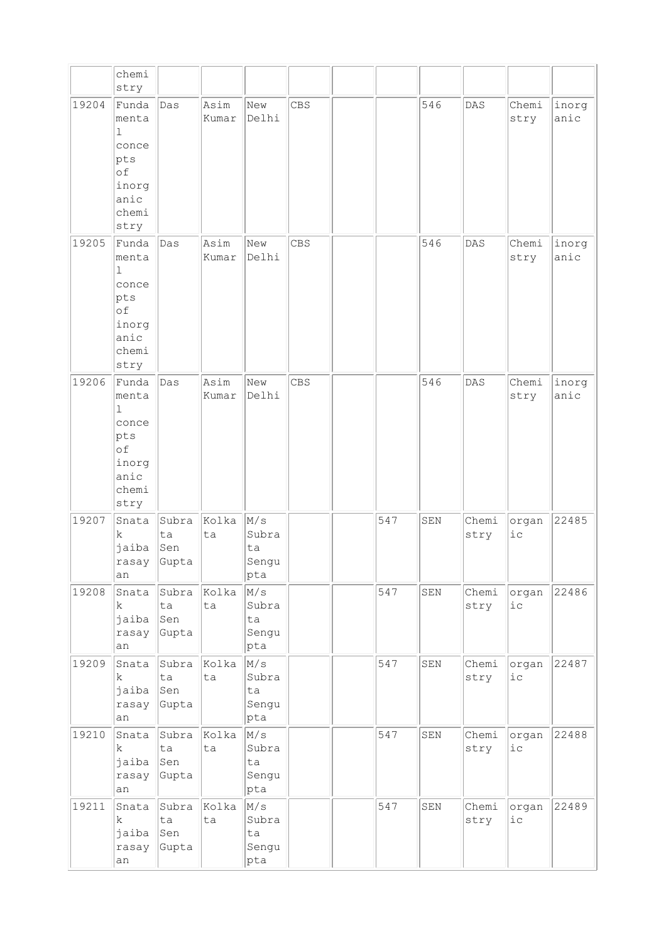|       | chemi<br>stry                                                                          |                             |               |                                              |            |     |     |               |                 |               |
|-------|----------------------------------------------------------------------------------------|-----------------------------|---------------|----------------------------------------------|------------|-----|-----|---------------|-----------------|---------------|
| 19204 | Funda<br>menta<br>$\mathbf 1$<br>conce<br>pts<br>of<br>inorg<br>anic<br>chemi<br>stry  | Das                         | Asim<br>Kumar | New<br>Delhi                                 | <b>CBS</b> |     | 546 | DAS           | Chemi<br>stry   | inorg<br>anic |
| 19205 | Funda<br>menta<br>$\mathbf{1}$<br>conce<br>pts<br>of<br>inorg<br>anic<br>chemi<br>stry | Das                         | Asim<br>Kumar | New<br>Delhi                                 | <b>CBS</b> |     | 546 | DAS           | Chemi<br>stry   | inorg<br>anic |
| 19206 | Funda<br>menta<br>$\mathbf{1}$<br>conce<br>pts<br>of<br>inorg<br>anic<br>chemi<br>stry | Das                         | Asim<br>Kumar | New<br>Delhi                                 | CBS        |     | 546 | DAS           | Chemi<br>stry   | inorg<br>anic |
| 19207 | Snata<br>k<br>jaiba<br>rasay<br>an                                                     | Subra<br>ta<br>Sen<br>Gupta | Kolka<br>ta   | M/s<br>Subra<br>ta<br>Sengu<br>$ {\rm pta} $ |            | 547 | SEN | Chemi<br>stry | organ<br>$i$ c  | 22485         |
| 19208 | Snata<br>$\mathbf k$<br>jaiba<br>rasay<br>an                                           | Subra<br>ta<br>Sen<br>Gupta | Kolka<br>ta   | M/s<br>Subra<br>ta<br>Sengu<br>pta           |            | 547 | SEN | Chemi<br>stry | organ<br>$i\,c$ | 22486         |
| 19209 | Snata<br>k<br>jaiba<br>rasay<br>an                                                     | Subra<br>ta<br>Sen<br>Gupta | Kolka<br>ta   | M/s<br>Subra<br>ta<br>Sengu<br>$ {\rm pta} $ |            | 547 | SEN | Chemi<br>stry | organ<br>$i\,c$ | 22487         |
| 19210 | Snata<br>k<br>jaiba<br>rasay<br>an                                                     | Subra<br>ta<br>Sen<br>Gupta | Kolka<br>ta   | M/s<br>Subra<br>ta<br>Sengu<br>$ {\rm pta} $ |            | 547 | SEN | Chemi<br>stry | organ<br>$i$ c  | 22488         |
| 19211 | Snata<br>$\mathbf k$<br>jaiba<br>rasay<br>an                                           | Subra<br>ta<br>Sen<br>Gupta | Kolka<br>ta   | M/s<br>Subra<br>ta<br>Sengu<br>pta           |            | 547 | SEN | Chemi<br>stry | organ<br>iс     | 22489         |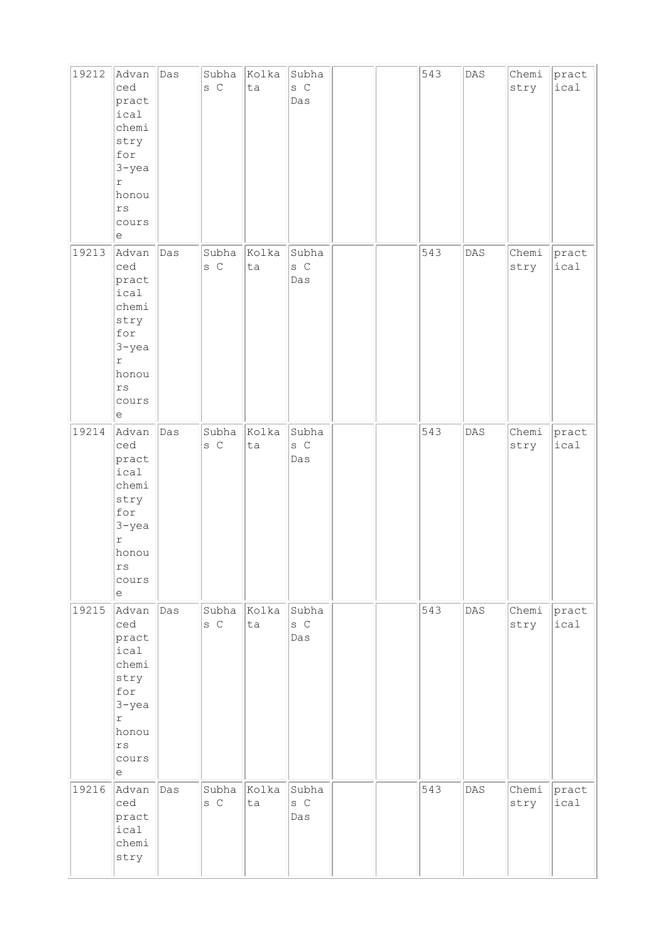| 19212 | Advan<br>ced<br>pract<br>ical<br>chemi<br>stry<br>for<br>$3 - yea$<br>$\Upsilon$<br>honou<br>rs<br>cours<br>e  | Das | Subha<br>s C     | Kolka<br>ta | Subha<br>s C<br>Das                             |  | 543 | $\mathtt{DAS}$ | Chemi<br>stry | pract<br>ical |
|-------|----------------------------------------------------------------------------------------------------------------|-----|------------------|-------------|-------------------------------------------------|--|-----|----------------|---------------|---------------|
| 19213 | Advan<br>ced<br>pract<br>ical<br>chemi<br>stry<br>for<br>$3 - yea$<br>$\mathbf r$<br>honou<br>rs<br>cours<br>e | Das | Subha<br>s C     | Kolka<br>ta | Subha<br>$S$ $C$<br>Das                         |  | 543 | $\mathtt{DAS}$ | Chemi<br>stry | pract<br>ical |
| 19214 | Advan<br>ced<br>pract<br>ical<br>chemi<br>stry<br>for<br>$3 - yea$<br>r<br>honou<br>rs<br>cours<br>e           | Das | Subha<br>s C     | Kolka<br>ta | Subha<br>$S$ $C$<br>Das                         |  | 543 | $\mathtt{DAS}$ | Chemi<br>stry | pract<br>ical |
| 19215 | Advan<br>ced<br>pract<br>ical<br>chemi<br>stry<br>for<br>$3 - yea$<br>$\mathbf r$<br>honou<br>rs<br>cours<br>е | Das | Subha<br>s C     | Kolka<br>ta | Subha<br>s C<br>Das                             |  | 543 | $\mathtt{DAS}$ | Chemi<br>stry | pract<br>ical |
| 19216 | Advan<br>ced<br>pract<br>ical<br>chemi<br>stry                                                                 | Das | Subha<br>$S$ $C$ | Kolka<br>ta | Subha<br>${\tt S} \hspace{.1cm} {\tt C}$<br>Das |  | 543 | DAS            | Chemi<br>stry | pract<br>ical |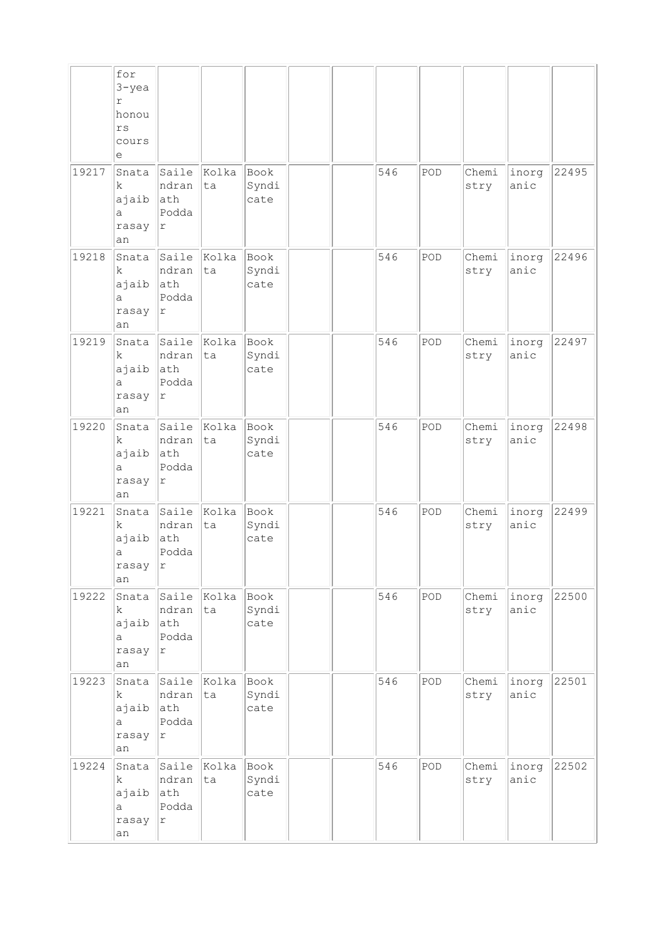|       | for<br>$3 - yea$<br>r<br>honou<br>$r\,s$<br>cours<br>е |                                                    |                   |                       |  |     |     |               |               |       |
|-------|--------------------------------------------------------|----------------------------------------------------|-------------------|-----------------------|--|-----|-----|---------------|---------------|-------|
| 19217 | Snata<br>k<br>ajaib<br>а<br>rasay<br>an                | Saile<br>ndran<br>ath<br>Podda<br>r                | Kolka<br>ta       | Book<br>Syndi<br>cate |  | 546 | POD | Chemi<br>stry | inorg<br>anic | 22495 |
| 19218 | Snata<br>k<br>ajaib<br>a<br>rasay<br>an                | Saile<br>ndran<br>ath<br>Podda<br>$\Upsilon$       | Kolka<br>ta       | Book<br>Syndi<br>cate |  | 546 | POD | Chemi<br>stry | inorg<br>anic | 22496 |
| 19219 | Snata<br>k<br>ajaib<br>а<br>rasay<br>an                | Saile<br>ndran<br>ath<br>Podda<br>$\Upsilon$       | Kolka<br>ta       | Book<br>Syndi<br>cate |  | 546 | POD | Chemi<br>stry | inorg<br>anic | 22497 |
| 19220 | Snata<br>k<br>ajaib<br>а<br>rasay<br>an                | Saile<br>ndran<br>ath<br>Podda<br>r                | Kolka<br>ta       | Book<br>Syndi<br>cate |  | 546 | POD | Chemi<br>stry | inorg<br>anic | 22498 |
| 19221 | Snata<br>k.<br>ajaib<br>а<br>rasay<br>an               | Saile<br>ndran<br>ath<br>Podda<br>r                | Kolka<br>ta       | Book<br>Syndi<br>cate |  | 546 | POD | Chemi<br>stry | inorg<br>anic | 22499 |
| 19222 | Snata<br>k<br>ajaib<br>а<br>rasay<br>an                | Saile<br>ndran<br>ath<br>Podda<br>$\mathtt{r}$     | Kolka<br>ta       | Book<br>Syndi<br>cate |  | 546 | POD | Chemi<br>stry | inorg<br>anic | 22500 |
| 19223 | Snata<br>k<br>ajaib<br>a<br>rasay<br>an                | Saile Kolka<br>ndran<br>ath<br>Podda<br>$\Upsilon$ | ta                | Book<br>Syndi<br>cate |  | 546 | POD | Chemi<br>stry | inorg<br>anic | 22501 |
| 19224 | Snata<br>k<br>ajaib<br>a<br>rasay<br>an                | ndran<br>ath<br>Podda<br>$\Upsilon$                | Saile Kolka<br>ta | Book<br>Syndi<br>cate |  | 546 | POD | Chemi<br>stry | inorg<br>anic | 22502 |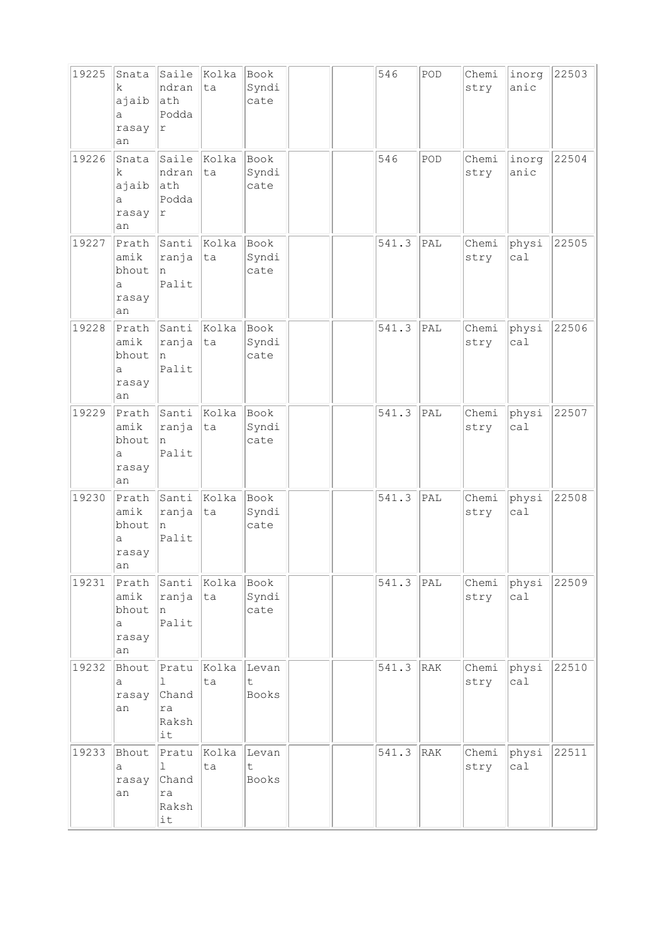| 19225 | Snata<br>k<br>ajaib<br>a<br>rasay<br>an     | Saile<br>ndran<br>ath<br>Podda<br>$\Upsilon$        | Kolka<br>ta | Book<br>Syndi<br>cate     | 546   | POD | Chemi<br>stry | inorg<br>anic | 22503 |
|-------|---------------------------------------------|-----------------------------------------------------|-------------|---------------------------|-------|-----|---------------|---------------|-------|
| 19226 | Snata<br>k<br>ajaib<br>а<br>rasay<br>an     | Saile<br>ndran<br>ath<br>Podda<br>r                 | Kolka<br>ta | Book<br>Syndi<br>cate     | 546   | POD | Chemi<br>stry | inorg<br>anic | 22504 |
| 19227 | Prath<br>amik<br>bhout<br>a<br>rasay<br>an  | Santi<br>ranja<br>n<br>Palit                        | Kolka<br>ta | Book<br>Syndi<br>cate     | 541.3 | PAL | Chemi<br>stry | physi<br>ca1  | 22505 |
| 19228 | Prath<br>amik<br>bhout<br>a<br>rasay<br>an  | Santi<br>ranja<br>n<br>Palit                        | Kolka<br>ta | Book<br>Syndi<br>cate     | 541.3 | PAL | Chemi<br>stry | physi<br>ca1  | 22506 |
| 19229 | Prath<br>amik<br>bhout<br>а<br>rasay<br>an  | Santi<br>ranja<br>n<br>Palit                        | Kolka<br>ta | Book<br>Syndi<br>cate     | 541.3 | PAL | Chemi<br>stry | physi<br>ca1  | 22507 |
| 19230 | Prath<br>amik<br>bhout<br>a<br>rasay<br> an | Santi<br>ranja<br>n<br>Palit                        | Kolka<br>ta | Book<br>Syndi<br>cate     | 541.3 | PAL | Chemi<br>stry | physi<br>ca1  | 22508 |
| 19231 | Prath<br>amik<br>bhout<br>a<br>rasay<br>an  | Santi<br>ranja<br>n<br>Palit                        | Kolka<br>ta | Book<br>Syndi<br>cate     | 541.3 | PAL | Chemi<br>stry | physi<br>ca1  | 22509 |
| 19232 | Bhout<br>а<br>rasay<br>an                   | Pratu<br>$\mathbf{1}$<br>Chand<br>ra<br>Raksh<br>it | Kolka<br>ta | Levan<br>$\sf t$<br>Books | 541.3 | RAK | Chemi<br>stry | physi<br>cal  | 22510 |
| 19233 | Bhout<br>а<br>rasay<br>an                   | Pratu<br>1<br>Chand<br>ra<br>Raksh<br>it            | Kolka<br>ta | Levan<br>t<br>Books       | 541.3 | RAK | Chemi<br>stry | physi<br>ca1  | 22511 |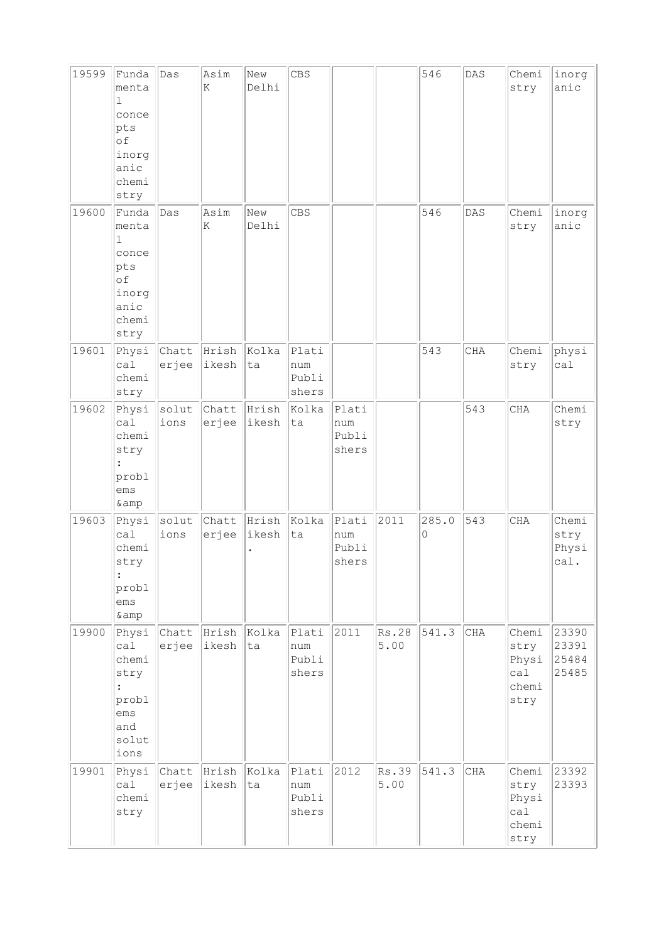| 19599 | Funda<br>menta<br>1<br>conce<br>pts<br>of<br>inorg<br>anic<br>chemi<br>stry             | Das            | Asim<br>K            | New<br>Delhi   | <b>CBS</b>                     |                                |               | 546        | DAS        | Chemi<br>stry                                  | inorg<br>anic                    |
|-------|-----------------------------------------------------------------------------------------|----------------|----------------------|----------------|--------------------------------|--------------------------------|---------------|------------|------------|------------------------------------------------|----------------------------------|
| 19600 | Funda<br>menta<br>1<br>conce<br>pts<br>of<br>inorg<br>anic<br>chemi<br>stry             | Das            | Asim<br>K            | New<br>Delhi   | <b>CBS</b>                     |                                |               | 546        | DAS        | Chemi<br>stry                                  | inorg<br>anic                    |
| 19601 | Physi<br>ca1<br>chemi<br>stry                                                           | Chatt<br>erjee | Hrish<br>ikesh       | Kolka<br>ta    | Plati<br>num<br>Publi<br>shers |                                |               | 543        | <b>CHA</b> | Chemi<br>stry                                  | physi<br>ca1                     |
| 19602 | Physi<br>ca1<br>chemi<br>stry<br>probl<br>ems<br>& amp                                  | solut<br>ions  | Chatt<br>erjee       | Hrish<br>ikesh | Kolka<br>ta                    | Plati<br>num<br>Publi<br>shers |               |            | 543        | CHA                                            | Chemi<br>stry                    |
| 19603 | Physi<br>ca1<br>chemi<br>stry<br>$\ddot{\phantom{a}}$<br>probl<br>ems<br>& amp          | solut<br>ions  | Chatt<br>erjee       | Hrish<br>ikesh | Kolka<br>ta                    | Plati<br>num<br>Publi<br>shers | 2011          | 285.0<br>0 | 543        | <b>CHA</b>                                     | Chemi<br>stry<br>Physi<br>cal.   |
| 19900 | Physi<br>ca1<br>chemi<br>stry<br>$\ddot{\cdot}$<br>probl<br>ems<br>and<br>solut<br>ions | erjee          | Chatt Hrish<br>ikesh | Kolka<br>ta    | Plati<br>num<br>Publi<br>shers | 2011                           | Rs.28<br>5.00 | 541.3      | CHA        | Chemi<br>stry<br>Physi<br>ca1<br>chemi<br>stry | 23390<br>23391<br>25484<br>25485 |
| 19901 | Physi<br>ca1<br>chemi<br>stry                                                           | Chatt<br>erjee | Hrish<br>ikesh       | Kolka<br>ta    | Plati<br>num<br>Publi<br>shers | 2012                           | Rs.39<br>5.00 | 541.3      | CHA        | Chemi<br>stry<br>Physi<br>ca1<br>chemi<br>stry | 23392<br>23393                   |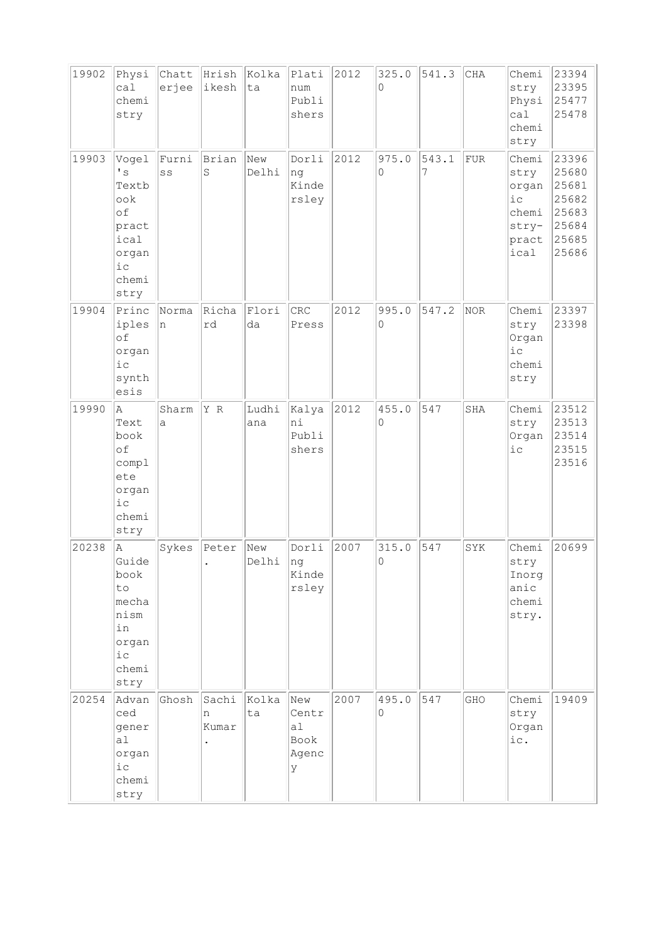| 19902 | Physi<br>ca1<br>chemi<br>stry                                                                   | Chatt<br>erjee | Hrish<br>ikesh      | Kolka<br>ta  | Plati<br>num<br>Publi<br>shers           | 2012 | 325.0<br>$\Omega$       | 541.3      | CHA | Chemi<br>stry<br>Physi<br>ca1<br>chemi<br>stry                     | 23394<br>23395<br>25477<br>25478                                     |
|-------|-------------------------------------------------------------------------------------------------|----------------|---------------------|--------------|------------------------------------------|------|-------------------------|------------|-----|--------------------------------------------------------------------|----------------------------------------------------------------------|
| 19903 | Vogel<br>$\mathbf{F}$<br>Textb<br>ook<br>of<br>pract<br>ical<br>organ<br>$i$ c<br>chemi<br>stry | Furni<br>SS    | Brian<br>S          | New<br>Delhi | Dorli<br>ng<br>Kinde<br>rsley            | 2012 | 975.0<br>0              | 543.1<br>7 | FUR | Chemi<br>stry<br>organ<br>$i$ c<br>chemi<br>stry-<br>pract<br>ical | 23396<br>25680<br>25681<br>25682<br>25683<br>25684<br>25685<br>25686 |
| 19904 | Princ<br>iples<br>of<br>organ<br>ic<br>synth<br>esis                                            | Norma<br>n     | Richa<br>rd         | Flori<br>da  | CRC<br>Press                             | 2012 | 995.0<br>$\Omega$       | 547.2      | NOR | Chemi<br>stry<br>Organ<br>i c<br>chemi<br>stry                     | 23397<br>23398                                                       |
| 19990 | A<br>Text<br>book<br>of<br>compl<br>ete<br>organ<br>$i$ c<br>chemi<br>stry                      | Sharm<br>a     | Y R                 | Ludhi<br>ana | Kalya<br>ni<br>Publi<br>shers            | 2012 | 455.0<br>$\overline{0}$ | 547        | SHA | Chemi<br>stry<br>Organ<br>$i$ $c$                                  | 23512<br>23513<br>23514<br>23515<br>23516                            |
| 20238 | la.<br>Guide<br>book<br>to<br>mecha<br>nism<br>in<br>organ<br>$i$ с<br>chemi<br>stry            | Sykes          | Peter<br>$\bullet$  | New<br>Delhi | Dorli<br> ng<br>Kinde<br>rsley           | 2007 | 315.0<br>$\overline{0}$ | 547        | SYK | Chemi<br>stry<br>Inorg<br>anic<br>chemi<br>stry.                   | 20699                                                                |
| 20254 | Advan<br>ced<br>gener<br>a <sub>l</sub><br>organ<br>i c<br>chemi<br>stry                        | Ghosh          | Sachi<br>n<br>Kumar | Kolka<br>ta  | New<br>Centr<br>al<br>Book<br>Agenc<br>У | 2007 | 495.0<br>$\Omega$       | 547        | GHO | Chemi<br>stry<br>Organ<br>ic.                                      | 19409                                                                |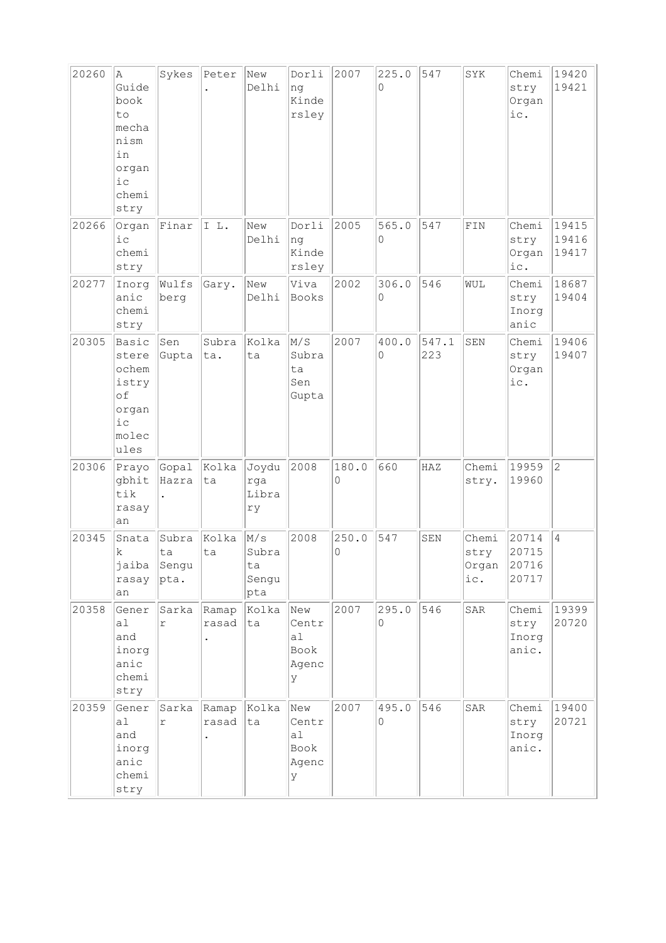| 20260 | A<br>Guide<br>book<br>to<br>mecha<br>nism<br>in<br>organ<br>i c<br>chemi<br>stry | Sykes                               | Peter          | New<br>Delhi                       | Dorli<br>ng<br>Kinde<br>rsley            | 2007       | 225.0<br>$\Omega$ | 547          | SYK                                    | Chemi<br>stry<br>Organ<br>ic.   | 19420<br>19421          |
|-------|----------------------------------------------------------------------------------|-------------------------------------|----------------|------------------------------------|------------------------------------------|------------|-------------------|--------------|----------------------------------------|---------------------------------|-------------------------|
| 20266 | Organ<br>$i$ c<br>chemi<br>stry                                                  | Finar                               | IL.            | New<br>Delhi                       | Dorli<br>ng<br>Kinde<br>rsley            | 2005       | 565.0<br>0        | 547          | FIN                                    | Chemi<br>stry<br>Organ<br>ic.   | 19415<br>19416<br>19417 |
| 20277 | Inorg<br>anic<br>chemi<br>stry                                                   | Wulfs<br>berg                       | Gary.          | New<br>Delhi                       | Viva<br>Books                            | 2002       | 306.0<br>0        | 546          | WUL                                    | Chemi<br>stry<br>Inorg<br>anic  | 18687<br>19404          |
| 20305 | Basic<br>stere<br>ochem<br>istry<br>of<br>organ<br>i c<br>molec<br>ules          | Sen<br>Gupta                        | Subra<br>ta.   | Kolka<br>ta                        | M/S<br>Subra<br>ta<br>Sen<br>Gupta       | 2007       | 400.0<br>$\Omega$ | 547.1<br>223 | SEN                                    | Chemi<br>stry<br>Organ<br>ic.   | 19406<br>19407          |
| 20306 | Prayo<br>gbhit<br>tik<br>rasay<br>an                                             | Gopal<br>Hazra                      | Kolka<br>ta    | Joydu<br>rga<br>Libra<br>ry        | 2008                                     | 180.0<br>0 | 660               | HAZ          | Chemi<br>stry.                         | 19959<br>19960                  | $\overline{2}$          |
| 20345 | Snata<br>k<br>rasay<br>an                                                        | Subra<br>ta<br>jaiba Sengu<br> pta. | Kolka<br>ta    | M/s<br>Subra<br>ta<br>Sengu<br>pta | 2008                                     | 250.0<br>0 | 547               | SEN          | Chemi<br>stry<br>Organ $ 20716$<br>ic. | 20714<br>20715<br>20717         | $\overline{4}$          |
| 20358 | Gener<br>a1<br>and<br>inorg<br>anic<br>chemi<br>stry                             | Sarka<br>r                          | Ramap<br>rasad | Kolka<br>ta                        | New<br>Centr<br>a1<br>Book<br>Agenc<br>У | 2007       | 295.0<br>0        | 546          | SAR                                    | Chemi<br>stry<br>Inorg<br>anic. | 19399<br>20720          |
| 20359 | Gener<br>a1<br>and<br>inorg<br>anic<br>chemi<br>stry                             | Sarka<br>r                          | Ramap<br>rasad | Kolka<br> ta                       | New<br>Centr<br>al<br>Book<br>Agenc<br>У | 2007       | 495.0<br>$\circ$  | 546          | SAR                                    | Chemi<br>stry<br>Inorg<br>anic. | 19400<br>20721          |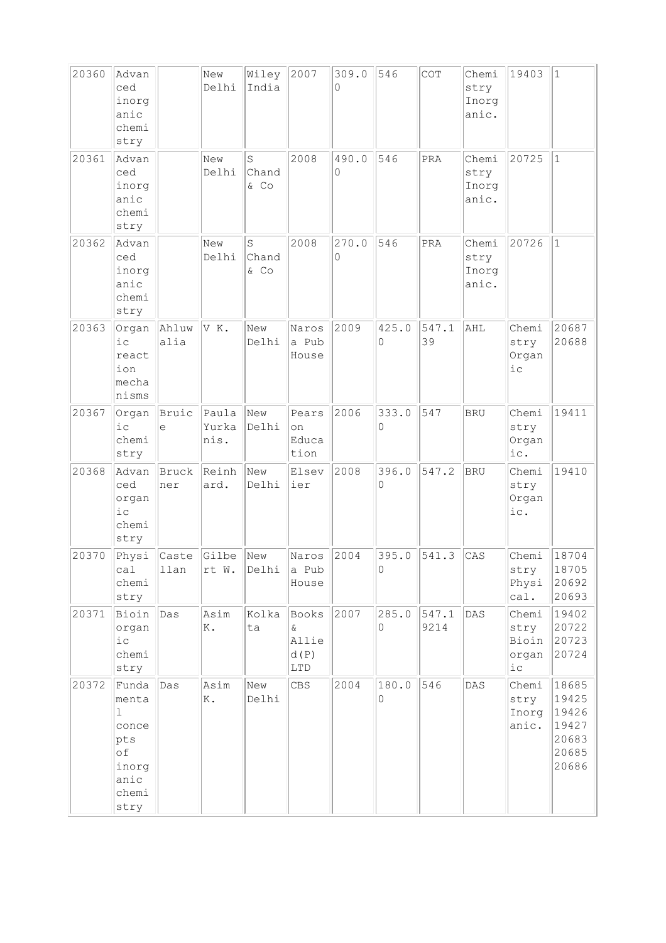| 20360 | Advan<br>ced<br>inorg<br>anic<br>chemi<br>stry                                         |                | New<br>Delhi           | Wiley<br>India           | 2007                                | 309.0<br>0 | 546               | COT           | Chemi<br>stry<br>Inorg<br>anic. | 19403                                                      | $\mathbf{1}$                                                |
|-------|----------------------------------------------------------------------------------------|----------------|------------------------|--------------------------|-------------------------------------|------------|-------------------|---------------|---------------------------------|------------------------------------------------------------|-------------------------------------------------------------|
| 20361 | Advan<br>ced<br>inorg<br>anic<br>chemi<br>stry                                         |                | New<br>Delhi           | $\rm S$<br>Chand<br>& Co | 2008                                | 490.0<br>0 | 546               | PRA           | Chemi<br>stry<br>Inorg<br>anic. | 20725                                                      | $\mathbf{1}$                                                |
| 20362 | Advan<br>ced<br>inorg<br>anic<br>chemi<br>stry                                         |                | New<br>Delhi           | S<br>Chand<br>& CO       | 2008                                | 270.0<br>0 | 546               | PRA           | Chemi<br>stry<br>Inorg<br>anic. | 20726                                                      | $\mathbf{1}$                                                |
| 20363 | Organ<br>i c<br>react<br>ion<br>mecha<br>nisms                                         | Ahluw<br>alia  | VK.                    | New<br>Delhi             | Naros<br>a Pub<br>House             | 2009       | 425.0<br>$\Omega$ | 547.1<br>39   | AHL                             | Chemi<br>stry<br>Organ<br>i c                              | 20687<br>20688                                              |
| 20367 | Organ<br>$i$ c<br>chemi<br>stry                                                        | Bruic<br>$\in$ | Paula<br>Yurka<br>nis. | New<br>Delhi             | Pears<br>on<br>Educa<br>tion        | 2006       | 333.0<br>0        | 547           | <b>BRU</b>                      | Chemi<br>stry<br>Organ<br>ic.                              | 19411                                                       |
| 20368 | Advan<br>ced<br>organ<br>i c<br>chemi<br>stry                                          | Bruck<br>ner   | Reinh<br>ard.          | New<br>Delhi             | Elsev<br>ier                        | 2008       | 396.0<br>$\Omega$ | 547.2         | <b>BRU</b>                      | Chemi<br>stry<br>Organ<br>ic.                              | 19410                                                       |
| 20370 | Physi<br>cal<br>chemi<br>stry                                                          | Caste<br>llan  | Gilbe<br>rt W.         | New<br>Delhi             | Naros<br>a Pub<br>House             | 2004       | 395.0<br>0        | 541.3         | CAS                             | Chemi<br>stry<br>Physi<br>cal.                             | 18704<br>18705<br>20692<br>20693                            |
| 20371 | Bioin<br>organ<br>$i$ с<br>chemi<br>stry                                               | Das            | Asim<br>Κ.             | Kolka<br>ta              | Books<br>&.<br>Allie<br>d(P)<br>LTD | 2007       | 285.0<br>$\circ$  | 547.1<br>9214 | DAS                             | Chemi<br>stry<br>Bioin<br>organ<br>${\rm i\hskip 0.5mm} c$ | 19402<br>20722<br>20723<br>20724                            |
| 20372 | Funda<br>menta<br>$\mathbf{1}$<br>conce<br>pts<br>of<br>inorg<br>anic<br>chemi<br>stry | Das            | Asim<br>Κ.             | New<br>Delhi             | <b>CBS</b>                          | 2004       | 180.0<br>$\circ$  | 546           | $\mathtt{DAS}$                  | Chemi<br>stry<br>Inorg<br>anic.                            | 18685<br>19425<br>19426<br>19427<br>20683<br>20685<br>20686 |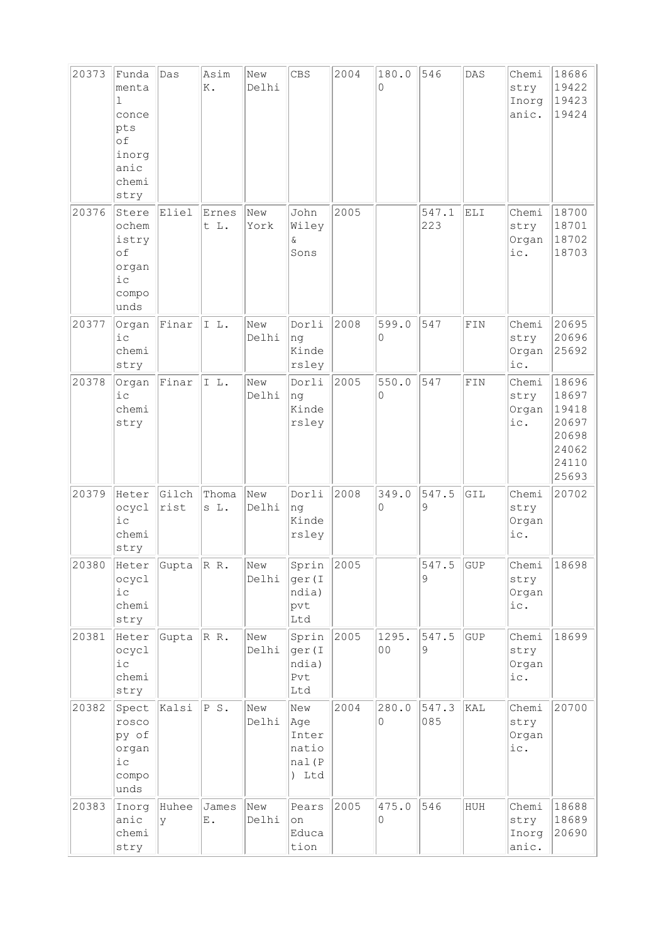| 20373 | Funda<br>menta<br>$\mathbf{1}$<br>conce<br>pts<br>of<br>inorg<br>anic<br>chemi<br>stry | Das           | Asim<br>Κ.    | New<br>Delhi | CBS                                            | 2004 | 180.0<br>0        | 546            | DAS         | Chemi<br>stry<br>Inorg<br>anic. | 18686<br>19422<br>19423<br>19424                                     |
|-------|----------------------------------------------------------------------------------------|---------------|---------------|--------------|------------------------------------------------|------|-------------------|----------------|-------------|---------------------------------|----------------------------------------------------------------------|
| 20376 | Stere<br>ochem<br>istry<br>of<br>organ<br>$i$ c<br>compo<br>unds                       | Eliel         | Ernes<br>t L. | New<br>York  | John<br>Wiley<br>&<br>Sons                     | 2005 |                   | 547.1<br>223   | <b>ELI</b>  | Chemi<br>stry<br>Organ<br>ic.   | 18700<br>18701<br>18702<br>18703                                     |
| 20377 | Organ<br>$i$ c<br>chemi<br>stry                                                        | Finar         | IL.           | New<br>Delhi | Dorli<br>ng<br>Kinde<br>rsley                  | 2008 | 599.0<br>$\Omega$ | 547            | ${\tt FIN}$ | Chemi<br>stry<br>Organ<br>ic.   | 20695<br>20696<br>25692                                              |
| 20378 | Organ<br>$i$ c<br>chemi<br>stry                                                        | Finar         | IL.           | New<br>Delhi | Dorli<br>ng<br>Kinde<br>rsley                  | 2005 | 550.0<br>0        | 547            | FIN         | Chemi<br>stry<br>Organ<br>ic.   | 18696<br>18697<br>19418<br>20697<br>20698<br>24062<br>24110<br>25693 |
| 20379 | Heter<br>ocycl<br>$i\,c$<br>chemi<br>stry                                              | Gilch<br>rist | Thoma<br>s L. | New<br>Delhi | Dorli<br>ng<br>Kinde<br>rsley                  | 2008 | 349.0<br>0        | 547.5<br>9     | GIL         | Chemi<br>stry<br>Organ<br>ic.   | 20702                                                                |
| 20380 | Heter Gupta<br>ocycl<br>i c<br>chemi<br>stry                                           |               | R R           | New<br>Delhi | Sprin<br>ger (I<br>ndia)<br>pvt<br>Ltd         | 2005 |                   | 547.<br>5<br>9 | GUP         | Chemi<br>stry<br>Organ<br>ic.   | 18698                                                                |
| 20381 | Heter<br>ocycl<br>$i\,c$<br>chemi<br>stry                                              | Gupta         | RR.           | New<br>Delhi | Sprin<br>ger (I<br>ndia)<br>Pvt<br>Ltd         | 2005 | 1295.<br>00       | 547.5<br>9     | <b>GUP</b>  | Chemi<br>stry<br>Organ<br>ic.   | 18699                                                                |
| 20382 | Spect<br>rosco<br>py of<br>organ<br>$i$ с<br>compo<br>unds                             | Kalsi         | PS.           | New<br>Delhi | New<br>Age<br>Inter<br>natio<br>nal(P<br>) Ltd | 2004 | 280.0<br>$\circ$  | 547.3<br>085   | KAL         | Chemi<br>stry<br>Organ<br>ic.   | 20700                                                                |
| 20383 | Inorg<br>anic<br>chemi<br>stry                                                         | Huhee<br>y    | James<br>Ε.   | New<br>Delhi | Pears<br>on<br>Educa<br>tion                   | 2005 | 475.0<br>0        | 546            | HUH         | Chemi<br>stry<br>Inorg<br>anic. | 18688<br>18689<br>20690                                              |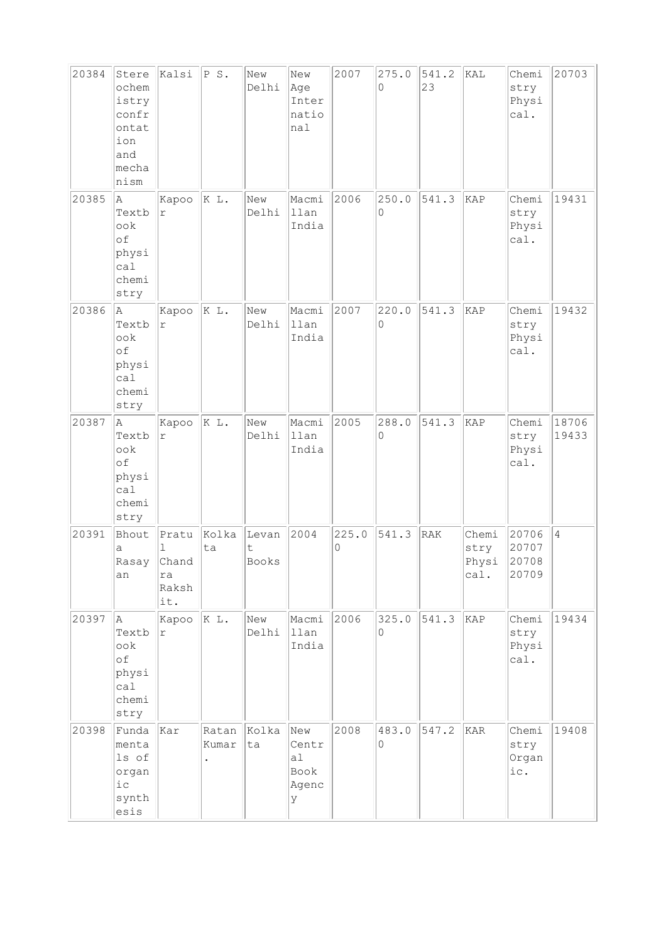| 20384 | Stere<br>ochem<br>istry<br>confr<br>ontat<br>ion<br>and<br>mecha<br>nism | Kalsi                                     | P S.           | New<br>Delhi        | New<br>Age<br>Inter<br>natio<br>nal      | 2007       | 275.0<br>$\Omega$ | 541.2<br>23 | KAL                            | Chemi<br>stry<br>Physi<br>cal.   | 20703          |
|-------|--------------------------------------------------------------------------|-------------------------------------------|----------------|---------------------|------------------------------------------|------------|-------------------|-------------|--------------------------------|----------------------------------|----------------|
| 20385 | A<br>Textb<br>$\circ \circ k$<br>of<br>physi<br>ca1<br>chemi<br>stry     | Kapoo<br>$\Upsilon$                       | K L.           | New<br>Delhi        | Macmi<br>llan<br>India                   | 2006       | 250.0<br>0        | 541.3       | KAP                            | Chemi<br>stry<br>Physi<br>cal.   | 19431          |
| 20386 | A<br>Textb<br>ook<br>of<br>physi<br>ca1<br>chemi<br>stry                 | Kapoo<br>$\Upsilon$                       | K L.           | New<br>Delhi        | Macmi<br>llan<br>India                   | 2007       | 220.0<br>$\Omega$ | 541.3       | KAP                            | Chemi<br>stry<br>Physi<br>cal.   | 19432          |
| 20387 | A<br>Textb<br>ook<br>of<br>physi<br>ca1<br>chemi<br>stry                 | Kapoo<br>$\Upsilon$                       | K L.           | New<br>Delhi        | Macmi<br>llan<br>India                   | 2005       | 288.0<br>0        | 541.3       | KAP                            | Chemi<br>stry<br>Physi<br>cal.   | 18706<br>19433 |
| 20391 | Bhout<br>a<br>Rasay<br>an                                                | Pratu<br>ı<br>Chand<br>ra<br>Raksh<br>it. | Kolka<br>ta    | Levan<br>t<br>Books | 2004                                     | 225.0<br>0 | 541.3             | RAK         | Chemi<br>stry<br>Physi<br>cal. | 20706<br>20707<br>20708<br>20709 | $\overline{4}$ |
| 20397 | A<br>Textb<br>ook<br>of<br>physi<br>cal<br>chemi<br>stry                 | Kapoo<br>$\Upsilon$                       | K L.           | New<br>Delhi        | Macmi<br>llan<br>India                   | 2006       | 325.0<br>$\Omega$ | 541.3       | KAP                            | Chemi<br>stry<br>Physi<br>cal.   | 19434          |
| 20398 | Funda<br>menta<br>ls of<br>organ<br>$i$ c<br>synth<br>esis               | Kar                                       | Ratan<br>Kumar | Kolka<br>ta         | New<br>Centr<br>a1<br>Book<br>Agenc<br>У | 2008       | 483.0<br>0        | 547.2       | KAR                            | Chemi<br>stry<br>Organ<br>ic.    | 19408          |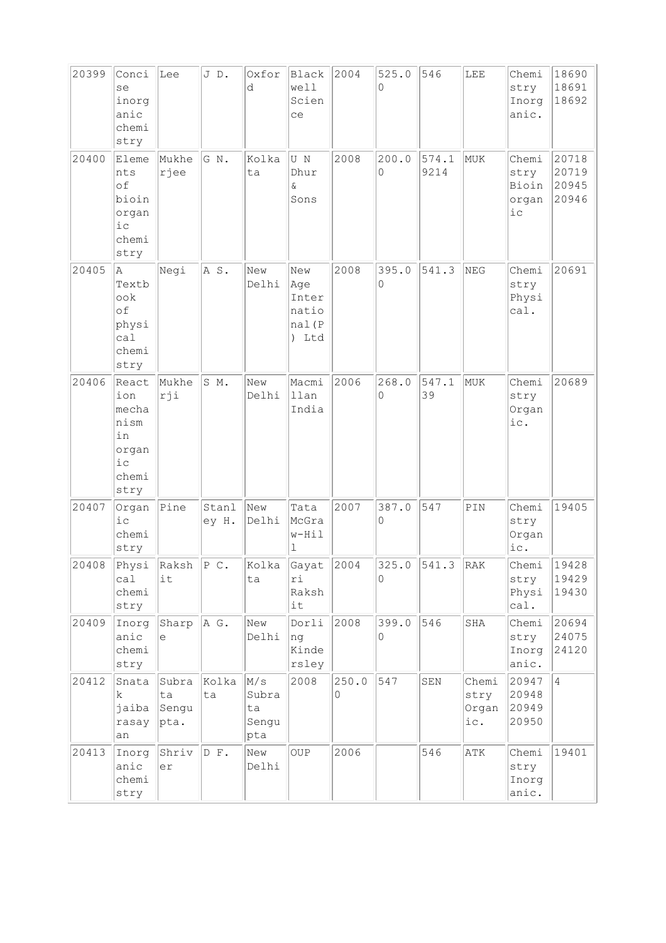| 20399 | Conci<br>se<br>inorg<br>anic<br>chemi<br>stry                        | Lee                                   | JD.            | Oxfor<br>d                         | Black<br>well<br>Scien<br>ce                    | 2004       | 525.0<br>0 | 546           | LEE                           | Chemi<br>stry<br>Inorg<br>anic.           | 18690<br>18691<br>18692          |
|-------|----------------------------------------------------------------------|---------------------------------------|----------------|------------------------------------|-------------------------------------------------|------------|------------|---------------|-------------------------------|-------------------------------------------|----------------------------------|
| 20400 | Eleme<br>nts<br>of<br>bioin<br>organ<br>$i$ c<br>chemi<br>stry       | Mukhe<br>rjee                         | G N.           | Kolka<br>ta                        | U N<br>Dhur<br>Ŷ.<br>Sons                       | 2008       | 200.0<br>0 | 574.1<br>9214 | MUK                           | Chemi<br>stry<br>Bioin<br>organ<br>$i\,c$ | 20718<br>20719<br>20945<br>20946 |
| 20405 | Α<br>Textb<br>ook<br>of<br>physi<br>ca1<br>chemi<br>stry             | Negi                                  | AS.            | New<br>Delhi                       | New<br> Age<br>Inter<br>natio<br>nal(P<br>) Ltd | 2008       | 395.0<br>0 | 541.3         | NEG                           | Chemi<br>stry<br>Physi<br>cal.            | 20691                            |
| 20406 | React<br>ion<br>mecha<br>nism<br>in<br>organ<br>i c<br>chemi<br>stry | Mukhe<br>rji                          | S M.           | New<br>Delhi                       | Macmi<br>llan<br>India                          | 2006       | 268.0<br>0 | 547.1<br>39   | MUK                           | Chemi<br>stry<br>Organ<br>ic.             | 20689                            |
| 20407 | Organ<br>$i$ c<br>chemi<br>stry                                      | Pine                                  | Stanl<br>ey H. | New<br>Delhi                       | Tata<br>McGra<br>w-Hil<br>l                     | 2007       | 387.0<br>0 | 547           | $\texttt{PIN}$                | Chemi<br>stry<br>Organ<br>ic.             | 19405                            |
| 20408 | Physi<br>ca1<br>chemi<br>stry                                        | $\vert$ Raksh $\vert$ P C.<br>it      |                | Kolka<br>ta                        | $Gayat$ 2004<br>ri<br>Raksh<br>it               |            | 325.0<br>0 | 541.3         | RAK                           | Chemi<br>stry<br>Physi<br>cal.            | 19428<br>19429<br>19430          |
| 20409 | Inorg<br>anic<br>chemi<br>stry                                       | Sharp<br>e                            | A G.           | New<br>Delhi                       | Dorli<br>ng<br>Kinde<br>rsley                   | 2008       | 399.0<br>0 | 546           | SHA                           | Chemi<br>stry<br>Inorg<br>anic.           | 20694<br>24075<br>24120          |
| 20412 | Snata<br>k.<br>jaiba<br>rasay<br>an                                  | Subra<br>ta<br>Sengu<br>$ {\rm pta.}$ | Kolka<br>ta    | M/s<br>Subra<br>ta<br>Sengu<br>pta | 2008                                            | 250.0<br>0 | 547        | ${\tt SEN}$   | Chemi<br>stry<br>Organ<br>ic. | 20947<br>20948<br>20949<br>20950          | $\overline{4}$                   |
| 20413 | Inorg<br>anic<br>chemi<br>stry                                       | Shriv<br>er                           | D F.           | New<br>Delhi                       | <b>OUP</b>                                      | 2006       |            | 546           | ATK                           | Chemi<br>stry<br>Inorg<br>anic.           | 19401                            |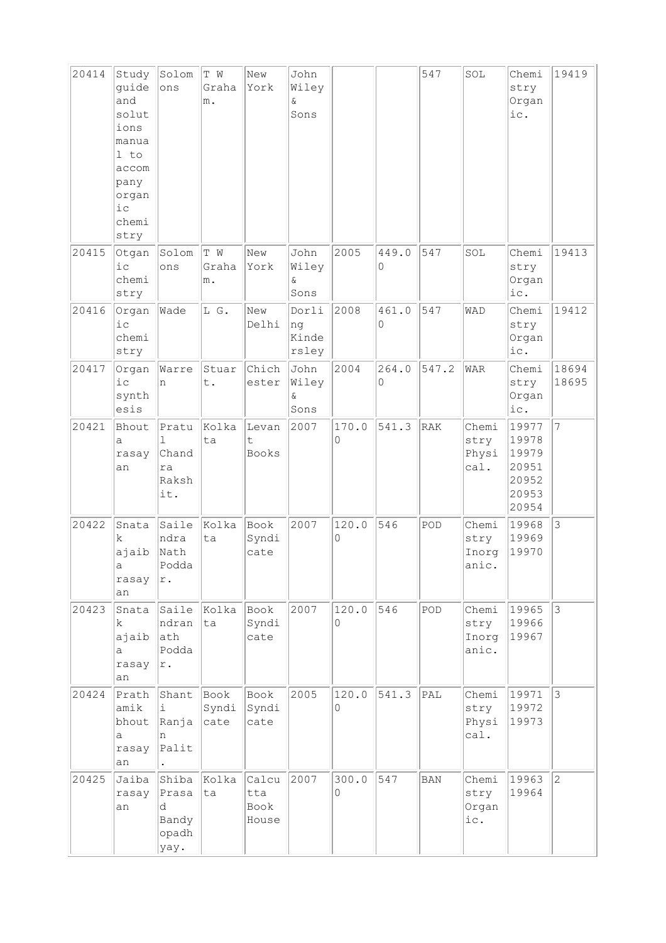| 20414 | Study<br>guide<br>and<br>solut<br>ions<br>manua<br>1 to<br>accom<br>pany<br>organ<br>iс<br>chemi<br>stry | Solom<br>ons                                  | T W<br>Graha<br>m.            | New<br>York                   | John<br>Wiley<br>$\delta$<br>Sons |            |            | 547            | SOL                             | Chemi<br>stry<br>Organ<br>ic.                               | 19419          |
|-------|----------------------------------------------------------------------------------------------------------|-----------------------------------------------|-------------------------------|-------------------------------|-----------------------------------|------------|------------|----------------|---------------------------------|-------------------------------------------------------------|----------------|
| 20415 | Otgan<br>i c<br>chemi<br>stry                                                                            | Solom<br>ons                                  | T W<br>Graha<br>m.            | New<br>York                   | John<br>Wiley<br>&.<br>Sons       | 2005       | 449.0<br>0 | 547            | SOL                             | Chemi<br>stry<br>Organ<br>ic.                               | 19413          |
| 20416 | Organ<br>i c<br>chemi<br>stry                                                                            | Wade                                          | L G.                          | New<br>Delhi                  | Dorli<br>ng<br>Kinde<br>rsley     | 2008       | 461.0<br>0 | 547            | WAD                             | Chemi<br>stry<br>Organ<br>ic.                               | 19412          |
| 20417 | Organ<br>$i$ $c$<br>synth<br>esis                                                                        | Warre<br>n                                    | Stuar<br>t.                   | Chich<br>ester                | John<br>Wiley<br>ଙ<br>Sons        | 2004       | 264.0<br>0 | 547.2          | <b>WAR</b>                      | Chemi<br>stry<br>Organ<br>ic.                               | 18694<br>18695 |
| 20421 | Bhout<br>а<br>rasay<br>an                                                                                | Pratu<br>1<br>Chand<br>ra<br>Raksh<br>it.     | Kolka<br>ta                   | Levan<br>t<br>Books           | 2007                              | 170.0<br>0 | 541.3      | RAK            | Chemi<br>stry<br>Physi<br>cal.  | 19977<br>19978<br>19979<br>20951<br>20952<br>20953<br>20954 | $\overline{7}$ |
| 20422 | Snata<br>k<br>ajaib<br>а<br>rasay<br>an                                                                  | Saile<br>ndra<br>Nath<br>Podda<br>r.          | Kolka<br>ta                   | Book<br>Syndi<br>cate         | 2007                              | 120.0<br>0 | 546        | POD            | Chemi<br>stry<br>Inorg<br>anic. | 19968<br>19969<br>19970                                     | 3              |
| 20423 | Snata<br>k.<br>ajaib<br>a<br>rasay<br>an                                                                 | ndran<br>ath<br>Podda<br>$\mathtt{r}$ .       | Saile Kolka<br>ta             | Book<br>Syndi<br>cate         | 2007                              | 120.0<br>0 | 546        | $\texttt{POD}$ | Chemi<br>stry<br>Inorg<br>anic. | 19965<br>19966<br>19967                                     | $\mathfrak{Z}$ |
| 20424 | Prath<br>amik<br>bhout<br>а<br>rasay<br>an                                                               | Shant<br>i.<br>Ranja<br>n<br>Palit            | $\vert$ Book<br>Syndi<br>cate | Book<br>Syndi<br>cate         | 2005                              | 120.0<br>0 | 541.3      | PAL            | Chemi<br>stry<br>Physi<br>cal.  | 19971<br>19972<br>19973                                     | $\vert$ 3      |
| 20425 | Jaiba<br>rasay<br>an                                                                                     | Shiba<br>Prasa<br>d<br>Bandy<br>opadh<br>yay. | Kolka<br>ta                   | Calcu<br>tta<br>Book<br>House | 2007                              | 300.0<br>0 | 547        | <b>BAN</b>     | Chemi<br>stry<br>Organ<br>ic.   | 19963<br>19964                                              | $\overline{c}$ |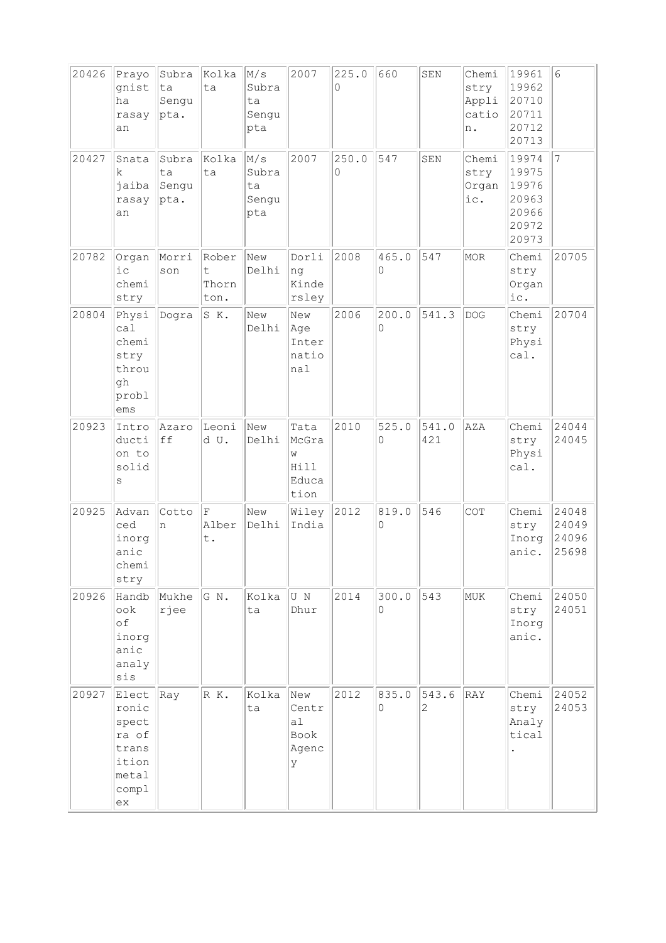| 20426 | Prayo<br>gnist<br>ha<br>rasay<br>an                                        | Subra<br>ta<br>Sengu<br>pta. | Kolka<br>ta                  | M/s<br>Subra<br>ta<br>Sengu<br>pta | 2007                                        | 225.0<br>0 | 660               | SEN                     | Chemi<br>stry<br>Appli<br>catio<br>n. | 19961<br>19962<br>20710<br>20711<br>20712<br>20713          | $6\phantom{.}6$                  |
|-------|----------------------------------------------------------------------------|------------------------------|------------------------------|------------------------------------|---------------------------------------------|------------|-------------------|-------------------------|---------------------------------------|-------------------------------------------------------------|----------------------------------|
| 20427 | Snata<br>k<br>jaiba<br>rasay<br>an                                         | Subra<br>ta<br>Sengu<br>pta. | Kolka<br>ta                  | M/s<br>Subra<br>ta<br>Sengu<br>pta | 2007                                        | 250.0<br>0 | 547               | SEN                     | Chemi<br>stry<br>Organ<br>ic.         | 19974<br>19975<br>19976<br>20963<br>20966<br>20972<br>20973 | $\overline{7}$                   |
| 20782 | Organ<br>i c<br>chemi<br>stry                                              | Morri<br>son                 | Rober<br>t.<br>Thorn<br>ton. | New<br>Delhi                       | Dorli<br>ng<br>Kinde<br>rsley               | 2008       | 465.0<br>$\Omega$ | 547                     | MOR                                   | Chemi<br>stry<br>Organ<br>ic.                               | 20705                            |
| 20804 | Physi<br>ca1<br>chemi<br>stry<br>throu<br>gh<br>probl<br>ems               | Dogra                        | SK.                          | New<br>Delhi                       | New<br>Age<br>Inter<br>natio<br>nal         | 2006       | 200.0<br>0        | 541.3                   | <b>DOG</b>                            | Chemi<br>stry<br>Physi<br>cal.                              | 20704                            |
| 20923 | Intro<br>ducti<br>on to<br>solid<br>S                                      | Azaro<br>ff                  | Leoni<br>d U.                | New<br>Delhi                       | Tata<br>McGra<br>W<br>Hill<br>Educa<br>tion | 2010       | 525.0<br>0        | 541.0<br>421            | AZA                                   | Chemi<br>stry<br>Physi<br>cal.                              | 24044<br>24045                   |
| 20925 | Advan<br>ced<br>inorg<br>anic<br>chemi<br>stry                             | Cotto<br>n                   | F<br>Alber<br>t.             | New<br>Delhi                       | Wiley<br>India                              | 2012       | 819.0<br>$\Omega$ | 546                     | COT                                   | Chemi<br>stry<br>Inorg<br>anic.                             | 24048<br>24049<br>24096<br>25698 |
| 20926 | Handb<br>$\circ \circ k$<br>of<br>inorg<br>anic<br>analy<br>sis            | Mukhe<br>rjee                | GN.                          | Kolka<br>ta                        | U N<br>Dhur                                 | 2014       | 300.0<br>0        | 543                     | MUK                                   | Chemi<br>stry<br>Inorg<br>anic.                             | 24050<br>24051                   |
| 20927 | Elect<br>ronic<br>spect<br>ra of<br>trans<br>ition<br>metal<br>compl<br>ex | Ray                          | R K.                         | Kolka<br>ta                        | New<br>Centr<br>al<br>Book<br>Agenc<br>У    | 2012       | 835.0<br>$\Omega$ | 543.6<br>$\overline{2}$ | RAY                                   | Chemi<br>stry<br>Analy<br>tical                             | 24052<br>24053                   |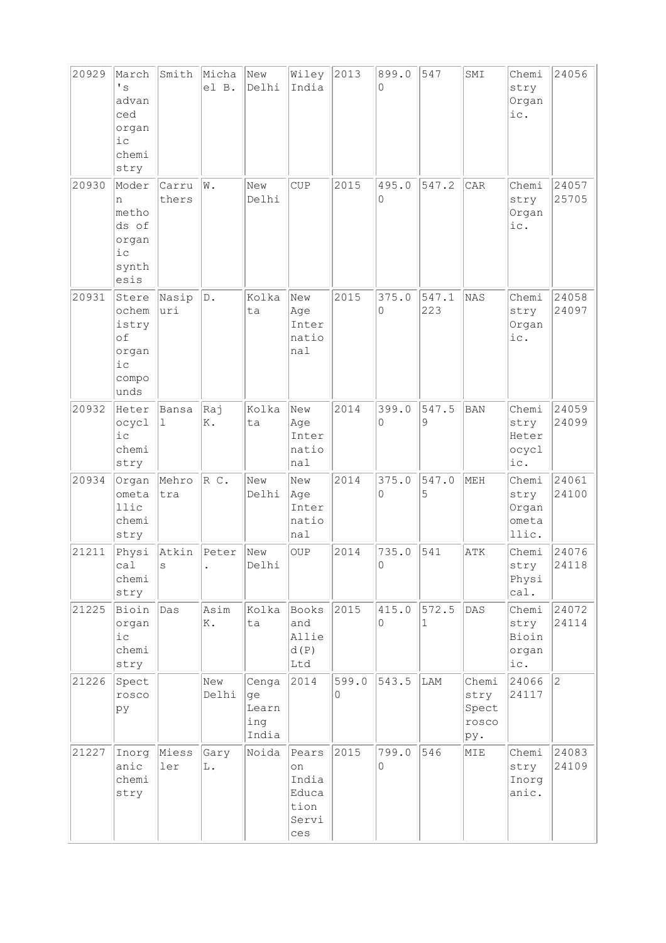| 20929 | March<br>$\mathbf{F}$ s<br>advan<br>ced<br>organ<br>$i$ c<br>chemi<br>stry | Smith          | Micha<br>el B.        | New<br>Delhi                         | Wiley<br>India                                        | 2013       | 899.0<br>0        | 547          | SMI                                    | Chemi<br>stry<br>Organ<br>ic.            | 24056          |
|-------|----------------------------------------------------------------------------|----------------|-----------------------|--------------------------------------|-------------------------------------------------------|------------|-------------------|--------------|----------------------------------------|------------------------------------------|----------------|
| 20930 | Moder<br>n<br>metho<br>ds of<br>organ<br>iс<br>synth<br>esis               | Carru<br>thers | W.                    | New<br>Delhi                         | CUP                                                   | 2015       | 495.0<br>0        | 547.2        | CAR                                    | Chemi<br>stry<br>Organ<br>ic.            | 24057<br>25705 |
| 20931 | Stere<br>ochem<br>istry<br>of<br>organ<br>iс<br>compo<br>unds              | Nasip<br> uri  | $\mathbb D$ .         | Kolka<br>ta                          | New<br>Age<br>Inter<br>natio<br>nal                   | 2015       | 375.0<br>$\Omega$ | 547.1<br>223 | NAS                                    | Chemi<br>stry<br>Organ<br>ic.            | 24058<br>24097 |
| 20932 | Heter<br>ocycl<br>i c<br>chemi<br>stry                                     | Bansa<br>ı     | Raj<br>K.             | Kolka<br>ta                          | New<br>Age<br>Inter<br>natio<br>nal                   | 2014       | 399.0<br>$\Omega$ | 547.5<br>9   | <b>BAN</b>                             | Chemi<br>stry<br>Heter<br>ocycl<br>ic.   | 24059<br>24099 |
| 20934 | Organ<br>ometa<br>llic<br>chemi<br>stry                                    | Mehro<br>tra   | $R$ C.                | New<br>Delhi                         | New<br>Age<br>Inter<br>natio<br>nal                   | 2014       | 375.0<br>0        | 547.0<br>5   | MEH                                    | Chemi<br>stry<br>Organ<br>ometa<br>llic. | 24061<br>24100 |
| 21211 | Physi<br>ca1<br>chemi<br>stry                                              | Atkin<br>S     | Peter                 | New<br>Delhi                         | <b>OUP</b>                                            | 2014       | 735.0<br>$\Omega$ | 541          | ATK                                    | Chemi<br>stry<br>Physi<br>cal.           | 24076<br>24118 |
| 21225 | Bioin<br>organ<br>$i\,c$<br>chemi<br>stry                                  | Das            | Asim<br>K.            | Kolka<br>ta                          | Books<br>and<br>Allie<br>d(P)<br>Ltd                  | 2015       | 415.0<br>0        | 572.5<br>1   | DAS                                    | Chemi<br>stry<br>Bioin<br>organ<br>ic.   | 24072<br>24114 |
| 21226 | Spect<br>rosco<br>pу                                                       |                | New<br>Delhi          | Cenga<br>ge<br>Learn<br>ing<br>India | 2014                                                  | 599.0<br>0 | 543.5             | LAM          | Chemi<br>stry<br>Spect<br>rosco<br>pу. | 24066<br>24117                           | $ 2\rangle$    |
| 21227 | Inorg<br>anic<br>chemi<br>stry                                             | Miess<br>ler   | Gary<br>$\mathbb L$ . | Noida                                | Pears<br>on<br>India<br>Educa<br>tion<br>Servi<br>ces | 2015       | 799.0<br>0        | 546          | MIE                                    | Chemi<br>stry<br>Inorg<br>anic.          | 24083<br>24109 |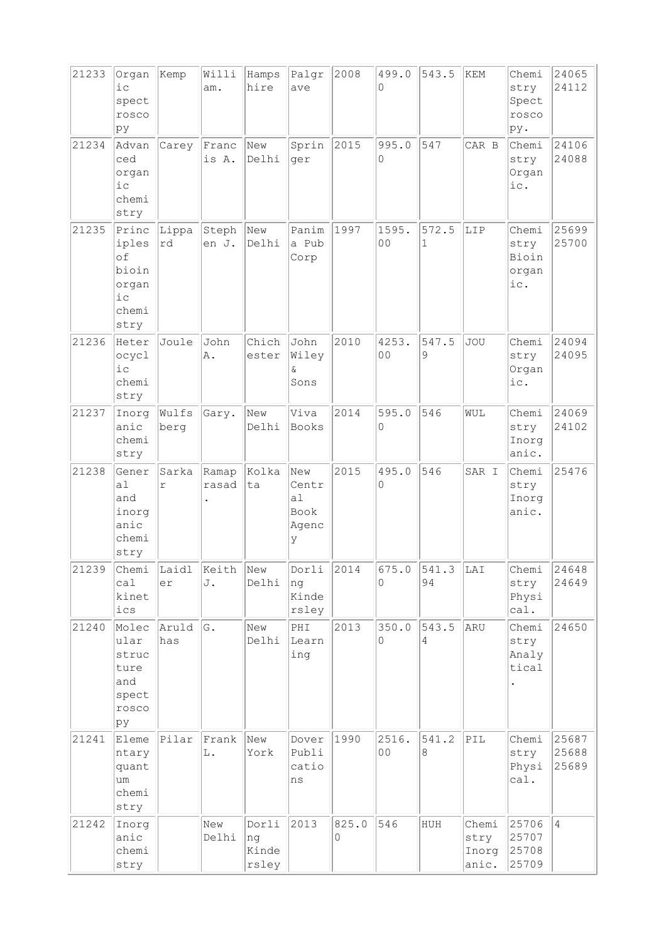| 21233 | Organ<br>$i$ c<br>spect<br>rosco<br>py                           | Kemp                | Willi<br>am.                           | Hamps<br>hire                 | Palgr<br>ave                             | 2008       | 499.0<br>0              | 543.5                   | KEM                             | Chemi<br>stry<br>Spect<br>rosco<br>py. | 24065<br>24112          |
|-------|------------------------------------------------------------------|---------------------|----------------------------------------|-------------------------------|------------------------------------------|------------|-------------------------|-------------------------|---------------------------------|----------------------------------------|-------------------------|
| 21234 | Advan<br>ced<br>organ<br>$i$ c<br>chemi<br>stry                  | Carey               | Franc<br>is A.                         | New<br>Delhi                  | Sprin<br>ger                             | 2015       | 995.0<br>0              | 547                     | CAR B                           | Chemi<br>stry<br>Organ<br>ic.          | 24106<br>24088          |
| 21235 | Princ<br>iples<br>of<br>bioin<br>organ<br>$i$ c<br>chemi<br>stry | Lippa<br>rd         | Steph<br>en J.                         | New<br>Delhi                  | Panim<br>a Pub<br>Corp                   | 1997       | 1595.<br>0 <sub>0</sub> | 572.5<br>$\mathbf{1}$   | LIP                             | Chemi<br>stry<br>Bioin<br>organ<br>ic. | 25699<br>25700          |
| 21236 | Heter<br>ocycl<br>$i$ c<br>chemi<br>stry                         | Joule               | John<br>Α.                             | Chich<br>ester                | John<br>Wiley<br>&.<br>Sons              | 2010       | 4253.<br>0 <sub>0</sub> | 547.5<br>9              | <b>JOU</b>                      | Chemi<br>stry<br>Organ<br>ic.          | 24094<br>24095          |
| 21237 | Inorg<br>anic<br>chemi<br>stry                                   | Wulfs<br>berg       | Gary.                                  | New<br>Delhi                  | Viva<br>Books                            | 2014       | 595.0<br>0              | 546                     | WUL                             | Chemi<br>stry<br>Inorg<br>anic.        | 24069<br>24102          |
| 21238 | Gener<br>a1<br>and<br>inorg<br>anic<br>chemi<br>stry             | Sarka<br>$\Upsilon$ | Ramap<br>rasad<br>$\ddot{\phantom{0}}$ | Kolka<br>ta                   | New<br>Centr<br>a1<br>Book<br>Agenc<br>У | 2015       | 495.0<br>0              | 546                     | SAR I                           | Chemi<br>stry<br>Inorg<br>anic.        | 25476                   |
| 21239 | Chemi<br>ca1<br>kinet<br>ics                                     | Laidl<br>er         | Keith<br>J.                            | New<br>Delhi                  | Dorli<br>ng<br>Kinde<br>rsley            | 2014       | 675.0<br>0              | 541.3<br>94             | LAI                             | Chemi<br>stry<br>Physi<br>cal.         | 24648<br>24649          |
| 21240 | Molec<br>ular<br>struc<br>ture<br>and<br>spect<br>rosco<br>þу    | Aruld<br>has        | G.                                     | New<br>Delhi                  | PHI<br>Learn<br>ing                      | 2013       | 350.0<br>0              | 543.5<br>$\overline{4}$ | ARU                             | Chemi<br>stry<br>Analy<br>tical        | 24650                   |
| 21241 | Eleme<br>ntary<br>quant<br>um<br>chemi<br>stry                   | Pilar               | Frank<br>L.                            | New<br>York                   | Dover<br>Publi<br>catio<br>ns            | 1990       | 2516.<br>0 <sub>0</sub> | 541.2<br>8              | PIL                             | Chemi<br>stry<br>Physi<br>cal.         | 25687<br>25688<br>25689 |
| 21242 | Inorg<br>anic<br>chemi<br>stry                                   |                     | New<br>Delhi                           | Dorli<br>ng<br>Kinde<br>rsley | 2013                                     | 825.0<br>0 | 546                     | HUH                     | Chemi<br>stry<br>Inorg<br>anic. | 25706<br>25707<br>25708<br>25709       | $\overline{4}$          |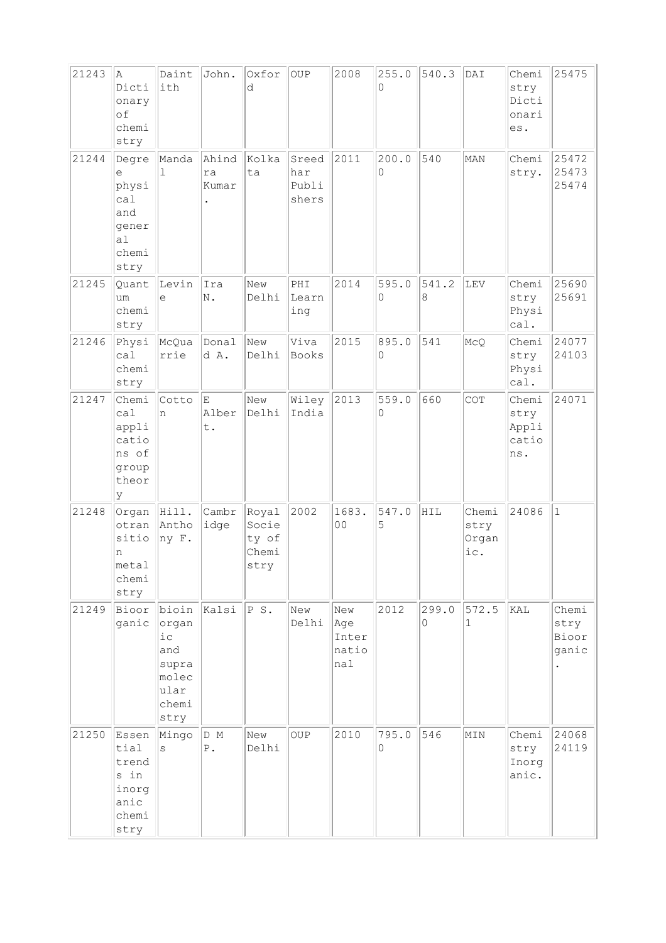| 21243 | A<br>Dicti<br>onary<br>of<br>chemi<br>stry                         | Daint<br>ith                                                              | John.                | Oxfor<br>d                               | <b>OUP</b>                     | 2008                                | 255.0<br>0           | 540.3      | DAI                           | Chemi<br>stry<br>Dicti<br>onari<br>es. | 25475                           |
|-------|--------------------------------------------------------------------|---------------------------------------------------------------------------|----------------------|------------------------------------------|--------------------------------|-------------------------------------|----------------------|------------|-------------------------------|----------------------------------------|---------------------------------|
| 21244 | Degre<br>е<br>physi<br>cal<br>and<br>gener<br>a1<br>chemi<br>stry  | Manda<br>$\mathbf{1}$                                                     | Ahind<br>ra<br>Kumar | Kolka<br>ta                              | Sreed<br>har<br>Publi<br>shers | 2011                                | 200.0<br>$\mathsf O$ | 540        | MAN                           | Chemi<br>stry.                         | 25472<br>25473<br>25474         |
| 21245 | Quant<br>um<br>chemi<br>stry                                       | Levin<br>e                                                                | Ira<br>N.            | New<br>Delhi                             | PHI<br>Learn<br>ing            | 2014                                | 595.0<br>$\Omega$    | 541.2<br>8 | LEV                           | Chemi<br>stry<br>Physi<br>cal.         | 25690<br>25691                  |
| 21246 | Physi<br>ca1<br>chemi<br>stry                                      | McQua<br>rrie                                                             | Donal<br>d A.        | New<br>Delhi                             | Viva<br>Books                  | 2015                                | 895.0<br>0           | 541        | McQ                           | Chemi<br>stry<br>Physi<br>cal.         | 24077<br>24103                  |
| 21247 | Chemi<br>cal<br>appli<br>catio<br>ns of<br>group<br>theor<br>У     | Cotto<br>n                                                                | İΕ.<br>Alber<br>t.   | New<br>Delhi                             | Wiley<br>India                 | 2013                                | 559.0<br>0           | 660        | COT                           | Chemi<br>stry<br>Appli<br>catio<br>ns. | 24071                           |
| 21248 | $Organ$ $\ Hill.$<br>otran<br>sitio<br>n<br>metal<br>chemi<br>stry | Antho<br>$ $ ny F.                                                        | Cambr<br>idge        | Royal<br>Socie<br>ty of<br>Chemi<br>stry | 2002                           | 1683.<br>0 <sub>0</sub>             | 547.0<br>5           | HIL        | Chemi<br>stry<br>Organ<br>ic. | 24086                                  | $\mathbf{1}$                    |
| 21249 | Bioor<br>ganic                                                     | bioin<br>organ<br>$i$ с<br>and<br>supra<br>molec<br>ular<br>chemi<br>stry | Kalsi                | PS.                                      | New<br>Delhi                   | New<br>Age<br>Inter<br>natio<br>nal | 2012                 | 299.0<br>0 | 572.5<br>1                    | KAL                                    | Chemi<br>stry<br>Bioor<br>ganic |
| 21250 | Essen<br>tial<br>trend<br>s in<br>inorg<br>anic<br>chemi<br>stry   | Mingo<br>S                                                                | D M<br>${\tt P}$ .   | New<br>Delhi                             | OUP                            | 2010                                | 795.0<br>0           | 546        | MIN                           | Chemi<br>stry<br>Inorg<br>anic.        | 24068<br>24119                  |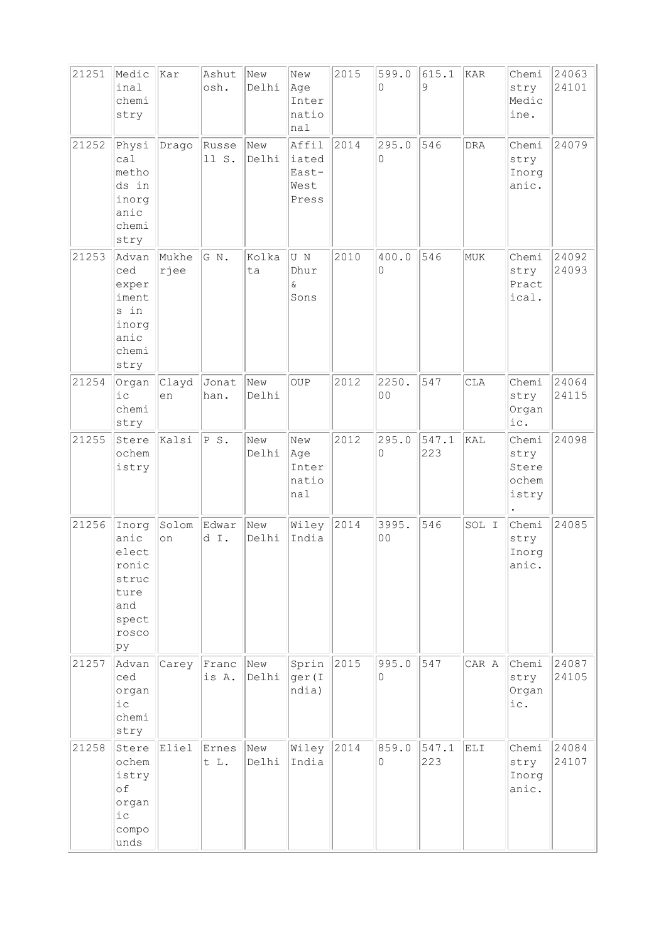| 21251 | Medic<br>inal<br>chemi<br>stry                                                  | kar           | Ashut<br>osh.  | New<br>Delhi | New<br>Age<br>Inter<br>natio<br>nal      | 2015 | 599.0<br>$\Omega$       | 615.1<br>9   | KAR        | Chemi<br>stry<br>Medic<br>ine.           | 24063<br>24101 |
|-------|---------------------------------------------------------------------------------|---------------|----------------|--------------|------------------------------------------|------|-------------------------|--------------|------------|------------------------------------------|----------------|
| 21252 | Physi<br>ca1<br>metho<br>ds in<br>inorg<br>anic<br>chemi<br>stry                | Drago         | Russe<br>11 S. | New<br>Delhi | Affil<br>iated<br>East-<br>West<br>Press | 2014 | 295.0<br>0              | 546          | <b>DRA</b> | Chemi<br>stry<br>Inorg<br>anic.          | 24079          |
| 21253 | Advan<br>ced<br>exper<br>iment<br>s in<br>inorg<br>anic<br>chemi<br>stry        | Mukhe<br>rjee | G N.           | Kolka<br>ta  | U N<br>Dhur<br>$\delta$<br>Sons          | 2010 | 400.0<br>$\Omega$       | 546          | <b>MUK</b> | Chemi<br>stry<br>Pract<br>ical.          | 24092<br>24093 |
| 21254 | Organ<br>i c<br>chemi<br>stry                                                   | Clayd<br>en   | Jonat<br>han.  | New<br>Delhi | OUP                                      | 2012 | 2250.<br>0 <sub>0</sub> | 547          | <b>CLA</b> | Chemi<br>stry<br>Organ<br>ic.            | 24064<br>24115 |
| 21255 | Stere<br>ochem<br>istry                                                         | Kalsi         | P S.           | New<br>Delhi | New<br> Age<br>Inter<br>natio<br>nal     | 2012 | 295.0<br>0              | 547.1<br>223 | KAL        | Chemi<br>stry<br>Stere<br>ochem<br>istry | 24098          |
| 21256 | Inorg<br>anic<br>elect<br>ronic<br>struc<br>ture<br>and<br>spect<br>rosco<br>pу | Solom<br>on   | Edwar<br>d I.  | New<br>Delhi | Wiley<br>India                           | 2014 | 3995.<br>0 <sub>0</sub> | 546          | SOL I      | Chemi<br>stry<br>Inorg<br>anic.          | 24085          |
| 21257 | Advan<br>ced<br>organ<br>$i\,c$<br>chemi<br>stry                                | Carey         | Franc<br>is A. | New<br>Delhi | Sprin<br>ger (I<br>ndia)                 | 2015 | 995.0<br>0              | 547          | CAR A      | Chemi<br>stry<br>Organ<br>ic.            | 24087<br>24105 |
| 21258 | Stere<br>ochem<br>istry<br>of<br>organ<br>$i$ с<br>compo<br>unds                | Eliel         | Ernes<br>t L.  | New<br>Delhi | Wiley<br>India                           | 2014 | 859.0<br>$\circ$        | 547.1<br>223 | ELI        | Chemi<br>stry<br>Inorg<br>anic.          | 24084<br>24107 |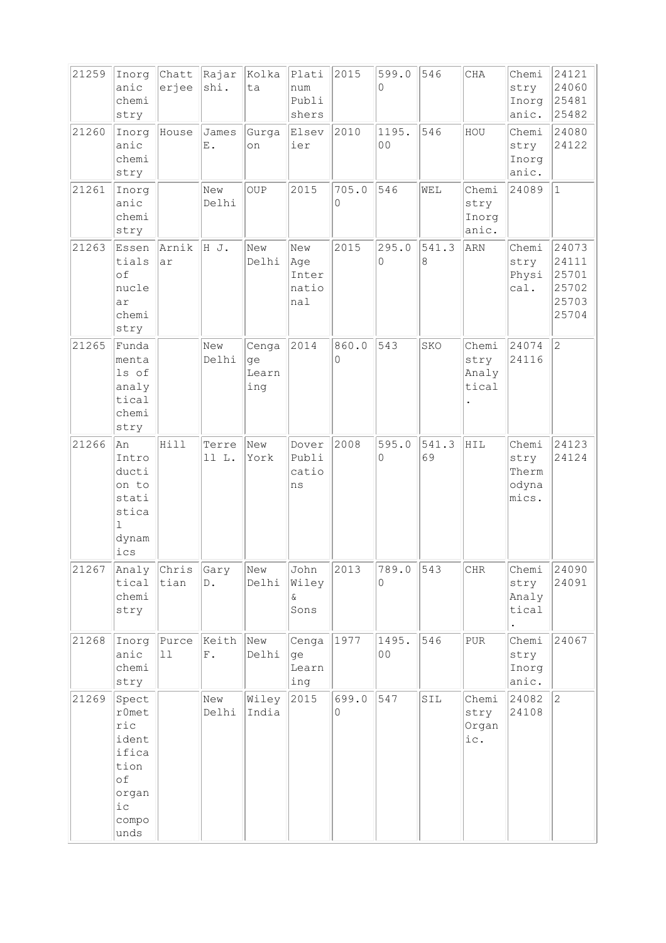| 21259 | Inorg<br>anic<br>chemi<br>stry                                                              | Chatt<br>erjee | Rajar<br>shi.          | Kolka<br>ta                 | Plati<br>num<br>Publi<br>shers      | 2015       | 599.0<br>$\Omega$ | 546          | CHA                             | Chemi<br>stry<br>Inorg<br>anic.          | 24121<br>24060<br>25481<br>25482                   |
|-------|---------------------------------------------------------------------------------------------|----------------|------------------------|-----------------------------|-------------------------------------|------------|-------------------|--------------|---------------------------------|------------------------------------------|----------------------------------------------------|
| 21260 | Inorg<br>anic<br>chemi<br>stry                                                              | House          | James<br>$\mathbf E$ . | Gurga<br>on                 | Elsev<br>ier                        | 2010       | 1195.<br>00       | 546          | HOU                             | Chemi<br>stry<br>Inorg<br>anic.          | 24080<br>24122                                     |
| 21261 | Inorg<br>anic<br>chemi<br>stry                                                              |                | New<br>Delhi           | OUP                         | 2015                                | 705.0<br>0 | 546               | WEL          | Chemi<br>stry<br>Inorg<br>anic. | 24089                                    | $\vert$ 1                                          |
| 21263 | Essen<br>tials<br>of<br>nucle<br>ar<br>chemi<br>stry                                        | Arnik<br>ar    | HJ.                    | New<br>Delhi                | New<br>Age<br>Inter<br>natio<br>nal | 2015       | 295.0<br>$\circ$  | 541.3<br>8   | ARN                             | Chemi<br>stry<br>Physi<br>cal.           | 24073<br>24111<br>25701<br>25702<br>25703<br>25704 |
| 21265 | Funda<br>menta<br>ls of<br>analy<br>tical<br>chemi<br>stry                                  |                | New<br>Delhi           | Cenga<br>ge<br>Learn<br>ing | 2014                                | 860.0<br>0 | 543               | SKO          | Chemi<br>stry<br>Analy<br>tical | 24074<br>24116                           | $\overline{c}$                                     |
| 21266 | An<br>Intro<br>ducti<br>on to<br>stati<br>stica<br>$\mathbb{L}$<br>dynam<br>ics             | Hill           | Terre<br>11 L.         | New<br>York                 | Dover<br>Publi<br>catio<br>ns       | 2008       | 595.0<br>$\Omega$ | 541.3<br>69  | HIL                             | Chemi<br>stry<br>Therm<br>odyna<br>mics. | 24123<br>24124                                     |
| 21267 | Analy<br>tical<br>chemi<br>stry                                                             | Chris<br>tian  | Gary<br>$\mathbb D$ .  | New<br>Delhi                | John<br>Wiley<br>&<br>Sons          | 2013       | 789.0<br>0        | $\sqrt{543}$ | CHR                             | Chemi<br>stry<br>Analy<br>tical          | 24090<br>24091                                     |
| 21268 | Inorg<br>anic<br>chemi<br>stry                                                              | Purce<br>11    | Keith<br>${\rm F}$ .   | New<br>Delhi                | Cenga<br>ge<br>Learn<br>ing         | 1977       | 1495.<br>00       | 546          | ${\tt PUR}$                     | Chemi<br>stry<br>Inorg<br>anic.          | 24067                                              |
| 21269 | Spect<br>$r$ Omet<br>ric<br>ident<br>ifica<br>tion<br>of<br>organ<br>$i$ с<br>compo<br>unds |                | New<br>Delhi           | Wiley<br>India              | 2015                                | 699.0<br>0 | 547               | SIL          | Chemi<br>stry<br>Organ<br>ic.   | 24082<br>24108                           | $ 2\rangle$                                        |